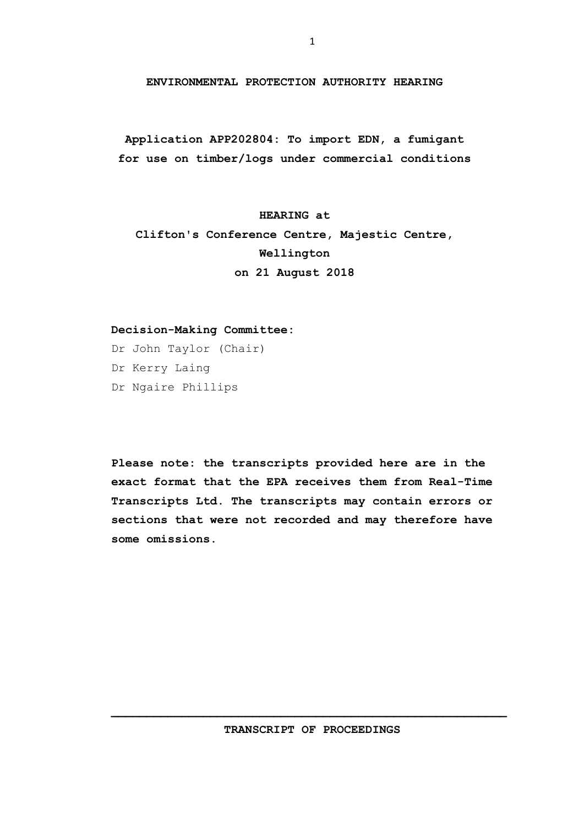**ENVIRONMENTAL PROTECTION AUTHORITY HEARING**

**Application APP202804: To import EDN, a fumigant for use on timber/logs under commercial conditions**

**HEARING at Clifton's Conference Centre, Majestic Centre, Wellington on 21 August 2018**

## **Decision-Making Committee:**

Dr John Taylor (Chair) Dr Kerry Laing Dr Ngaire Phillips

**Please note: the transcripts provided here are in the exact format that the EPA receives them from Real-Time Transcripts Ltd. The transcripts may contain errors or sections that were not recorded and may therefore have some omissions.**

**TRANSCRIPT OF PROCEEDINGS**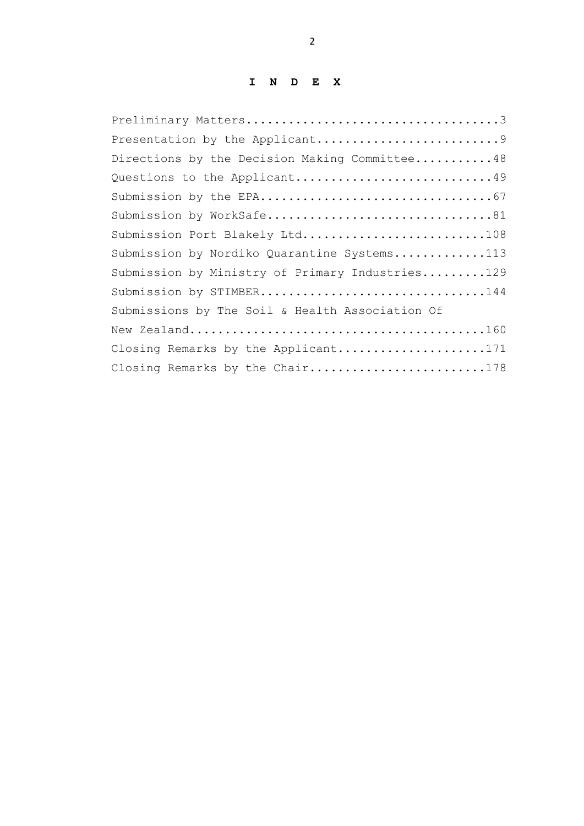## **I N D E X**

| Directions by the Decision Making Committee48   |
|-------------------------------------------------|
| Questions to the Applicant49                    |
|                                                 |
| Submission by WorkSafe81                        |
| Submission Port Blakely Ltd108                  |
| Submission by Nordiko Quarantine Systems113     |
| Submission by Ministry of Primary Industries129 |
| Submission by STIMBER144                        |
| Submissions by The Soil & Health Association Of |
|                                                 |
| Closing Remarks by the Applicant171             |
| Closing Remarks by the Chair178                 |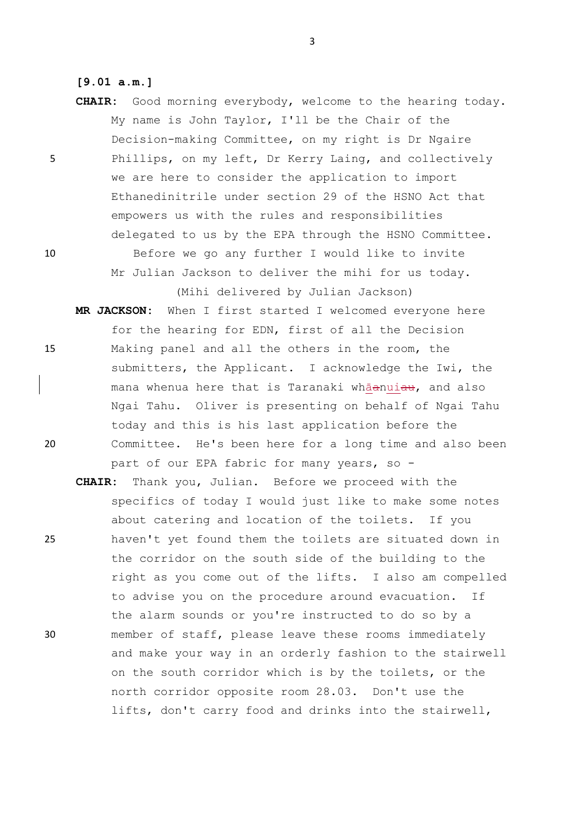## **[9.01 a.m.]**

**CHAIR:** Good morning everybody, welcome to the hearing today. My name is John Taylor, I'll be the Chair of the Decision-making Committee, on my right is Dr Ngaire 5 Phillips, on my left, Dr Kerry Laing, and collectively we are here to consider the application to import Ethanedinitrile under section 29 of the HSNO Act that empowers us with the rules and responsibilities delegated to us by the EPA through the HSNO Committee. 10 Before we go any further I would like to invite

> Mr Julian Jackson to deliver the mihi for us today. (Mihi delivered by Julian Jackson)

- **MR JACKSON:** When I first started I welcomed everyone here for the hearing for EDN, first of all the Decision 15 Making panel and all the others in the room, the submitters, the Applicant. I acknowledge the Iwi, the mana whenua here that is Taranaki whāanuiau, and also Ngai Tahu. Oliver is presenting on behalf of Ngai Tahu today and this is his last application before the 20 Committee. He's been here for a long time and also been part of our EPA fabric for many years, so -
- **CHAIR:** Thank you, Julian. Before we proceed with the specifics of today I would just like to make some notes about catering and location of the toilets. If you 25 haven't yet found them the toilets are situated down in the corridor on the south side of the building to the right as you come out of the lifts. I also am compelled to advise you on the procedure around evacuation. If the alarm sounds or you're instructed to do so by a 30 member of staff, please leave these rooms immediately and make your way in an orderly fashion to the stairwell on the south corridor which is by the toilets, or the north corridor opposite room 28.03. Don't use the lifts, don't carry food and drinks into the stairwell,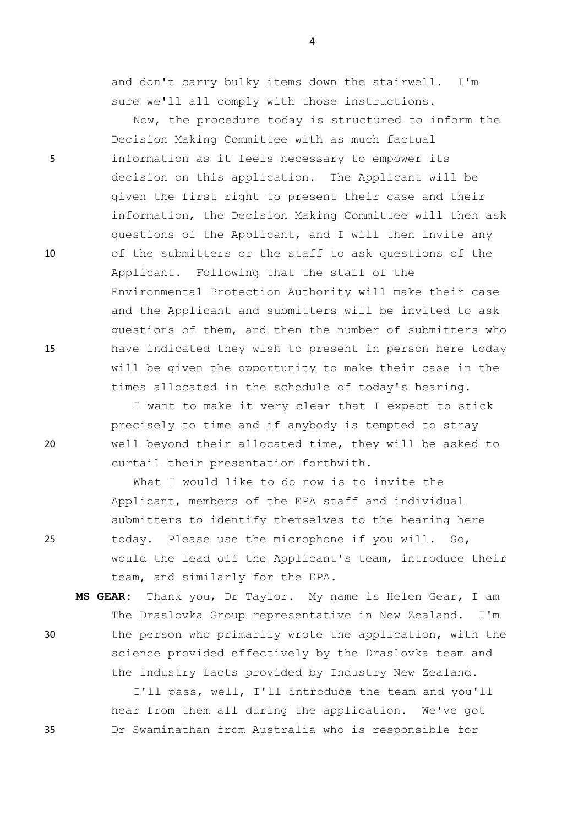and don't carry bulky items down the stairwell. I'm sure we'll all comply with those instructions.

Now, the procedure today is structured to inform the Decision Making Committee with as much factual 5 information as it feels necessary to empower its decision on this application. The Applicant will be given the first right to present their case and their information, the Decision Making Committee will then ask questions of the Applicant, and I will then invite any 10 of the submitters or the staff to ask questions of the Applicant. Following that the staff of the Environmental Protection Authority will make their case and the Applicant and submitters will be invited to ask questions of them, and then the number of submitters who 15 have indicated they wish to present in person here today will be given the opportunity to make their case in the times allocated in the schedule of today's hearing.

I want to make it very clear that I expect to stick precisely to time and if anybody is tempted to stray 20 well beyond their allocated time, they will be asked to curtail their presentation forthwith.

What I would like to do now is to invite the Applicant, members of the EPA staff and individual submitters to identify themselves to the hearing here 25 today. Please use the microphone if you will. So, would the lead off the Applicant's team, introduce their team, and similarly for the EPA.

**MS GEAR:** Thank you, Dr Taylor. My name is Helen Gear, I am The Draslovka Group representative in New Zealand. I'm 30 the person who primarily wrote the application, with the science provided effectively by the Draslovka team and the industry facts provided by Industry New Zealand.

I'll pass, well, I'll introduce the team and you'll hear from them all during the application. We've got 35 Dr Swaminathan from Australia who is responsible for

- 
- 
-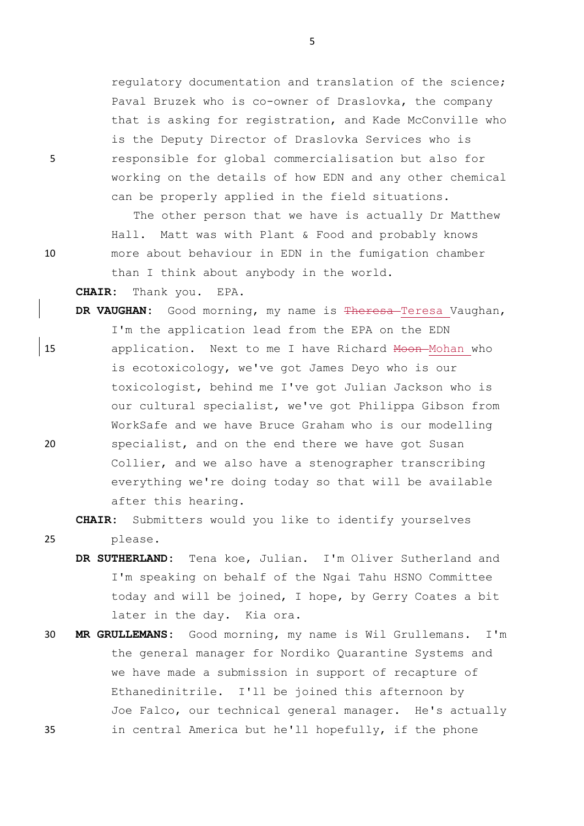regulatory documentation and translation of the science; Paval Bruzek who is co-owner of Draslovka, the company that is asking for registration, and Kade McConville who is the Deputy Director of Draslovka Services who is 5 responsible for global commercialisation but also for working on the details of how EDN and any other chemical can be properly applied in the field situations.

The other person that we have is actually Dr Matthew Hall. Matt was with Plant & Food and probably knows 10 more about behaviour in EDN in the fumigation chamber than I think about anybody in the world.

**CHAIR:** Thank you. EPA.

DR VAUGHAN: Good morning, my name is Theresa Teresa Vaughan, I'm the application lead from the EPA on the EDN 15 application. Next to me I have Richard <del>Moon M</del>ohan who is ecotoxicology, we've got James Deyo who is our toxicologist, behind me I've got Julian Jackson who is our cultural specialist, we've got Philippa Gibson from WorkSafe and we have Bruce Graham who is our modelling 20 specialist, and on the end there we have got Susan Collier, and we also have a stenographer transcribing everything we're doing today so that will be available after this hearing.

**CHAIR:** Submitters would you like to identify yourselves

25 please.

- **DR SUTHERLAND:** Tena koe, Julian. I'm Oliver Sutherland and I'm speaking on behalf of the Ngai Tahu HSNO Committee today and will be joined, I hope, by Gerry Coates a bit later in the day. Kia ora.
- 30 **MR GRULLEMANS:** Good morning, my name is Wil Grullemans. I'm the general manager for Nordiko Quarantine Systems and we have made a submission in support of recapture of Ethanedinitrile. I'll be joined this afternoon by Joe Falco, our technical general manager. He's actually 35 in central America but he'll hopefully, if the phone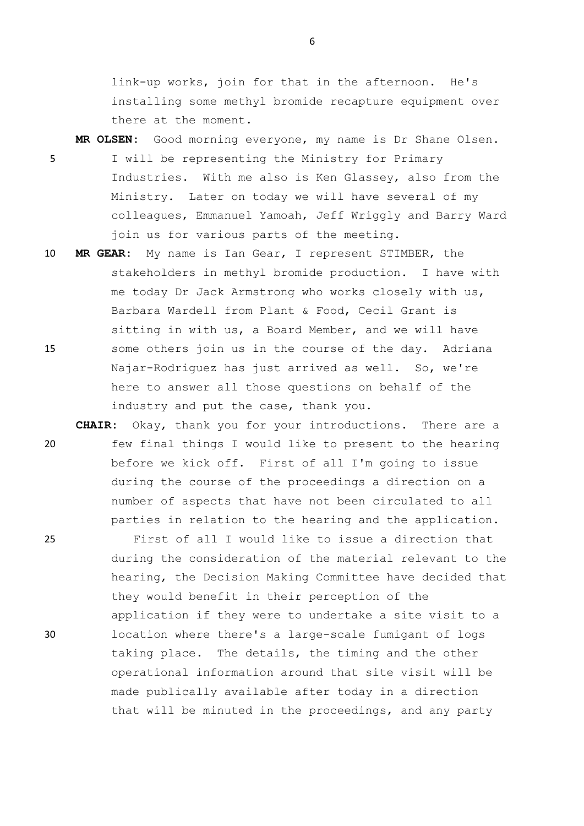link-up works, join for that in the afternoon. He's installing some methyl bromide recapture equipment over there at the moment.

- **MR OLSEN:** Good morning everyone, my name is Dr Shane Olsen. 5 I will be representing the Ministry for Primary Industries. With me also is Ken Glassey, also from the Ministry. Later on today we will have several of my colleagues, Emmanuel Yamoah, Jeff Wriggly and Barry Ward join us for various parts of the meeting.
- 10 **MR GEAR:** My name is Ian Gear, I represent STIMBER, the stakeholders in methyl bromide production. I have with me today Dr Jack Armstrong who works closely with us, Barbara Wardell from Plant & Food, Cecil Grant is sitting in with us, a Board Member, and we will have 15 some others join us in the course of the day. Adriana Najar-Rodriguez has just arrived as well. So, we're here to answer all those questions on behalf of the industry and put the case, thank you.
- **CHAIR:** Okay, thank you for your introductions. There are a 20 few final things I would like to present to the hearing before we kick off. First of all I'm going to issue during the course of the proceedings a direction on a number of aspects that have not been circulated to all parties in relation to the hearing and the application.

25 First of all I would like to issue a direction that during the consideration of the material relevant to the hearing, the Decision Making Committee have decided that they would benefit in their perception of the application if they were to undertake a site visit to a 30 location where there's a large-scale fumigant of logs taking place. The details, the timing and the other operational information around that site visit will be made publically available after today in a direction that will be minuted in the proceedings, and any party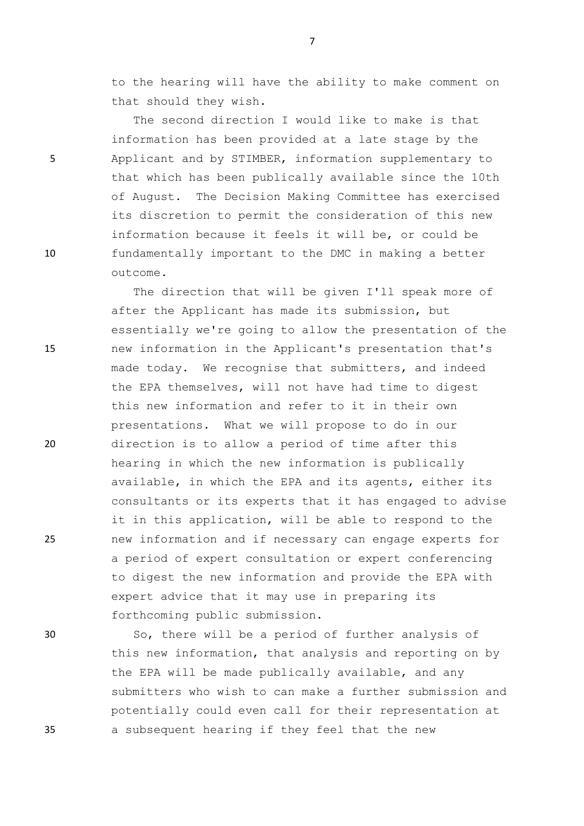to the hearing will have the ability to make comment on that should they wish.

The second direction I would like to make is that information has been provided at a late stage by the 5 Applicant and by STIMBER, information supplementary to that which has been publically available since the 10th of August. The Decision Making Committee has exercised its discretion to permit the consideration of this new information because it feels it will be, or could be 10 fundamentally important to the DMC in making a better outcome.

The direction that will be given I'll speak more of after the Applicant has made its submission, but essentially we're going to allow the presentation of the 15 new information in the Applicant's presentation that's made today. We recognise that submitters, and indeed the EPA themselves, will not have had time to digest this new information and refer to it in their own presentations. What we will propose to do in our 20 direction is to allow a period of time after this hearing in which the new information is publically available, in which the EPA and its agents, either its consultants or its experts that it has engaged to advise it in this application, will be able to respond to the 25 new information and if necessary can engage experts for a period of expert consultation or expert conferencing to digest the new information and provide the EPA with expert advice that it may use in preparing its forthcoming public submission.

30 So, there will be a period of further analysis of this new information, that analysis and reporting on by the EPA will be made publically available, and any submitters who wish to can make a further submission and potentially could even call for their representation at 35 a subsequent hearing if they feel that the new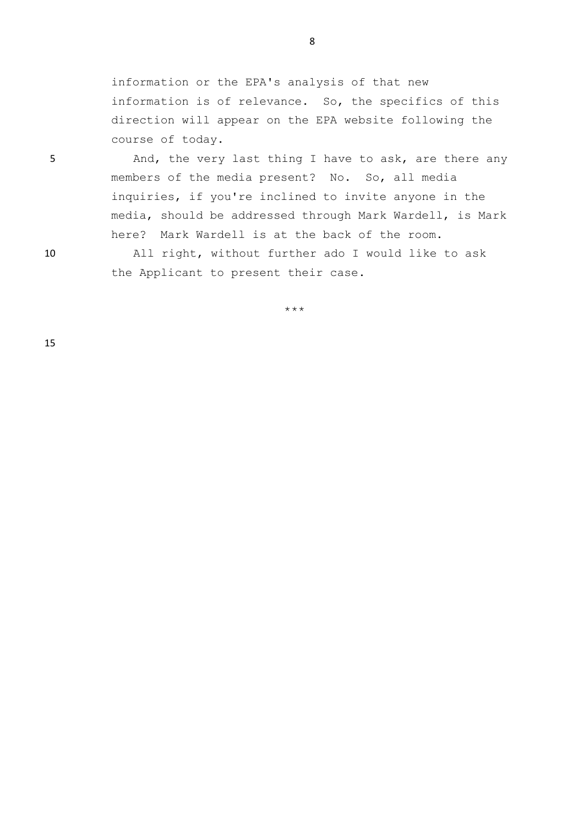information or the EPA's analysis of that new information is of relevance. So, the specifics of this direction will appear on the EPA website following the course of today.

5 And, the very last thing I have to ask, are there any members of the media present? No. So, all media inquiries, if you're inclined to invite anyone in the media, should be addressed through Mark Wardell, is Mark here? Mark Wardell is at the back of the room.

10 All right, without further ado I would like to ask the Applicant to present their case.

\*\*\*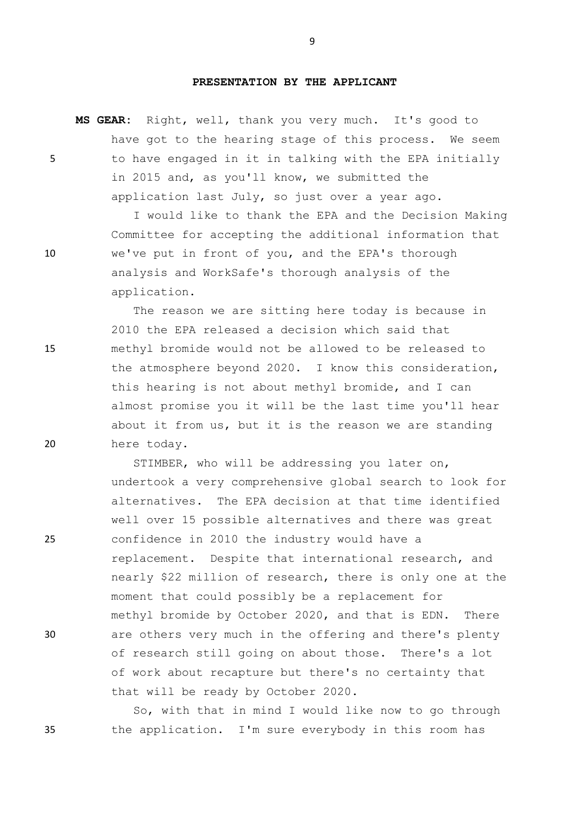## **PRESENTATION BY THE APPLICANT**

**MS GEAR:** Right, well, thank you very much. It's good to have got to the hearing stage of this process. We seem 5 to have engaged in it in talking with the EPA initially in 2015 and, as you'll know, we submitted the application last July, so just over a year ago.

I would like to thank the EPA and the Decision Making Committee for accepting the additional information that 10 we've put in front of you, and the EPA's thorough analysis and WorkSafe's thorough analysis of the application.

The reason we are sitting here today is because in 2010 the EPA released a decision which said that 15 methyl bromide would not be allowed to be released to the atmosphere beyond 2020. I know this consideration, this hearing is not about methyl bromide, and I can almost promise you it will be the last time you'll hear about it from us, but it is the reason we are standing 20 here today.

STIMBER, who will be addressing you later on, undertook a very comprehensive global search to look for alternatives. The EPA decision at that time identified well over 15 possible alternatives and there was great 25 confidence in 2010 the industry would have a replacement. Despite that international research, and nearly \$22 million of research, there is only one at the moment that could possibly be a replacement for methyl bromide by October 2020, and that is EDN. There 30 are others very much in the offering and there's plenty of research still going on about those. There's a lot of work about recapture but there's no certainty that that will be ready by October 2020.

So, with that in mind I would like now to go through 35 the application. I'm sure everybody in this room has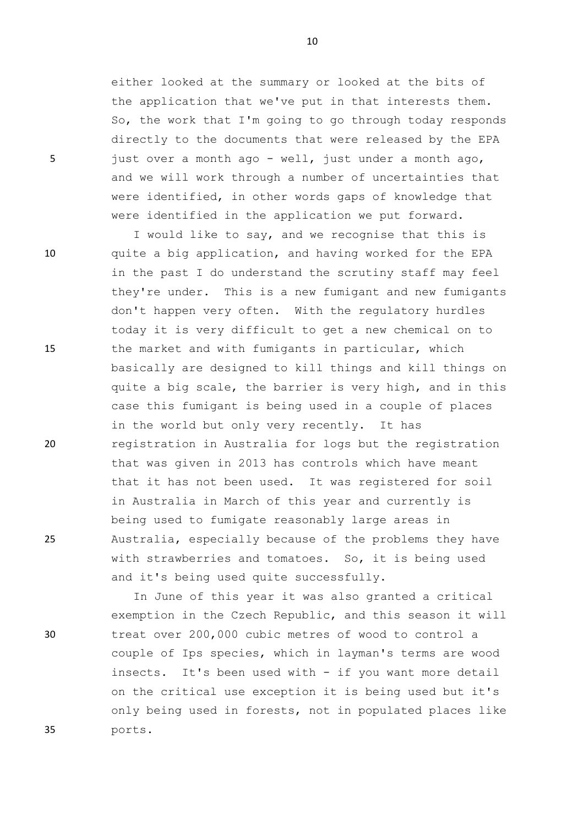either looked at the summary or looked at the bits of the application that we've put in that interests them. So, the work that I'm going to go through today responds directly to the documents that were released by the EPA 5 just over a month ago - well, just under a month ago, and we will work through a number of uncertainties that were identified, in other words gaps of knowledge that were identified in the application we put forward.

I would like to say, and we recognise that this is 10 quite a big application, and having worked for the EPA in the past I do understand the scrutiny staff may feel they're under. This is a new fumigant and new fumigants don't happen very often. With the regulatory hurdles today it is very difficult to get a new chemical on to 15 the market and with fumigants in particular, which basically are designed to kill things and kill things on quite a big scale, the barrier is very high, and in this case this fumigant is being used in a couple of places in the world but only very recently. It has 20 registration in Australia for logs but the registration that was given in 2013 has controls which have meant that it has not been used. It was registered for soil in Australia in March of this year and currently is being used to fumigate reasonably large areas in 25 Australia, especially because of the problems they have with strawberries and tomatoes. So, it is being used and it's being used quite successfully.

In June of this year it was also granted a critical exemption in the Czech Republic, and this season it will 30 treat over 200,000 cubic metres of wood to control a couple of Ips species, which in layman's terms are wood insects. It's been used with - if you want more detail on the critical use exception it is being used but it's only being used in forests, not in populated places like 35 ports.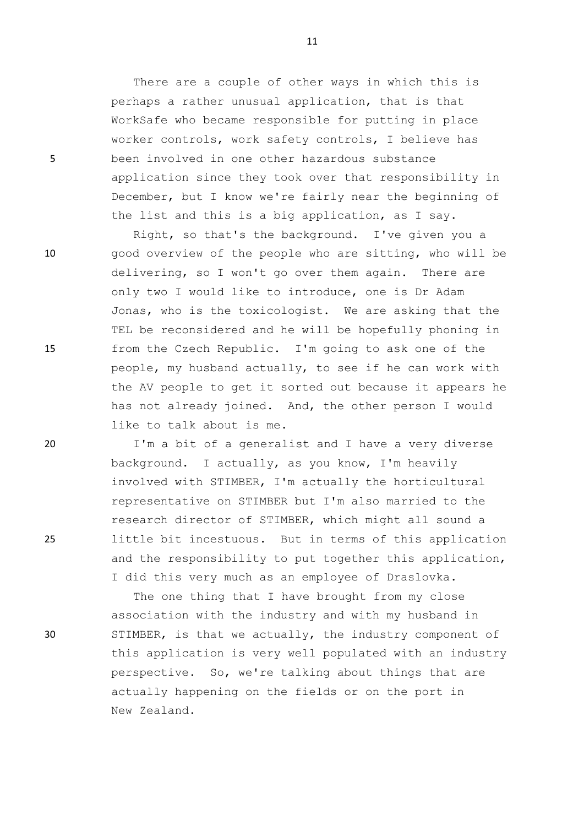There are a couple of other ways in which this is perhaps a rather unusual application, that is that WorkSafe who became responsible for putting in place worker controls, work safety controls, I believe has 5 been involved in one other hazardous substance application since they took over that responsibility in December, but I know we're fairly near the beginning of the list and this is a big application, as I say.

Right, so that's the background. I've given you a 10 good overview of the people who are sitting, who will be delivering, so I won't go over them again. There are only two I would like to introduce, one is Dr Adam Jonas, who is the toxicologist. We are asking that the TEL be reconsidered and he will be hopefully phoning in 15 from the Czech Republic. I'm going to ask one of the people, my husband actually, to see if he can work with the AV people to get it sorted out because it appears he has not already joined. And, the other person I would like to talk about is me.

20 I'm a bit of a generalist and I have a very diverse background. I actually, as you know, I'm heavily involved with STIMBER, I'm actually the horticultural representative on STIMBER but I'm also married to the research director of STIMBER, which might all sound a 25 little bit incestuous. But in terms of this application and the responsibility to put together this application, I did this very much as an employee of Draslovka.

The one thing that I have brought from my close association with the industry and with my husband in 30 STIMBER, is that we actually, the industry component of this application is very well populated with an industry perspective. So, we're talking about things that are actually happening on the fields or on the port in New Zealand.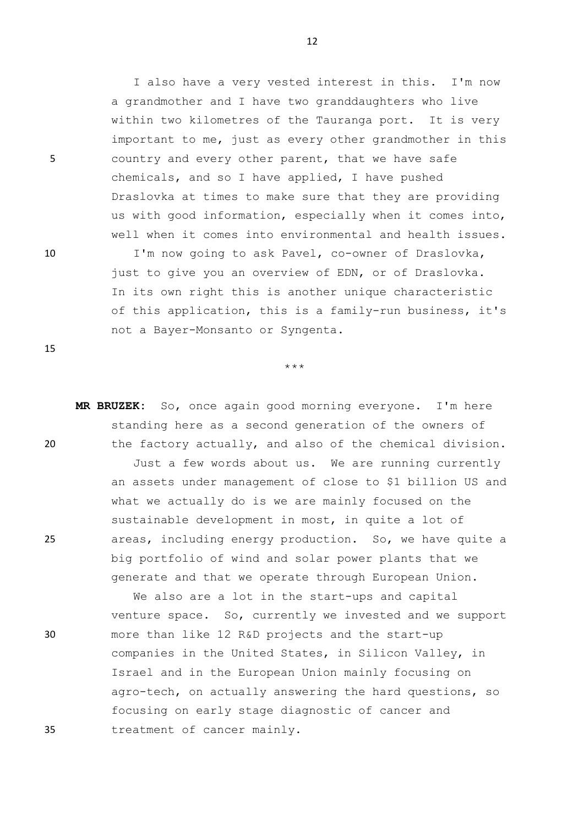5 country and every other parent, that we have safe

15

us with good information, especially when it comes into, well when it comes into environmental and health issues. 10 I'm now going to ask Pavel, co-owner of Draslovka, just to give you an overview of EDN, or of Draslovka. In its own right this is another unique characteristic of this application, this is a family-run business, it's

Draslovka at times to make sure that they are providing

\*\*\*

not a Bayer-Monsanto or Syngenta.

**MR BRUZEK:** So, once again good morning everyone. I'm here standing here as a second generation of the owners of 20 the factory actually, and also of the chemical division. Just a few words about us. We are running currently an assets under management of close to \$1 billion US and what we actually do is we are mainly focused on the sustainable development in most, in quite a lot of 25 areas, including energy production. So, we have quite a big portfolio of wind and solar power plants that we generate and that we operate through European Union.

We also are a lot in the start-ups and capital venture space. So, currently we invested and we support 30 more than like 12 R&D projects and the start-up companies in the United States, in Silicon Valley, in Israel and in the European Union mainly focusing on agro-tech, on actually answering the hard questions, so focusing on early stage diagnostic of cancer and 35 treatment of cancer mainly.

12

I also have a very vested interest in this. I'm now

a grandmother and I have two granddaughters who live

chemicals, and so I have applied, I have pushed

within two kilometres of the Tauranga port. It is very important to me, just as every other grandmother in this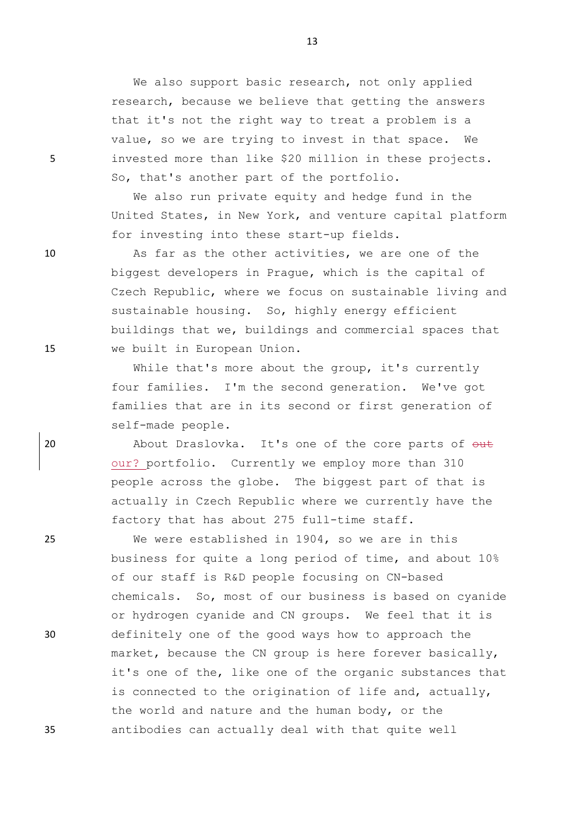We also support basic research, not only applied research, because we believe that getting the answers that it's not the right way to treat a problem is a value, so we are trying to invest in that space. We 5 invested more than like \$20 million in these projects. So, that's another part of the portfolio.

> We also run private equity and hedge fund in the United States, in New York, and venture capital platform for investing into these start-up fields.

10 As far as the other activities, we are one of the biggest developers in Prague, which is the capital of Czech Republic, where we focus on sustainable living and sustainable housing. So, highly energy efficient buildings that we, buildings and commercial spaces that 15 we built in European Union.

> While that's more about the group, it's currently four families. I'm the second generation. We've got families that are in its second or first generation of self-made people.

20 About Draslovka. It's one of the core parts of  $\theta$ ut our? portfolio. Currently we employ more than 310 people across the globe. The biggest part of that is actually in Czech Republic where we currently have the factory that has about 275 full-time staff.

25 We were established in 1904, so we are in this business for quite a long period of time, and about 10% of our staff is R&D people focusing on CN-based chemicals. So, most of our business is based on cyanide or hydrogen cyanide and CN groups. We feel that it is 30 definitely one of the good ways how to approach the market, because the CN group is here forever basically, it's one of the, like one of the organic substances that is connected to the origination of life and, actually, the world and nature and the human body, or the 35 antibodies can actually deal with that quite well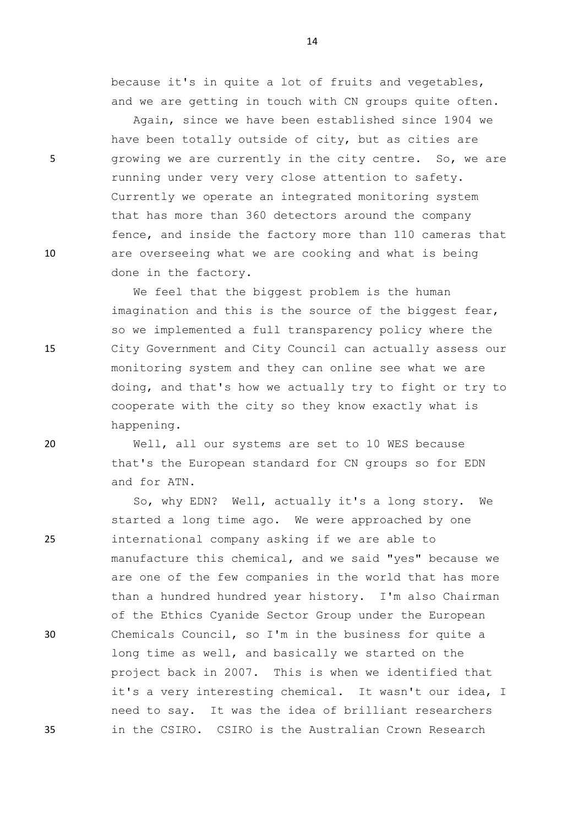because it's in quite a lot of fruits and vegetables, and we are getting in touch with CN groups quite often.

Again, since we have been established since 1904 we have been totally outside of city, but as cities are 5 growing we are currently in the city centre. So, we are running under very very close attention to safety. Currently we operate an integrated monitoring system that has more than 360 detectors around the company fence, and inside the factory more than 110 cameras that 10 are overseeing what we are cooking and what is being done in the factory.

We feel that the biggest problem is the human imagination and this is the source of the biggest fear, so we implemented a full transparency policy where the 15 City Government and City Council can actually assess our monitoring system and they can online see what we are doing, and that's how we actually try to fight or try to cooperate with the city so they know exactly what is happening.

20 Well, all our systems are set to 10 WES because that's the European standard for CN groups so for EDN and for ATN.

So, why EDN? Well, actually it's a long story. We started a long time ago. We were approached by one 25 international company asking if we are able to manufacture this chemical, and we said "yes" because we are one of the few companies in the world that has more than a hundred hundred year history. I'm also Chairman of the Ethics Cyanide Sector Group under the European 30 Chemicals Council, so I'm in the business for quite a long time as well, and basically we started on the project back in 2007. This is when we identified that it's a very interesting chemical. It wasn't our idea, I need to say. It was the idea of brilliant researchers 35 in the CSIRO. CSIRO is the Australian Crown Research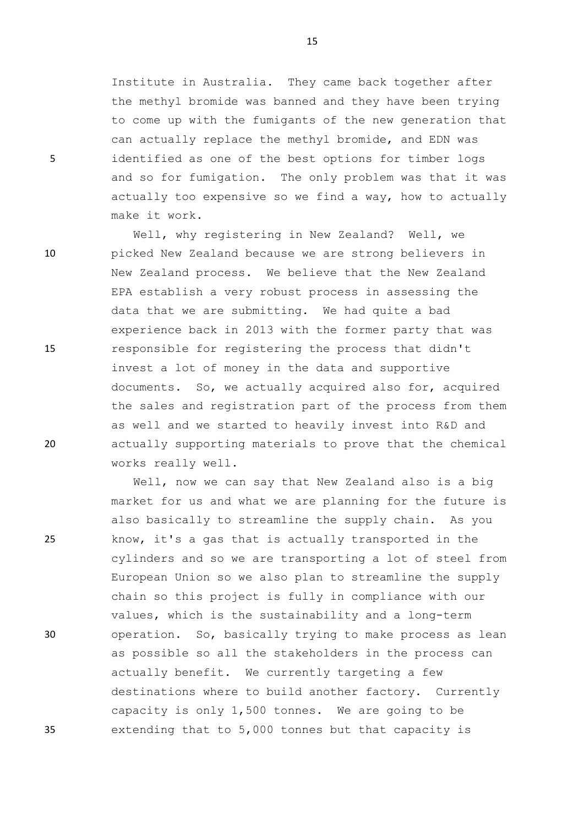Institute in Australia. They came back together after the methyl bromide was banned and they have been trying to come up with the fumigants of the new generation that can actually replace the methyl bromide, and EDN was 5 identified as one of the best options for timber logs and so for fumigation. The only problem was that it was actually too expensive so we find a way, how to actually make it work.

Well, why registering in New Zealand? Well, we 10 picked New Zealand because we are strong believers in New Zealand process. We believe that the New Zealand EPA establish a very robust process in assessing the data that we are submitting. We had quite a bad experience back in 2013 with the former party that was 15 responsible for registering the process that didn't invest a lot of money in the data and supportive documents. So, we actually acquired also for, acquired the sales and registration part of the process from them as well and we started to heavily invest into R&D and 20 actually supporting materials to prove that the chemical works really well.

Well, now we can say that New Zealand also is a big market for us and what we are planning for the future is also basically to streamline the supply chain. As you 25 know, it's a gas that is actually transported in the cylinders and so we are transporting a lot of steel from European Union so we also plan to streamline the supply chain so this project is fully in compliance with our values, which is the sustainability and a long-term 30 operation. So, basically trying to make process as lean as possible so all the stakeholders in the process can actually benefit. We currently targeting a few destinations where to build another factory. Currently capacity is only 1,500 tonnes. We are going to be 35 extending that to 5,000 tonnes but that capacity is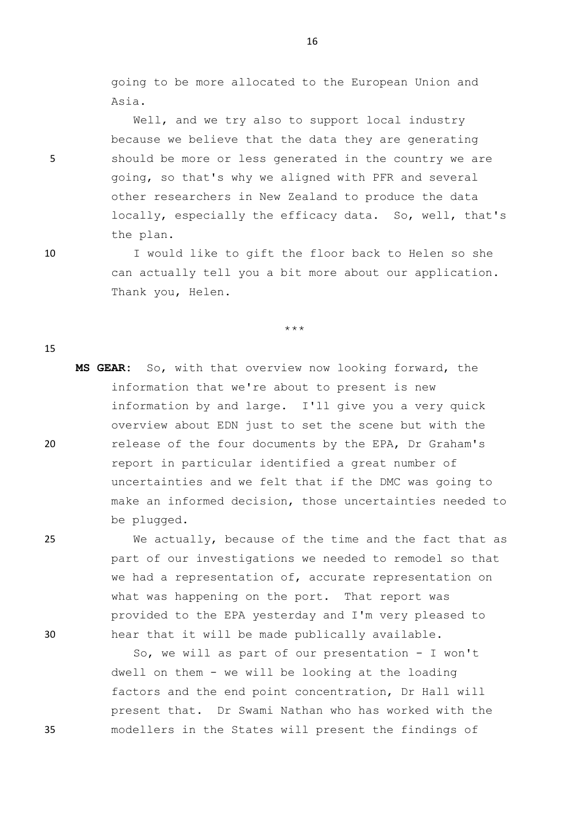going to be more allocated to the European Union and Asia.

Well, and we try also to support local industry because we believe that the data they are generating 5 should be more or less generated in the country we are going, so that's why we aligned with PFR and several other researchers in New Zealand to produce the data locally, especially the efficacy data. So, well, that's the plan.

10 I would like to gift the floor back to Helen so she can actually tell you a bit more about our application. Thank you, Helen.

\*\*\*

**MS GEAR:** So, with that overview now looking forward, the information that we're about to present is new information by and large. I'll give you a very quick overview about EDN just to set the scene but with the 20 release of the four documents by the EPA, Dr Graham's report in particular identified a great number of uncertainties and we felt that if the DMC was going to make an informed decision, those uncertainties needed to be plugged.

25 We actually, because of the time and the fact that as part of our investigations we needed to remodel so that we had a representation of, accurate representation on what was happening on the port. That report was provided to the EPA yesterday and I'm very pleased to 30 hear that it will be made publically available.

So, we will as part of our presentation - I won't dwell on them - we will be looking at the loading factors and the end point concentration, Dr Hall will present that. Dr Swami Nathan who has worked with the 35 modellers in the States will present the findings of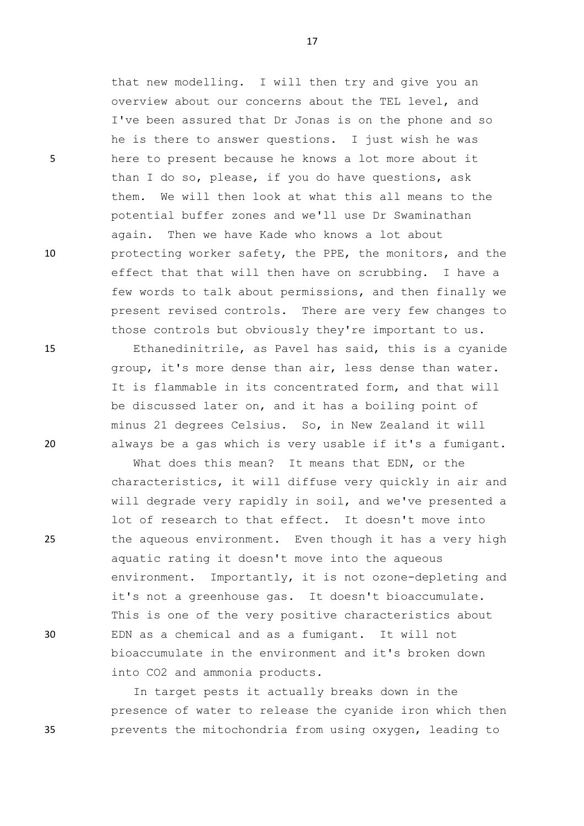that new modelling. I will then try and give you an overview about our concerns about the TEL level, and I've been assured that Dr Jonas is on the phone and so he is there to answer questions. I just wish he was 5 here to present because he knows a lot more about it than I do so, please, if you do have questions, ask them. We will then look at what this all means to the potential buffer zones and we'll use Dr Swaminathan again. Then we have Kade who knows a lot about 10 protecting worker safety, the PPE, the monitors, and the effect that that will then have on scrubbing. I have a few words to talk about permissions, and then finally we present revised controls. There are very few changes to those controls but obviously they're important to us.

15 Ethanedinitrile, as Pavel has said, this is a cyanide group, it's more dense than air, less dense than water. It is flammable in its concentrated form, and that will be discussed later on, and it has a boiling point of minus 21 degrees Celsius. So, in New Zealand it will 20 always be a gas which is very usable if it's a fumigant.

What does this mean? It means that EDN, or the characteristics, it will diffuse very quickly in air and will degrade very rapidly in soil, and we've presented a lot of research to that effect. It doesn't move into 25 the aqueous environment. Even though it has a very high aquatic rating it doesn't move into the aqueous environment. Importantly, it is not ozone-depleting and it's not a greenhouse gas. It doesn't bioaccumulate. This is one of the very positive characteristics about 30 EDN as a chemical and as a fumigant. It will not bioaccumulate in the environment and it's broken down into CO2 and ammonia products.

In target pests it actually breaks down in the presence of water to release the cyanide iron which then 35 prevents the mitochondria from using oxygen, leading to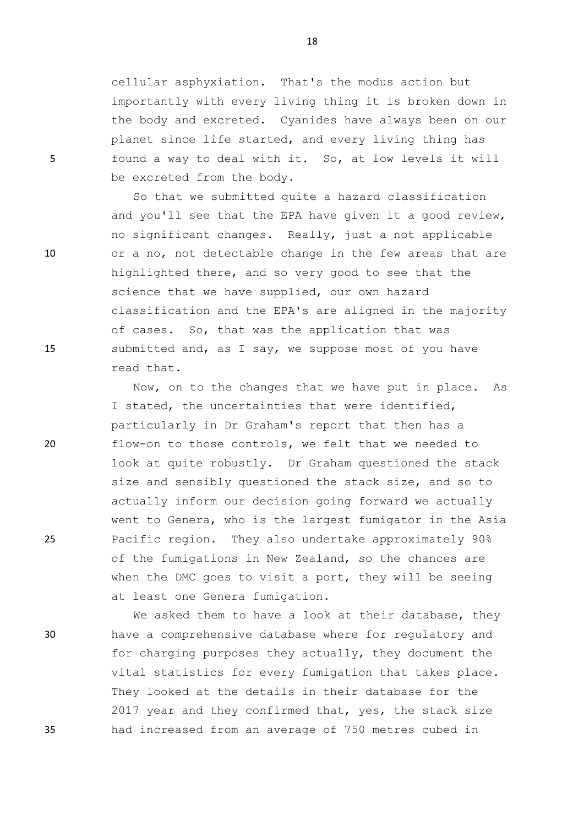cellular asphyxiation. That's the modus action but importantly with every living thing it is broken down in the body and excreted. Cyanides have always been on our planet since life started, and every living thing has 5 found a way to deal with it. So, at low levels it will be excreted from the body.

So that we submitted quite a hazard classification and you'll see that the EPA have given it a good review, no significant changes. Really, just a not applicable 10 or a no, not detectable change in the few areas that are highlighted there, and so very good to see that the science that we have supplied, our own hazard classification and the EPA's are aligned in the majority of cases. So, that was the application that was 15 submitted and, as I say, we suppose most of you have read that.

Now, on to the changes that we have put in place. As I stated, the uncertainties that were identified, particularly in Dr Graham's report that then has a 20 flow-on to those controls, we felt that we needed to look at quite robustly. Dr Graham questioned the stack size and sensibly questioned the stack size, and so to actually inform our decision going forward we actually went to Genera, who is the largest fumigator in the Asia 25 Pacific region. They also undertake approximately 90% of the fumigations in New Zealand, so the chances are when the DMC goes to visit a port, they will be seeing at least one Genera fumigation.

We asked them to have a look at their database, they 30 have a comprehensive database where for regulatory and for charging purposes they actually, they document the vital statistics for every fumigation that takes place. They looked at the details in their database for the 2017 year and they confirmed that, yes, the stack size 35 had increased from an average of 750 metres cubed in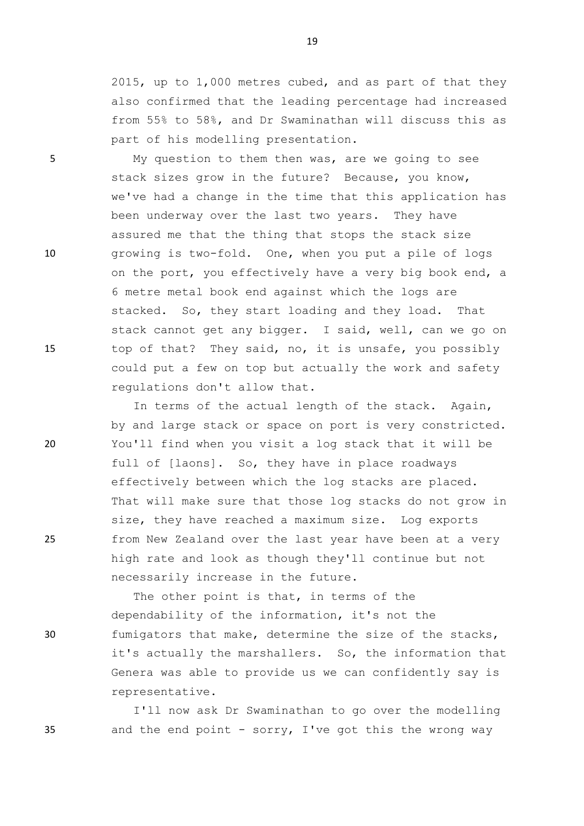2015, up to 1,000 metres cubed, and as part of that they also confirmed that the leading percentage had increased from 55% to 58%, and Dr Swaminathan will discuss this as part of his modelling presentation.

5 My question to them then was, are we going to see stack sizes grow in the future? Because, you know, we've had a change in the time that this application has been underway over the last two years. They have assured me that the thing that stops the stack size 10 growing is two-fold. One, when you put a pile of logs on the port, you effectively have a very big book end, a 6 metre metal book end against which the logs are stacked. So, they start loading and they load. That stack cannot get any bigger. I said, well, can we go on 15 top of that? They said, no, it is unsafe, you possibly could put a few on top but actually the work and safety regulations don't allow that.

In terms of the actual length of the stack. Again, by and large stack or space on port is very constricted. 20 You'll find when you visit a log stack that it will be full of [laons]. So, they have in place roadways effectively between which the log stacks are placed. That will make sure that those log stacks do not grow in size, they have reached a maximum size. Log exports 25 from New Zealand over the last year have been at a very high rate and look as though they'll continue but not necessarily increase in the future.

The other point is that, in terms of the dependability of the information, it's not the 30 fumigators that make, determine the size of the stacks, it's actually the marshallers. So, the information that Genera was able to provide us we can confidently say is representative.

I'll now ask Dr Swaminathan to go over the modelling 35 and the end point - sorry, I've got this the wrong way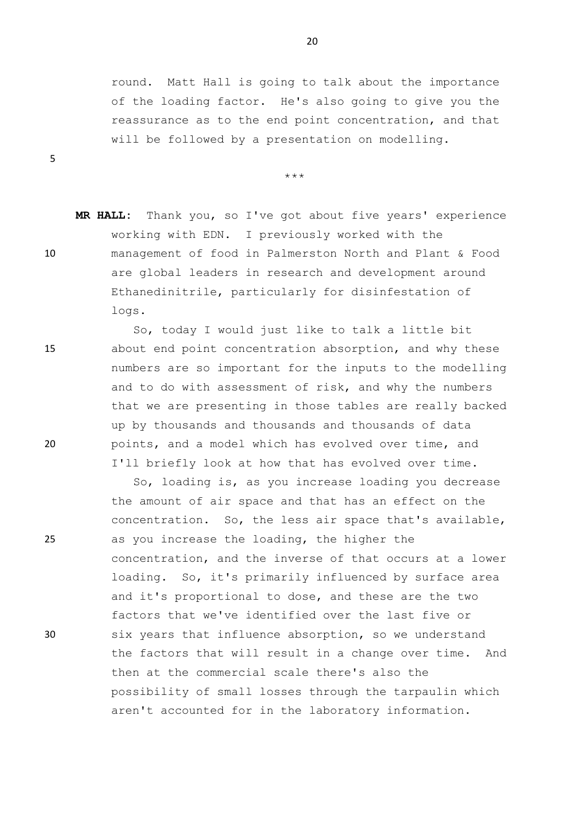round. Matt Hall is going to talk about the importance of the loading factor. He's also going to give you the reassurance as to the end point concentration, and that will be followed by a presentation on modelling.

\*\*\*

**MR HALL:** Thank you, so I've got about five years' experience working with EDN. I previously worked with the 10 management of food in Palmerston North and Plant & Food are global leaders in research and development around Ethanedinitrile, particularly for disinfestation of logs.

So, today I would just like to talk a little bit 15 about end point concentration absorption, and why these numbers are so important for the inputs to the modelling and to do with assessment of risk, and why the numbers that we are presenting in those tables are really backed up by thousands and thousands and thousands of data 20 points, and a model which has evolved over time, and I'll briefly look at how that has evolved over time.

So, loading is, as you increase loading you decrease the amount of air space and that has an effect on the concentration. So, the less air space that's available, 25 as you increase the loading, the higher the concentration, and the inverse of that occurs at a lower loading. So, it's primarily influenced by surface area and it's proportional to dose, and these are the two factors that we've identified over the last five or 30 six years that influence absorption, so we understand the factors that will result in a change over time. And then at the commercial scale there's also the possibility of small losses through the tarpaulin which aren't accounted for in the laboratory information.

20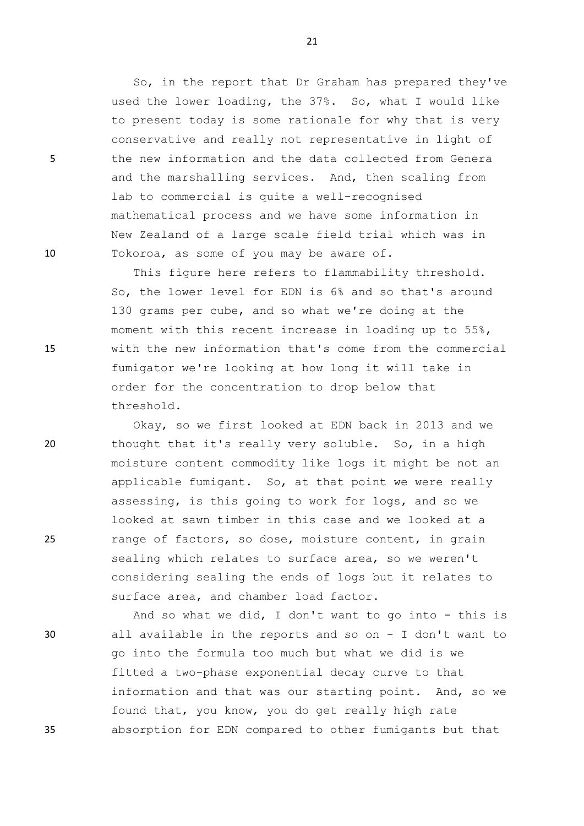So, in the report that Dr Graham has prepared they've used the lower loading, the 37%. So, what I would like to present today is some rationale for why that is very conservative and really not representative in light of 5 the new information and the data collected from Genera and the marshalling services. And, then scaling from lab to commercial is quite a well-recognised mathematical process and we have some information in New Zealand of a large scale field trial which was in 10 Tokoroa, as some of you may be aware of.

This figure here refers to flammability threshold. So, the lower level for EDN is 6% and so that's around 130 grams per cube, and so what we're doing at the moment with this recent increase in loading up to 55%, 15 with the new information that's come from the commercial fumigator we're looking at how long it will take in order for the concentration to drop below that threshold.

Okay, so we first looked at EDN back in 2013 and we 20 thought that it's really very soluble. So, in a high moisture content commodity like logs it might be not an applicable fumigant. So, at that point we were really assessing, is this going to work for logs, and so we looked at sawn timber in this case and we looked at a 25 range of factors, so dose, moisture content, in grain sealing which relates to surface area, so we weren't considering sealing the ends of logs but it relates to surface area, and chamber load factor.

And so what we did, I don't want to go into - this is 30 all available in the reports and so on - I don't want to go into the formula too much but what we did is we fitted a two-phase exponential decay curve to that information and that was our starting point. And, so we found that, you know, you do get really high rate 35 absorption for EDN compared to other fumigants but that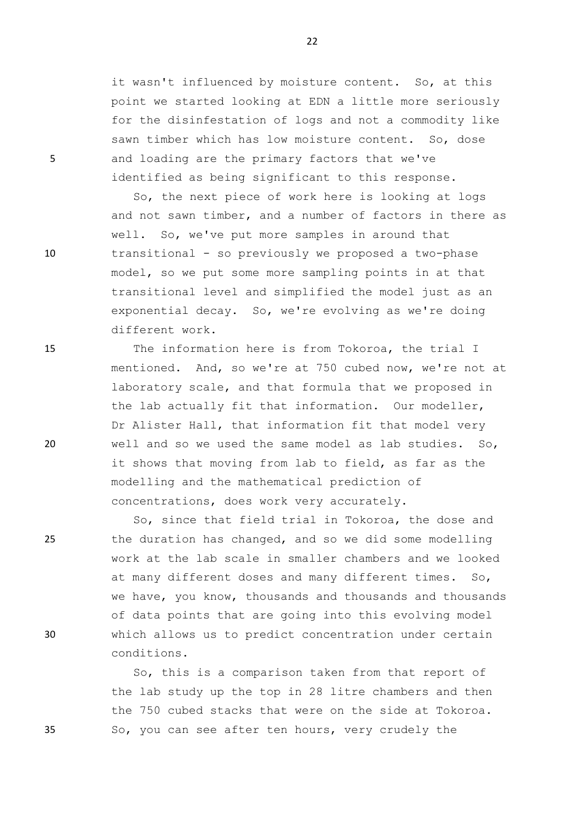it wasn't influenced by moisture content. So, at this point we started looking at EDN a little more seriously for the disinfestation of logs and not a commodity like sawn timber which has low moisture content. So, dose 5 and loading are the primary factors that we've identified as being significant to this response.

So, the next piece of work here is looking at logs and not sawn timber, and a number of factors in there as well. So, we've put more samples in around that 10 transitional - so previously we proposed a two-phase model, so we put some more sampling points in at that transitional level and simplified the model just as an exponential decay. So, we're evolving as we're doing different work.

15 The information here is from Tokoroa, the trial I mentioned. And, so we're at 750 cubed now, we're not at laboratory scale, and that formula that we proposed in the lab actually fit that information. Our modeller, Dr Alister Hall, that information fit that model very 20 well and so we used the same model as lab studies. So, it shows that moving from lab to field, as far as the modelling and the mathematical prediction of concentrations, does work very accurately.

So, since that field trial in Tokoroa, the dose and 25 the duration has changed, and so we did some modelling work at the lab scale in smaller chambers and we looked at many different doses and many different times. So, we have, you know, thousands and thousands and thousands of data points that are going into this evolving model 30 which allows us to predict concentration under certain conditions.

So, this is a comparison taken from that report of the lab study up the top in 28 litre chambers and then the 750 cubed stacks that were on the side at Tokoroa. 35 So, you can see after ten hours, very crudely the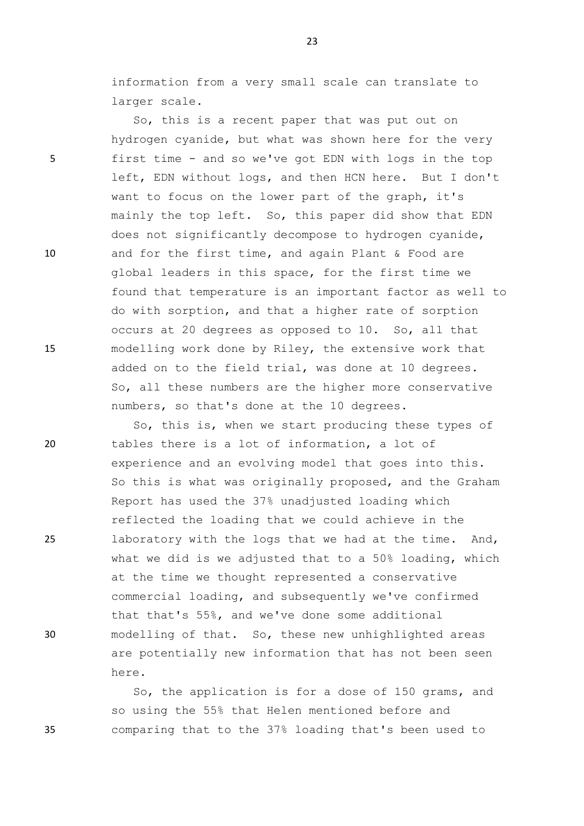information from a very small scale can translate to larger scale.

So, this is a recent paper that was put out on hydrogen cyanide, but what was shown here for the very 5 first time - and so we've got EDN with logs in the top left, EDN without logs, and then HCN here. But I don't want to focus on the lower part of the graph, it's mainly the top left. So, this paper did show that EDN does not significantly decompose to hydrogen cyanide, 10 and for the first time, and again Plant & Food are global leaders in this space, for the first time we found that temperature is an important factor as well to do with sorption, and that a higher rate of sorption occurs at 20 degrees as opposed to 10. So, all that 15 modelling work done by Riley, the extensive work that added on to the field trial, was done at 10 degrees. So, all these numbers are the higher more conservative numbers, so that's done at the 10 degrees.

So, this is, when we start producing these types of 20 tables there is a lot of information, a lot of experience and an evolving model that goes into this. So this is what was originally proposed, and the Graham Report has used the 37% unadjusted loading which reflected the loading that we could achieve in the 25 laboratory with the logs that we had at the time. And, what we did is we adjusted that to a 50% loading, which at the time we thought represented a conservative commercial loading, and subsequently we've confirmed that that's 55%, and we've done some additional 30 modelling of that. So, these new unhighlighted areas are potentially new information that has not been seen here.

So, the application is for a dose of 150 grams, and so using the 55% that Helen mentioned before and 35 comparing that to the 37% loading that's been used to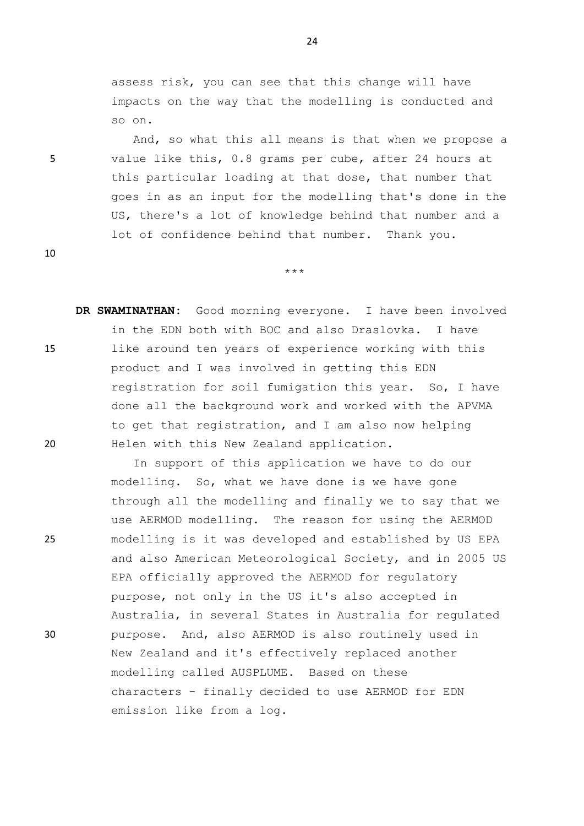assess risk, you can see that this change will have impacts on the way that the modelling is conducted and so on.

And, so what this all means is that when we propose a 5 value like this, 0.8 grams per cube, after 24 hours at this particular loading at that dose, that number that goes in as an input for the modelling that's done in the US, there's a lot of knowledge behind that number and a lot of confidence behind that number. Thank you.

\*\*\*

10

**DR SWAMINATHAN:** Good morning everyone. I have been involved in the EDN both with BOC and also Draslovka. I have 15 like around ten years of experience working with this product and I was involved in getting this EDN registration for soil fumigation this year. So, I have done all the background work and worked with the APVMA to get that registration, and I am also now helping 20 Helen with this New Zealand application.

In support of this application we have to do our modelling. So, what we have done is we have gone through all the modelling and finally we to say that we use AERMOD modelling. The reason for using the AERMOD 25 modelling is it was developed and established by US EPA and also American Meteorological Society, and in 2005 US EPA officially approved the AERMOD for regulatory purpose, not only in the US it's also accepted in Australia, in several States in Australia for regulated 30 purpose. And, also AERMOD is also routinely used in New Zealand and it's effectively replaced another modelling called AUSPLUME. Based on these characters - finally decided to use AERMOD for EDN emission like from a log.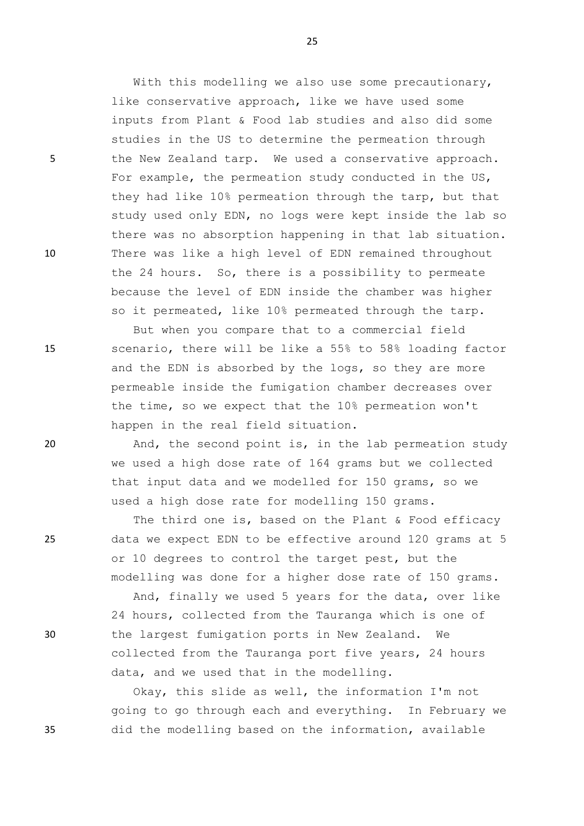With this modelling we also use some precautionary, like conservative approach, like we have used some inputs from Plant & Food lab studies and also did some studies in the US to determine the permeation through 5 the New Zealand tarp. We used a conservative approach. For example, the permeation study conducted in the US, they had like 10% permeation through the tarp, but that study used only EDN, no logs were kept inside the lab so there was no absorption happening in that lab situation. 10 There was like a high level of EDN remained throughout the 24 hours. So, there is a possibility to permeate because the level of EDN inside the chamber was higher so it permeated, like 10% permeated through the tarp.

But when you compare that to a commercial field 15 scenario, there will be like a 55% to 58% loading factor and the EDN is absorbed by the logs, so they are more permeable inside the fumigation chamber decreases over the time, so we expect that the 10% permeation won't happen in the real field situation.

20 And, the second point is, in the lab permeation study we used a high dose rate of 164 grams but we collected that input data and we modelled for 150 grams, so we used a high dose rate for modelling 150 grams.

The third one is, based on the Plant & Food efficacy 25 data we expect EDN to be effective around 120 grams at 5 or 10 degrees to control the target pest, but the modelling was done for a higher dose rate of 150 grams.

And, finally we used 5 years for the data, over like 24 hours, collected from the Tauranga which is one of 30 the largest fumigation ports in New Zealand. We collected from the Tauranga port five years, 24 hours data, and we used that in the modelling.

Okay, this slide as well, the information I'm not going to go through each and everything. In February we 35 did the modelling based on the information, available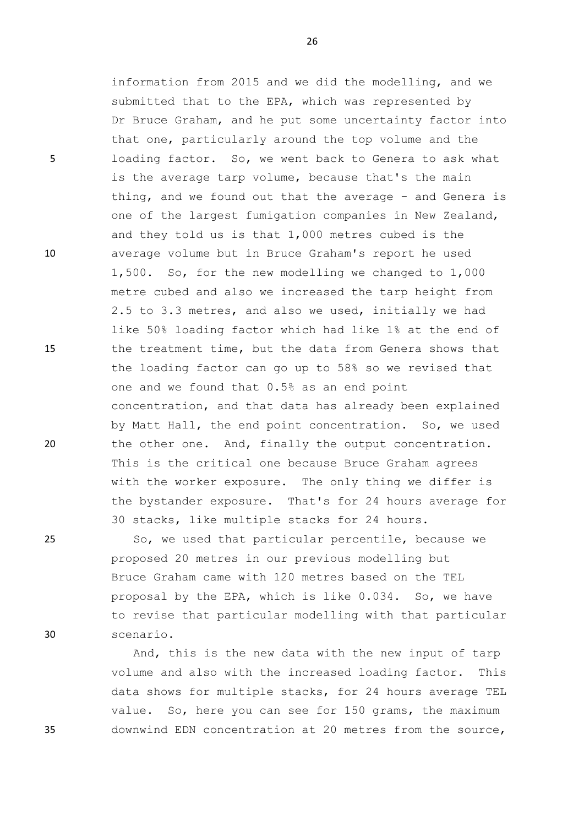information from 2015 and we did the modelling, and we submitted that to the EPA, which was represented by Dr Bruce Graham, and he put some uncertainty factor into that one, particularly around the top volume and the 5 loading factor. So, we went back to Genera to ask what is the average tarp volume, because that's the main thing, and we found out that the average - and Genera is one of the largest fumigation companies in New Zealand, and they told us is that 1,000 metres cubed is the 10 average volume but in Bruce Graham's report he used 1,500. So, for the new modelling we changed to 1,000 metre cubed and also we increased the tarp height from 2.5 to 3.3 metres, and also we used, initially we had like 50% loading factor which had like 1% at the end of 15 the treatment time, but the data from Genera shows that the loading factor can go up to 58% so we revised that one and we found that 0.5% as an end point concentration, and that data has already been explained by Matt Hall, the end point concentration. So, we used 20 the other one. And, finally the output concentration. This is the critical one because Bruce Graham agrees with the worker exposure. The only thing we differ is the bystander exposure. That's for 24 hours average for 30 stacks, like multiple stacks for 24 hours.

25 So, we used that particular percentile, because we proposed 20 metres in our previous modelling but Bruce Graham came with 120 metres based on the TEL proposal by the EPA, which is like 0.034. So, we have to revise that particular modelling with that particular 30 scenario.

And, this is the new data with the new input of tarp volume and also with the increased loading factor. This data shows for multiple stacks, for 24 hours average TEL value. So, here you can see for 150 grams, the maximum 35 downwind EDN concentration at 20 metres from the source,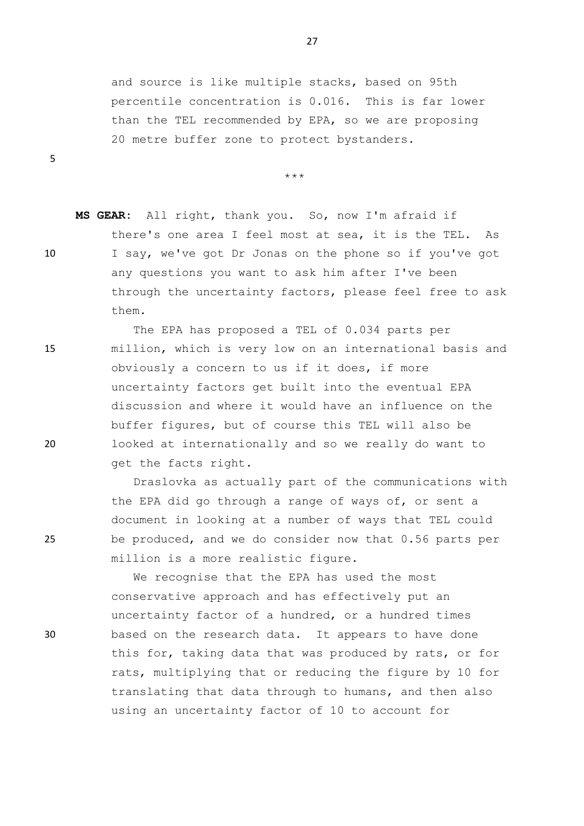and source is like multiple stacks, based on 95th percentile concentration is 0.016. This is far lower than the TEL recommended by EPA, so we are proposing 20 metre buffer zone to protect bystanders.

27

\*\*\*

**MS GEAR:** All right, thank you. So, now I'm afraid if there's one area I feel most at sea, it is the TEL. As 10 I say, we've got Dr Jonas on the phone so if you've got any questions you want to ask him after I've been through the uncertainty factors, please feel free to ask them.

The EPA has proposed a TEL of 0.034 parts per 15 million, which is very low on an international basis and obviously a concern to us if it does, if more uncertainty factors get built into the eventual EPA discussion and where it would have an influence on the buffer figures, but of course this TEL will also be 20 looked at internationally and so we really do want to get the facts right.

Draslovka as actually part of the communications with the EPA did go through a range of ways of, or sent a document in looking at a number of ways that TEL could 25 be produced, and we do consider now that 0.56 parts per million is a more realistic figure.

We recognise that the EPA has used the most conservative approach and has effectively put an uncertainty factor of a hundred, or a hundred times 30 based on the research data. It appears to have done this for, taking data that was produced by rats, or for rats, multiplying that or reducing the figure by 10 for translating that data through to humans, and then also using an uncertainty factor of 10 to account for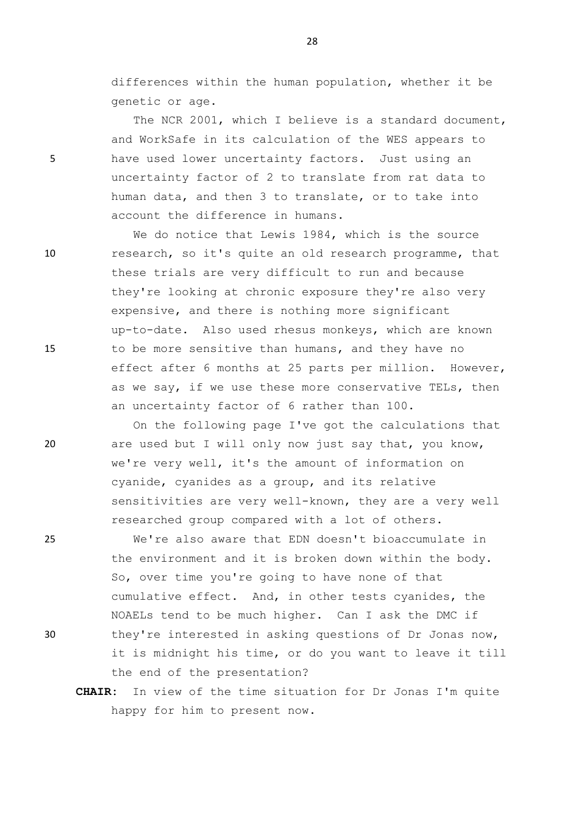differences within the human population, whether it be genetic or age.

The NCR 2001, which I believe is a standard document, and WorkSafe in its calculation of the WES appears to 5 have used lower uncertainty factors. Just using an uncertainty factor of 2 to translate from rat data to human data, and then 3 to translate, or to take into account the difference in humans.

We do notice that Lewis 1984, which is the source 10 research, so it's quite an old research programme, that these trials are very difficult to run and because they're looking at chronic exposure they're also very expensive, and there is nothing more significant up-to-date. Also used rhesus monkeys, which are known 15 to be more sensitive than humans, and they have no effect after 6 months at 25 parts per million. However, as we say, if we use these more conservative TELs, then an uncertainty factor of 6 rather than 100.

On the following page I've got the calculations that 20 are used but I will only now just say that, you know, we're very well, it's the amount of information on cyanide, cyanides as a group, and its relative sensitivities are very well-known, they are a very well researched group compared with a lot of others.

25 We're also aware that EDN doesn't bioaccumulate in the environment and it is broken down within the body. So, over time you're going to have none of that cumulative effect. And, in other tests cyanides, the NOAELs tend to be much higher. Can I ask the DMC if 30 they're interested in asking questions of Dr Jonas now, it is midnight his time, or do you want to leave it till the end of the presentation?

**CHAIR:** In view of the time situation for Dr Jonas I'm quite happy for him to present now.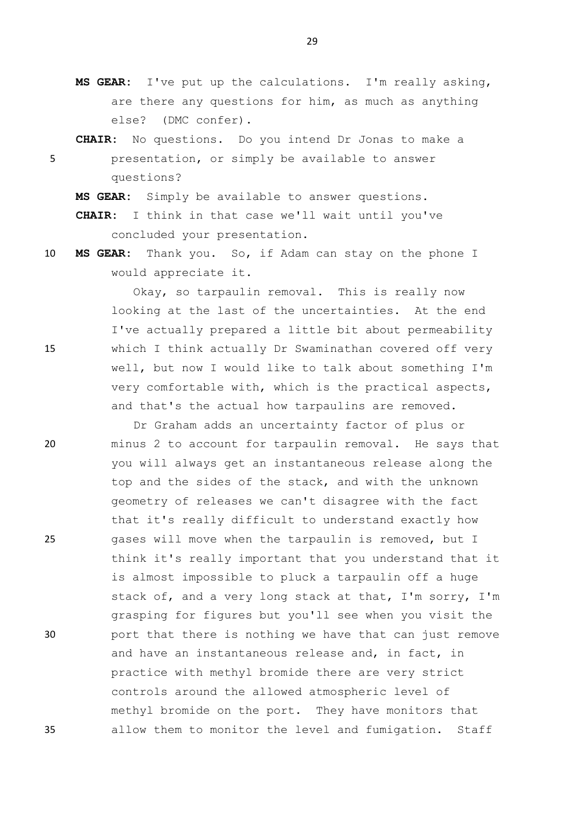- **MS GEAR:** I've put up the calculations. I'm really asking, are there any questions for him, as much as anything else? (DMC confer).
- **CHAIR:** No questions. Do you intend Dr Jonas to make a 5 presentation, or simply be available to answer questions?

**MS GEAR:** Simply be available to answer questions.

**CHAIR:** I think in that case we'll wait until you've concluded your presentation.

10 **MS GEAR:** Thank you. So, if Adam can stay on the phone I would appreciate it.

Okay, so tarpaulin removal. This is really now looking at the last of the uncertainties. At the end I've actually prepared a little bit about permeability 15 which I think actually Dr Swaminathan covered off very well, but now I would like to talk about something I'm very comfortable with, which is the practical aspects, and that's the actual how tarpaulins are removed.

Dr Graham adds an uncertainty factor of plus or 20 minus 2 to account for tarpaulin removal. He says that you will always get an instantaneous release along the top and the sides of the stack, and with the unknown geometry of releases we can't disagree with the fact that it's really difficult to understand exactly how 25 gases will move when the tarpaulin is removed, but I think it's really important that you understand that it is almost impossible to pluck a tarpaulin off a huge stack of, and a very long stack at that, I'm sorry, I'm grasping for figures but you'll see when you visit the 30 port that there is nothing we have that can just remove and have an instantaneous release and, in fact, in practice with methyl bromide there are very strict controls around the allowed atmospheric level of methyl bromide on the port. They have monitors that 35 allow them to monitor the level and fumigation. Staff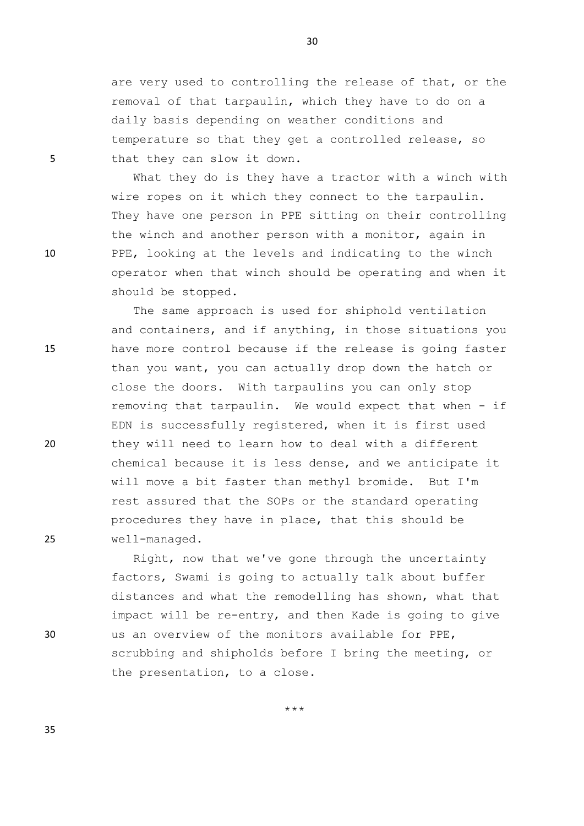are very used to controlling the release of that, or the removal of that tarpaulin, which they have to do on a daily basis depending on weather conditions and temperature so that they get a controlled release, so 5 that they can slow it down.

What they do is they have a tractor with a winch with wire ropes on it which they connect to the tarpaulin. They have one person in PPE sitting on their controlling the winch and another person with a monitor, again in 10 PPE, looking at the levels and indicating to the winch operator when that winch should be operating and when it should be stopped.

The same approach is used for shiphold ventilation and containers, and if anything, in those situations you 15 have more control because if the release is going faster than you want, you can actually drop down the hatch or close the doors. With tarpaulins you can only stop removing that tarpaulin. We would expect that when - if EDN is successfully registered, when it is first used 20 they will need to learn how to deal with a different chemical because it is less dense, and we anticipate it will move a bit faster than methyl bromide. But I'm rest assured that the SOPs or the standard operating procedures they have in place, that this should be 25 well-managed.

Right, now that we've gone through the uncertainty factors, Swami is going to actually talk about buffer distances and what the remodelling has shown, what that impact will be re-entry, and then Kade is going to give 30 us an overview of the monitors available for PPE, scrubbing and shipholds before I bring the meeting, or the presentation, to a close.

30

\*\*\*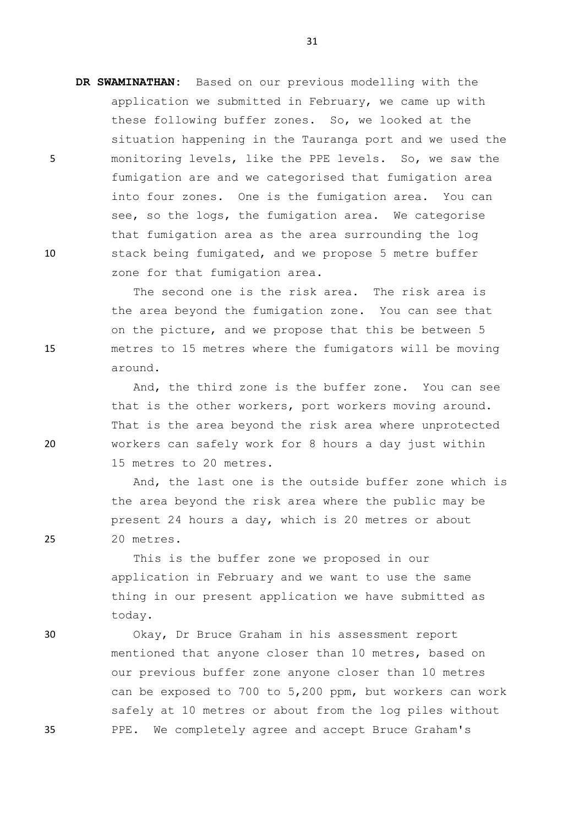**DR SWAMINATHAN:** Based on our previous modelling with the application we submitted in February, we came up with these following buffer zones. So, we looked at the situation happening in the Tauranga port and we used the 5 monitoring levels, like the PPE levels. So, we saw the fumigation are and we categorised that fumigation area into four zones. One is the fumigation area. You can see, so the logs, the fumigation area. We categorise that fumigation area as the area surrounding the log 10 stack being fumigated, and we propose 5 metre buffer zone for that fumigation area.

The second one is the risk area. The risk area is the area beyond the fumigation zone. You can see that on the picture, and we propose that this be between 5 15 metres to 15 metres where the fumigators will be moving around.

And, the third zone is the buffer zone. You can see that is the other workers, port workers moving around. That is the area beyond the risk area where unprotected 20 workers can safely work for 8 hours a day just within 15 metres to 20 metres.

And, the last one is the outside buffer zone which is the area beyond the risk area where the public may be present 24 hours a day, which is 20 metres or about 25 20 metres.

> This is the buffer zone we proposed in our application in February and we want to use the same thing in our present application we have submitted as today.

30 Okay, Dr Bruce Graham in his assessment report mentioned that anyone closer than 10 metres, based on our previous buffer zone anyone closer than 10 metres can be exposed to 700 to 5,200 ppm, but workers can work safely at 10 metres or about from the log piles without 35 PPE. We completely agree and accept Bruce Graham's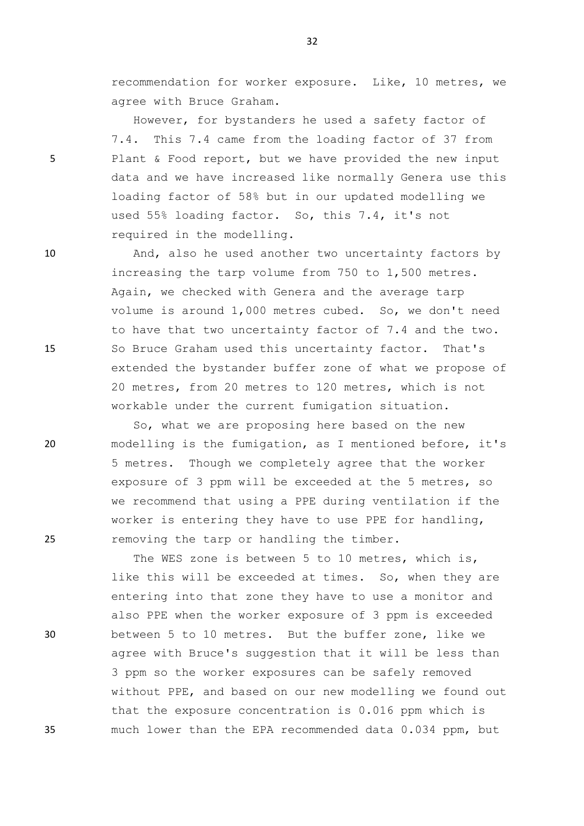recommendation for worker exposure. Like, 10 metres, we agree with Bruce Graham.

However, for bystanders he used a safety factor of 7.4. This 7.4 came from the loading factor of 37 from 5 Plant & Food report, but we have provided the new input data and we have increased like normally Genera use this loading factor of 58% but in our updated modelling we used 55% loading factor. So, this 7.4, it's not required in the modelling.

10 And, also he used another two uncertainty factors by increasing the tarp volume from 750 to 1,500 metres. Again, we checked with Genera and the average tarp volume is around 1,000 metres cubed. So, we don't need to have that two uncertainty factor of 7.4 and the two. 15 So Bruce Graham used this uncertainty factor. That's extended the bystander buffer zone of what we propose of 20 metres, from 20 metres to 120 metres, which is not workable under the current fumigation situation.

So, what we are proposing here based on the new 20 modelling is the fumigation, as I mentioned before, it's 5 metres. Though we completely agree that the worker exposure of 3 ppm will be exceeded at the 5 metres, so we recommend that using a PPE during ventilation if the worker is entering they have to use PPE for handling, 25 removing the tarp or handling the timber.

The WES zone is between 5 to 10 metres, which is, like this will be exceeded at times. So, when they are entering into that zone they have to use a monitor and also PPE when the worker exposure of 3 ppm is exceeded 30 between 5 to 10 metres. But the buffer zone, like we agree with Bruce's suggestion that it will be less than 3 ppm so the worker exposures can be safely removed without PPE, and based on our new modelling we found out that the exposure concentration is 0.016 ppm which is 35 much lower than the EPA recommended data 0.034 ppm, but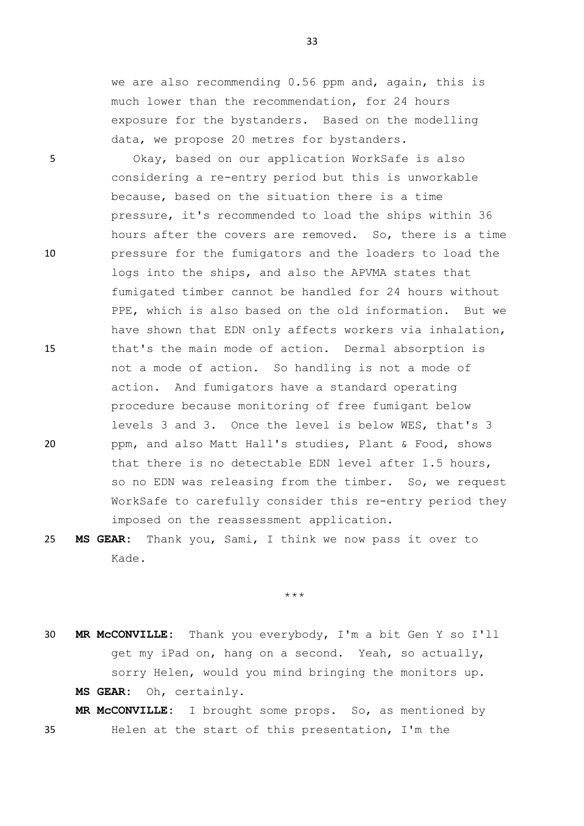we are also recommending 0.56 ppm and, again, this is much lower than the recommendation, for 24 hours exposure for the bystanders. Based on the modelling data, we propose 20 metres for bystanders.

5 Okay, based on our application WorkSafe is also considering a re-entry period but this is unworkable because, based on the situation there is a time pressure, it's recommended to load the ships within 36 hours after the covers are removed. So, there is a time 10 pressure for the fumigators and the loaders to load the logs into the ships, and also the APVMA states that fumigated timber cannot be handled for 24 hours without PPE, which is also based on the old information. But we have shown that EDN only affects workers via inhalation, 15 that's the main mode of action. Dermal absorption is not a mode of action. So handling is not a mode of action. And fumigators have a standard operating procedure because monitoring of free fumigant below levels 3 and 3. Once the level is below WES, that's 3 20 ppm, and also Matt Hall's studies, Plant & Food, shows that there is no detectable EDN level after 1.5 hours, so no EDN was releasing from the timber. So, we request WorkSafe to carefully consider this re-entry period they imposed on the reassessment application.

25 **MS GEAR:** Thank you, Sami, I think we now pass it over to Kade.

\*\*\*

30 **MR McCONVILLE:** Thank you everybody, I'm a bit Gen Y so I'll get my iPad on, hang on a second. Yeah, so actually, sorry Helen, would you mind bringing the monitors up. **MS GEAR:** Oh, certainly.

**MR McCONVILLE:** I brought some props. So, as mentioned by 35 Helen at the start of this presentation, I'm the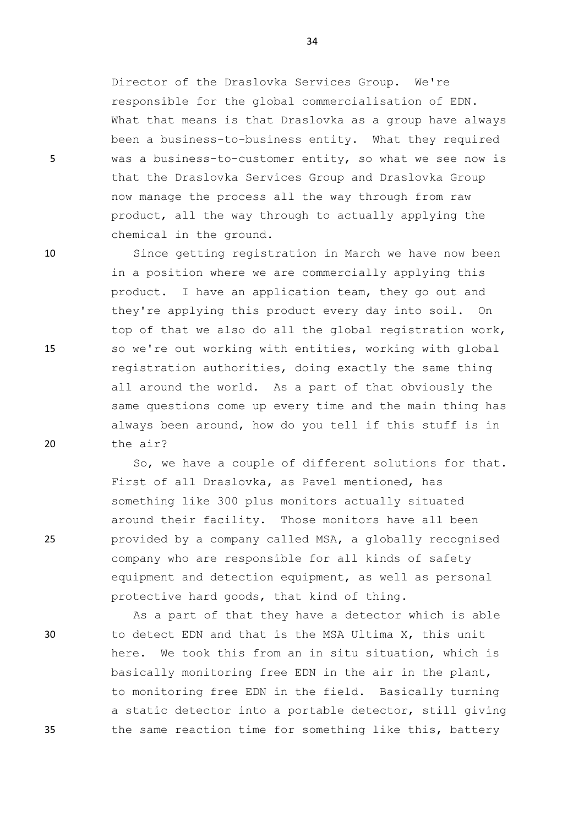Director of the Draslovka Services Group. We're responsible for the global commercialisation of EDN. What that means is that Draslovka as a group have always been a business-to-business entity. What they required 5 was a business-to-customer entity, so what we see now is that the Draslovka Services Group and Draslovka Group now manage the process all the way through from raw product, all the way through to actually applying the chemical in the ground.

10 Since getting registration in March we have now been in a position where we are commercially applying this product. I have an application team, they go out and they're applying this product every day into soil. On top of that we also do all the global registration work, 15 so we're out working with entities, working with global registration authorities, doing exactly the same thing all around the world. As a part of that obviously the same questions come up every time and the main thing has always been around, how do you tell if this stuff is in 20 the air?

So, we have a couple of different solutions for that. First of all Draslovka, as Pavel mentioned, has something like 300 plus monitors actually situated around their facility. Those monitors have all been 25 provided by a company called MSA, a globally recognised company who are responsible for all kinds of safety equipment and detection equipment, as well as personal protective hard goods, that kind of thing.

As a part of that they have a detector which is able 30 to detect EDN and that is the MSA Ultima X, this unit here. We took this from an in situ situation, which is basically monitoring free EDN in the air in the plant, to monitoring free EDN in the field. Basically turning a static detector into a portable detector, still giving 35 the same reaction time for something like this, battery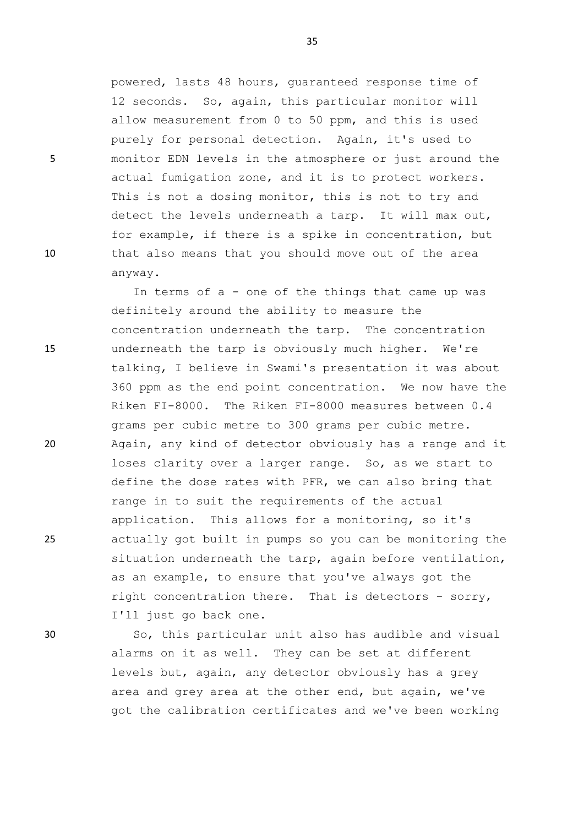powered, lasts 48 hours, guaranteed response time of 12 seconds. So, again, this particular monitor will allow measurement from 0 to 50 ppm, and this is used purely for personal detection. Again, it's used to 5 monitor EDN levels in the atmosphere or just around the actual fumigation zone, and it is to protect workers. This is not a dosing monitor, this is not to try and detect the levels underneath a tarp. It will max out, for example, if there is a spike in concentration, but 10 that also means that you should move out of the area anyway.

In terms of a - one of the things that came up was definitely around the ability to measure the concentration underneath the tarp. The concentration 15 underneath the tarp is obviously much higher. We're talking, I believe in Swami's presentation it was about 360 ppm as the end point concentration. We now have the Riken FI-8000. The Riken FI-8000 measures between 0.4 grams per cubic metre to 300 grams per cubic metre. 20 Again, any kind of detector obviously has a range and it loses clarity over a larger range. So, as we start to define the dose rates with PFR, we can also bring that range in to suit the requirements of the actual application. This allows for a monitoring, so it's 25 actually got built in pumps so you can be monitoring the situation underneath the tarp, again before ventilation, as an example, to ensure that you've always got the right concentration there. That is detectors - sorry, I'll just go back one.

30 So, this particular unit also has audible and visual alarms on it as well. They can be set at different levels but, again, any detector obviously has a grey area and grey area at the other end, but again, we've got the calibration certificates and we've been working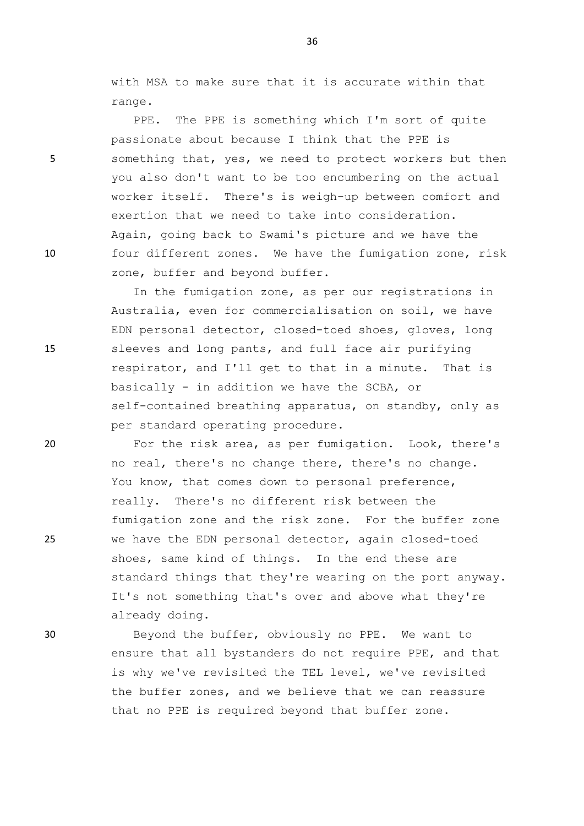with MSA to make sure that it is accurate within that range.

PPE. The PPE is something which I'm sort of quite passionate about because I think that the PPE is 5 something that, yes, we need to protect workers but then you also don't want to be too encumbering on the actual worker itself. There's is weigh-up between comfort and exertion that we need to take into consideration. Again, going back to Swami's picture and we have the 10 four different zones. We have the fumigation zone, risk zone, buffer and beyond buffer.

In the fumigation zone, as per our registrations in Australia, even for commercialisation on soil, we have EDN personal detector, closed-toed shoes, gloves, long 15 sleeves and long pants, and full face air purifying respirator, and I'll get to that in a minute. That is basically - in addition we have the SCBA, or self-contained breathing apparatus, on standby, only as per standard operating procedure.

20 For the risk area, as per fumigation. Look, there's no real, there's no change there, there's no change. You know, that comes down to personal preference, really. There's no different risk between the fumigation zone and the risk zone. For the buffer zone 25 we have the EDN personal detector, again closed-toed shoes, same kind of things. In the end these are standard things that they're wearing on the port anyway. It's not something that's over and above what they're already doing.

30 Beyond the buffer, obviously no PPE. We want to ensure that all bystanders do not require PPE, and that is why we've revisited the TEL level, we've revisited the buffer zones, and we believe that we can reassure that no PPE is required beyond that buffer zone.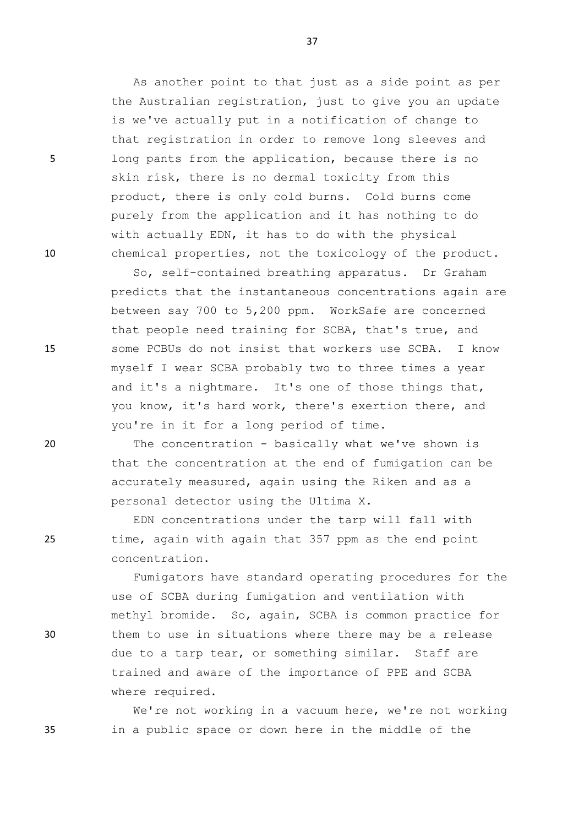As another point to that just as a side point as per the Australian registration, just to give you an update is we've actually put in a notification of change to that registration in order to remove long sleeves and 5 long pants from the application, because there is no skin risk, there is no dermal toxicity from this product, there is only cold burns. Cold burns come purely from the application and it has nothing to do with actually EDN, it has to do with the physical 10 chemical properties, not the toxicology of the product.

So, self-contained breathing apparatus. Dr Graham predicts that the instantaneous concentrations again are between say 700 to 5,200 ppm. WorkSafe are concerned that people need training for SCBA, that's true, and 15 some PCBUs do not insist that workers use SCBA. I know myself I wear SCBA probably two to three times a year and it's a nightmare. It's one of those things that, you know, it's hard work, there's exertion there, and you're in it for a long period of time.

20 The concentration - basically what we've shown is that the concentration at the end of fumigation can be accurately measured, again using the Riken and as a personal detector using the Ultima X.

EDN concentrations under the tarp will fall with 25 time, again with again that 357 ppm as the end point concentration.

Fumigators have standard operating procedures for the use of SCBA during fumigation and ventilation with methyl bromide. So, again, SCBA is common practice for 30 them to use in situations where there may be a release due to a tarp tear, or something similar. Staff are trained and aware of the importance of PPE and SCBA where required.

We're not working in a vacuum here, we're not working 35 in a public space or down here in the middle of the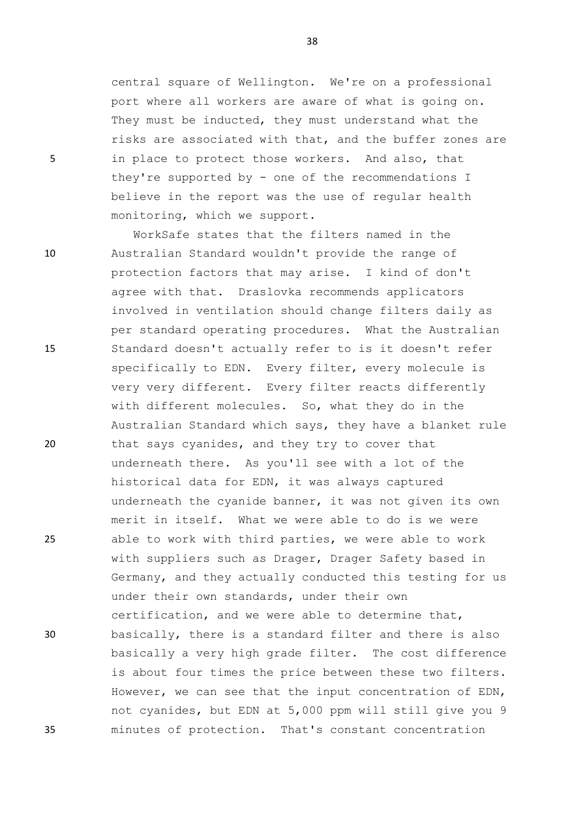central square of Wellington. We're on a professional port where all workers are aware of what is going on. They must be inducted, they must understand what the risks are associated with that, and the buffer zones are 5 in place to protect those workers. And also, that they're supported by - one of the recommendations I believe in the report was the use of regular health monitoring, which we support.

WorkSafe states that the filters named in the 10 Australian Standard wouldn't provide the range of protection factors that may arise. I kind of don't agree with that. Draslovka recommends applicators involved in ventilation should change filters daily as per standard operating procedures. What the Australian 15 Standard doesn't actually refer to is it doesn't refer specifically to EDN. Every filter, every molecule is very very different. Every filter reacts differently with different molecules. So, what they do in the Australian Standard which says, they have a blanket rule 20 that says cyanides, and they try to cover that underneath there. As you'll see with a lot of the historical data for EDN, it was always captured underneath the cyanide banner, it was not given its own merit in itself. What we were able to do is we were 25 able to work with third parties, we were able to work with suppliers such as Drager, Drager Safety based in Germany, and they actually conducted this testing for us under their own standards, under their own certification, and we were able to determine that, 30 basically, there is a standard filter and there is also basically a very high grade filter. The cost difference is about four times the price between these two filters. However, we can see that the input concentration of EDN, not cyanides, but EDN at 5,000 ppm will still give you 9 35 minutes of protection. That's constant concentration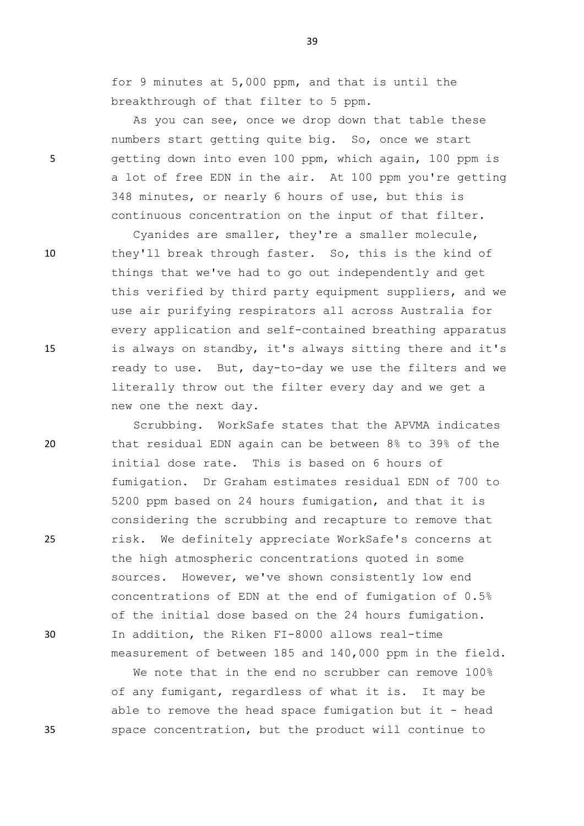for 9 minutes at 5,000 ppm, and that is until the breakthrough of that filter to 5 ppm.

As you can see, once we drop down that table these numbers start getting quite big. So, once we start 5 getting down into even 100 ppm, which again, 100 ppm is a lot of free EDN in the air. At 100 ppm you're getting 348 minutes, or nearly 6 hours of use, but this is continuous concentration on the input of that filter.

Cyanides are smaller, they're a smaller molecule, 10 they'll break through faster. So, this is the kind of things that we've had to go out independently and get this verified by third party equipment suppliers, and we use air purifying respirators all across Australia for every application and self-contained breathing apparatus 15 is always on standby, it's always sitting there and it's ready to use. But, day-to-day we use the filters and we literally throw out the filter every day and we get a new one the next day.

Scrubbing. WorkSafe states that the APVMA indicates 20 that residual EDN again can be between 8% to 39% of the initial dose rate. This is based on 6 hours of fumigation. Dr Graham estimates residual EDN of 700 to 5200 ppm based on 24 hours fumigation, and that it is considering the scrubbing and recapture to remove that 25 risk. We definitely appreciate WorkSafe's concerns at the high atmospheric concentrations quoted in some sources. However, we've shown consistently low end concentrations of EDN at the end of fumigation of 0.5% of the initial dose based on the 24 hours fumigation. 30 In addition, the Riken FI-8000 allows real-time measurement of between 185 and 140,000 ppm in the field.

We note that in the end no scrubber can remove 100% of any fumigant, regardless of what it is. It may be able to remove the head space fumigation but it - head 35 space concentration, but the product will continue to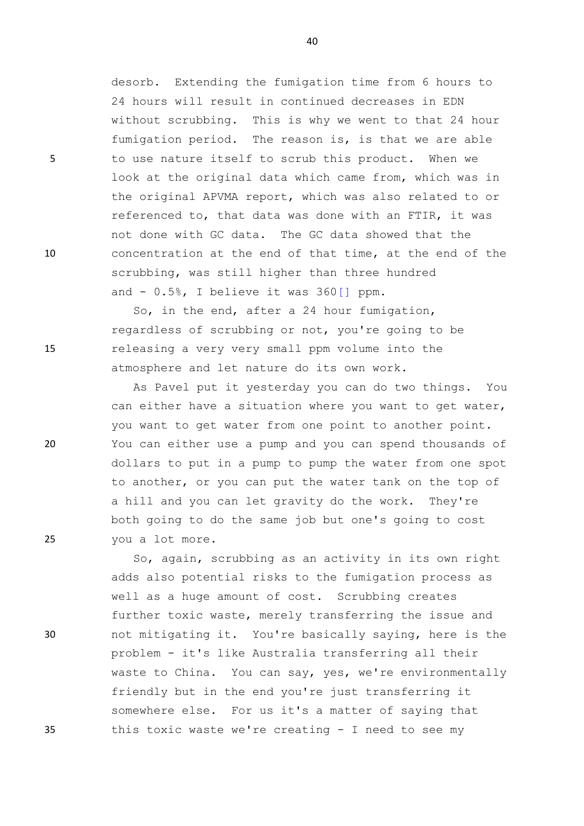desorb. Extending the fumigation time from 6 hours to 24 hours will result in continued decreases in EDN without scrubbing. This is why we went to that 24 hour fumigation period. The reason is, is that we are able 5 to use nature itself to scrub this product. When we look at the original data which came from, which was in the original APVMA report, which was also related to or referenced to, that data was done with an FTIR, it was not done with GC data. The GC data showed that the 10 concentration at the end of that time, at the end of the scrubbing, was still higher than three hundred and  $-0.5$ %, I believe it was  $360$  [] ppm.

So, in the end, after a 24 hour fumigation, regardless of scrubbing or not, you're going to be 15 releasing a very very small ppm volume into the atmosphere and let nature do its own work.

As Pavel put it yesterday you can do two things. You can either have a situation where you want to get water, you want to get water from one point to another point. 20 You can either use a pump and you can spend thousands of dollars to put in a pump to pump the water from one spot to another, or you can put the water tank on the top of a hill and you can let gravity do the work. They're both going to do the same job but one's going to cost 25 you a lot more.

So, again, scrubbing as an activity in its own right adds also potential risks to the fumigation process as well as a huge amount of cost. Scrubbing creates further toxic waste, merely transferring the issue and 30 not mitigating it. You're basically saying, here is the problem - it's like Australia transferring all their waste to China. You can say, yes, we're environmentally friendly but in the end you're just transferring it somewhere else. For us it's a matter of saying that 35 this toxic waste we're creating - I need to see my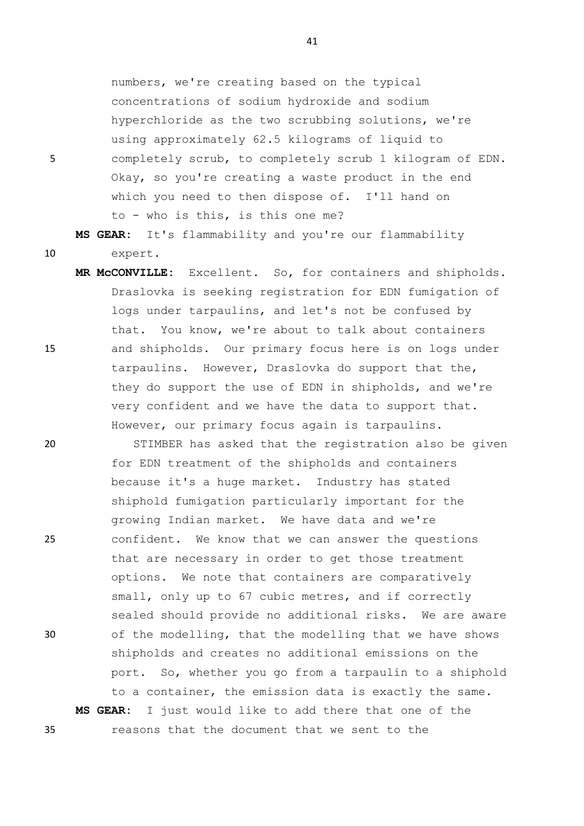numbers, we're creating based on the typical concentrations of sodium hydroxide and sodium hyperchloride as the two scrubbing solutions, we're using approximately 62.5 kilograms of liquid to 5 completely scrub, to completely scrub 1 kilogram of EDN. Okay, so you're creating a waste product in the end which you need to then dispose of. I'll hand on to - who is this, is this one me?

**MS GEAR:** It's flammability and you're our flammability 10 expert.

**MR McCONVILLE:** Excellent. So, for containers and shipholds. Draslovka is seeking registration for EDN fumigation of logs under tarpaulins, and let's not be confused by that. You know, we're about to talk about containers 15 and shipholds. Our primary focus here is on logs under tarpaulins. However, Draslovka do support that the, they do support the use of EDN in shipholds, and we're very confident and we have the data to support that. However, our primary focus again is tarpaulins.

20 STIMBER has asked that the registration also be given for EDN treatment of the shipholds and containers because it's a huge market. Industry has stated shiphold fumigation particularly important for the growing Indian market. We have data and we're 25 confident. We know that we can answer the questions that are necessary in order to get those treatment options. We note that containers are comparatively small, only up to 67 cubic metres, and if correctly sealed should provide no additional risks. We are aware 30 of the modelling, that the modelling that we have shows shipholds and creates no additional emissions on the port. So, whether you go from a tarpaulin to a shiphold to a container, the emission data is exactly the same. **MS GEAR:** I just would like to add there that one of the 35 reasons that the document that we sent to the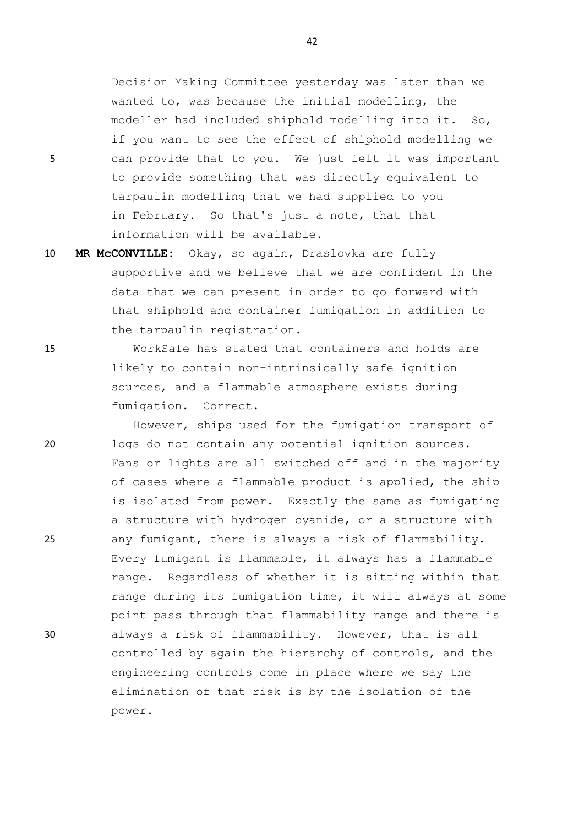Decision Making Committee yesterday was later than we wanted to, was because the initial modelling, the modeller had included shiphold modelling into it. So, if you want to see the effect of shiphold modelling we 5 can provide that to you. We just felt it was important to provide something that was directly equivalent to tarpaulin modelling that we had supplied to you in February. So that's just a note, that that information will be available.

10 **MR McCONVILLE:** Okay, so again, Draslovka are fully supportive and we believe that we are confident in the data that we can present in order to go forward with that shiphold and container fumigation in addition to the tarpaulin registration.

15 WorkSafe has stated that containers and holds are likely to contain non-intrinsically safe ignition sources, and a flammable atmosphere exists during fumigation. Correct.

However, ships used for the fumigation transport of 20 logs do not contain any potential ignition sources. Fans or lights are all switched off and in the majority of cases where a flammable product is applied, the ship is isolated from power. Exactly the same as fumigating a structure with hydrogen cyanide, or a structure with 25 any fumigant, there is always a risk of flammability. Every fumigant is flammable, it always has a flammable range. Regardless of whether it is sitting within that range during its fumigation time, it will always at some point pass through that flammability range and there is 30 always a risk of flammability. However, that is all controlled by again the hierarchy of controls, and the engineering controls come in place where we say the elimination of that risk is by the isolation of the power.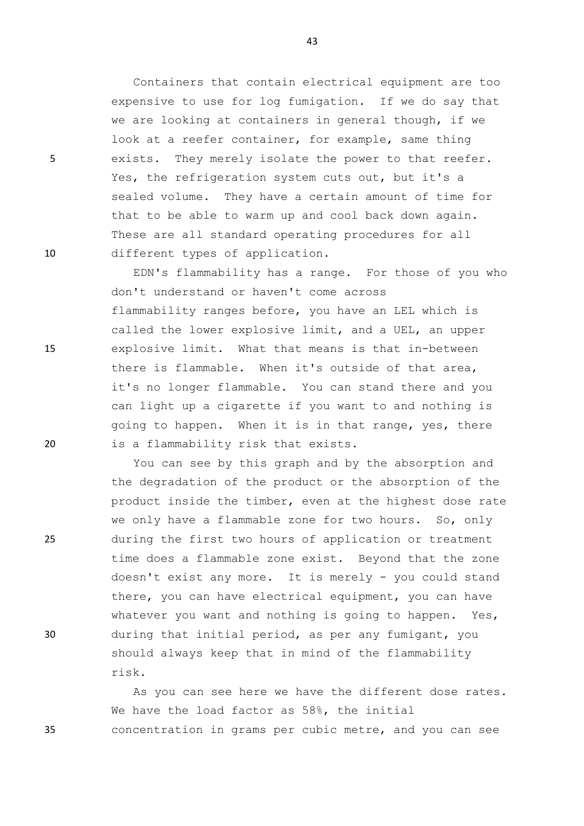Containers that contain electrical equipment are too expensive to use for log fumigation. If we do say that we are looking at containers in general though, if we look at a reefer container, for example, same thing 5 exists. They merely isolate the power to that reefer. Yes, the refrigeration system cuts out, but it's a sealed volume. They have a certain amount of time for that to be able to warm up and cool back down again. These are all standard operating procedures for all 10 different types of application.

EDN's flammability has a range. For those of you who don't understand or haven't come across flammability ranges before, you have an LEL which is called the lower explosive limit, and a UEL, an upper 15 explosive limit. What that means is that in-between there is flammable. When it's outside of that area, it's no longer flammable. You can stand there and you can light up a cigarette if you want to and nothing is going to happen. When it is in that range, yes, there 20 is a flammability risk that exists.

You can see by this graph and by the absorption and the degradation of the product or the absorption of the product inside the timber, even at the highest dose rate we only have a flammable zone for two hours. So, only 25 during the first two hours of application or treatment time does a flammable zone exist. Beyond that the zone doesn't exist any more. It is merely - you could stand there, you can have electrical equipment, you can have whatever you want and nothing is going to happen. Yes, 30 during that initial period, as per any fumigant, you should always keep that in mind of the flammability risk.

As you can see here we have the different dose rates. We have the load factor as 58%, the initial 35 concentration in grams per cubic metre, and you can see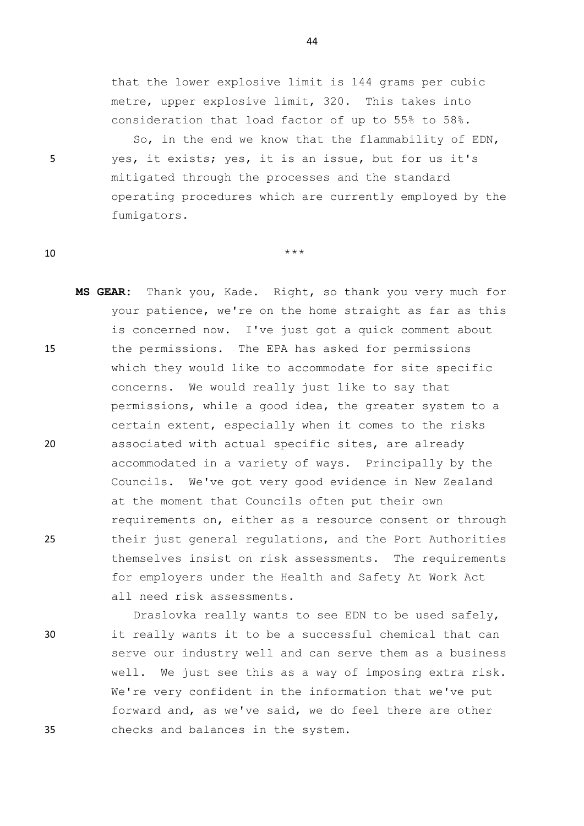that the lower explosive limit is 144 grams per cubic metre, upper explosive limit, 320. This takes into consideration that load factor of up to 55% to 58%.

So, in the end we know that the flammability of EDN, 5 yes, it exists; yes, it is an issue, but for us it's mitigated through the processes and the standard operating procedures which are currently employed by the fumigators.

10  $***$ 

**MS GEAR:** Thank you, Kade. Right, so thank you very much for your patience, we're on the home straight as far as this is concerned now. I've just got a quick comment about 15 the permissions. The EPA has asked for permissions which they would like to accommodate for site specific concerns. We would really just like to say that permissions, while a good idea, the greater system to a certain extent, especially when it comes to the risks 20 associated with actual specific sites, are already accommodated in a variety of ways. Principally by the Councils. We've got very good evidence in New Zealand at the moment that Councils often put their own requirements on, either as a resource consent or through 25 their just general regulations, and the Port Authorities themselves insist on risk assessments. The requirements for employers under the Health and Safety At Work Act all need risk assessments.

Draslovka really wants to see EDN to be used safely, 30 it really wants it to be a successful chemical that can serve our industry well and can serve them as a business well. We just see this as a way of imposing extra risk. We're very confident in the information that we've put forward and, as we've said, we do feel there are other 35 checks and balances in the system.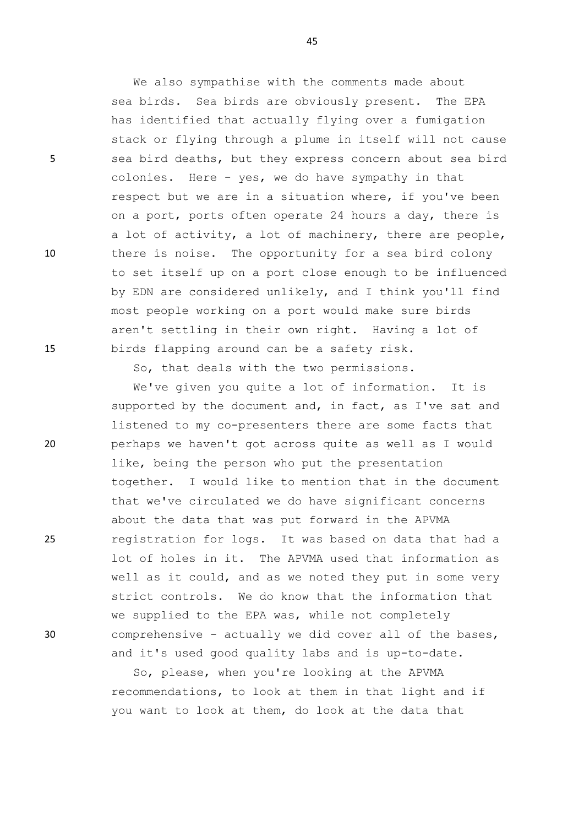We also sympathise with the comments made about sea birds. Sea birds are obviously present. The EPA has identified that actually flying over a fumigation stack or flying through a plume in itself will not cause 5 sea bird deaths, but they express concern about sea bird colonies. Here - yes, we do have sympathy in that respect but we are in a situation where, if you've been on a port, ports often operate 24 hours a day, there is a lot of activity, a lot of machinery, there are people, 10 there is noise. The opportunity for a sea bird colony to set itself up on a port close enough to be influenced by EDN are considered unlikely, and I think you'll find most people working on a port would make sure birds aren't settling in their own right. Having a lot of 15 birds flapping around can be a safety risk.

So, that deals with the two permissions.

We've given you quite a lot of information. It is supported by the document and, in fact, as I've sat and listened to my co-presenters there are some facts that 20 perhaps we haven't got across quite as well as I would like, being the person who put the presentation together. I would like to mention that in the document that we've circulated we do have significant concerns about the data that was put forward in the APVMA 25 registration for logs. It was based on data that had a lot of holes in it. The APVMA used that information as well as it could, and as we noted they put in some very strict controls. We do know that the information that we supplied to the EPA was, while not completely 30 comprehensive - actually we did cover all of the bases, and it's used good quality labs and is up-to-date.

> So, please, when you're looking at the APVMA recommendations, to look at them in that light and if you want to look at them, do look at the data that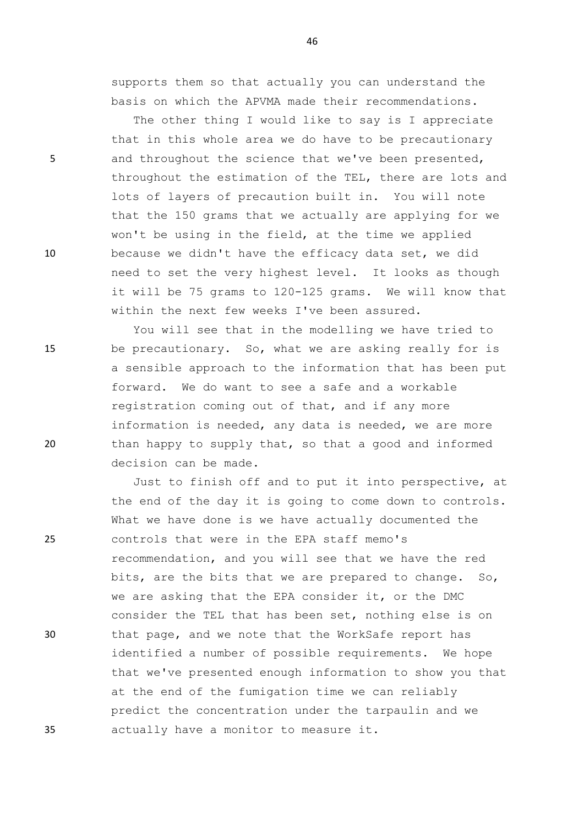supports them so that actually you can understand the basis on which the APVMA made their recommendations.

The other thing I would like to say is I appreciate that in this whole area we do have to be precautionary 5 and throughout the science that we've been presented, throughout the estimation of the TEL, there are lots and lots of layers of precaution built in. You will note that the 150 grams that we actually are applying for we won't be using in the field, at the time we applied 10 because we didn't have the efficacy data set, we did need to set the very highest level. It looks as though it will be 75 grams to 120-125 grams. We will know that within the next few weeks I've been assured.

You will see that in the modelling we have tried to 15 be precautionary. So, what we are asking really for is a sensible approach to the information that has been put forward. We do want to see a safe and a workable registration coming out of that, and if any more information is needed, any data is needed, we are more 20 than happy to supply that, so that a good and informed decision can be made.

Just to finish off and to put it into perspective, at the end of the day it is going to come down to controls. What we have done is we have actually documented the 25 controls that were in the EPA staff memo's recommendation, and you will see that we have the red bits, are the bits that we are prepared to change. So, we are asking that the EPA consider it, or the DMC consider the TEL that has been set, nothing else is on 30 that page, and we note that the WorkSafe report has identified a number of possible requirements. We hope that we've presented enough information to show you that at the end of the fumigation time we can reliably predict the concentration under the tarpaulin and we 35 actually have a monitor to measure it.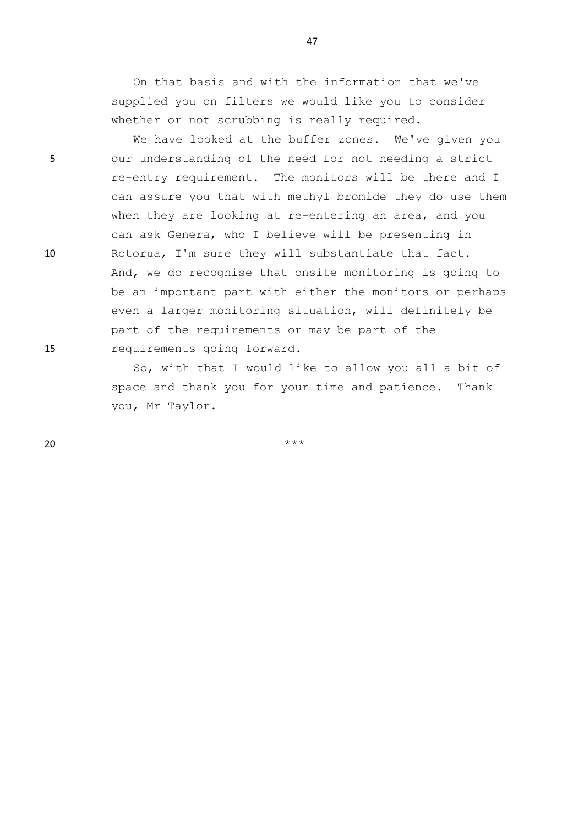On that basis and with the information that we've supplied you on filters we would like you to consider whether or not scrubbing is really required.

47

We have looked at the buffer zones. We've given you 5 our understanding of the need for not needing a strict re-entry requirement. The monitors will be there and I can assure you that with methyl bromide they do use them when they are looking at re-entering an area, and you can ask Genera, who I believe will be presenting in 10 Rotorua, I'm sure they will substantiate that fact. And, we do recognise that onsite monitoring is going to be an important part with either the monitors or perhaps even a larger monitoring situation, will definitely be part of the requirements or may be part of the 15 requirements going forward.

> So, with that I would like to allow you all a bit of space and thank you for your time and patience. Thank you, Mr Taylor.

 $20$  \*\*\*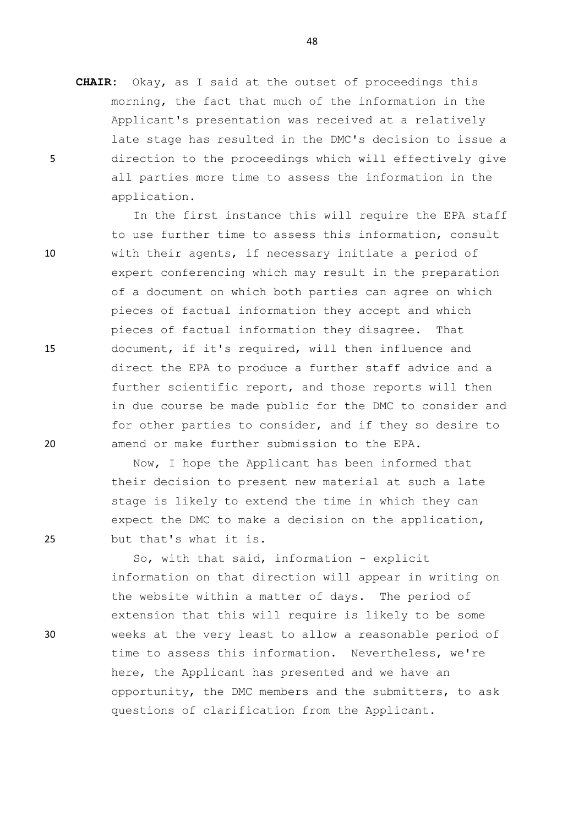**CHAIR:** Okay, as I said at the outset of proceedings this morning, the fact that much of the information in the Applicant's presentation was received at a relatively late stage has resulted in the DMC's decision to issue a 5 direction to the proceedings which will effectively give all parties more time to assess the information in the application.

In the first instance this will require the EPA staff to use further time to assess this information, consult 10 with their agents, if necessary initiate a period of expert conferencing which may result in the preparation of a document on which both parties can agree on which pieces of factual information they accept and which pieces of factual information they disagree. That 15 document, if it's required, will then influence and direct the EPA to produce a further staff advice and a further scientific report, and those reports will then in due course be made public for the DMC to consider and for other parties to consider, and if they so desire to 20 amend or make further submission to the EPA.

Now, I hope the Applicant has been informed that their decision to present new material at such a late stage is likely to extend the time in which they can expect the DMC to make a decision on the application, 25 but that's what it is.

So, with that said, information - explicit information on that direction will appear in writing on the website within a matter of days. The period of extension that this will require is likely to be some 30 weeks at the very least to allow a reasonable period of time to assess this information. Nevertheless, we're here, the Applicant has presented and we have an opportunity, the DMC members and the submitters, to ask questions of clarification from the Applicant.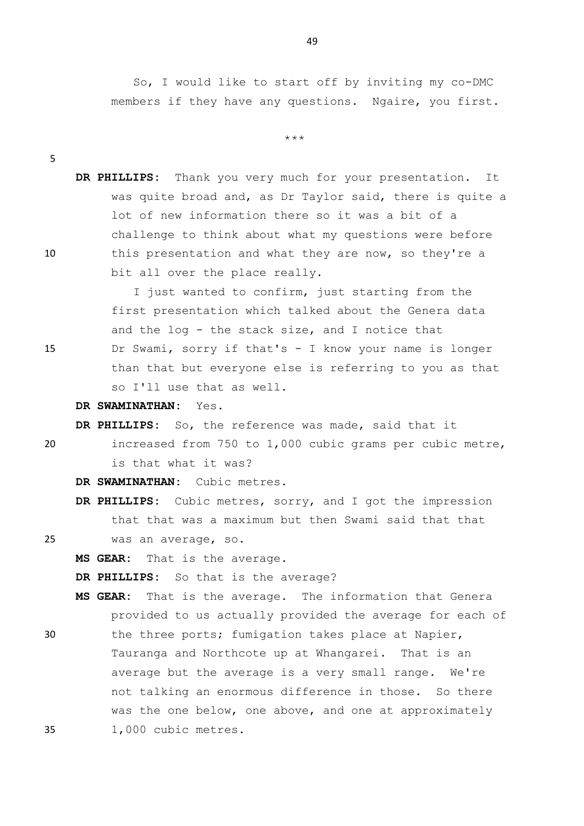So, I would like to start off by inviting my co-DMC members if they have any questions. Ngaire, you first.

\*\*\*

**DR PHILLIPS:** Thank you very much for your presentation. It was quite broad and, as Dr Taylor said, there is quite a lot of new information there so it was a bit of a challenge to think about what my questions were before 10 this presentation and what they are now, so they're a bit all over the place really.

I just wanted to confirm, just starting from the first presentation which talked about the Genera data and the log - the stack size, and I notice that 15 Dr Swami, sorry if that's - I know your name is longer than that but everyone else is referring to you as that so I'll use that as well.

**DR SWAMINATHAN:** Yes.

**DR PHILLIPS:** So, the reference was made, said that it

20 increased from 750 to 1,000 cubic grams per cubic metre, is that what it was?

**DR SWAMINATHAN:** Cubic metres.

**DR PHILLIPS:** Cubic metres, sorry, and I got the impression that that was a maximum but then Swami said that that

5

25 was an average, so.

**MS GEAR:** That is the average.

**DR PHILLIPS:** So that is the average?

**MS GEAR:** That is the average. The information that Genera provided to us actually provided the average for each of

30 the three ports; fumigation takes place at Napier, Tauranga and Northcote up at Whangarei. That is an average but the average is a very small range. We're not talking an enormous difference in those. So there was the one below, one above, and one at approximately 35 1,000 cubic metres.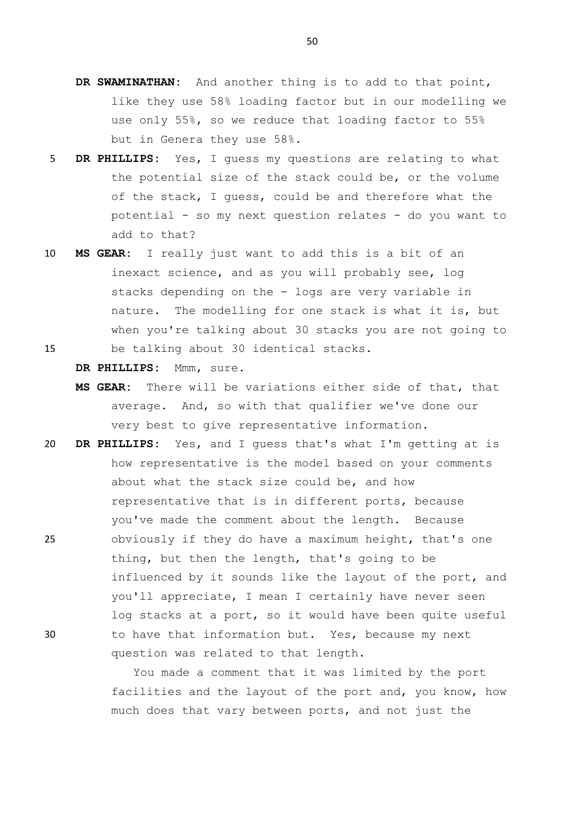- **DR SWAMINATHAN:** And another thing is to add to that point, like they use 58% loading factor but in our modelling we use only 55%, so we reduce that loading factor to 55% but in Genera they use 58%.
- 5 **DR PHILLIPS:** Yes, I guess my questions are relating to what the potential size of the stack could be, or the volume of the stack, I guess, could be and therefore what the potential - so my next question relates - do you want to add to that?
- 10 **MS GEAR:** I really just want to add this is a bit of an inexact science, and as you will probably see, log stacks depending on the - logs are very variable in nature. The modelling for one stack is what it is, but when you're talking about 30 stacks you are not going to
- 15 be talking about 30 identical stacks.

**DR PHILLIPS:** Mmm, sure.

- **MS GEAR:** There will be variations either side of that, that average. And, so with that qualifier we've done our very best to give representative information.
- 20 **DR PHILLIPS:** Yes, and I guess that's what I'm getting at is how representative is the model based on your comments about what the stack size could be, and how representative that is in different ports, because you've made the comment about the length. Because 25 obviously if they do have a maximum height, that's one thing, but then the length, that's going to be influenced by it sounds like the layout of the port, and you'll appreciate, I mean I certainly have never seen log stacks at a port, so it would have been quite useful 30 to have that information but. Yes, because my next question was related to that length.

You made a comment that it was limited by the port facilities and the layout of the port and, you know, how much does that vary between ports, and not just the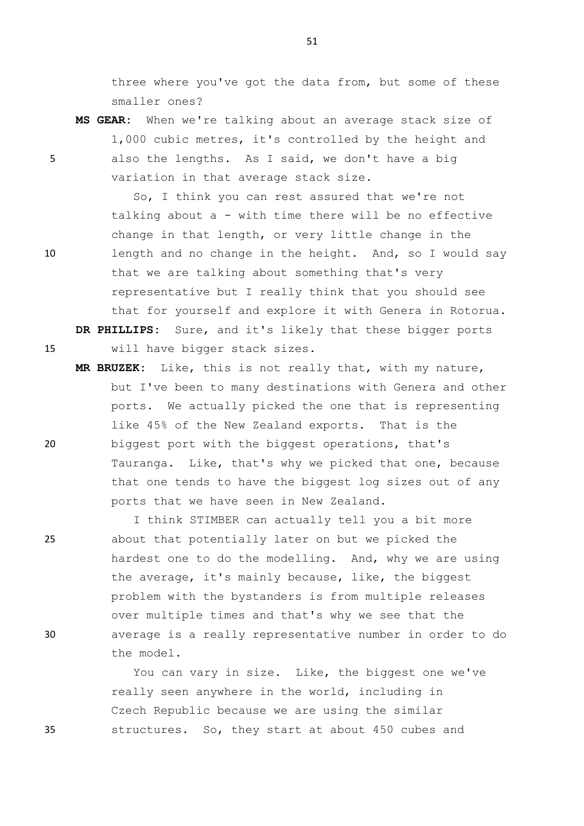three where you've got the data from, but some of these smaller ones?

**MS GEAR:** When we're talking about an average stack size of 1,000 cubic metres, it's controlled by the height and 5 also the lengths. As I said, we don't have a big variation in that average stack size.

So, I think you can rest assured that we're not talking about a - with time there will be no effective change in that length, or very little change in the 10 length and no change in the height. And, so I would say that we are talking about something that's very representative but I really think that you should see that for yourself and explore it with Genera in Rotorua. **DR PHILLIPS:** Sure, and it's likely that these bigger ports

15 will have bigger stack sizes.

**MR BRUZEK:** Like, this is not really that, with my nature, but I've been to many destinations with Genera and other ports. We actually picked the one that is representing like 45% of the New Zealand exports. That is the 20 biggest port with the biggest operations, that's Tauranga. Like, that's why we picked that one, because that one tends to have the biggest log sizes out of any ports that we have seen in New Zealand.

I think STIMBER can actually tell you a bit more 25 about that potentially later on but we picked the hardest one to do the modelling. And, why we are using the average, it's mainly because, like, the biggest problem with the bystanders is from multiple releases over multiple times and that's why we see that the 30 average is a really representative number in order to do the model.

You can vary in size. Like, the biggest one we've really seen anywhere in the world, including in Czech Republic because we are using the similar 35 structures. So, they start at about 450 cubes and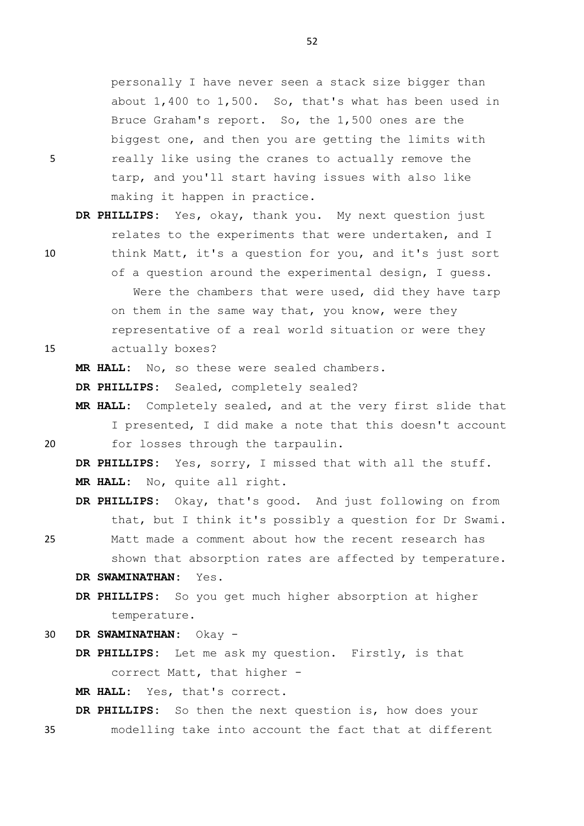personally I have never seen a stack size bigger than about 1,400 to 1,500. So, that's what has been used in Bruce Graham's report. So, the 1,500 ones are the biggest one, and then you are getting the limits with 5 really like using the cranes to actually remove the tarp, and you'll start having issues with also like making it happen in practice.

**DR PHILLIPS:** Yes, okay, thank you. My next question just relates to the experiments that were undertaken, and I 10 think Matt, it's a question for you, and it's just sort of a question around the experimental design, I guess. Were the chambers that were used, did they have tarp on them in the same way that, you know, were they representative of a real world situation or were they 15 actually boxes?

**MR HALL:** No, so these were sealed chambers.

**DR PHILLIPS:** Sealed, completely sealed?

**MR HALL:** Completely sealed, and at the very first slide that I presented, I did make a note that this doesn't account 20 for losses through the tarpaulin.

**DR PHILLIPS:** Yes, sorry, I missed that with all the stuff. **MR HALL:** No, quite all right.

**DR PHILLIPS:** Okay, that's good. And just following on from that, but I think it's possibly a question for Dr Swami.

25 Matt made a comment about how the recent research has shown that absorption rates are affected by temperature.

**DR SWAMINATHAN:** Yes.

**DR PHILLIPS:** So you get much higher absorption at higher temperature.

30 **DR SWAMINATHAN:** Okay -

**DR PHILLIPS:** Let me ask my question. Firstly, is that correct Matt, that higher -

**MR HALL:** Yes, that's correct.

**DR PHILLIPS:** So then the next question is, how does your

35 modelling take into account the fact that at different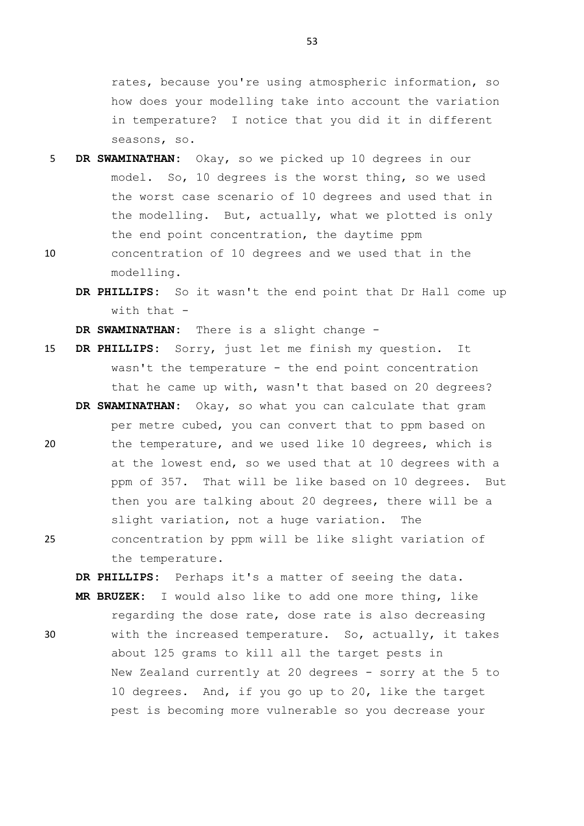rates, because you're using atmospheric information, so how does your modelling take into account the variation in temperature? I notice that you did it in different seasons, so.

- 5 **DR SWAMINATHAN:** Okay, so we picked up 10 degrees in our model. So, 10 degrees is the worst thing, so we used the worst case scenario of 10 degrees and used that in the modelling. But, actually, what we plotted is only the end point concentration, the daytime ppm
- 10 concentration of 10 degrees and we used that in the modelling.
	- **DR PHILLIPS:** So it wasn't the end point that Dr Hall come up with that  $-$

**DR SWAMINATHAN:** There is a slight change -

- 15 **DR PHILLIPS:** Sorry, just let me finish my question. It wasn't the temperature - the end point concentration that he came up with, wasn't that based on 20 degrees?
- per metre cubed, you can convert that to ppm based on 20 the temperature, and we used like 10 degrees, which is at the lowest end, so we used that at 10 degrees with a ppm of 357. That will be like based on 10 degrees. But then you are talking about 20 degrees, there will be a slight variation, not a huge variation. The 25 concentration by ppm will be like slight variation of

**DR SWAMINATHAN:** Okay, so what you can calculate that gram

the temperature.

**DR PHILLIPS:** Perhaps it's a matter of seeing the data. **MR BRUZEK:** I would also like to add one more thing, like regarding the dose rate, dose rate is also decreasing

30 with the increased temperature. So, actually, it takes about 125 grams to kill all the target pests in New Zealand currently at 20 degrees - sorry at the 5 to 10 degrees. And, if you go up to 20, like the target pest is becoming more vulnerable so you decrease your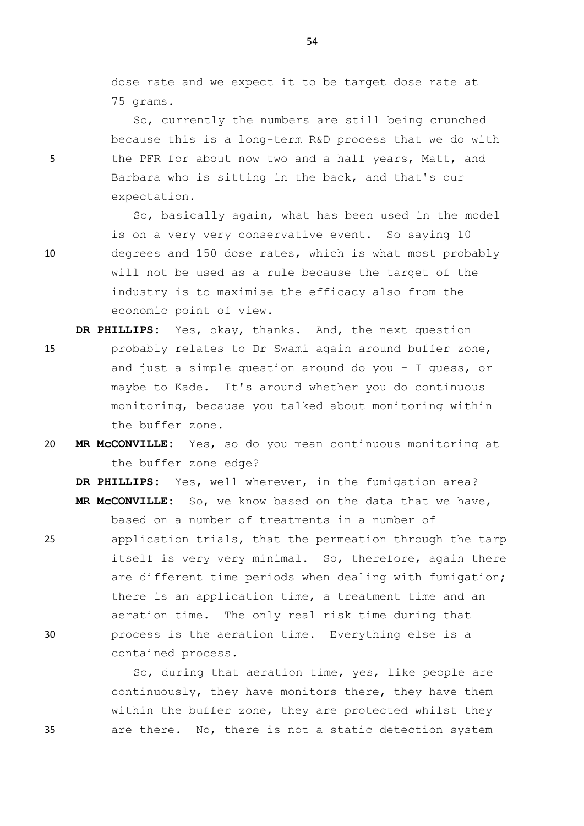dose rate and we expect it to be target dose rate at 75 grams.

So, currently the numbers are still being crunched because this is a long-term R&D process that we do with 5 the PFR for about now two and a half years, Matt, and Barbara who is sitting in the back, and that's our expectation.

So, basically again, what has been used in the model is on a very very conservative event. So saying 10 10 degrees and 150 dose rates, which is what most probably will not be used as a rule because the target of the industry is to maximise the efficacy also from the economic point of view.

**DR PHILLIPS:** Yes, okay, thanks. And, the next question 15 probably relates to Dr Swami again around buffer zone, and just a simple question around do you - I guess, or maybe to Kade. It's around whether you do continuous monitoring, because you talked about monitoring within the buffer zone.

20 **MR McCONVILLE:** Yes, so do you mean continuous monitoring at the buffer zone edge?

**DR PHILLIPS:** Yes, well wherever, in the fumigation area? **MR McCONVILLE:** So, we know based on the data that we have, based on a number of treatments in a number of

25 application trials, that the permeation through the tarp itself is very very minimal. So, therefore, again there are different time periods when dealing with fumigation; there is an application time, a treatment time and an aeration time. The only real risk time during that 30 process is the aeration time. Everything else is a contained process.

So, during that aeration time, yes, like people are continuously, they have monitors there, they have them within the buffer zone, they are protected whilst they 35 are there. No, there is not a static detection system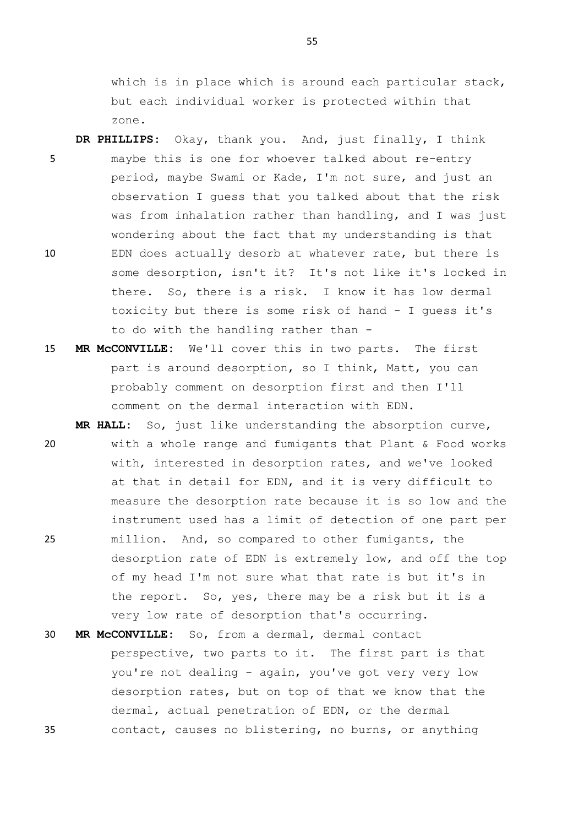which is in place which is around each particular stack, but each individual worker is protected within that zone.

**DR PHILLIPS:** Okay, thank you. And, just finally, I think 5 maybe this is one for whoever talked about re-entry period, maybe Swami or Kade, I'm not sure, and just an observation I guess that you talked about that the risk was from inhalation rather than handling, and I was just wondering about the fact that my understanding is that 10 EDN does actually desorb at whatever rate, but there is some desorption, isn't it? It's not like it's locked in there. So, there is a risk. I know it has low dermal toxicity but there is some risk of hand - I guess it's to do with the handling rather than -

15 **MR McCONVILLE:** We'll cover this in two parts. The first part is around desorption, so I think, Matt, you can probably comment on desorption first and then I'll comment on the dermal interaction with EDN.

**MR HALL:** So, just like understanding the absorption curve, 20 with a whole range and fumigants that Plant & Food works with, interested in desorption rates, and we've looked at that in detail for EDN, and it is very difficult to measure the desorption rate because it is so low and the instrument used has a limit of detection of one part per 25 million. And, so compared to other fumigants, the desorption rate of EDN is extremely low, and off the top of my head I'm not sure what that rate is but it's in the report. So, yes, there may be a risk but it is a very low rate of desorption that's occurring.

30 **MR McCONVILLE:** So, from a dermal, dermal contact perspective, two parts to it. The first part is that you're not dealing - again, you've got very very low desorption rates, but on top of that we know that the dermal, actual penetration of EDN, or the dermal 35 contact, causes no blistering, no burns, or anything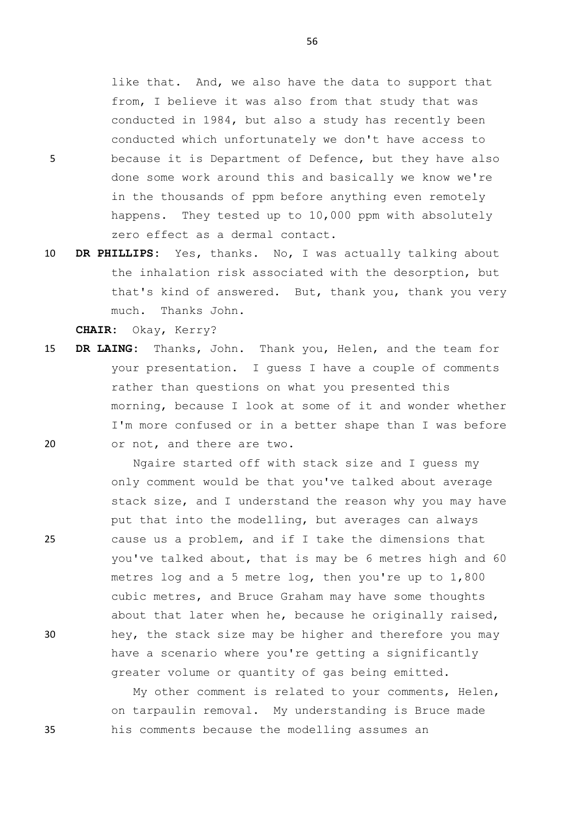like that. And, we also have the data to support that from, I believe it was also from that study that was conducted in 1984, but also a study has recently been conducted which unfortunately we don't have access to 5 because it is Department of Defence, but they have also done some work around this and basically we know we're in the thousands of ppm before anything even remotely happens. They tested up to 10,000 ppm with absolutely zero effect as a dermal contact.

10 **DR PHILLIPS:** Yes, thanks. No, I was actually talking about the inhalation risk associated with the desorption, but that's kind of answered. But, thank you, thank you very much. Thanks John.

**CHAIR:** Okay, Kerry?

15 **DR LAING:** Thanks, John. Thank you, Helen, and the team for your presentation. I guess I have a couple of comments rather than questions on what you presented this morning, because I look at some of it and wonder whether I'm more confused or in a better shape than I was before 20 or not, and there are two.

Ngaire started off with stack size and I guess my only comment would be that you've talked about average stack size, and I understand the reason why you may have put that into the modelling, but averages can always 25 cause us a problem, and if I take the dimensions that you've talked about, that is may be 6 metres high and 60 metres log and a 5 metre log, then you're up to 1,800 cubic metres, and Bruce Graham may have some thoughts about that later when he, because he originally raised, 30 hey, the stack size may be higher and therefore you may have a scenario where you're getting a significantly greater volume or quantity of gas being emitted.

My other comment is related to your comments, Helen, on tarpaulin removal. My understanding is Bruce made 35 his comments because the modelling assumes an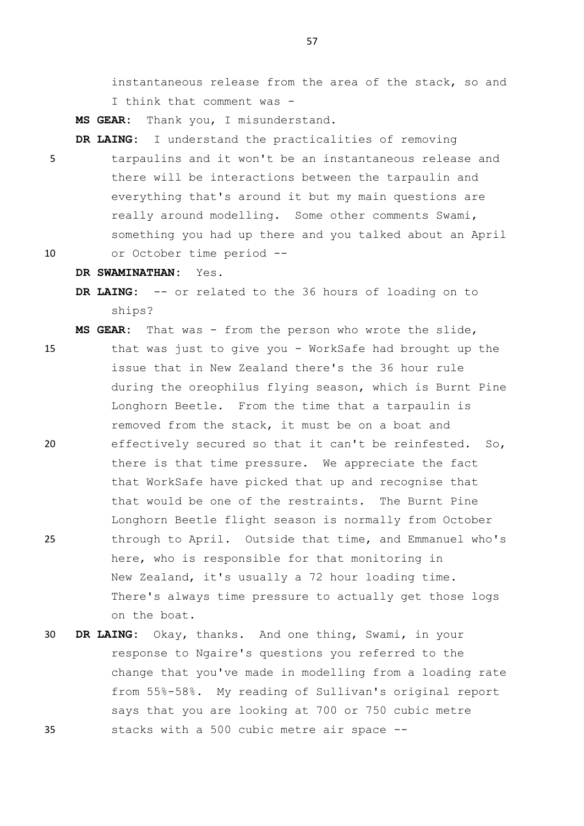instantaneous release from the area of the stack, so and I think that comment was -

**MS GEAR:** Thank you, I misunderstand.

- **DR LAING:** I understand the practicalities of removing 5 tarpaulins and it won't be an instantaneous release and there will be interactions between the tarpaulin and everything that's around it but my main questions are really around modelling. Some other comments Swami, something you had up there and you talked about an April 10 or October time period --
- 

**DR SWAMINATHAN:** Yes.

**DR LAING:** -- or related to the 36 hours of loading on to ships?

**MS GEAR:** That was - from the person who wrote the slide,

- 15 that was just to give you WorkSafe had brought up the issue that in New Zealand there's the 36 hour rule during the oreophilus flying season, which is Burnt Pine Longhorn Beetle. From the time that a tarpaulin is removed from the stack, it must be on a boat and 20 effectively secured so that it can't be reinfested. So, there is that time pressure. We appreciate the fact that WorkSafe have picked that up and recognise that that would be one of the restraints. The Burnt Pine Longhorn Beetle flight season is normally from October 25 through to April. Outside that time, and Emmanuel who's here, who is responsible for that monitoring in New Zealand, it's usually a 72 hour loading time. There's always time pressure to actually get those logs on the boat.
- 30 **DR LAING:** Okay, thanks. And one thing, Swami, in your response to Ngaire's questions you referred to the change that you've made in modelling from a loading rate from 55%-58%. My reading of Sullivan's original report says that you are looking at 700 or 750 cubic metre 35 stacks with a 500 cubic metre air space --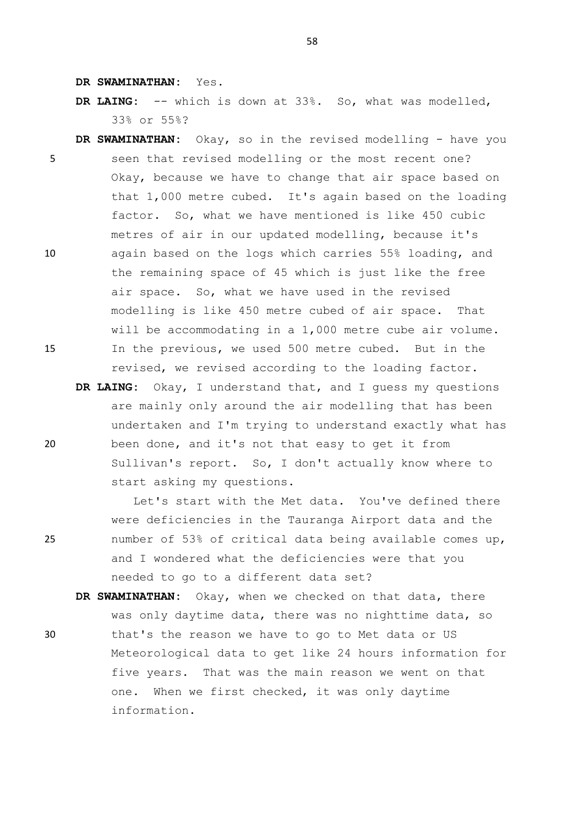**DR SWAMINATHAN:** Yes.

**DR LAING:** -- which is down at 33%. So, what was modelled, 33% or 55%?

- **DR SWAMINATHAN:** Okay, so in the revised modelling have you 5 seen that revised modelling or the most recent one? Okay, because we have to change that air space based on that 1,000 metre cubed. It's again based on the loading factor. So, what we have mentioned is like 450 cubic metres of air in our updated modelling, because it's 10 again based on the logs which carries 55% loading, and the remaining space of 45 which is just like the free air space. So, what we have used in the revised modelling is like 450 metre cubed of air space. That will be accommodating in a 1,000 metre cube air volume. 15 In the previous, we used 500 metre cubed. But in the revised, we revised according to the loading factor.
- **DR LAING:** Okay, I understand that, and I guess my questions are mainly only around the air modelling that has been undertaken and I'm trying to understand exactly what has 20 been done, and it's not that easy to get it from Sullivan's report. So, I don't actually know where to start asking my questions.

Let's start with the Met data. You've defined there were deficiencies in the Tauranga Airport data and the 25 number of 53% of critical data being available comes up, and I wondered what the deficiencies were that you needed to go to a different data set?

**DR SWAMINATHAN:** Okay, when we checked on that data, there was only daytime data, there was no nighttime data, so 30 that's the reason we have to go to Met data or US Meteorological data to get like 24 hours information for five years. That was the main reason we went on that one. When we first checked, it was only daytime information.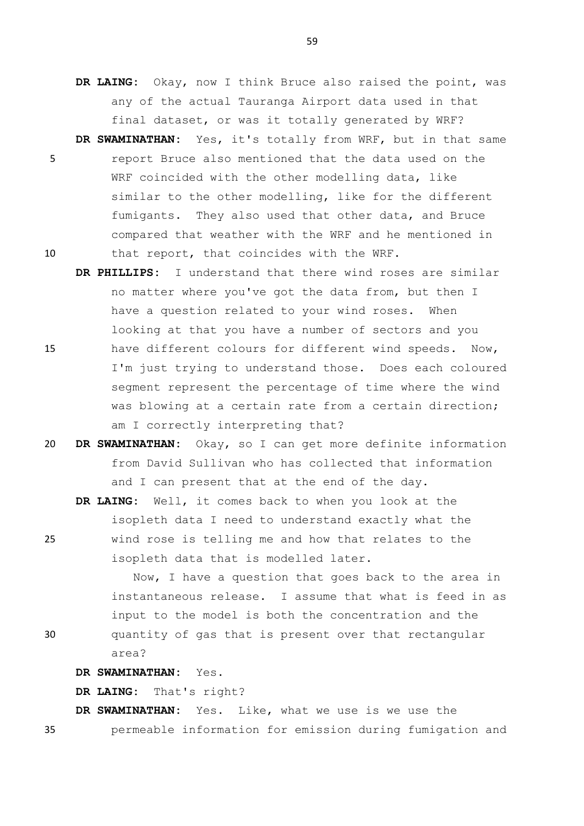- **DR LAING:** Okay, now I think Bruce also raised the point, was any of the actual Tauranga Airport data used in that final dataset, or was it totally generated by WRF?
- **DR SWAMINATHAN:** Yes, it's totally from WRF, but in that same 5 report Bruce also mentioned that the data used on the WRF coincided with the other modelling data, like similar to the other modelling, like for the different fumigants. They also used that other data, and Bruce compared that weather with the WRF and he mentioned in 10 that report, that coincides with the WRF.
- **DR PHILLIPS:** I understand that there wind roses are similar no matter where you've got the data from, but then I have a question related to your wind roses. When looking at that you have a number of sectors and you 15 have different colours for different wind speeds. Now, I'm just trying to understand those. Does each coloured segment represent the percentage of time where the wind was blowing at a certain rate from a certain direction; am I correctly interpreting that?
- 20 **DR SWAMINATHAN:** Okay, so I can get more definite information from David Sullivan who has collected that information and I can present that at the end of the day.
- **DR LAING:** Well, it comes back to when you look at the isopleth data I need to understand exactly what the 25 wind rose is telling me and how that relates to the isopleth data that is modelled later.

Now, I have a question that goes back to the area in instantaneous release. I assume that what is feed in as input to the model is both the concentration and the

30 quantity of gas that is present over that rectangular area?

**DR SWAMINATHAN:** Yes.

**DR LAING:** That's right?

**DR SWAMINATHAN:** Yes. Like, what we use is we use the 35 permeable information for emission during fumigation and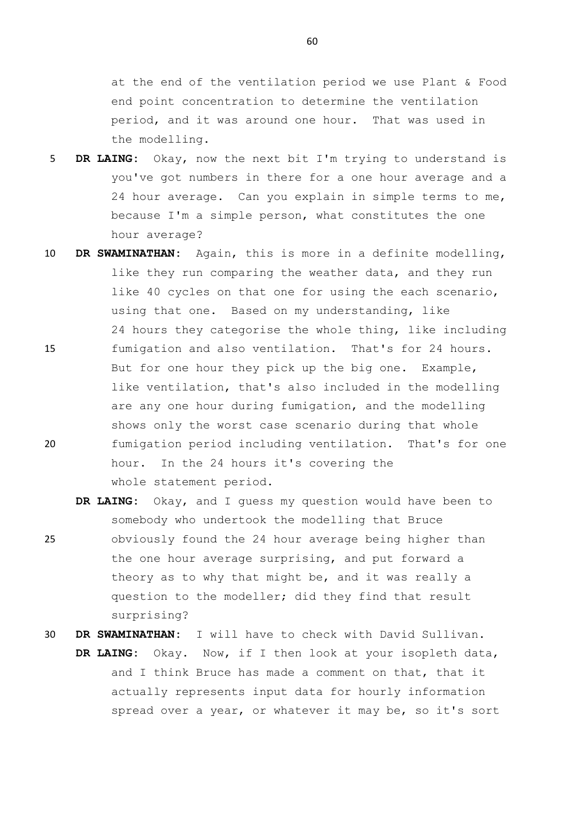at the end of the ventilation period we use Plant & Food end point concentration to determine the ventilation period, and it was around one hour. That was used in the modelling.

- 5 **DR LAING:** Okay, now the next bit I'm trying to understand is you've got numbers in there for a one hour average and a 24 hour average. Can you explain in simple terms to me, because I'm a simple person, what constitutes the one hour average?
- 10 **DR SWAMINATHAN:** Again, this is more in a definite modelling, like they run comparing the weather data, and they run like 40 cycles on that one for using the each scenario, using that one. Based on my understanding, like 24 hours they categorise the whole thing, like including 15 fumigation and also ventilation. That's for 24 hours. But for one hour they pick up the big one. Example, like ventilation, that's also included in the modelling are any one hour during fumigation, and the modelling shows only the worst case scenario during that whole 20 fumigation period including ventilation. That's for one hour. In the 24 hours it's covering the whole statement period.
- **DR LAING:** Okay, and I guess my question would have been to somebody who undertook the modelling that Bruce 25 obviously found the 24 hour average being higher than the one hour average surprising, and put forward a theory as to why that might be, and it was really a question to the modeller; did they find that result surprising?
- 30 **DR SWAMINATHAN:** I will have to check with David Sullivan.
	- **DR LAING:** Okay. Now, if I then look at your isopleth data, and I think Bruce has made a comment on that, that it actually represents input data for hourly information spread over a year, or whatever it may be, so it's sort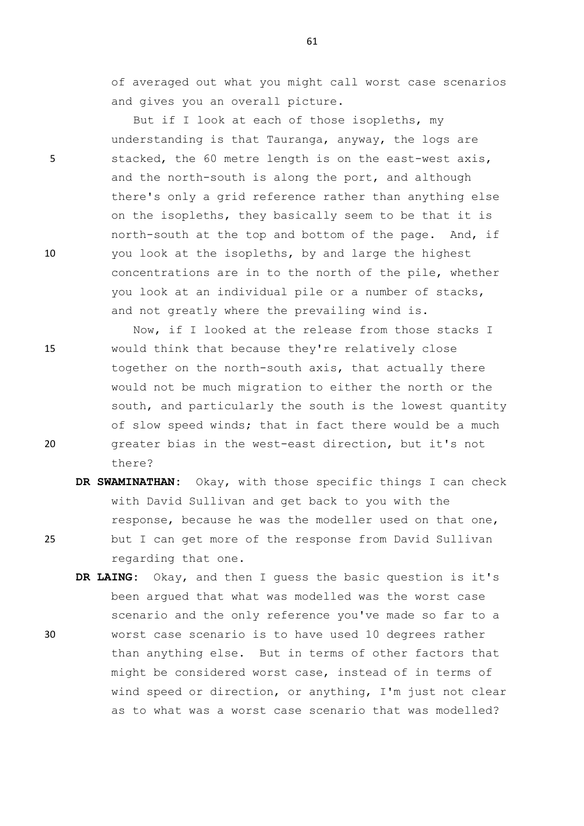61

of averaged out what you might call worst case scenarios and gives you an overall picture.

But if I look at each of those isopleths, my understanding is that Tauranga, anyway, the logs are 5 stacked, the 60 metre length is on the east-west axis, and the north-south is along the port, and although there's only a grid reference rather than anything else on the isopleths, they basically seem to be that it is north-south at the top and bottom of the page. And, if 10 you look at the isopleths, by and large the highest concentrations are in to the north of the pile, whether you look at an individual pile or a number of stacks, and not greatly where the prevailing wind is.

Now, if I looked at the release from those stacks I 15 would think that because they're relatively close together on the north-south axis, that actually there would not be much migration to either the north or the south, and particularly the south is the lowest quantity of slow speed winds; that in fact there would be a much 20 greater bias in the west-east direction, but it's not there?

- **DR SWAMINATHAN:** Okay, with those specific things I can check with David Sullivan and get back to you with the response, because he was the modeller used on that one, 25 but I can get more of the response from David Sullivan regarding that one.
- **DR LAING:** Okay, and then I guess the basic question is it's been argued that what was modelled was the worst case scenario and the only reference you've made so far to a 30 worst case scenario is to have used 10 degrees rather than anything else. But in terms of other factors that might be considered worst case, instead of in terms of wind speed or direction, or anything, I'm just not clear as to what was a worst case scenario that was modelled?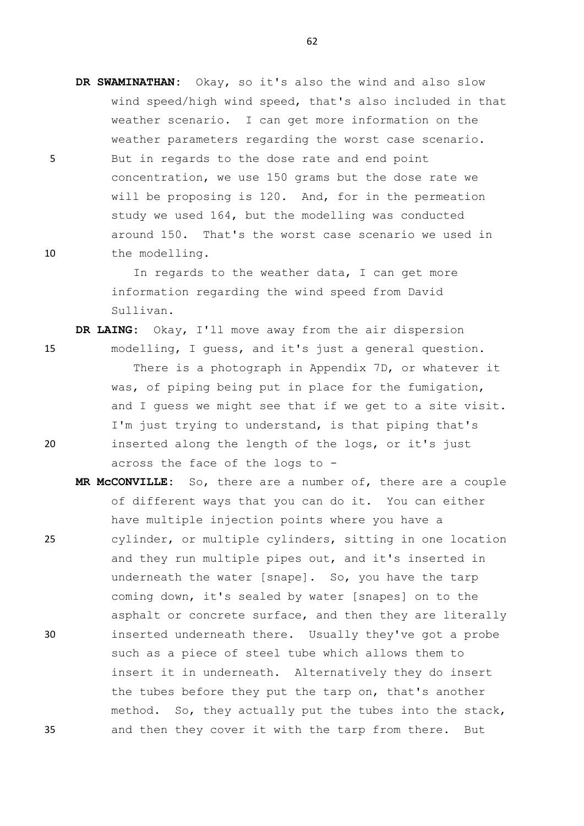**DR SWAMINATHAN:** Okay, so it's also the wind and also slow wind speed/high wind speed, that's also included in that weather scenario. I can get more information on the weather parameters regarding the worst case scenario. 5 But in regards to the dose rate and end point concentration, we use 150 grams but the dose rate we will be proposing is 120. And, for in the permeation study we used 164, but the modelling was conducted around 150. That's the worst case scenario we used in 10 the modelling.

> In regards to the weather data, I can get more information regarding the wind speed from David Sullivan.

- **DR LAING:** Okay, I'll move away from the air dispersion 15 modelling, I guess, and it's just a general question. There is a photograph in Appendix 7D, or whatever it was, of piping being put in place for the fumigation, and I guess we might see that if we get to a site visit. I'm just trying to understand, is that piping that's 20 inserted along the length of the logs, or it's just across the face of the logs to -
- **MR McCONVILLE:** So, there are a number of, there are a couple of different ways that you can do it. You can either have multiple injection points where you have a 25 cylinder, or multiple cylinders, sitting in one location and they run multiple pipes out, and it's inserted in underneath the water [snape]. So, you have the tarp coming down, it's sealed by water [snapes] on to the asphalt or concrete surface, and then they are literally 30 inserted underneath there. Usually they've got a probe such as a piece of steel tube which allows them to insert it in underneath. Alternatively they do insert the tubes before they put the tarp on, that's another method. So, they actually put the tubes into the stack, 35 and then they cover it with the tarp from there. But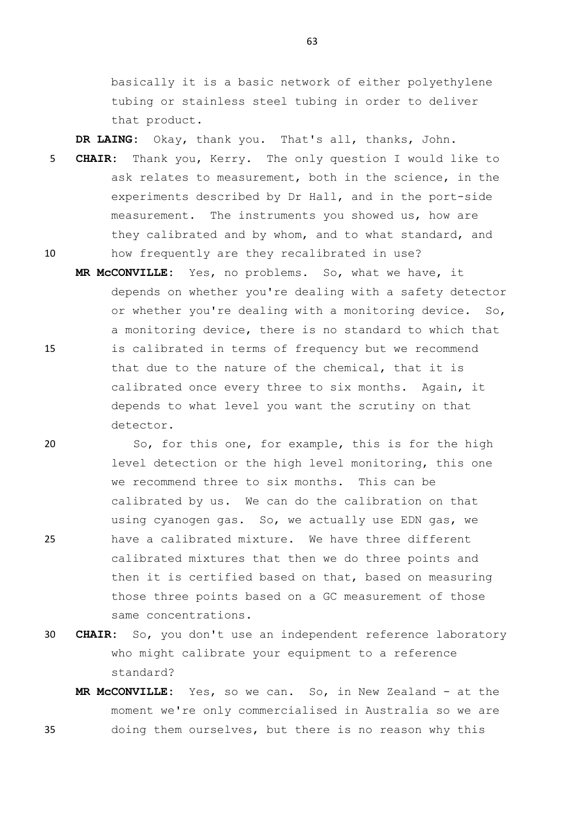basically it is a basic network of either polyethylene tubing or stainless steel tubing in order to deliver that product.

**DR LAING:** Okay, thank you. That's all, thanks, John.

- 5 **CHAIR:** Thank you, Kerry. The only question I would like to ask relates to measurement, both in the science, in the experiments described by Dr Hall, and in the port-side measurement. The instruments you showed us, how are they calibrated and by whom, and to what standard, and 10 how frequently are they recalibrated in use?
- **MR McCONVILLE:** Yes, no problems. So, what we have, it depends on whether you're dealing with a safety detector or whether you're dealing with a monitoring device. So, a monitoring device, there is no standard to which that 15 is calibrated in terms of frequency but we recommend that due to the nature of the chemical, that it is calibrated once every three to six months. Again, it depends to what level you want the scrutiny on that detector.

20 So, for this one, for example, this is for the high level detection or the high level monitoring, this one we recommend three to six months. This can be calibrated by us. We can do the calibration on that using cyanogen gas. So, we actually use EDN gas, we 25 have a calibrated mixture. We have three different calibrated mixtures that then we do three points and then it is certified based on that, based on measuring those three points based on a GC measurement of those same concentrations.

- 30 **CHAIR:** So, you don't use an independent reference laboratory who might calibrate your equipment to a reference standard?
- **MR McCONVILLE:** Yes, so we can. So, in New Zealand at the moment we're only commercialised in Australia so we are 35 doing them ourselves, but there is no reason why this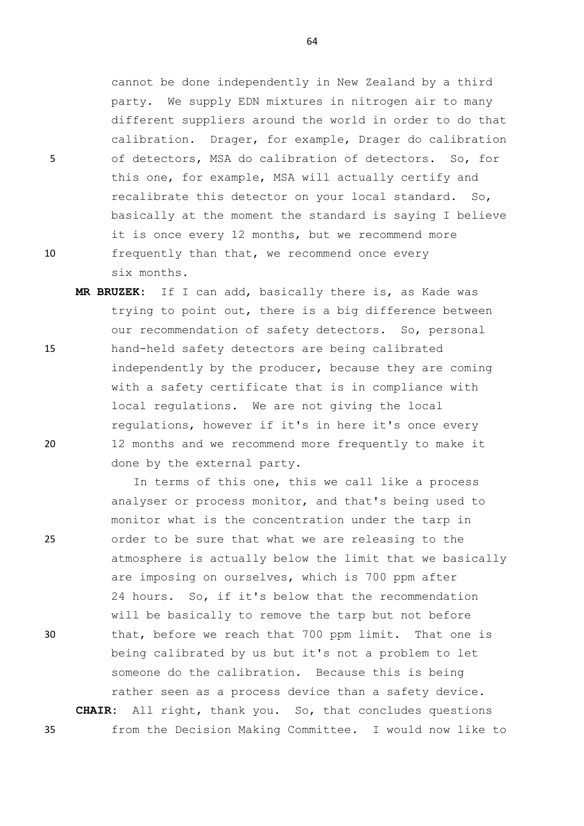cannot be done independently in New Zealand by a third party. We supply EDN mixtures in nitrogen air to many different suppliers around the world in order to do that calibration. Drager, for example, Drager do calibration 5 of detectors, MSA do calibration of detectors. So, for this one, for example, MSA will actually certify and recalibrate this detector on your local standard. So, basically at the moment the standard is saying I believe it is once every 12 months, but we recommend more 10 frequently than that, we recommend once every six months.

**MR BRUZEK:** If I can add, basically there is, as Kade was trying to point out, there is a big difference between our recommendation of safety detectors. So, personal 15 hand-held safety detectors are being calibrated independently by the producer, because they are coming with a safety certificate that is in compliance with local regulations. We are not giving the local regulations, however if it's in here it's once every 20 12 months and we recommend more frequently to make it done by the external party.

In terms of this one, this we call like a process analyser or process monitor, and that's being used to monitor what is the concentration under the tarp in 25 order to be sure that what we are releasing to the atmosphere is actually below the limit that we basically are imposing on ourselves, which is 700 ppm after 24 hours. So, if it's below that the recommendation will be basically to remove the tarp but not before 30 that, before we reach that 700 ppm limit. That one is being calibrated by us but it's not a problem to let someone do the calibration. Because this is being rather seen as a process device than a safety device. **CHAIR:** All right, thank you. So, that concludes questions 35 from the Decision Making Committee. I would now like to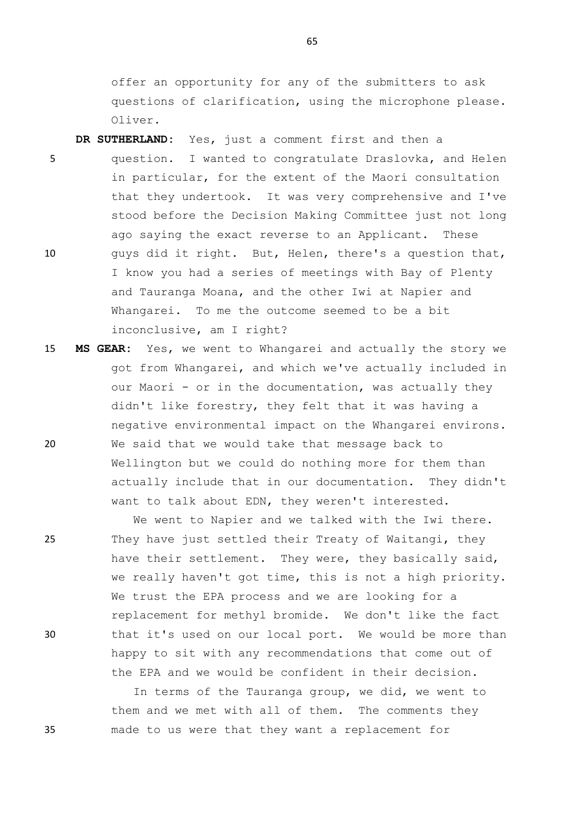offer an opportunity for any of the submitters to ask questions of clarification, using the microphone please. Oliver.

**DR SUTHERLAND:** Yes, just a comment first and then a 5 question. I wanted to congratulate Draslovka, and Helen in particular, for the extent of the Maori consultation that they undertook. It was very comprehensive and I've stood before the Decision Making Committee just not long ago saying the exact reverse to an Applicant. These 10 guys did it right. But, Helen, there's a question that, I know you had a series of meetings with Bay of Plenty and Tauranga Moana, and the other Iwi at Napier and Whangarei. To me the outcome seemed to be a bit inconclusive, am I right?

15 **MS GEAR:** Yes, we went to Whangarei and actually the story we got from Whangarei, and which we've actually included in our Maori - or in the documentation, was actually they didn't like forestry, they felt that it was having a negative environmental impact on the Whangarei environs. 20 We said that we would take that message back to Wellington but we could do nothing more for them than actually include that in our documentation. They didn't want to talk about EDN, they weren't interested.

We went to Napier and we talked with the Iwi there. 25 They have just settled their Treaty of Waitangi, they have their settlement. They were, they basically said, we really haven't got time, this is not a high priority. We trust the EPA process and we are looking for a replacement for methyl bromide. We don't like the fact 30 that it's used on our local port. We would be more than happy to sit with any recommendations that come out of the EPA and we would be confident in their decision.

In terms of the Tauranga group, we did, we went to them and we met with all of them. The comments they 35 made to us were that they want a replacement for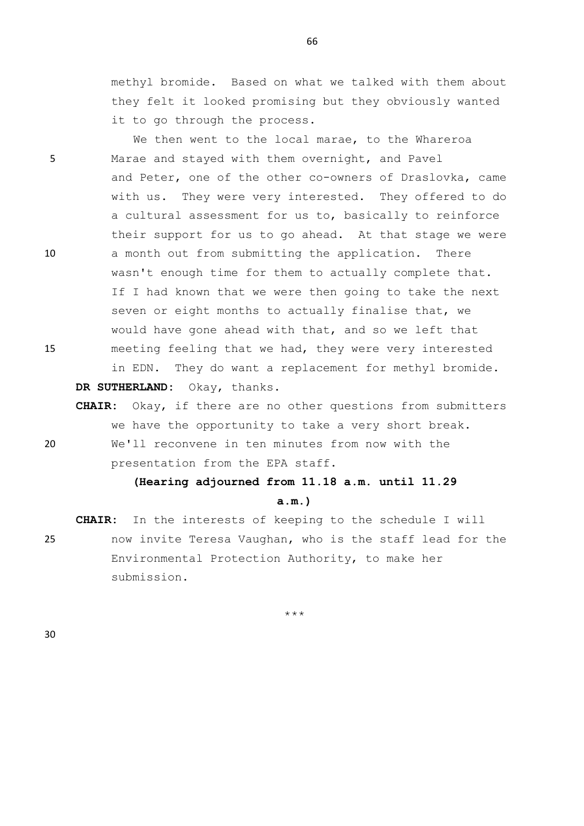methyl bromide. Based on what we talked with them about they felt it looked promising but they obviously wanted it to go through the process.

We then went to the local marae, to the Whareroa 5 Marae and stayed with them overnight, and Pavel and Peter, one of the other co-owners of Draslovka, came with us. They were very interested. They offered to do a cultural assessment for us to, basically to reinforce their support for us to go ahead. At that stage we were 10 a month out from submitting the application. There wasn't enough time for them to actually complete that. If I had known that we were then going to take the next seven or eight months to actually finalise that, we would have gone ahead with that, and so we left that 15 meeting feeling that we had, they were very interested in EDN. They do want a replacement for methyl bromide. **DR SUTHERLAND:** Okay, thanks.

**CHAIR:** Okay, if there are no other questions from submitters we have the opportunity to take a very short break. 20 We'll reconvene in ten minutes from now with the

presentation from the EPA staff.

## **(Hearing adjourned from 11.18 a.m. until 11.29**

## **a.m.)**

**CHAIR:** In the interests of keeping to the schedule I will 25 now invite Teresa Vaughan, who is the staff lead for the Environmental Protection Authority, to make her submission.

\*\*\*

30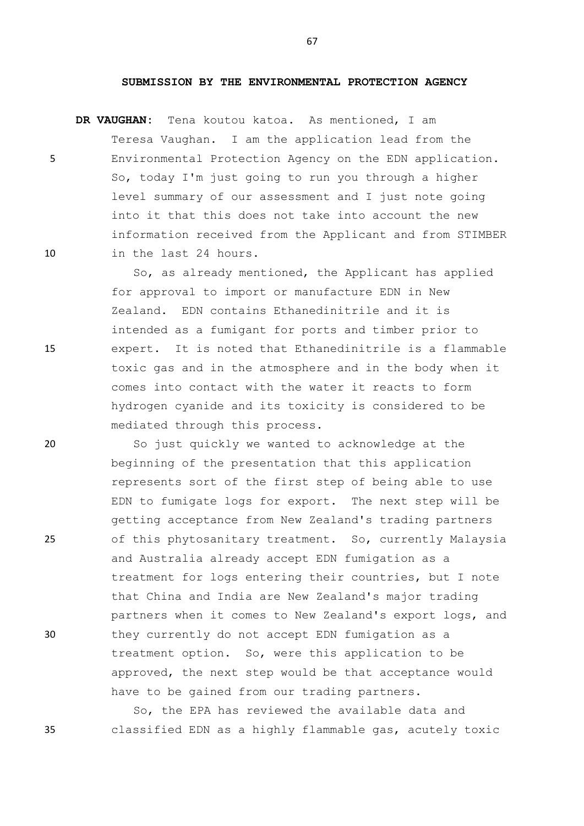## **SUBMISSION BY THE ENVIRONMENTAL PROTECTION AGENCY**

**DR VAUGHAN:** Tena koutou katoa. As mentioned, I am

Teresa Vaughan. I am the application lead from the 5 Environmental Protection Agency on the EDN application. So, today I'm just going to run you through a higher level summary of our assessment and I just note going into it that this does not take into account the new information received from the Applicant and from STIMBER 10 in the last 24 hours.

So, as already mentioned, the Applicant has applied for approval to import or manufacture EDN in New Zealand. EDN contains Ethanedinitrile and it is intended as a fumigant for ports and timber prior to 15 expert. It is noted that Ethanedinitrile is a flammable toxic gas and in the atmosphere and in the body when it comes into contact with the water it reacts to form hydrogen cyanide and its toxicity is considered to be mediated through this process.

20 So just quickly we wanted to acknowledge at the beginning of the presentation that this application represents sort of the first step of being able to use EDN to fumigate logs for export. The next step will be getting acceptance from New Zealand's trading partners 25 of this phytosanitary treatment. So, currently Malaysia and Australia already accept EDN fumigation as a treatment for logs entering their countries, but I note that China and India are New Zealand's major trading partners when it comes to New Zealand's export logs, and 30 they currently do not accept EDN fumigation as a treatment option. So, were this application to be approved, the next step would be that acceptance would have to be gained from our trading partners.

So, the EPA has reviewed the available data and 35 classified EDN as a highly flammable gas, acutely toxic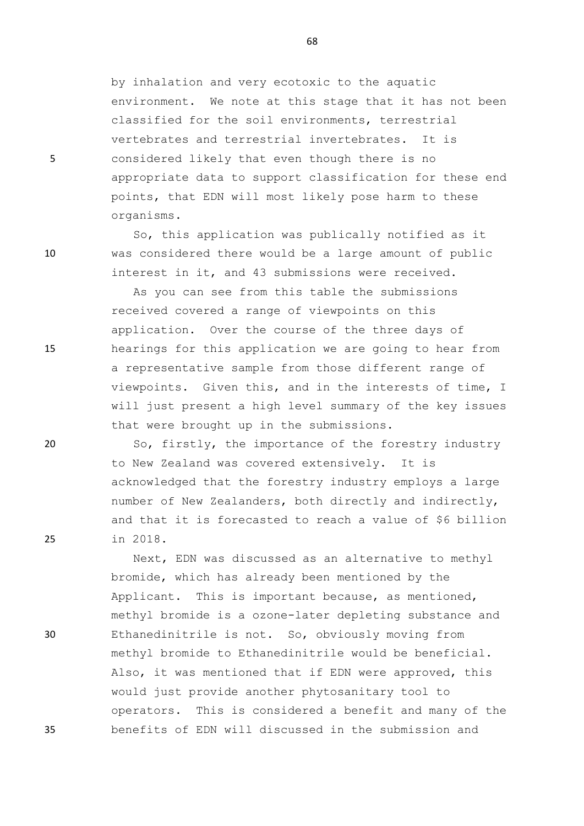by inhalation and very ecotoxic to the aquatic environment. We note at this stage that it has not been classified for the soil environments, terrestrial vertebrates and terrestrial invertebrates. It is 5 considered likely that even though there is no appropriate data to support classification for these end points, that EDN will most likely pose harm to these organisms.

So, this application was publically notified as it 10 was considered there would be a large amount of public interest in it, and 43 submissions were received.

As you can see from this table the submissions received covered a range of viewpoints on this application. Over the course of the three days of 15 hearings for this application we are going to hear from a representative sample from those different range of viewpoints. Given this, and in the interests of time, I will just present a high level summary of the key issues that were brought up in the submissions.

20 So, firstly, the importance of the forestry industry to New Zealand was covered extensively. It is acknowledged that the forestry industry employs a large number of New Zealanders, both directly and indirectly, and that it is forecasted to reach a value of \$6 billion 25 in 2018.

Next, EDN was discussed as an alternative to methyl bromide, which has already been mentioned by the Applicant. This is important because, as mentioned, methyl bromide is a ozone-later depleting substance and 30 Ethanedinitrile is not. So, obviously moving from methyl bromide to Ethanedinitrile would be beneficial. Also, it was mentioned that if EDN were approved, this would just provide another phytosanitary tool to operators. This is considered a benefit and many of the 35 benefits of EDN will discussed in the submission and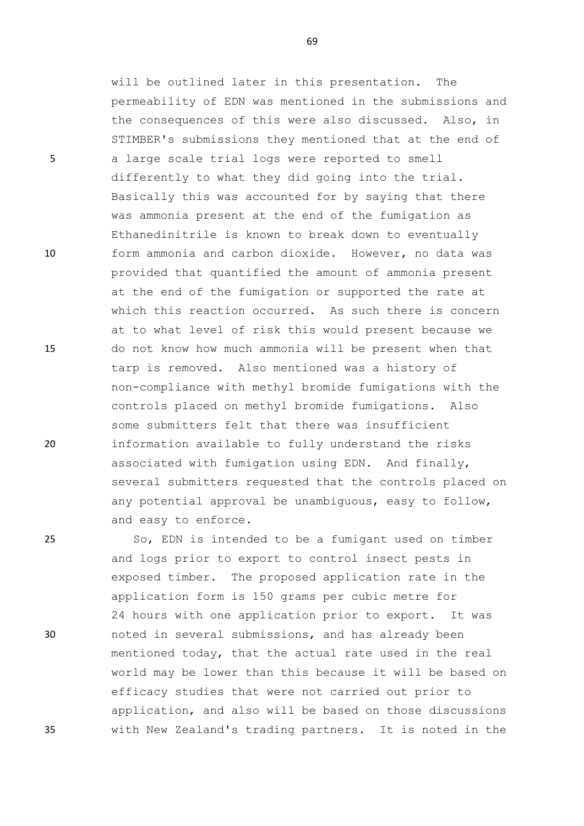will be outlined later in this presentation. The permeability of EDN was mentioned in the submissions and the consequences of this were also discussed. Also, in STIMBER's submissions they mentioned that at the end of 5 a large scale trial logs were reported to smell differently to what they did going into the trial. Basically this was accounted for by saying that there was ammonia present at the end of the fumigation as Ethanedinitrile is known to break down to eventually 10 form ammonia and carbon dioxide. However, no data was provided that quantified the amount of ammonia present at the end of the fumigation or supported the rate at which this reaction occurred. As such there is concern at to what level of risk this would present because we 15 do not know how much ammonia will be present when that tarp is removed. Also mentioned was a history of non-compliance with methyl bromide fumigations with the controls placed on methyl bromide fumigations. Also some submitters felt that there was insufficient 20 information available to fully understand the risks associated with fumigation using EDN. And finally, several submitters requested that the controls placed on any potential approval be unambiguous, easy to follow, and easy to enforce.

25 So, EDN is intended to be a fumigant used on timber and logs prior to export to control insect pests in exposed timber. The proposed application rate in the application form is 150 grams per cubic metre for 24 hours with one application prior to export. It was 30 noted in several submissions, and has already been mentioned today, that the actual rate used in the real world may be lower than this because it will be based on efficacy studies that were not carried out prior to application, and also will be based on those discussions 35 with New Zealand's trading partners. It is noted in the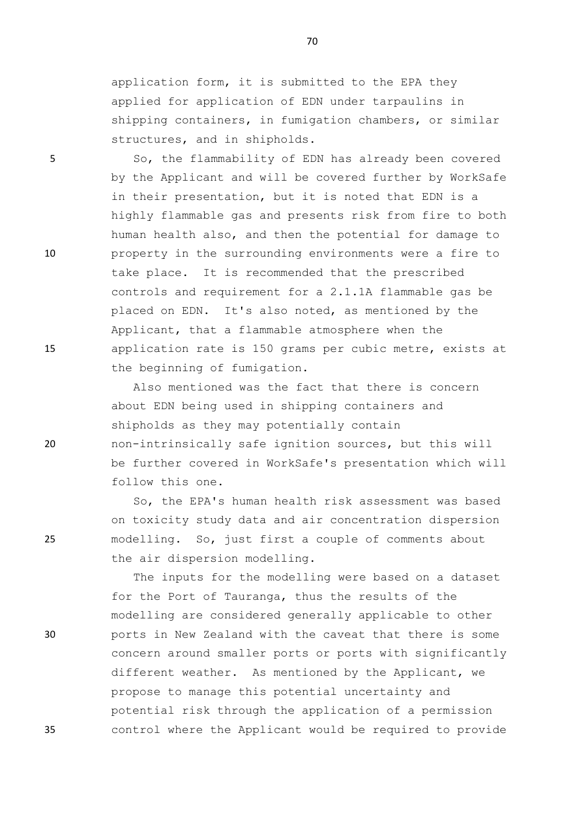application form, it is submitted to the EPA they applied for application of EDN under tarpaulins in shipping containers, in fumigation chambers, or similar structures, and in shipholds.

5 So, the flammability of EDN has already been covered by the Applicant and will be covered further by WorkSafe in their presentation, but it is noted that EDN is a highly flammable gas and presents risk from fire to both human health also, and then the potential for damage to 10 property in the surrounding environments were a fire to take place. It is recommended that the prescribed controls and requirement for a 2.1.1A flammable gas be placed on EDN. It's also noted, as mentioned by the Applicant, that a flammable atmosphere when the 15 application rate is 150 grams per cubic metre, exists at the beginning of fumigation.

Also mentioned was the fact that there is concern about EDN being used in shipping containers and shipholds as they may potentially contain 20 non-intrinsically safe ignition sources, but this will be further covered in WorkSafe's presentation which will follow this one.

So, the EPA's human health risk assessment was based on toxicity study data and air concentration dispersion 25 modelling. So, just first a couple of comments about the air dispersion modelling.

The inputs for the modelling were based on a dataset for the Port of Tauranga, thus the results of the modelling are considered generally applicable to other 30 ports in New Zealand with the caveat that there is some concern around smaller ports or ports with significantly different weather. As mentioned by the Applicant, we propose to manage this potential uncertainty and potential risk through the application of a permission 35 control where the Applicant would be required to provide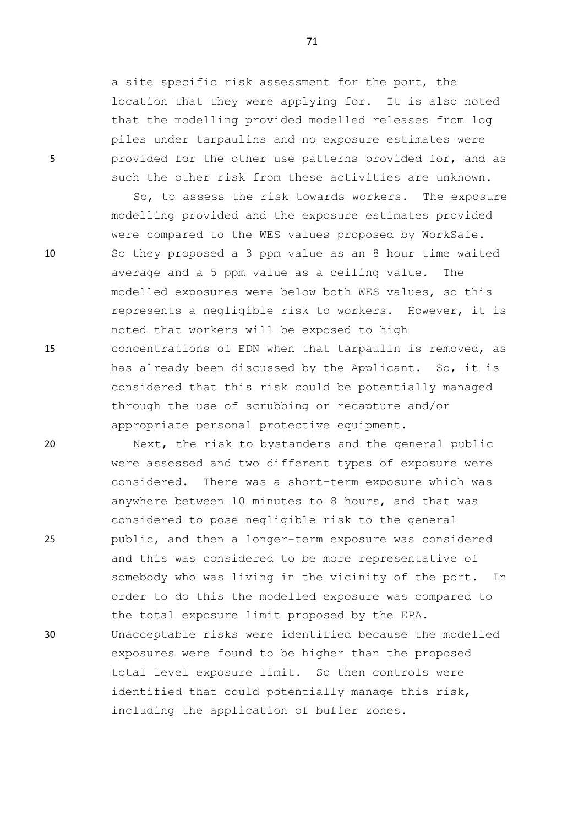a site specific risk assessment for the port, the location that they were applying for. It is also noted that the modelling provided modelled releases from log piles under tarpaulins and no exposure estimates were 5 provided for the other use patterns provided for, and as such the other risk from these activities are unknown.

So, to assess the risk towards workers. The exposure modelling provided and the exposure estimates provided were compared to the WES values proposed by WorkSafe. 10 So they proposed a 3 ppm value as an 8 hour time waited average and a 5 ppm value as a ceiling value. The modelled exposures were below both WES values, so this represents a negligible risk to workers. However, it is noted that workers will be exposed to high 15 concentrations of EDN when that tarpaulin is removed, as has already been discussed by the Applicant. So, it is considered that this risk could be potentially managed through the use of scrubbing or recapture and/or appropriate personal protective equipment.

20 Next, the risk to bystanders and the general public were assessed and two different types of exposure were considered. There was a short-term exposure which was anywhere between 10 minutes to 8 hours, and that was considered to pose negligible risk to the general 25 public, and then a longer-term exposure was considered and this was considered to be more representative of somebody who was living in the vicinity of the port. In order to do this the modelled exposure was compared to the total exposure limit proposed by the EPA. 30 Unacceptable risks were identified because the modelled exposures were found to be higher than the proposed total level exposure limit. So then controls were identified that could potentially manage this risk, including the application of buffer zones.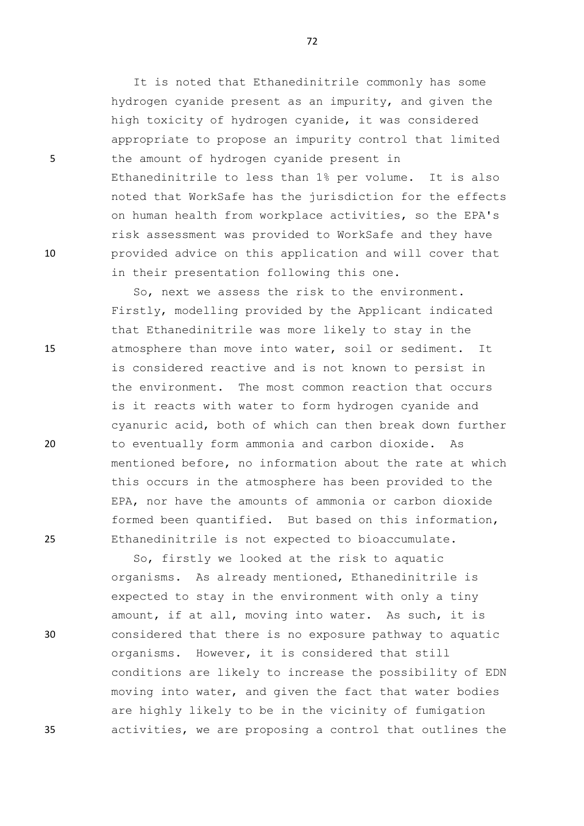It is noted that Ethanedinitrile commonly has some hydrogen cyanide present as an impurity, and given the high toxicity of hydrogen cyanide, it was considered appropriate to propose an impurity control that limited 5 the amount of hydrogen cyanide present in Ethanedinitrile to less than 1% per volume. It is also noted that WorkSafe has the jurisdiction for the effects on human health from workplace activities, so the EPA's risk assessment was provided to WorkSafe and they have 10 provided advice on this application and will cover that in their presentation following this one.

So, next we assess the risk to the environment. Firstly, modelling provided by the Applicant indicated that Ethanedinitrile was more likely to stay in the 15 atmosphere than move into water, soil or sediment. It is considered reactive and is not known to persist in the environment. The most common reaction that occurs is it reacts with water to form hydrogen cyanide and cyanuric acid, both of which can then break down further 20 to eventually form ammonia and carbon dioxide. As mentioned before, no information about the rate at which this occurs in the atmosphere has been provided to the EPA, nor have the amounts of ammonia or carbon dioxide formed been quantified. But based on this information, 25 Ethanedinitrile is not expected to bioaccumulate.

So, firstly we looked at the risk to aquatic organisms. As already mentioned, Ethanedinitrile is expected to stay in the environment with only a tiny amount, if at all, moving into water. As such, it is 30 considered that there is no exposure pathway to aquatic organisms. However, it is considered that still conditions are likely to increase the possibility of EDN moving into water, and given the fact that water bodies are highly likely to be in the vicinity of fumigation 35 activities, we are proposing a control that outlines the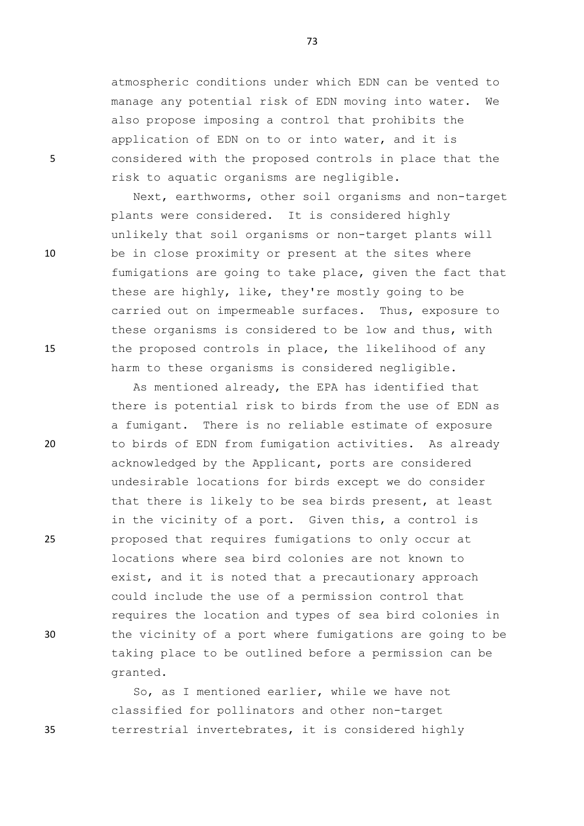atmospheric conditions under which EDN can be vented to manage any potential risk of EDN moving into water. We also propose imposing a control that prohibits the application of EDN on to or into water, and it is 5 considered with the proposed controls in place that the risk to aquatic organisms are negligible.

Next, earthworms, other soil organisms and non-target plants were considered. It is considered highly unlikely that soil organisms or non-target plants will 10 be in close proximity or present at the sites where fumigations are going to take place, given the fact that these are highly, like, they're mostly going to be carried out on impermeable surfaces. Thus, exposure to these organisms is considered to be low and thus, with 15 the proposed controls in place, the likelihood of any harm to these organisms is considered negligible.

As mentioned already, the EPA has identified that there is potential risk to birds from the use of EDN as a fumigant. There is no reliable estimate of exposure 20 to birds of EDN from fumigation activities. As already acknowledged by the Applicant, ports are considered undesirable locations for birds except we do consider that there is likely to be sea birds present, at least in the vicinity of a port. Given this, a control is 25 proposed that requires fumigations to only occur at locations where sea bird colonies are not known to exist, and it is noted that a precautionary approach could include the use of a permission control that requires the location and types of sea bird colonies in 30 the vicinity of a port where fumigations are going to be taking place to be outlined before a permission can be granted.

So, as I mentioned earlier, while we have not classified for pollinators and other non-target 35 terrestrial invertebrates, it is considered highly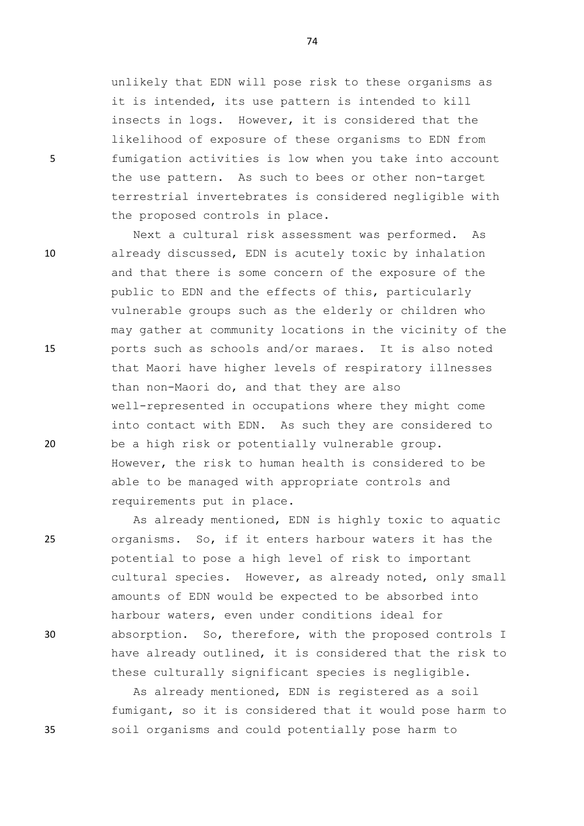unlikely that EDN will pose risk to these organisms as it is intended, its use pattern is intended to kill insects in logs. However, it is considered that the likelihood of exposure of these organisms to EDN from 5 fumigation activities is low when you take into account the use pattern. As such to bees or other non-target terrestrial invertebrates is considered negligible with the proposed controls in place.

Next a cultural risk assessment was performed. As 10 already discussed, EDN is acutely toxic by inhalation and that there is some concern of the exposure of the public to EDN and the effects of this, particularly vulnerable groups such as the elderly or children who may gather at community locations in the vicinity of the 15 ports such as schools and/or maraes. It is also noted that Maori have higher levels of respiratory illnesses than non-Maori do, and that they are also well-represented in occupations where they might come into contact with EDN. As such they are considered to 20 be a high risk or potentially vulnerable group. However, the risk to human health is considered to be able to be managed with appropriate controls and requirements put in place.

As already mentioned, EDN is highly toxic to aquatic 25 organisms. So, if it enters harbour waters it has the potential to pose a high level of risk to important cultural species. However, as already noted, only small amounts of EDN would be expected to be absorbed into harbour waters, even under conditions ideal for 30 absorption. So, therefore, with the proposed controls I have already outlined, it is considered that the risk to these culturally significant species is negligible.

As already mentioned, EDN is registered as a soil fumigant, so it is considered that it would pose harm to 35 soil organisms and could potentially pose harm to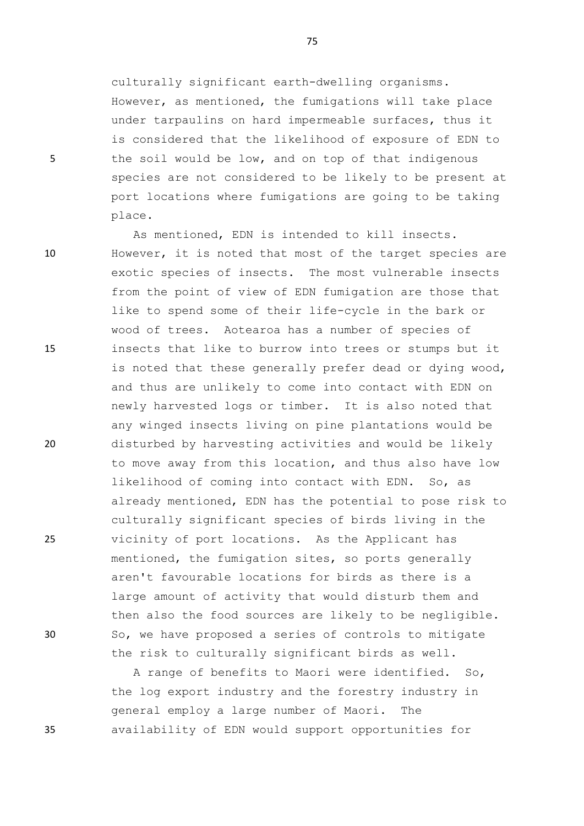culturally significant earth-dwelling organisms. However, as mentioned, the fumigations will take place under tarpaulins on hard impermeable surfaces, thus it is considered that the likelihood of exposure of EDN to 5 the soil would be low, and on top of that indigenous species are not considered to be likely to be present at port locations where fumigations are going to be taking place.

As mentioned, EDN is intended to kill insects. 10 However, it is noted that most of the target species are exotic species of insects. The most vulnerable insects from the point of view of EDN fumigation are those that like to spend some of their life-cycle in the bark or wood of trees. Aotearoa has a number of species of 15 insects that like to burrow into trees or stumps but it is noted that these generally prefer dead or dying wood, and thus are unlikely to come into contact with EDN on newly harvested logs or timber. It is also noted that any winged insects living on pine plantations would be 20 disturbed by harvesting activities and would be likely to move away from this location, and thus also have low likelihood of coming into contact with EDN. So, as already mentioned, EDN has the potential to pose risk to culturally significant species of birds living in the 25 vicinity of port locations. As the Applicant has mentioned, the fumigation sites, so ports generally aren't favourable locations for birds as there is a large amount of activity that would disturb them and then also the food sources are likely to be negligible. 30 So, we have proposed a series of controls to mitigate the risk to culturally significant birds as well.

A range of benefits to Maori were identified. So, the log export industry and the forestry industry in general employ a large number of Maori. The 35 availability of EDN would support opportunities for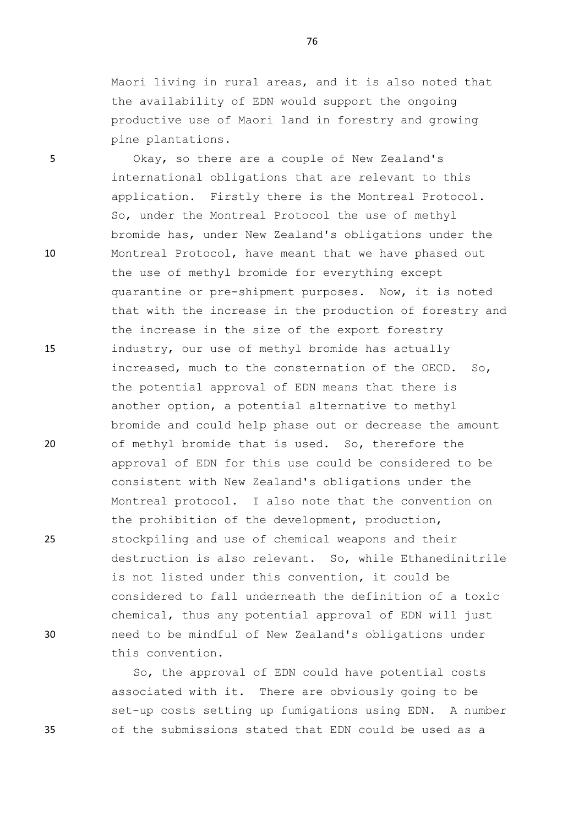Maori living in rural areas, and it is also noted that the availability of EDN would support the ongoing productive use of Maori land in forestry and growing pine plantations.

5 Okay, so there are a couple of New Zealand's international obligations that are relevant to this application. Firstly there is the Montreal Protocol. So, under the Montreal Protocol the use of methyl bromide has, under New Zealand's obligations under the 10 Montreal Protocol, have meant that we have phased out the use of methyl bromide for everything except quarantine or pre-shipment purposes. Now, it is noted that with the increase in the production of forestry and the increase in the size of the export forestry 15 industry, our use of methyl bromide has actually increased, much to the consternation of the OECD. So, the potential approval of EDN means that there is another option, a potential alternative to methyl bromide and could help phase out or decrease the amount 20 of methyl bromide that is used. So, therefore the approval of EDN for this use could be considered to be consistent with New Zealand's obligations under the Montreal protocol. I also note that the convention on the prohibition of the development, production, 25 stockpiling and use of chemical weapons and their destruction is also relevant. So, while Ethanedinitrile is not listed under this convention, it could be considered to fall underneath the definition of a toxic chemical, thus any potential approval of EDN will just 30 need to be mindful of New Zealand's obligations under this convention.

So, the approval of EDN could have potential costs associated with it. There are obviously going to be set-up costs setting up fumigations using EDN. A number 35 of the submissions stated that EDN could be used as a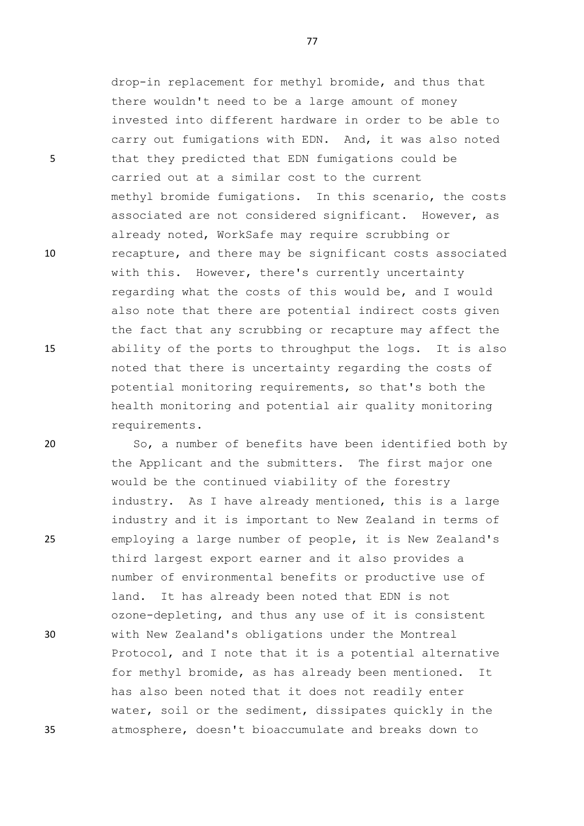drop-in replacement for methyl bromide, and thus that there wouldn't need to be a large amount of money invested into different hardware in order to be able to carry out fumigations with EDN. And, it was also noted 5 that they predicted that EDN fumigations could be carried out at a similar cost to the current methyl bromide fumigations. In this scenario, the costs associated are not considered significant. However, as already noted, WorkSafe may require scrubbing or 10 recapture, and there may be significant costs associated with this. However, there's currently uncertainty regarding what the costs of this would be, and I would also note that there are potential indirect costs given the fact that any scrubbing or recapture may affect the 15 ability of the ports to throughput the logs. It is also noted that there is uncertainty regarding the costs of potential monitoring requirements, so that's both the health monitoring and potential air quality monitoring requirements.

20 So, a number of benefits have been identified both by the Applicant and the submitters. The first major one would be the continued viability of the forestry industry. As I have already mentioned, this is a large industry and it is important to New Zealand in terms of 25 employing a large number of people, it is New Zealand's third largest export earner and it also provides a number of environmental benefits or productive use of land. It has already been noted that EDN is not ozone-depleting, and thus any use of it is consistent 30 with New Zealand's obligations under the Montreal Protocol, and I note that it is a potential alternative for methyl bromide, as has already been mentioned. It has also been noted that it does not readily enter water, soil or the sediment, dissipates quickly in the 35 atmosphere, doesn't bioaccumulate and breaks down to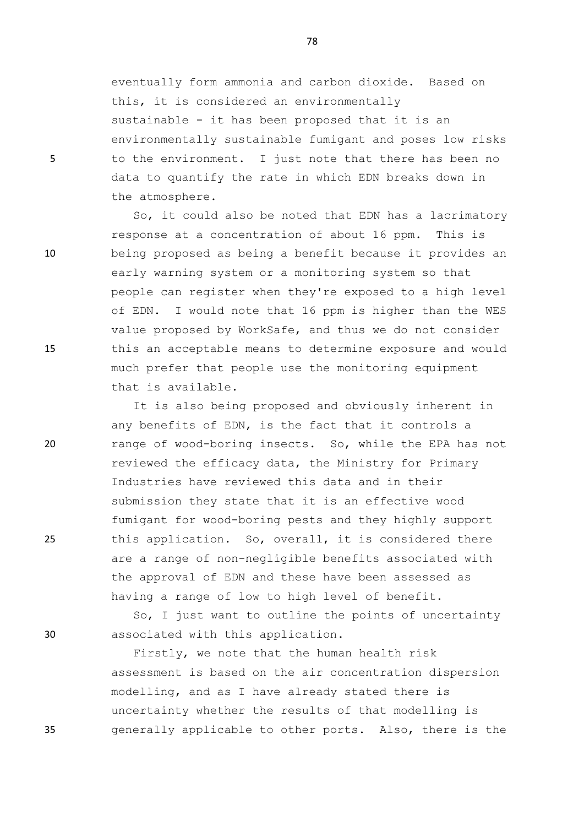eventually form ammonia and carbon dioxide. Based on this, it is considered an environmentally sustainable - it has been proposed that it is an environmentally sustainable fumigant and poses low risks 5 to the environment. I just note that there has been no data to quantify the rate in which EDN breaks down in the atmosphere.

So, it could also be noted that EDN has a lacrimatory response at a concentration of about 16 ppm. This is 10 being proposed as being a benefit because it provides an early warning system or a monitoring system so that people can register when they're exposed to a high level of EDN. I would note that 16 ppm is higher than the WES value proposed by WorkSafe, and thus we do not consider 15 this an acceptable means to determine exposure and would much prefer that people use the monitoring equipment that is available.

It is also being proposed and obviously inherent in any benefits of EDN, is the fact that it controls a 20 range of wood-boring insects. So, while the EPA has not reviewed the efficacy data, the Ministry for Primary Industries have reviewed this data and in their submission they state that it is an effective wood fumigant for wood-boring pests and they highly support 25 this application. So, overall, it is considered there are a range of non-negligible benefits associated with the approval of EDN and these have been assessed as having a range of low to high level of benefit.

So, I just want to outline the points of uncertainty 30 associated with this application.

Firstly, we note that the human health risk assessment is based on the air concentration dispersion modelling, and as I have already stated there is uncertainty whether the results of that modelling is 35 generally applicable to other ports. Also, there is the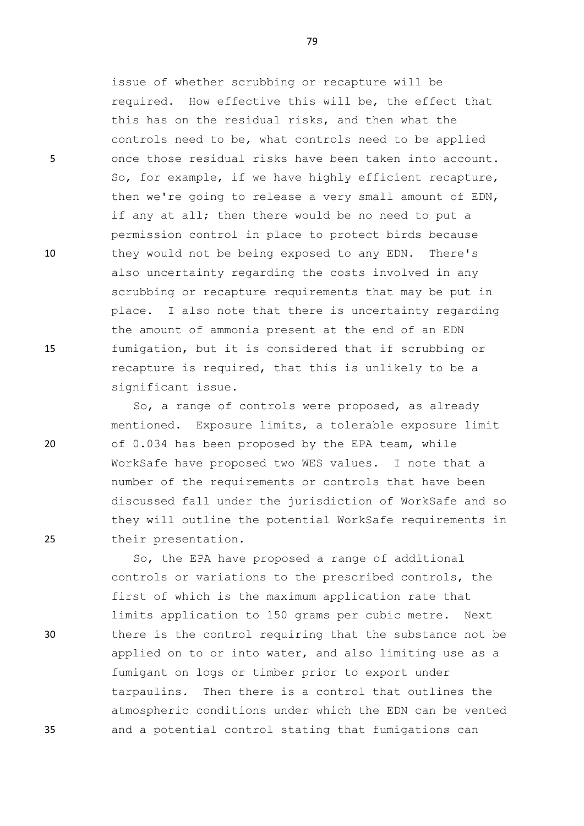issue of whether scrubbing or recapture will be required. How effective this will be, the effect that this has on the residual risks, and then what the controls need to be, what controls need to be applied 5 once those residual risks have been taken into account. So, for example, if we have highly efficient recapture, then we're going to release a very small amount of EDN, if any at all; then there would be no need to put a permission control in place to protect birds because 10 they would not be being exposed to any EDN. There's also uncertainty regarding the costs involved in any scrubbing or recapture requirements that may be put in place. I also note that there is uncertainty regarding the amount of ammonia present at the end of an EDN 15 fumigation, but it is considered that if scrubbing or recapture is required, that this is unlikely to be a significant issue.

So, a range of controls were proposed, as already mentioned. Exposure limits, a tolerable exposure limit 20 of 0.034 has been proposed by the EPA team, while WorkSafe have proposed two WES values. I note that a number of the requirements or controls that have been discussed fall under the jurisdiction of WorkSafe and so they will outline the potential WorkSafe requirements in 25 their presentation.

So, the EPA have proposed a range of additional controls or variations to the prescribed controls, the first of which is the maximum application rate that limits application to 150 grams per cubic metre. Next 30 there is the control requiring that the substance not be applied on to or into water, and also limiting use as a fumigant on logs or timber prior to export under tarpaulins. Then there is a control that outlines the atmospheric conditions under which the EDN can be vented 35 and a potential control stating that fumigations can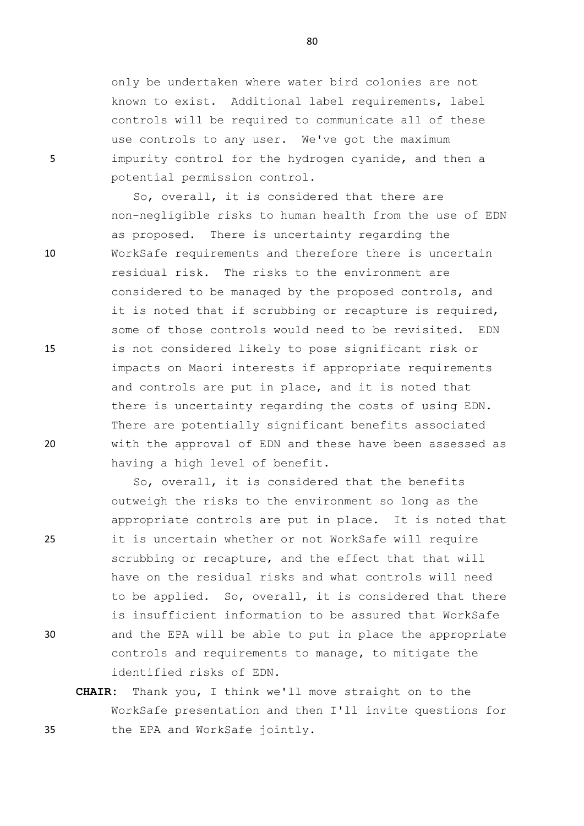only be undertaken where water bird colonies are not known to exist. Additional label requirements, label controls will be required to communicate all of these use controls to any user. We've got the maximum 5 impurity control for the hydrogen cyanide, and then a potential permission control.

So, overall, it is considered that there are non-negligible risks to human health from the use of EDN as proposed. There is uncertainty regarding the 10 WorkSafe requirements and therefore there is uncertain residual risk. The risks to the environment are considered to be managed by the proposed controls, and it is noted that if scrubbing or recapture is required, some of those controls would need to be revisited. EDN 15 is not considered likely to pose significant risk or impacts on Maori interests if appropriate requirements and controls are put in place, and it is noted that there is uncertainty regarding the costs of using EDN. There are potentially significant benefits associated 20 with the approval of EDN and these have been assessed as having a high level of benefit.

So, overall, it is considered that the benefits outweigh the risks to the environment so long as the appropriate controls are put in place. It is noted that 25 it is uncertain whether or not WorkSafe will require scrubbing or recapture, and the effect that that will have on the residual risks and what controls will need to be applied. So, overall, it is considered that there is insufficient information to be assured that WorkSafe 30 and the EPA will be able to put in place the appropriate controls and requirements to manage, to mitigate the identified risks of EDN.

**CHAIR:** Thank you, I think we'll move straight on to the WorkSafe presentation and then I'll invite questions for 35 the EPA and WorkSafe jointly.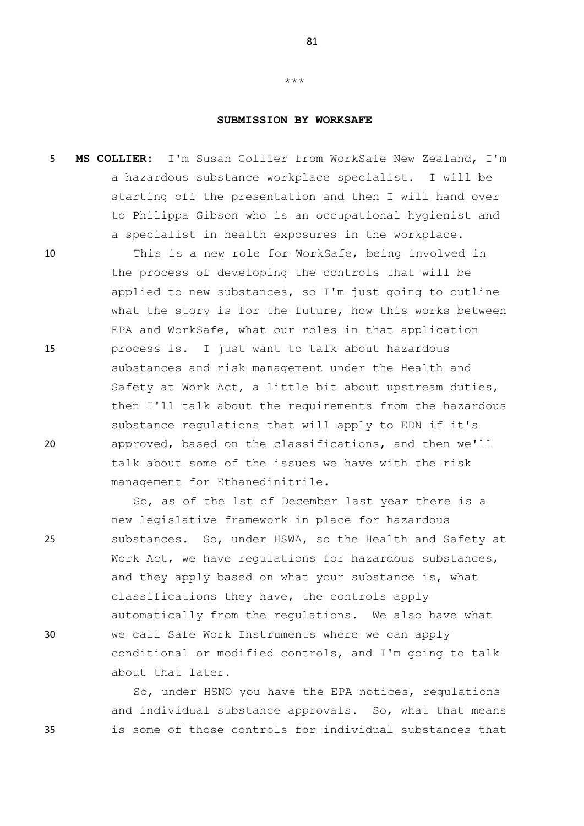## **SUBMISSION BY WORKSAFE**

\*\*\*

5 **MS COLLIER:** I'm Susan Collier from WorkSafe New Zealand, I'm a hazardous substance workplace specialist. I will be starting off the presentation and then I will hand over to Philippa Gibson who is an occupational hygienist and a specialist in health exposures in the workplace.

10 This is a new role for WorkSafe, being involved in the process of developing the controls that will be applied to new substances, so I'm just going to outline what the story is for the future, how this works between EPA and WorkSafe, what our roles in that application 15 process is. I just want to talk about hazardous substances and risk management under the Health and Safety at Work Act, a little bit about upstream duties, then I'll talk about the requirements from the hazardous substance regulations that will apply to EDN if it's 20 approved, based on the classifications, and then we'll talk about some of the issues we have with the risk management for Ethanedinitrile.

So, as of the 1st of December last year there is a new legislative framework in place for hazardous 25 substances. So, under HSWA, so the Health and Safety at Work Act, we have regulations for hazardous substances, and they apply based on what your substance is, what classifications they have, the controls apply automatically from the regulations. We also have what 30 we call Safe Work Instruments where we can apply conditional or modified controls, and I'm going to talk about that later.

So, under HSNO you have the EPA notices, regulations and individual substance approvals. So, what that means 35 is some of those controls for individual substances that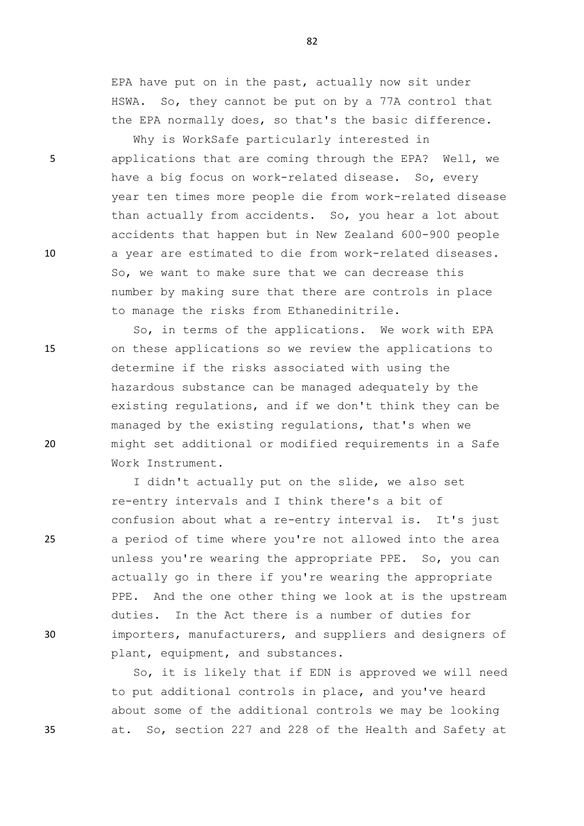EPA have put on in the past, actually now sit under HSWA. So, they cannot be put on by a 77A control that the EPA normally does, so that's the basic difference.

Why is WorkSafe particularly interested in 5 applications that are coming through the EPA? Well, we have a big focus on work-related disease. So, every year ten times more people die from work-related disease than actually from accidents. So, you hear a lot about accidents that happen but in New Zealand 600-900 people 10 a year are estimated to die from work-related diseases. So, we want to make sure that we can decrease this number by making sure that there are controls in place to manage the risks from Ethanedinitrile.

So, in terms of the applications. We work with EPA 15 on these applications so we review the applications to determine if the risks associated with using the hazardous substance can be managed adequately by the existing regulations, and if we don't think they can be managed by the existing regulations, that's when we 20 might set additional or modified requirements in a Safe Work Instrument.

I didn't actually put on the slide, we also set re-entry intervals and I think there's a bit of confusion about what a re-entry interval is. It's just 25 a period of time where you're not allowed into the area unless you're wearing the appropriate PPE. So, you can actually go in there if you're wearing the appropriate PPE. And the one other thing we look at is the upstream duties. In the Act there is a number of duties for 30 importers, manufacturers, and suppliers and designers of plant, equipment, and substances.

So, it is likely that if EDN is approved we will need to put additional controls in place, and you've heard about some of the additional controls we may be looking 35 at. So, section 227 and 228 of the Health and Safety at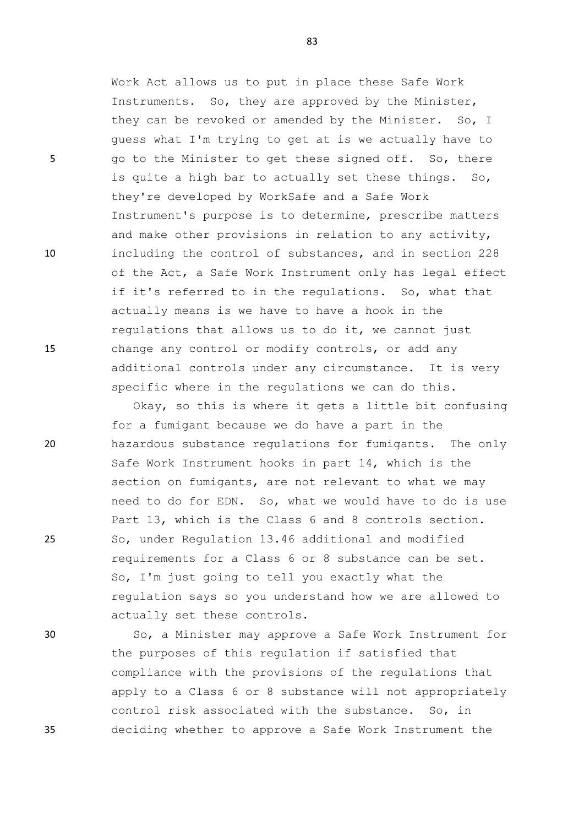Work Act allows us to put in place these Safe Work Instruments. So, they are approved by the Minister, they can be revoked or amended by the Minister. So, I guess what I'm trying to get at is we actually have to 5 go to the Minister to get these signed off. So, there is quite a high bar to actually set these things. So, they're developed by WorkSafe and a Safe Work Instrument's purpose is to determine, prescribe matters and make other provisions in relation to any activity, 10 including the control of substances, and in section 228 of the Act, a Safe Work Instrument only has legal effect if it's referred to in the regulations. So, what that actually means is we have to have a hook in the regulations that allows us to do it, we cannot just 15 change any control or modify controls, or add any additional controls under any circumstance. It is very specific where in the regulations we can do this.

Okay, so this is where it gets a little bit confusing for a fumigant because we do have a part in the 20 hazardous substance regulations for fumigants. The only Safe Work Instrument hooks in part 14, which is the section on fumigants, are not relevant to what we may need to do for EDN. So, what we would have to do is use Part 13, which is the Class 6 and 8 controls section. 25 So, under Regulation 13.46 additional and modified requirements for a Class 6 or 8 substance can be set. So, I'm just going to tell you exactly what the regulation says so you understand how we are allowed to actually set these controls.

30 So, a Minister may approve a Safe Work Instrument for the purposes of this regulation if satisfied that compliance with the provisions of the regulations that apply to a Class 6 or 8 substance will not appropriately control risk associated with the substance. So, in 35 deciding whether to approve a Safe Work Instrument the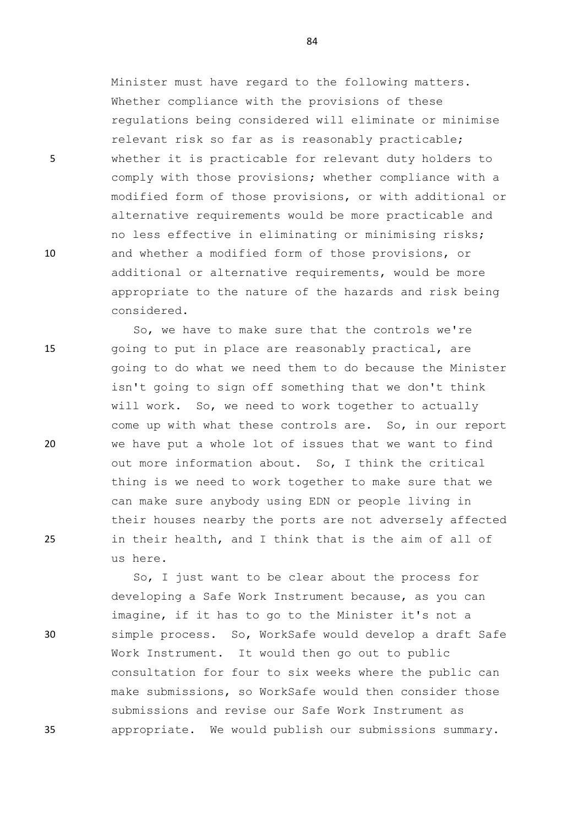Minister must have regard to the following matters. Whether compliance with the provisions of these regulations being considered will eliminate or minimise relevant risk so far as is reasonably practicable; 5 whether it is practicable for relevant duty holders to comply with those provisions; whether compliance with a modified form of those provisions, or with additional or alternative requirements would be more practicable and no less effective in eliminating or minimising risks; 10 and whether a modified form of those provisions, or additional or alternative requirements, would be more appropriate to the nature of the hazards and risk being considered.

So, we have to make sure that the controls we're 15 going to put in place are reasonably practical, are going to do what we need them to do because the Minister isn't going to sign off something that we don't think will work. So, we need to work together to actually come up with what these controls are. So, in our report 20 we have put a whole lot of issues that we want to find out more information about. So, I think the critical thing is we need to work together to make sure that we can make sure anybody using EDN or people living in their houses nearby the ports are not adversely affected 25 in their health, and I think that is the aim of all of us here.

So, I just want to be clear about the process for developing a Safe Work Instrument because, as you can imagine, if it has to go to the Minister it's not a 30 simple process. So, WorkSafe would develop a draft Safe Work Instrument. It would then go out to public consultation for four to six weeks where the public can make submissions, so WorkSafe would then consider those submissions and revise our Safe Work Instrument as 35 appropriate. We would publish our submissions summary.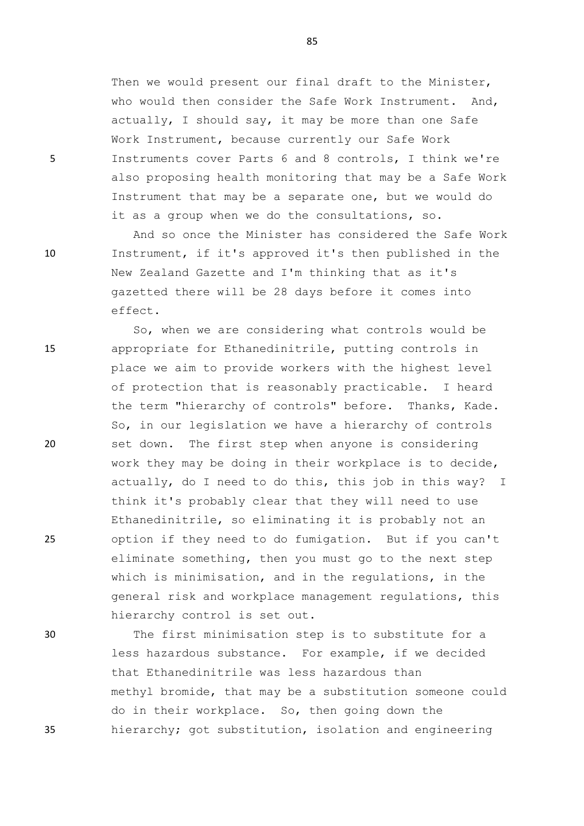Then we would present our final draft to the Minister, who would then consider the Safe Work Instrument. And, actually, I should say, it may be more than one Safe Work Instrument, because currently our Safe Work 5 Instruments cover Parts 6 and 8 controls, I think we're also proposing health monitoring that may be a Safe Work Instrument that may be a separate one, but we would do it as a group when we do the consultations, so.

And so once the Minister has considered the Safe Work 10 Instrument, if it's approved it's then published in the New Zealand Gazette and I'm thinking that as it's gazetted there will be 28 days before it comes into effect.

So, when we are considering what controls would be 15 appropriate for Ethanedinitrile, putting controls in place we aim to provide workers with the highest level of protection that is reasonably practicable. I heard the term "hierarchy of controls" before. Thanks, Kade. So, in our legislation we have a hierarchy of controls 20 set down. The first step when anyone is considering work they may be doing in their workplace is to decide, actually, do I need to do this, this job in this way? I think it's probably clear that they will need to use Ethanedinitrile, so eliminating it is probably not an 25 option if they need to do fumigation. But if you can't eliminate something, then you must go to the next step which is minimisation, and in the regulations, in the general risk and workplace management regulations, this hierarchy control is set out.

30 The first minimisation step is to substitute for a less hazardous substance. For example, if we decided that Ethanedinitrile was less hazardous than methyl bromide, that may be a substitution someone could do in their workplace. So, then going down the 35 hierarchy; got substitution, isolation and engineering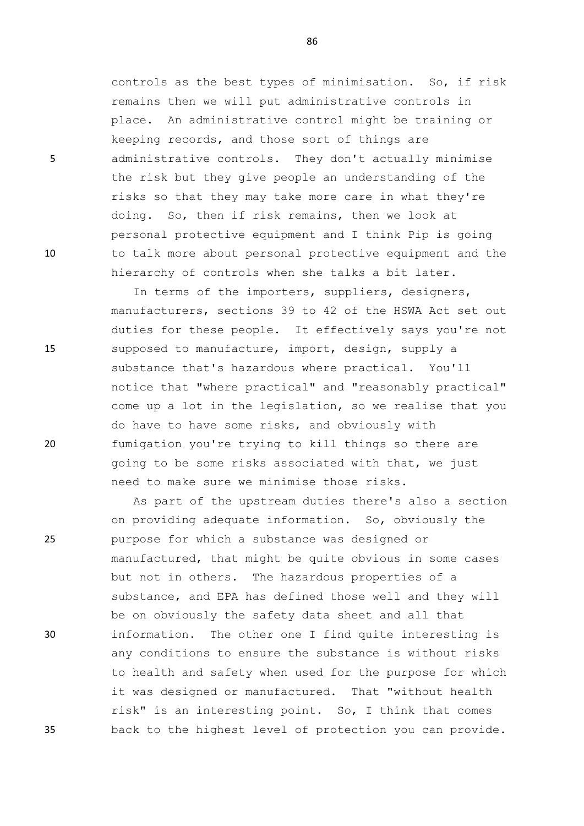controls as the best types of minimisation. So, if risk remains then we will put administrative controls in place. An administrative control might be training or keeping records, and those sort of things are 5 administrative controls. They don't actually minimise the risk but they give people an understanding of the risks so that they may take more care in what they're doing. So, then if risk remains, then we look at personal protective equipment and I think Pip is going 10 to talk more about personal protective equipment and the hierarchy of controls when she talks a bit later.

In terms of the importers, suppliers, designers, manufacturers, sections 39 to 42 of the HSWA Act set out duties for these people. It effectively says you're not 15 supposed to manufacture, import, design, supply a substance that's hazardous where practical. You'll notice that "where practical" and "reasonably practical" come up a lot in the legislation, so we realise that you do have to have some risks, and obviously with 20 fumigation you're trying to kill things so there are going to be some risks associated with that, we just need to make sure we minimise those risks.

As part of the upstream duties there's also a section on providing adequate information. So, obviously the 25 purpose for which a substance was designed or manufactured, that might be quite obvious in some cases but not in others. The hazardous properties of a substance, and EPA has defined those well and they will be on obviously the safety data sheet and all that 30 information. The other one I find quite interesting is any conditions to ensure the substance is without risks to health and safety when used for the purpose for which it was designed or manufactured. That "without health risk" is an interesting point. So, I think that comes 35 back to the highest level of protection you can provide.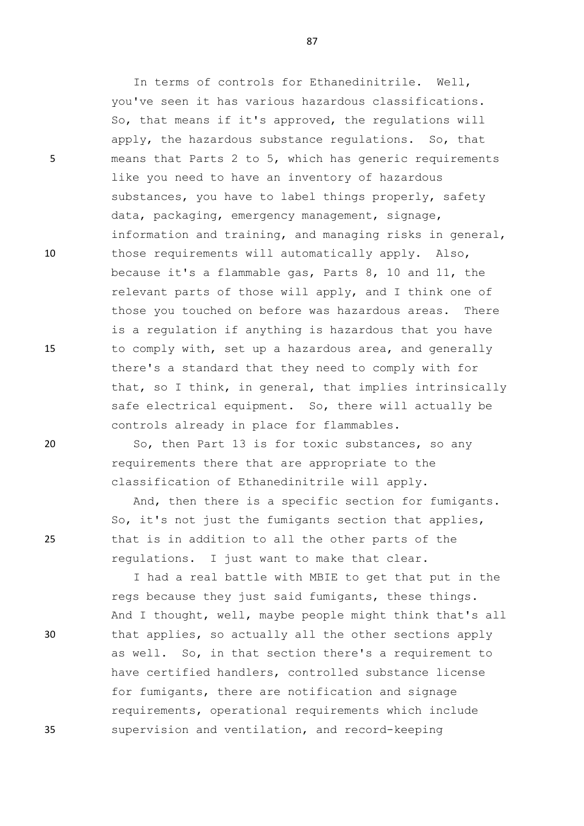In terms of controls for Ethanedinitrile. Well, you've seen it has various hazardous classifications. So, that means if it's approved, the regulations will apply, the hazardous substance regulations. So, that 5 means that Parts 2 to 5, which has generic requirements like you need to have an inventory of hazardous substances, you have to label things properly, safety data, packaging, emergency management, signage, information and training, and managing risks in general, 10 those requirements will automatically apply. Also, because it's a flammable gas, Parts 8, 10 and 11, the relevant parts of those will apply, and I think one of those you touched on before was hazardous areas. There is a regulation if anything is hazardous that you have 15 to comply with, set up a hazardous area, and generally there's a standard that they need to comply with for that, so I think, in general, that implies intrinsically safe electrical equipment. So, there will actually be controls already in place for flammables.

20 So, then Part 13 is for toxic substances, so any requirements there that are appropriate to the classification of Ethanedinitrile will apply.

And, then there is a specific section for fumigants. So, it's not just the fumigants section that applies, 25 that is in addition to all the other parts of the regulations. I just want to make that clear.

I had a real battle with MBIE to get that put in the regs because they just said fumigants, these things. And I thought, well, maybe people might think that's all 30 that applies, so actually all the other sections apply as well. So, in that section there's a requirement to have certified handlers, controlled substance license for fumigants, there are notification and signage requirements, operational requirements which include 35 supervision and ventilation, and record-keeping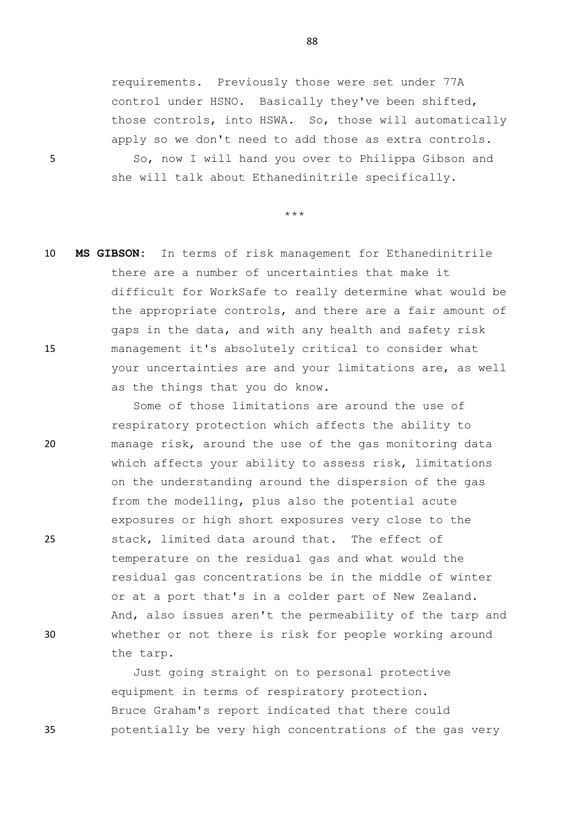requirements. Previously those were set under 77A control under HSNO. Basically they've been shifted, those controls, into HSWA. So, those will automatically apply so we don't need to add those as extra controls. 5 So, now I will hand you over to Philippa Gibson and she will talk about Ethanedinitrile specifically.

\*\*\*

10 **MS GIBSON:** In terms of risk management for Ethanedinitrile there are a number of uncertainties that make it difficult for WorkSafe to really determine what would be the appropriate controls, and there are a fair amount of gaps in the data, and with any health and safety risk 15 management it's absolutely critical to consider what your uncertainties are and your limitations are, as well as the things that you do know.

Some of those limitations are around the use of respiratory protection which affects the ability to 20 manage risk, around the use of the gas monitoring data which affects your ability to assess risk, limitations on the understanding around the dispersion of the gas from the modelling, plus also the potential acute exposures or high short exposures very close to the 25 stack, limited data around that. The effect of temperature on the residual gas and what would the residual gas concentrations be in the middle of winter or at a port that's in a colder part of New Zealand. And, also issues aren't the permeability of the tarp and 30 whether or not there is risk for people working around the tarp.

Just going straight on to personal protective equipment in terms of respiratory protection. Bruce Graham's report indicated that there could 35 potentially be very high concentrations of the gas very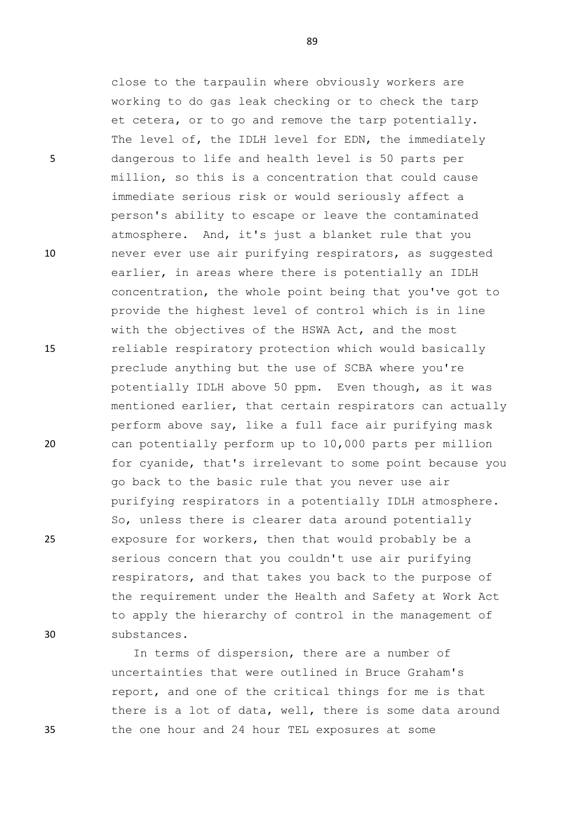close to the tarpaulin where obviously workers are working to do gas leak checking or to check the tarp et cetera, or to go and remove the tarp potentially. The level of, the IDLH level for EDN, the immediately 5 dangerous to life and health level is 50 parts per million, so this is a concentration that could cause immediate serious risk or would seriously affect a person's ability to escape or leave the contaminated atmosphere. And, it's just a blanket rule that you 10 never ever use air purifying respirators, as suggested earlier, in areas where there is potentially an IDLH concentration, the whole point being that you've got to provide the highest level of control which is in line with the objectives of the HSWA Act, and the most 15 reliable respiratory protection which would basically preclude anything but the use of SCBA where you're potentially IDLH above 50 ppm. Even though, as it was mentioned earlier, that certain respirators can actually perform above say, like a full face air purifying mask 20 can potentially perform up to 10,000 parts per million for cyanide, that's irrelevant to some point because you go back to the basic rule that you never use air purifying respirators in a potentially IDLH atmosphere. So, unless there is clearer data around potentially 25 exposure for workers, then that would probably be a serious concern that you couldn't use air purifying respirators, and that takes you back to the purpose of the requirement under the Health and Safety at Work Act to apply the hierarchy of control in the management of 30 substances.

In terms of dispersion, there are a number of uncertainties that were outlined in Bruce Graham's report, and one of the critical things for me is that there is a lot of data, well, there is some data around 35 the one hour and 24 hour TEL exposures at some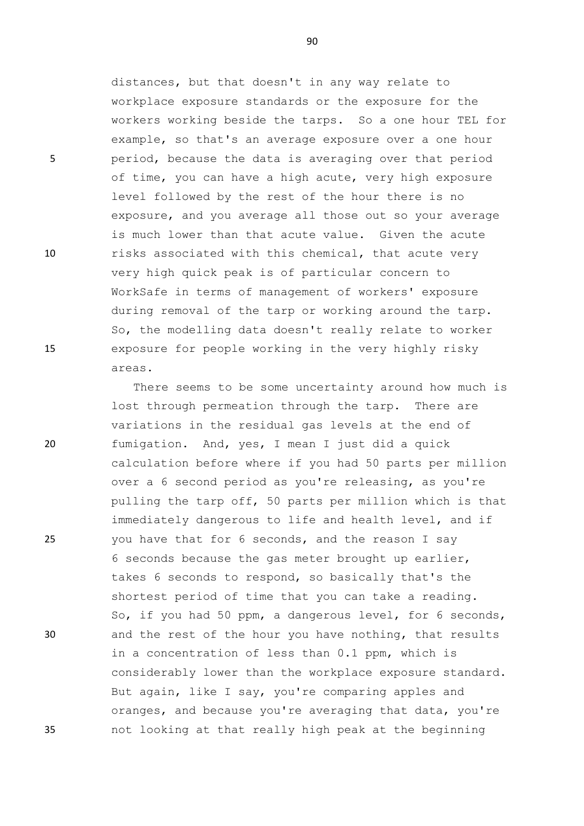distances, but that doesn't in any way relate to workplace exposure standards or the exposure for the workers working beside the tarps. So a one hour TEL for example, so that's an average exposure over a one hour 5 period, because the data is averaging over that period of time, you can have a high acute, very high exposure level followed by the rest of the hour there is no exposure, and you average all those out so your average is much lower than that acute value. Given the acute 10 risks associated with this chemical, that acute very very high quick peak is of particular concern to WorkSafe in terms of management of workers' exposure during removal of the tarp or working around the tarp. So, the modelling data doesn't really relate to worker 15 exposure for people working in the very highly risky areas.

There seems to be some uncertainty around how much is lost through permeation through the tarp. There are variations in the residual gas levels at the end of 20 fumigation. And, yes, I mean I just did a quick calculation before where if you had 50 parts per million over a 6 second period as you're releasing, as you're pulling the tarp off, 50 parts per million which is that immediately dangerous to life and health level, and if 25 you have that for 6 seconds, and the reason I say 6 seconds because the gas meter brought up earlier, takes 6 seconds to respond, so basically that's the shortest period of time that you can take a reading. So, if you had 50 ppm, a dangerous level, for 6 seconds, 30 and the rest of the hour you have nothing, that results in a concentration of less than 0.1 ppm, which is considerably lower than the workplace exposure standard. But again, like I say, you're comparing apples and oranges, and because you're averaging that data, you're 35 not looking at that really high peak at the beginning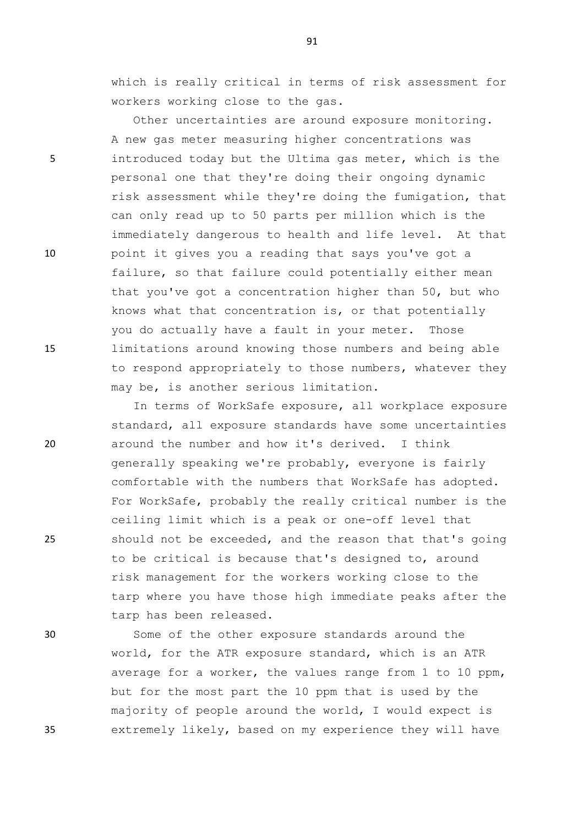which is really critical in terms of risk assessment for workers working close to the gas.

Other uncertainties are around exposure monitoring. A new gas meter measuring higher concentrations was 5 introduced today but the Ultima gas meter, which is the personal one that they're doing their ongoing dynamic risk assessment while they're doing the fumigation, that can only read up to 50 parts per million which is the immediately dangerous to health and life level. At that 10 point it gives you a reading that says you've got a failure, so that failure could potentially either mean that you've got a concentration higher than 50, but who knows what that concentration is, or that potentially you do actually have a fault in your meter. Those 15 limitations around knowing those numbers and being able to respond appropriately to those numbers, whatever they may be, is another serious limitation.

In terms of WorkSafe exposure, all workplace exposure standard, all exposure standards have some uncertainties 20 around the number and how it's derived. I think generally speaking we're probably, everyone is fairly comfortable with the numbers that WorkSafe has adopted. For WorkSafe, probably the really critical number is the ceiling limit which is a peak or one-off level that 25 should not be exceeded, and the reason that that's going to be critical is because that's designed to, around risk management for the workers working close to the tarp where you have those high immediate peaks after the tarp has been released.

30 Some of the other exposure standards around the world, for the ATR exposure standard, which is an ATR average for a worker, the values range from 1 to 10 ppm, but for the most part the 10 ppm that is used by the majority of people around the world, I would expect is 35 extremely likely, based on my experience they will have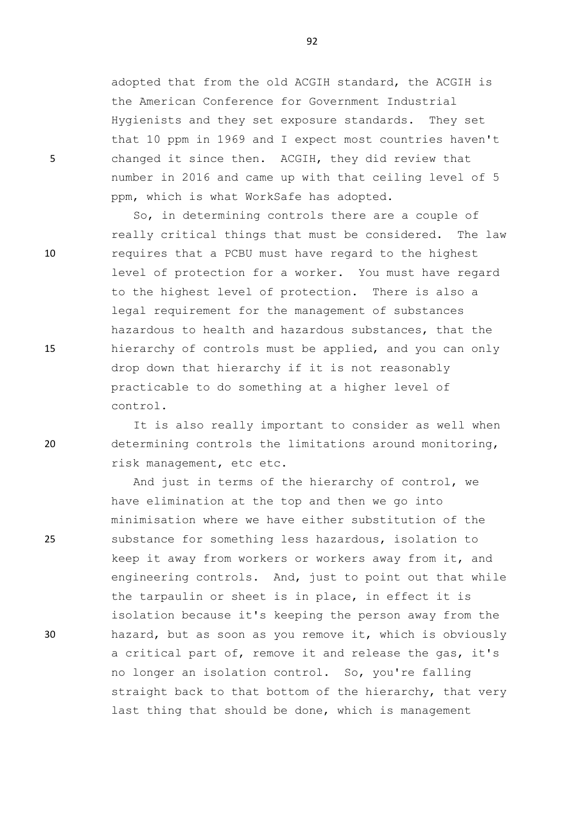adopted that from the old ACGIH standard, the ACGIH is the American Conference for Government Industrial Hygienists and they set exposure standards. They set that 10 ppm in 1969 and I expect most countries haven't 5 changed it since then. ACGIH, they did review that number in 2016 and came up with that ceiling level of 5 ppm, which is what WorkSafe has adopted.

So, in determining controls there are a couple of really critical things that must be considered. The law 10 requires that a PCBU must have regard to the highest level of protection for a worker. You must have regard to the highest level of protection. There is also a legal requirement for the management of substances hazardous to health and hazardous substances, that the 15 hierarchy of controls must be applied, and you can only drop down that hierarchy if it is not reasonably practicable to do something at a higher level of control.

It is also really important to consider as well when 20 determining controls the limitations around monitoring, risk management, etc etc.

And just in terms of the hierarchy of control, we have elimination at the top and then we go into minimisation where we have either substitution of the 25 substance for something less hazardous, isolation to keep it away from workers or workers away from it, and engineering controls. And, just to point out that while the tarpaulin or sheet is in place, in effect it is isolation because it's keeping the person away from the 30 hazard, but as soon as you remove it, which is obviously a critical part of, remove it and release the gas, it's no longer an isolation control. So, you're falling straight back to that bottom of the hierarchy, that very last thing that should be done, which is management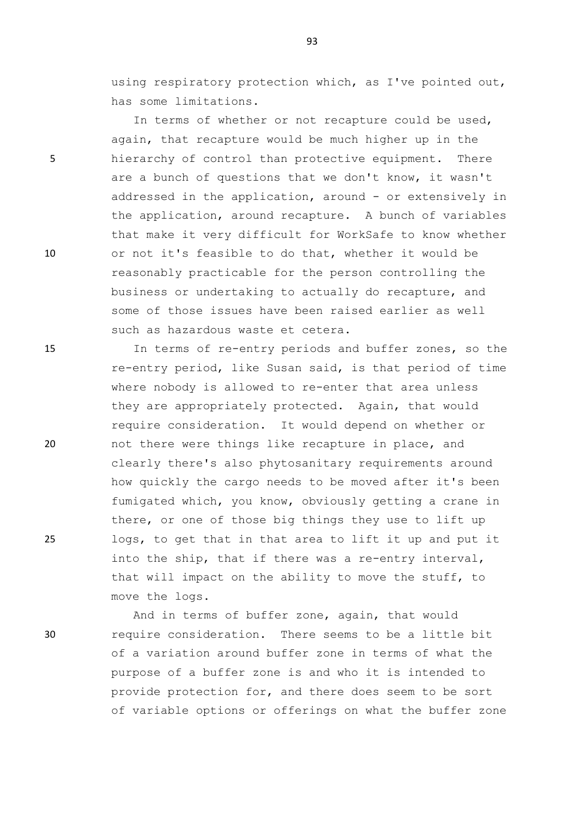using respiratory protection which, as I've pointed out, has some limitations.

In terms of whether or not recapture could be used, again, that recapture would be much higher up in the 5 hierarchy of control than protective equipment. There are a bunch of questions that we don't know, it wasn't addressed in the application, around - or extensively in the application, around recapture. A bunch of variables that make it very difficult for WorkSafe to know whether 10 or not it's feasible to do that, whether it would be reasonably practicable for the person controlling the business or undertaking to actually do recapture, and some of those issues have been raised earlier as well such as hazardous waste et cetera.

15 In terms of re-entry periods and buffer zones, so the re-entry period, like Susan said, is that period of time where nobody is allowed to re-enter that area unless they are appropriately protected. Again, that would require consideration. It would depend on whether or 20 not there were things like recapture in place, and clearly there's also phytosanitary requirements around how quickly the cargo needs to be moved after it's been fumigated which, you know, obviously getting a crane in there, or one of those big things they use to lift up 25 logs, to get that in that area to lift it up and put it into the ship, that if there was a re-entry interval, that will impact on the ability to move the stuff, to move the logs.

And in terms of buffer zone, again, that would 30 require consideration. There seems to be a little bit of a variation around buffer zone in terms of what the purpose of a buffer zone is and who it is intended to provide protection for, and there does seem to be sort of variable options or offerings on what the buffer zone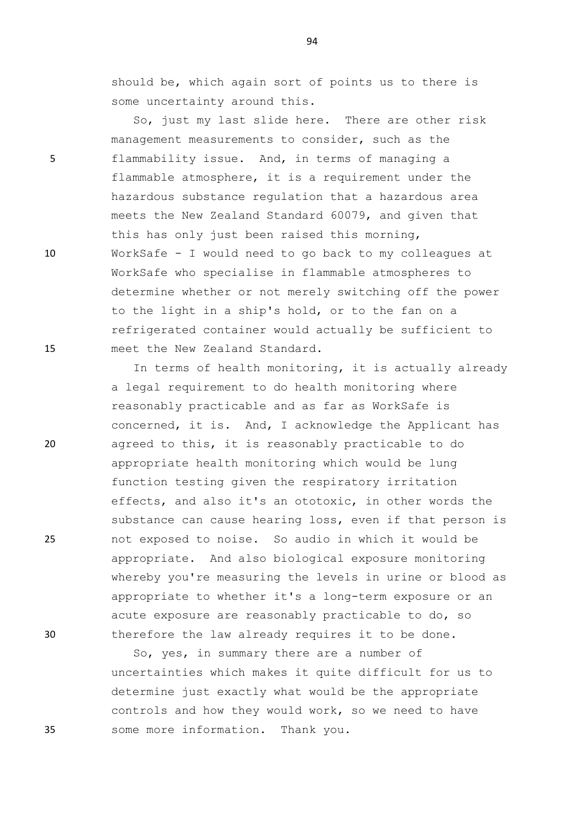94

should be, which again sort of points us to there is some uncertainty around this.

So, just my last slide here. There are other risk management measurements to consider, such as the 5 flammability issue. And, in terms of managing a flammable atmosphere, it is a requirement under the hazardous substance regulation that a hazardous area meets the New Zealand Standard 60079, and given that this has only just been raised this morning, 10 WorkSafe - I would need to go back to my colleagues at WorkSafe who specialise in flammable atmospheres to determine whether or not merely switching off the power to the light in a ship's hold, or to the fan on a refrigerated container would actually be sufficient to 15 meet the New Zealand Standard.

In terms of health monitoring, it is actually already a legal requirement to do health monitoring where reasonably practicable and as far as WorkSafe is concerned, it is. And, I acknowledge the Applicant has 20 agreed to this, it is reasonably practicable to do appropriate health monitoring which would be lung function testing given the respiratory irritation effects, and also it's an ototoxic, in other words the substance can cause hearing loss, even if that person is 25 not exposed to noise. So audio in which it would be appropriate. And also biological exposure monitoring whereby you're measuring the levels in urine or blood as appropriate to whether it's a long-term exposure or an acute exposure are reasonably practicable to do, so 30 therefore the law already requires it to be done.

So, yes, in summary there are a number of uncertainties which makes it quite difficult for us to determine just exactly what would be the appropriate controls and how they would work, so we need to have 35 some more information. Thank you.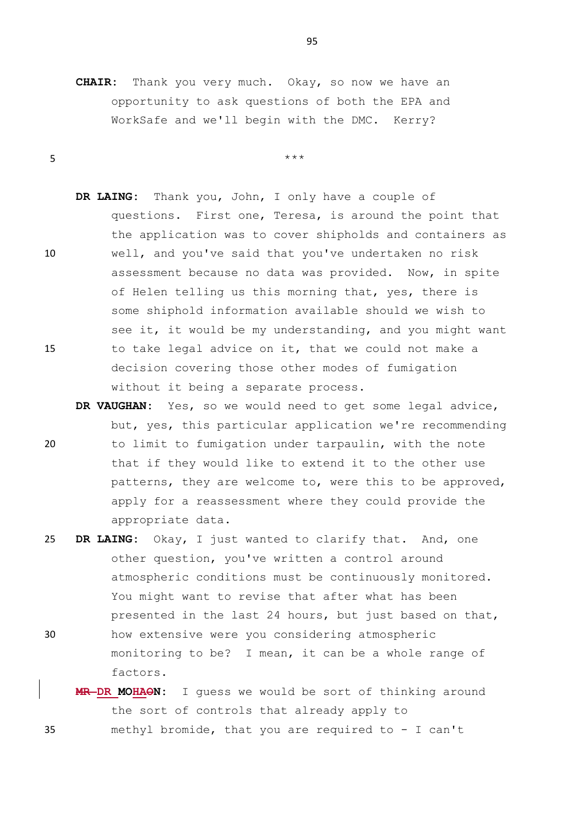**CHAIR:** Thank you very much. Okay, so now we have an opportunity to ask questions of both the EPA and WorkSafe and we'll begin with the DMC. Kerry?

 $5$  \*\*\*

**DR LAING:** Thank you, John, I only have a couple of questions. First one, Teresa, is around the point that the application was to cover shipholds and containers as 10 well, and you've said that you've undertaken no risk assessment because no data was provided. Now, in spite of Helen telling us this morning that, yes, there is some shiphold information available should we wish to see it, it would be my understanding, and you might want 15 to take legal advice on it, that we could not make a decision covering those other modes of fumigation without it being a separate process.

- **DR VAUGHAN:** Yes, so we would need to get some legal advice, but, yes, this particular application we're recommending 20 to limit to fumigation under tarpaulin, with the note that if they would like to extend it to the other use patterns, they are welcome to, were this to be approved, apply for a reassessment where they could provide the appropriate data.
- 25 **DR LAING:** Okay, I just wanted to clarify that. And, one other question, you've written a control around atmospheric conditions must be continuously monitored. You might want to revise that after what has been presented in the last 24 hours, but just based on that, 30 how extensive were you considering atmospheric monitoring to be? I mean, it can be a whole range of factors.
- **MR DR MOHAON:** I guess we would be sort of thinking around the sort of controls that already apply to 35 methyl bromide, that you are required to - I can't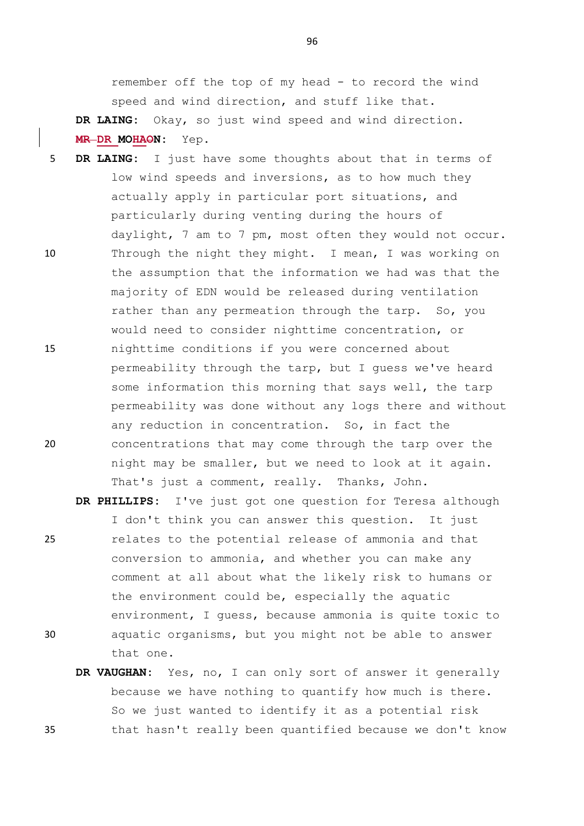remember off the top of my head - to record the wind speed and wind direction, and stuff like that.

**DR LAING:** Okay, so just wind speed and wind direction. **MR DR MOHAON:** Yep.

- 5 **DR LAING:** I just have some thoughts about that in terms of low wind speeds and inversions, as to how much they actually apply in particular port situations, and particularly during venting during the hours of daylight, 7 am to 7 pm, most often they would not occur. 10 Through the night they might. I mean, I was working on the assumption that the information we had was that the majority of EDN would be released during ventilation rather than any permeation through the tarp. So, you would need to consider nighttime concentration, or 15 nighttime conditions if you were concerned about permeability through the tarp, but I guess we've heard some information this morning that says well, the tarp permeability was done without any logs there and without any reduction in concentration. So, in fact the 20 concentrations that may come through the tarp over the night may be smaller, but we need to look at it again. That's just a comment, really. Thanks, John.
- **DR PHILLIPS:** I've just got one question for Teresa although I don't think you can answer this question. It just 25 relates to the potential release of ammonia and that conversion to ammonia, and whether you can make any comment at all about what the likely risk to humans or the environment could be, especially the aquatic environment, I guess, because ammonia is quite toxic to 30 aquatic organisms, but you might not be able to answer that one.
- **DR VAUGHAN:** Yes, no, I can only sort of answer it generally because we have nothing to quantify how much is there. So we just wanted to identify it as a potential risk 35 that hasn't really been quantified because we don't know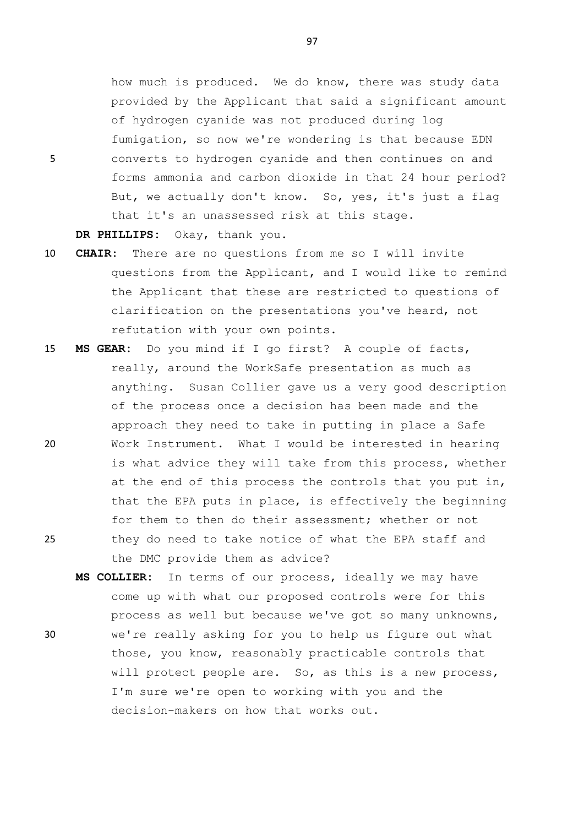how much is produced. We do know, there was study data provided by the Applicant that said a significant amount of hydrogen cyanide was not produced during log fumigation, so now we're wondering is that because EDN 5 converts to hydrogen cyanide and then continues on and forms ammonia and carbon dioxide in that 24 hour period? But, we actually don't know. So, yes, it's just a flag that it's an unassessed risk at this stage.

**DR PHILLIPS:** Okay, thank you.

- 10 **CHAIR:** There are no questions from me so I will invite questions from the Applicant, and I would like to remind the Applicant that these are restricted to questions of clarification on the presentations you've heard, not refutation with your own points.
- 15 **MS GEAR:** Do you mind if I go first? A couple of facts, really, around the WorkSafe presentation as much as anything. Susan Collier gave us a very good description of the process once a decision has been made and the approach they need to take in putting in place a Safe 20 Work Instrument. What I would be interested in hearing is what advice they will take from this process, whether at the end of this process the controls that you put in, that the EPA puts in place, is effectively the beginning for them to then do their assessment; whether or not 25 they do need to take notice of what the EPA staff and the DMC provide them as advice?
- **MS COLLIER:** In terms of our process, ideally we may have come up with what our proposed controls were for this process as well but because we've got so many unknowns, 30 we're really asking for you to help us figure out what those, you know, reasonably practicable controls that will protect people are. So, as this is a new process, I'm sure we're open to working with you and the decision-makers on how that works out.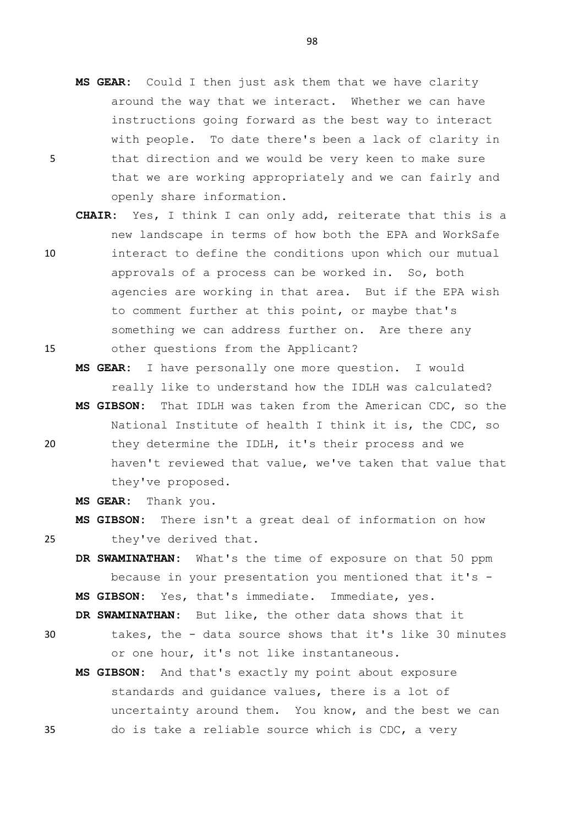- **MS GEAR:** Could I then just ask them that we have clarity around the way that we interact. Whether we can have instructions going forward as the best way to interact with people. To date there's been a lack of clarity in 5 that direction and we would be very keen to make sure that we are working appropriately and we can fairly and openly share information.
- **CHAIR:** Yes, I think I can only add, reiterate that this is a new landscape in terms of how both the EPA and WorkSafe 10 interact to define the conditions upon which our mutual approvals of a process can be worked in. So, both agencies are working in that area. But if the EPA wish to comment further at this point, or maybe that's something we can address further on. Are there any 15 other questions from the Applicant?
	- **MS GEAR:** I have personally one more question. I would really like to understand how the IDLH was calculated?
- **MS GIBSON:** That IDLH was taken from the American CDC, so the National Institute of health I think it is, the CDC, so 20 they determine the IDLH, it's their process and we haven't reviewed that value, we've taken that value that they've proposed.

**MS GEAR:** Thank you.

**MS GIBSON:** There isn't a great deal of information on how 25 they've derived that.

**DR SWAMINATHAN:** What's the time of exposure on that 50 ppm because in your presentation you mentioned that it's - **MS GIBSON:** Yes, that's immediate. Immediate, yes.

**DR SWAMINATHAN:** But like, the other data shows that it

- 30 takes, the data source shows that it's like 30 minutes or one hour, it's not like instantaneous.
- **MS GIBSON:** And that's exactly my point about exposure standards and guidance values, there is a lot of uncertainty around them. You know, and the best we can 35 do is take a reliable source which is CDC, a very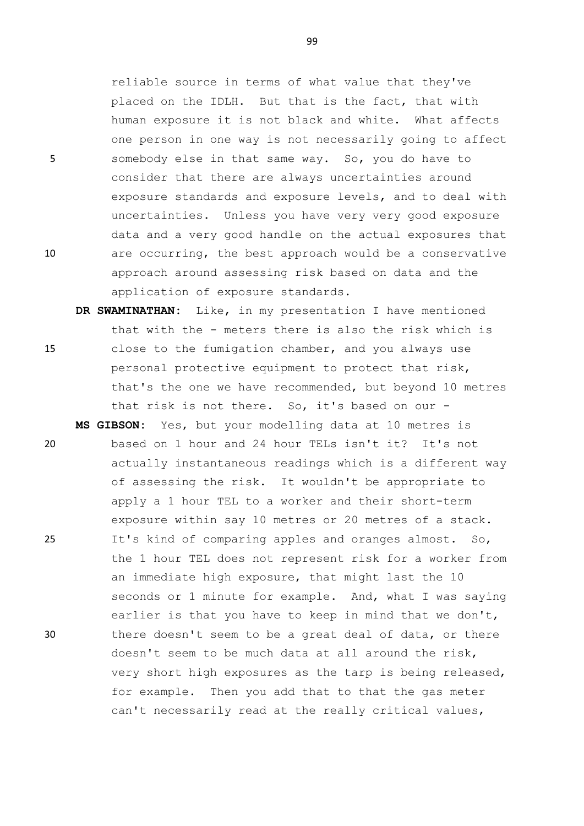reliable source in terms of what value that they've placed on the IDLH. But that is the fact, that with human exposure it is not black and white. What affects one person in one way is not necessarily going to affect 5 somebody else in that same way. So, you do have to consider that there are always uncertainties around exposure standards and exposure levels, and to deal with uncertainties. Unless you have very very good exposure data and a very good handle on the actual exposures that 10 are occurring, the best approach would be a conservative approach around assessing risk based on data and the application of exposure standards.

- **DR SWAMINATHAN:** Like, in my presentation I have mentioned that with the - meters there is also the risk which is 15 close to the fumigation chamber, and you always use personal protective equipment to protect that risk, that's the one we have recommended, but beyond 10 metres that risk is not there. So, it's based on our -
- **MS GIBSON:** Yes, but your modelling data at 10 metres is 20 based on 1 hour and 24 hour TELs isn't it? It's not actually instantaneous readings which is a different way of assessing the risk. It wouldn't be appropriate to apply a 1 hour TEL to a worker and their short-term exposure within say 10 metres or 20 metres of a stack. 25 It's kind of comparing apples and oranges almost. So, the 1 hour TEL does not represent risk for a worker from an immediate high exposure, that might last the 10 seconds or 1 minute for example. And, what I was saying earlier is that you have to keep in mind that we don't, 30 there doesn't seem to be a great deal of data, or there doesn't seem to be much data at all around the risk, very short high exposures as the tarp is being released, for example. Then you add that to that the gas meter can't necessarily read at the really critical values,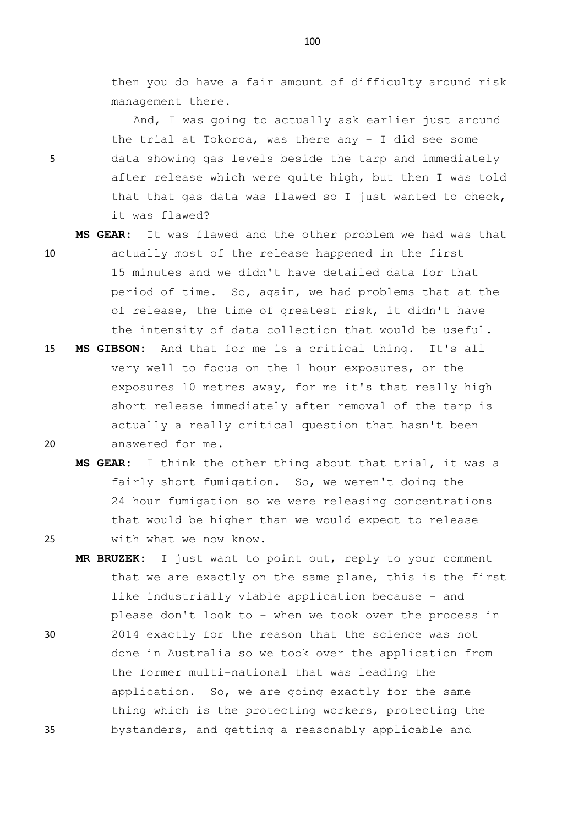then you do have a fair amount of difficulty around risk management there.

And, I was going to actually ask earlier just around the trial at Tokoroa, was there any  $-$  I did see some 5 data showing gas levels beside the tarp and immediately after release which were quite high, but then I was told that that gas data was flawed so I just wanted to check, it was flawed?

- **MS GEAR:** It was flawed and the other problem we had was that 10 actually most of the release happened in the first 15 minutes and we didn't have detailed data for that period of time. So, again, we had problems that at the of release, the time of greatest risk, it didn't have the intensity of data collection that would be useful.
- 15 **MS GIBSON:** And that for me is a critical thing. It's all very well to focus on the 1 hour exposures, or the exposures 10 metres away, for me it's that really high short release immediately after removal of the tarp is actually a really critical question that hasn't been 20 answered for me.
- **MS GEAR:** I think the other thing about that trial, it was a fairly short fumigation. So, we weren't doing the 24 hour fumigation so we were releasing concentrations that would be higher than we would expect to release 25 with what we now know.
- **MR BRUZEK:** I just want to point out, reply to your comment that we are exactly on the same plane, this is the first like industrially viable application because - and please don't look to - when we took over the process in 30 2014 exactly for the reason that the science was not done in Australia so we took over the application from the former multi-national that was leading the application. So, we are going exactly for the same thing which is the protecting workers, protecting the 35 bystanders, and getting a reasonably applicable and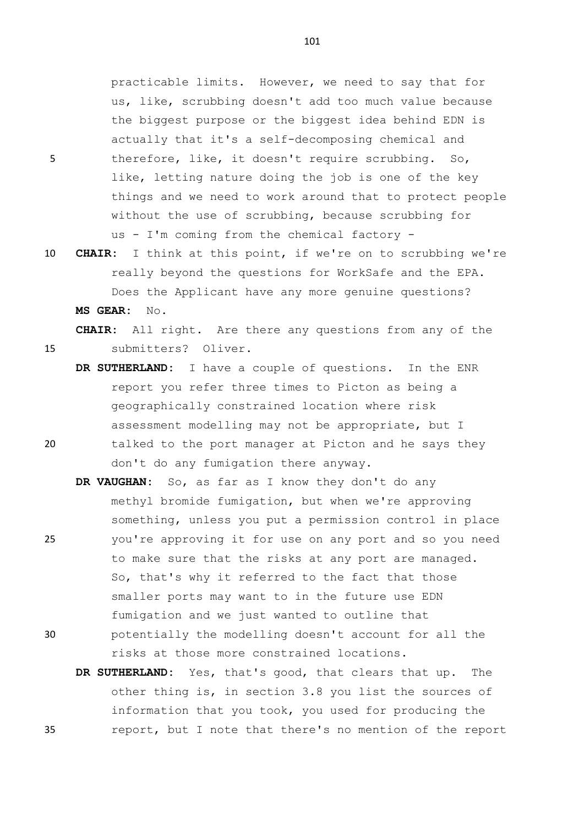practicable limits. However, we need to say that for us, like, scrubbing doesn't add too much value because the biggest purpose or the biggest idea behind EDN is actually that it's a self-decomposing chemical and 5 therefore, like, it doesn't require scrubbing. So, like, letting nature doing the job is one of the key things and we need to work around that to protect people without the use of scrubbing, because scrubbing for us - I'm coming from the chemical factory -

10 **CHAIR:** I think at this point, if we're on to scrubbing we're really beyond the questions for WorkSafe and the EPA. Does the Applicant have any more genuine questions? **MS GEAR:** No.

**CHAIR:** All right. Are there any questions from any of the 15 submitters? Oliver.

- **DR SUTHERLAND:** I have a couple of questions. In the ENR report you refer three times to Picton as being a geographically constrained location where risk assessment modelling may not be appropriate, but I 20 talked to the port manager at Picton and he says they don't do any fumigation there anyway.
- **DR VAUGHAN:** So, as far as I know they don't do any methyl bromide fumigation, but when we're approving something, unless you put a permission control in place 25 you're approving it for use on any port and so you need to make sure that the risks at any port are managed. So, that's why it referred to the fact that those smaller ports may want to in the future use EDN fumigation and we just wanted to outline that 30 potentially the modelling doesn't account for all the

risks at those more constrained locations.

**DR SUTHERLAND:** Yes, that's good, that clears that up. The other thing is, in section 3.8 you list the sources of information that you took, you used for producing the 35 report, but I note that there's no mention of the report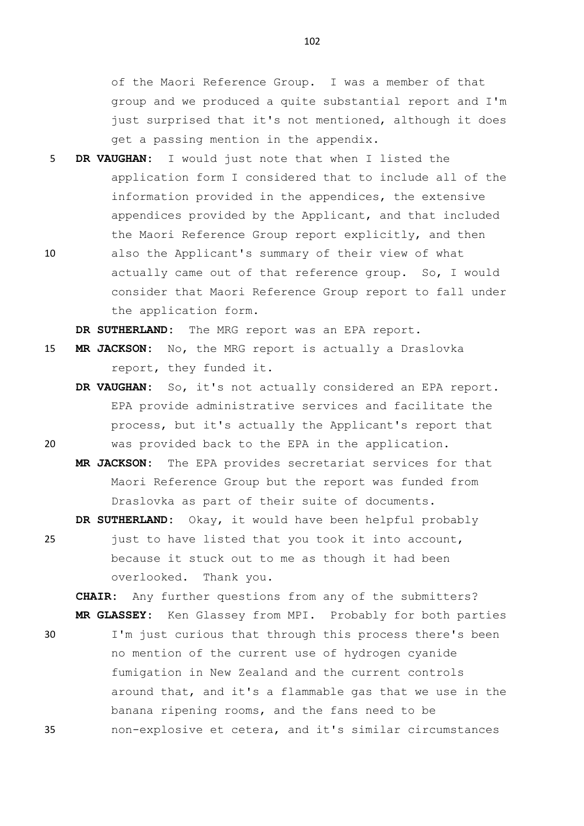of the Maori Reference Group. I was a member of that group and we produced a quite substantial report and I'm just surprised that it's not mentioned, although it does get a passing mention in the appendix.

- 5 **DR VAUGHAN:** I would just note that when I listed the application form I considered that to include all of the information provided in the appendices, the extensive appendices provided by the Applicant, and that included the Maori Reference Group report explicitly, and then
- 10 also the Applicant's summary of their view of what actually came out of that reference group. So, I would consider that Maori Reference Group report to fall under the application form.

**DR SUTHERLAND:** The MRG report was an EPA report.

- 15 **MR JACKSON:** No, the MRG report is actually a Draslovka report, they funded it.
- **DR VAUGHAN:** So, it's not actually considered an EPA report. EPA provide administrative services and facilitate the process, but it's actually the Applicant's report that 20 was provided back to the EPA in the application.
	- **MR JACKSON:** The EPA provides secretariat services for that Maori Reference Group but the report was funded from Draslovka as part of their suite of documents.

**DR SUTHERLAND:** Okay, it would have been helpful probably 25 just to have listed that you took it into account,

because it stuck out to me as though it had been overlooked. Thank you.

**CHAIR:** Any further questions from any of the submitters? **MR GLASSEY:** Ken Glassey from MPI. Probably for both parties

30 I'm just curious that through this process there's been no mention of the current use of hydrogen cyanide fumigation in New Zealand and the current controls around that, and it's a flammable gas that we use in the banana ripening rooms, and the fans need to be 35 non-explosive et cetera, and it's similar circumstances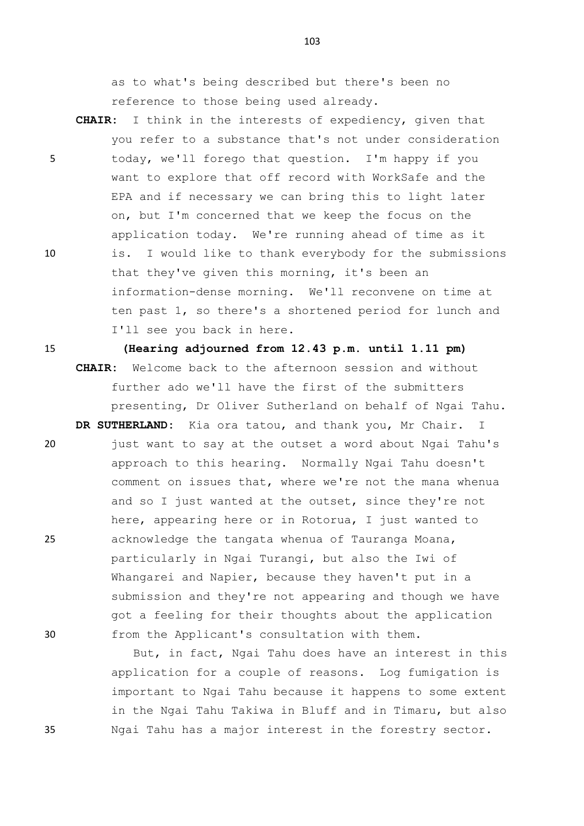as to what's being described but there's been no reference to those being used already.

**CHAIR:** I think in the interests of expediency, given that you refer to a substance that's not under consideration 5 today, we'll forego that question. I'm happy if you want to explore that off record with WorkSafe and the EPA and if necessary we can bring this to light later on, but I'm concerned that we keep the focus on the application today. We're running ahead of time as it 10 is. I would like to thank everybody for the submissions that they've given this morning, it's been an information-dense morning. We'll reconvene on time at ten past 1, so there's a shortened period for lunch and I'll see you back in here.

15 **(Hearing adjourned from 12.43 p.m. until 1.11 pm) CHAIR:** Welcome back to the afternoon session and without further ado we'll have the first of the submitters presenting, Dr Oliver Sutherland on behalf of Ngai Tahu.

**DR SUTHERLAND:** Kia ora tatou, and thank you, Mr Chair. I 20 just want to say at the outset a word about Ngai Tahu's approach to this hearing. Normally Ngai Tahu doesn't comment on issues that, where we're not the mana whenua and so I just wanted at the outset, since they're not here, appearing here or in Rotorua, I just wanted to 25 acknowledge the tangata whenua of Tauranga Moana, particularly in Ngai Turangi, but also the Iwi of Whangarei and Napier, because they haven't put in a submission and they're not appearing and though we have got a feeling for their thoughts about the application 30 from the Applicant's consultation with them.

But, in fact, Ngai Tahu does have an interest in this application for a couple of reasons. Log fumigation is important to Ngai Tahu because it happens to some extent in the Ngai Tahu Takiwa in Bluff and in Timaru, but also 35 Ngai Tahu has a major interest in the forestry sector.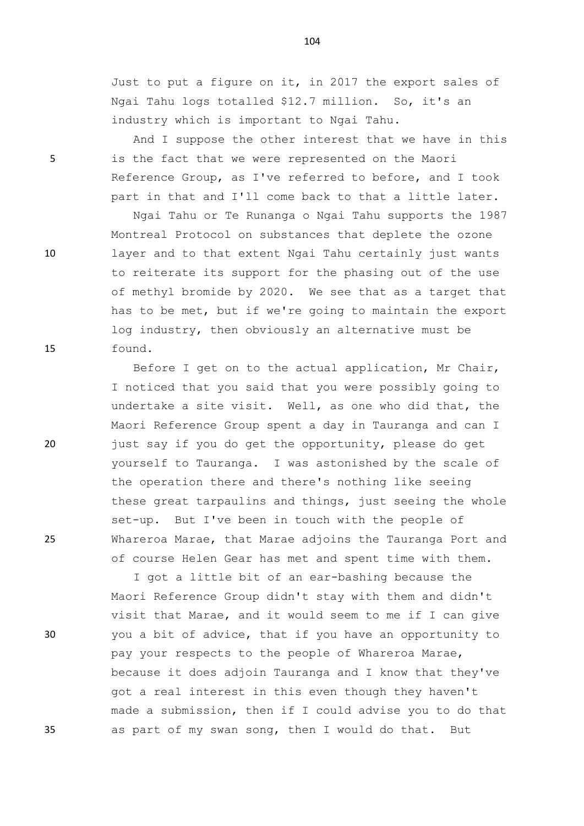Just to put a figure on it, in 2017 the export sales of Ngai Tahu logs totalled \$12.7 million. So, it's an industry which is important to Ngai Tahu.

And I suppose the other interest that we have in this 5 is the fact that we were represented on the Maori Reference Group, as I've referred to before, and I took part in that and I'll come back to that a little later.

Ngai Tahu or Te Runanga o Ngai Tahu supports the 1987 Montreal Protocol on substances that deplete the ozone 10 layer and to that extent Ngai Tahu certainly just wants to reiterate its support for the phasing out of the use of methyl bromide by 2020. We see that as a target that has to be met, but if we're going to maintain the export log industry, then obviously an alternative must be 15 found.

Before I get on to the actual application, Mr Chair, I noticed that you said that you were possibly going to undertake a site visit. Well, as one who did that, the Maori Reference Group spent a day in Tauranga and can I 20 just say if you do get the opportunity, please do get yourself to Tauranga. I was astonished by the scale of the operation there and there's nothing like seeing these great tarpaulins and things, just seeing the whole set-up. But I've been in touch with the people of 25 Whareroa Marae, that Marae adjoins the Tauranga Port and of course Helen Gear has met and spent time with them.

I got a little bit of an ear-bashing because the Maori Reference Group didn't stay with them and didn't visit that Marae, and it would seem to me if I can give 30 you a bit of advice, that if you have an opportunity to pay your respects to the people of Whareroa Marae, because it does adjoin Tauranga and I know that they've got a real interest in this even though they haven't made a submission, then if I could advise you to do that 35 as part of my swan song, then I would do that. But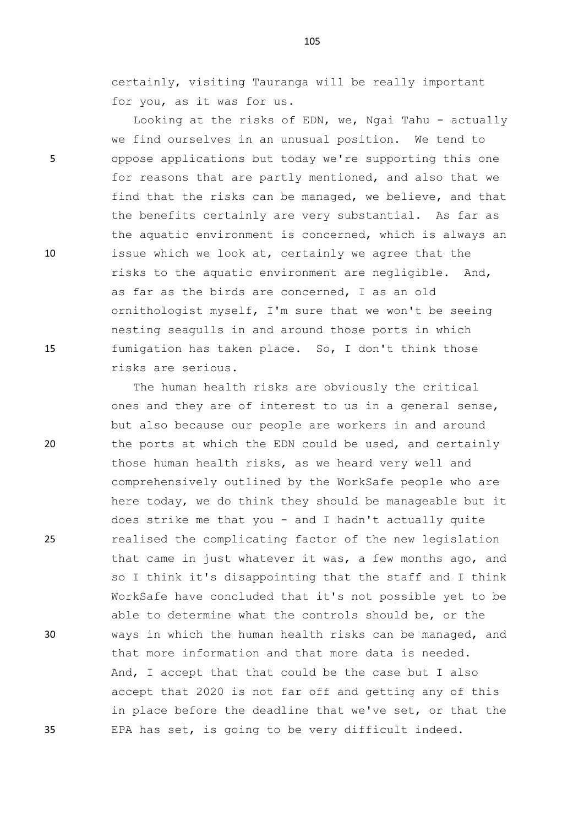certainly, visiting Tauranga will be really important for you, as it was for us.

Looking at the risks of EDN, we, Ngai Tahu - actually we find ourselves in an unusual position. We tend to 5 oppose applications but today we're supporting this one for reasons that are partly mentioned, and also that we find that the risks can be managed, we believe, and that the benefits certainly are very substantial. As far as the aquatic environment is concerned, which is always an 10 issue which we look at, certainly we agree that the risks to the aquatic environment are negligible. And, as far as the birds are concerned, I as an old ornithologist myself, I'm sure that we won't be seeing nesting seagulls in and around those ports in which 15 fumigation has taken place. So, I don't think those risks are serious.

The human health risks are obviously the critical ones and they are of interest to us in a general sense, but also because our people are workers in and around 20 the ports at which the EDN could be used, and certainly those human health risks, as we heard very well and comprehensively outlined by the WorkSafe people who are here today, we do think they should be manageable but it does strike me that you - and I hadn't actually quite 25 realised the complicating factor of the new legislation that came in just whatever it was, a few months ago, and so I think it's disappointing that the staff and I think WorkSafe have concluded that it's not possible yet to be able to determine what the controls should be, or the 30 ways in which the human health risks can be managed, and that more information and that more data is needed. And, I accept that that could be the case but I also accept that 2020 is not far off and getting any of this in place before the deadline that we've set, or that the 35 EPA has set, is going to be very difficult indeed.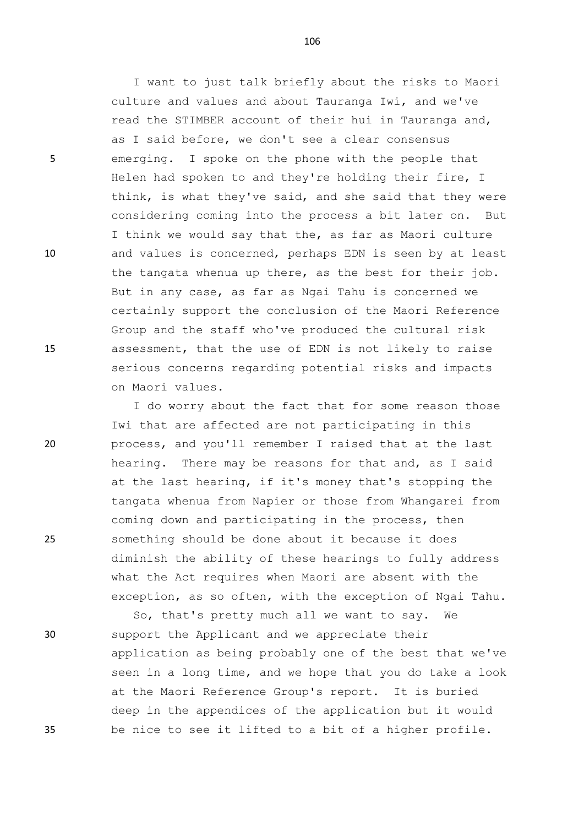5 emerging. I spoke on the phone with the people that

10 and values is concerned, perhaps EDN is seen by at least

15 assessment, that the use of EDN is not likely to raise

on Maori values.

20 process, and you'll remember I raised that at the last

25 something should be done about it because it does

So, that's pretty much all we want to say. We 30 support the Applicant and we appreciate their application as being probably one of the best that we've seen in a long time, and we hope that you do take a look at the Maori Reference Group's report. It is buried deep in the appendices of the application but it would 35 be nice to see it lifted to a bit of a higher profile.

106

I want to just talk briefly about the risks to Maori

culture and values and about Tauranga Iwi, and we've

as I said before, we don't see a clear consensus

read the STIMBER account of their hui in Tauranga and,

Helen had spoken to and they're holding their fire, I

think, is what they've said, and she said that they were considering coming into the process a bit later on. But

I think we would say that the, as far as Maori culture

the tangata whenua up there, as the best for their job.

certainly support the conclusion of the Maori Reference

Group and the staff who've produced the cultural risk

serious concerns regarding potential risks and impacts

Iwi that are affected are not participating in this

coming down and participating in the process, then

hearing. There may be reasons for that and, as I said at the last hearing, if it's money that's stopping the tangata whenua from Napier or those from Whangarei from

diminish the ability of these hearings to fully address

exception, as so often, with the exception of Ngai Tahu.

what the Act requires when Maori are absent with the

I do worry about the fact that for some reason those

But in any case, as far as Ngai Tahu is concerned we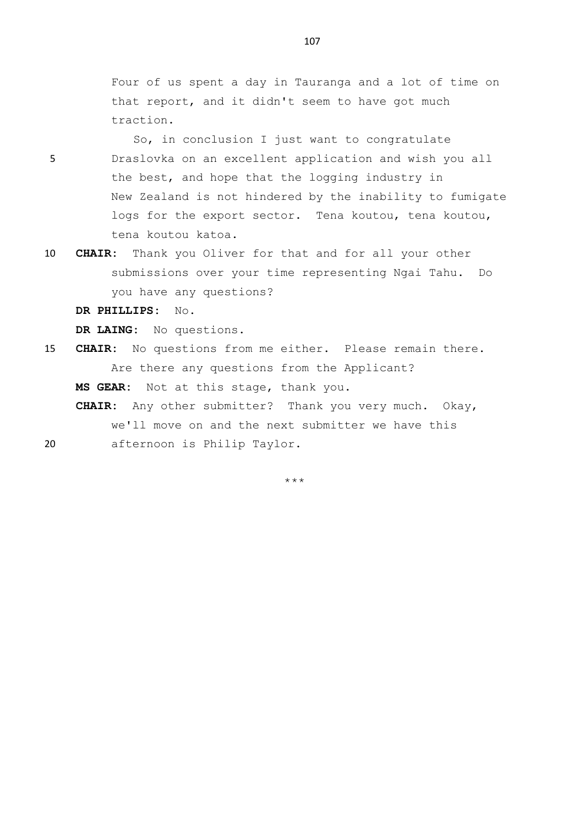Four of us spent a day in Tauranga and a lot of time on that report, and it didn't seem to have got much traction.

So, in conclusion I just want to congratulate 5 Draslovka on an excellent application and wish you all the best, and hope that the logging industry in New Zealand is not hindered by the inability to fumigate logs for the export sector. Tena koutou, tena koutou, tena koutou katoa.

10 **CHAIR:** Thank you Oliver for that and for all your other submissions over your time representing Ngai Tahu. Do you have any questions?

**DR PHILLIPS:** No.

**DR LAING:** No questions.

15 **CHAIR:** No questions from me either. Please remain there. Are there any questions from the Applicant?

**MS GEAR:** Not at this stage, thank you.

**CHAIR:** Any other submitter? Thank you very much. Okay, we'll move on and the next submitter we have this 20 afternoon is Philip Taylor.

\*\*\*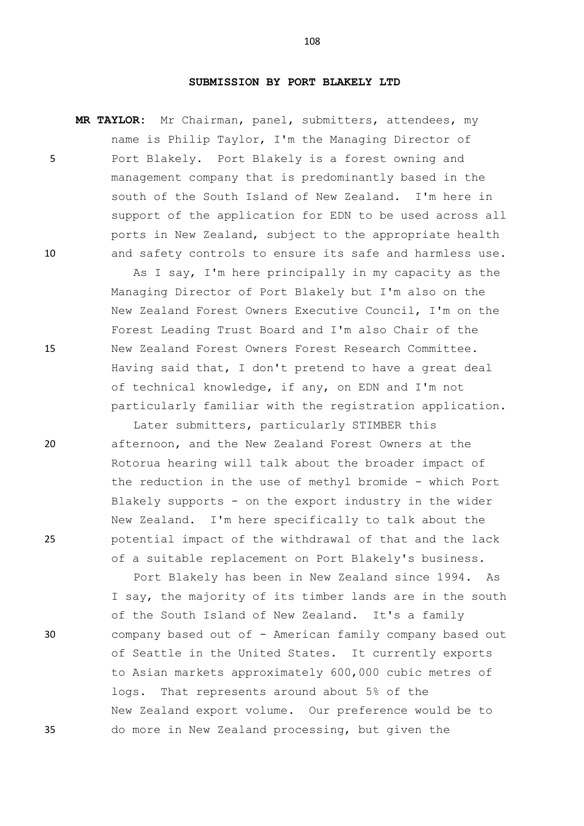## **SUBMISSION BY PORT BLAKELY LTD**

**MR TAYLOR:** Mr Chairman, panel, submitters, attendees, my name is Philip Taylor, I'm the Managing Director of 5 Port Blakely. Port Blakely is a forest owning and management company that is predominantly based in the south of the South Island of New Zealand. I'm here in support of the application for EDN to be used across all ports in New Zealand, subject to the appropriate health 10 and safety controls to ensure its safe and harmless use.

As I say, I'm here principally in my capacity as the Managing Director of Port Blakely but I'm also on the New Zealand Forest Owners Executive Council, I'm on the Forest Leading Trust Board and I'm also Chair of the 15 New Zealand Forest Owners Forest Research Committee. Having said that, I don't pretend to have a great deal of technical knowledge, if any, on EDN and I'm not particularly familiar with the registration application.

Later submitters, particularly STIMBER this 20 afternoon, and the New Zealand Forest Owners at the Rotorua hearing will talk about the broader impact of the reduction in the use of methyl bromide - which Port Blakely supports - on the export industry in the wider New Zealand. I'm here specifically to talk about the 25 potential impact of the withdrawal of that and the lack of a suitable replacement on Port Blakely's business.

Port Blakely has been in New Zealand since 1994. As I say, the majority of its timber lands are in the south of the South Island of New Zealand. It's a family 30 company based out of - American family company based out of Seattle in the United States. It currently exports to Asian markets approximately 600,000 cubic metres of logs. That represents around about 5% of the New Zealand export volume. Our preference would be to 35 do more in New Zealand processing, but given the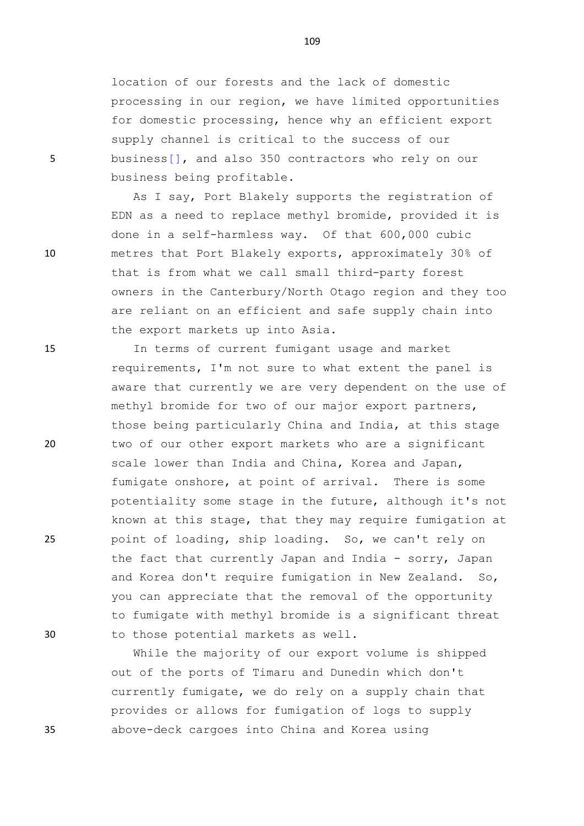location of our forests and the lack of domestic processing in our region, we have limited opportunities for domestic processing, hence why an efficient export supply channel is critical to the success of our 5 business[], and also 350 contractors who rely on our business being profitable.

As I say, Port Blakely supports the registration of EDN as a need to replace methyl bromide, provided it is done in a self-harmless way. Of that 600,000 cubic 10 metres that Port Blakely exports, approximately 30% of that is from what we call small third-party forest owners in the Canterbury/North Otago region and they too are reliant on an efficient and safe supply chain into the export markets up into Asia.

15 In terms of current fumigant usage and market requirements, I'm not sure to what extent the panel is aware that currently we are very dependent on the use of methyl bromide for two of our major export partners, those being particularly China and India, at this stage 20 two of our other export markets who are a significant scale lower than India and China, Korea and Japan, fumigate onshore, at point of arrival. There is some potentiality some stage in the future, although it's not known at this stage, that they may require fumigation at 25 point of loading, ship loading. So, we can't rely on the fact that currently Japan and India - sorry, Japan and Korea don't require fumigation in New Zealand. So, you can appreciate that the removal of the opportunity to fumigate with methyl bromide is a significant threat 30 to those potential markets as well.

While the majority of our export volume is shipped out of the ports of Timaru and Dunedin which don't currently fumigate, we do rely on a supply chain that provides or allows for fumigation of logs to supply 35 above-deck cargoes into China and Korea using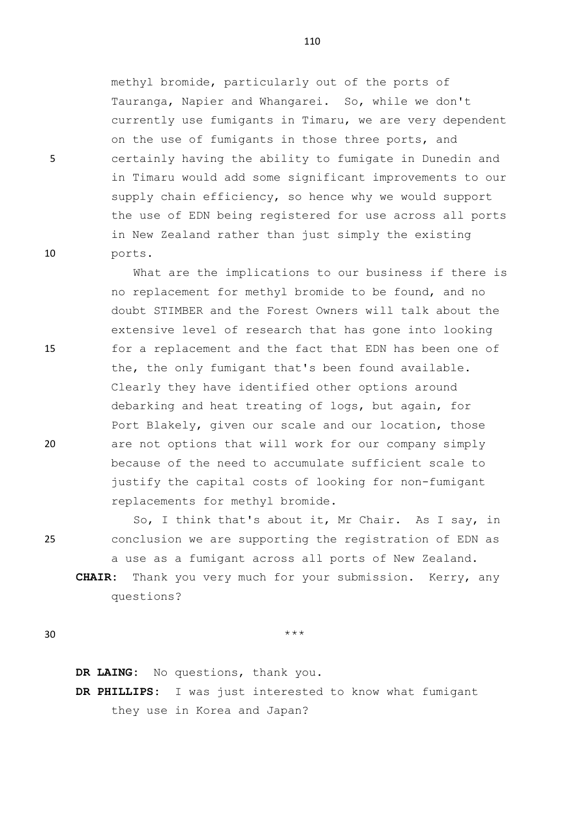methyl bromide, particularly out of the ports of Tauranga, Napier and Whangarei. So, while we don't currently use fumigants in Timaru, we are very dependent on the use of fumigants in those three ports, and 5 certainly having the ability to fumigate in Dunedin and in Timaru would add some significant improvements to our supply chain efficiency, so hence why we would support the use of EDN being registered for use across all ports in New Zealand rather than just simply the existing 10 ports.

What are the implications to our business if there is no replacement for methyl bromide to be found, and no doubt STIMBER and the Forest Owners will talk about the extensive level of research that has gone into looking 15 for a replacement and the fact that EDN has been one of the, the only fumigant that's been found available. Clearly they have identified other options around debarking and heat treating of logs, but again, for Port Blakely, given our scale and our location, those 20 are not options that will work for our company simply because of the need to accumulate sufficient scale to justify the capital costs of looking for non-fumigant replacements for methyl bromide.

So, I think that's about it, Mr Chair. As I say, in 25 conclusion we are supporting the registration of EDN as a use as a fumigant across all ports of New Zealand.

**CHAIR:** Thank you very much for your submission. Kerry, any questions?

 $30$  \*\*\*

**DR LAING:** No questions, thank you.

**DR PHILLIPS:** I was just interested to know what fumigant they use in Korea and Japan?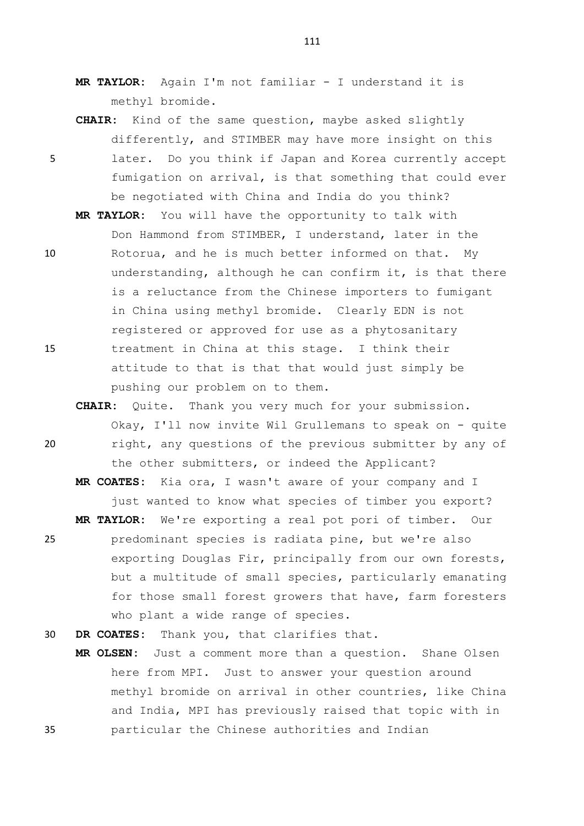- **MR TAYLOR:** Again I'm not familiar I understand it is methyl bromide.
- **CHAIR:** Kind of the same question, maybe asked slightly differently, and STIMBER may have more insight on this 5 later. Do you think if Japan and Korea currently accept fumigation on arrival, is that something that could ever be negotiated with China and India do you think?
- **MR TAYLOR:** You will have the opportunity to talk with Don Hammond from STIMBER, I understand, later in the 10 Rotorua, and he is much better informed on that. My understanding, although he can confirm it, is that there is a reluctance from the Chinese importers to fumigant in China using methyl bromide. Clearly EDN is not registered or approved for use as a phytosanitary 15 treatment in China at this stage. I think their attitude to that is that that would just simply be pushing our problem on to them.
- **CHAIR:** Quite. Thank you very much for your submission. Okay, I'll now invite Wil Grullemans to speak on - quite 20 right, any questions of the previous submitter by any of the other submitters, or indeed the Applicant?
- **MR COATES:** Kia ora, I wasn't aware of your company and I just wanted to know what species of timber you export? **MR TAYLOR:** We're exporting a real pot pori of timber. Our 25 predominant species is radiata pine, but we're also exporting Douglas Fir, principally from our own forests, but a multitude of small species, particularly emanating for those small forest growers that have, farm foresters who plant a wide range of species.
- 30 **DR COATES:** Thank you, that clarifies that.
- **MR OLSEN:** Just a comment more than a question. Shane Olsen here from MPI. Just to answer your question around methyl bromide on arrival in other countries, like China and India, MPI has previously raised that topic with in 35 particular the Chinese authorities and Indian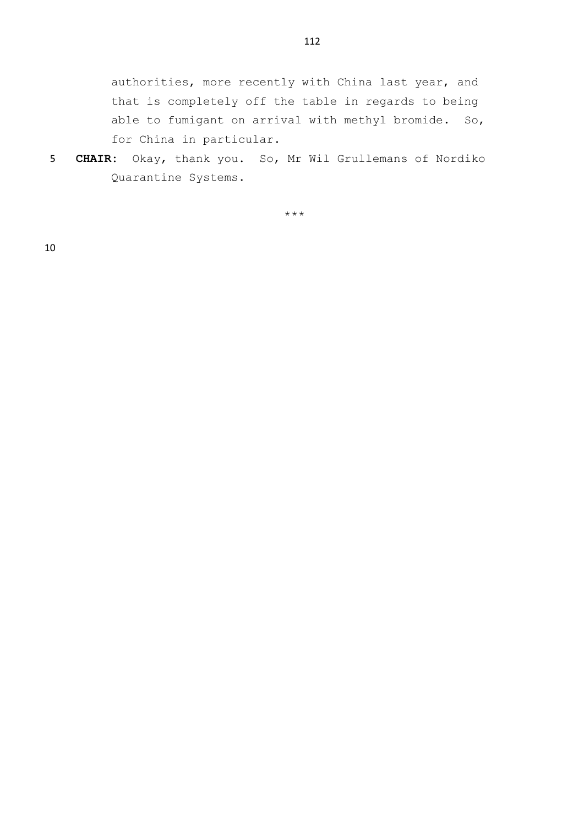authorities, more recently with China last year, and that is completely off the table in regards to being able to fumigant on arrival with methyl bromide. So, for China in particular.

5 **CHAIR:** Okay, thank you. So, Mr Wil Grullemans of Nordiko Quarantine Systems.

\*\*\*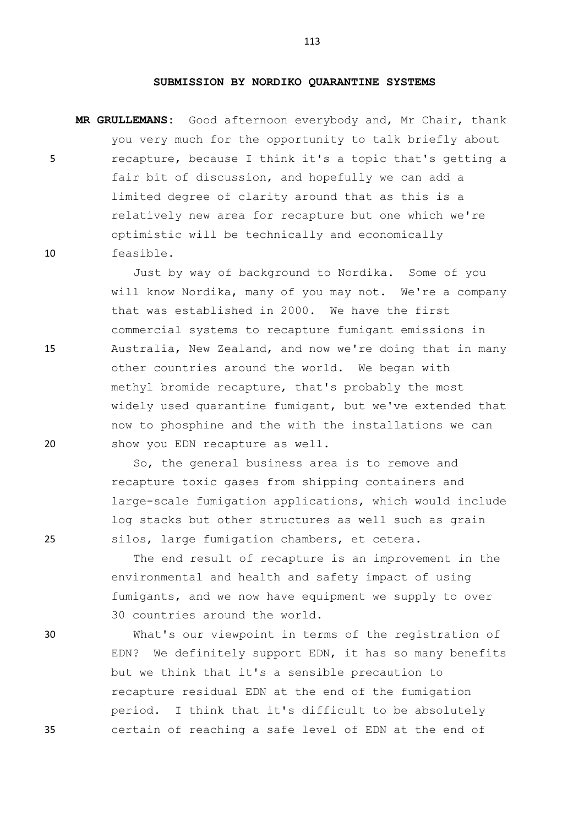## **SUBMISSION BY NORDIKO QUARANTINE SYSTEMS**

**MR GRULLEMANS:** Good afternoon everybody and, Mr Chair, thank you very much for the opportunity to talk briefly about 5 recapture, because I think it's a topic that's getting a fair bit of discussion, and hopefully we can add a limited degree of clarity around that as this is a relatively new area for recapture but one which we're optimistic will be technically and economically 10 feasible.

Just by way of background to Nordika. Some of you will know Nordika, many of you may not. We're a company that was established in 2000. We have the first commercial systems to recapture fumigant emissions in 15 Australia, New Zealand, and now we're doing that in many other countries around the world. We began with methyl bromide recapture, that's probably the most widely used quarantine fumigant, but we've extended that now to phosphine and the with the installations we can 20 show you EDN recapture as well.

So, the general business area is to remove and recapture toxic gases from shipping containers and large-scale fumigation applications, which would include log stacks but other structures as well such as grain 25 silos, large fumigation chambers, et cetera.

> The end result of recapture is an improvement in the environmental and health and safety impact of using fumigants, and we now have equipment we supply to over 30 countries around the world.

30 What's our viewpoint in terms of the registration of EDN? We definitely support EDN, it has so many benefits but we think that it's a sensible precaution to recapture residual EDN at the end of the fumigation period. I think that it's difficult to be absolutely 35 certain of reaching a safe level of EDN at the end of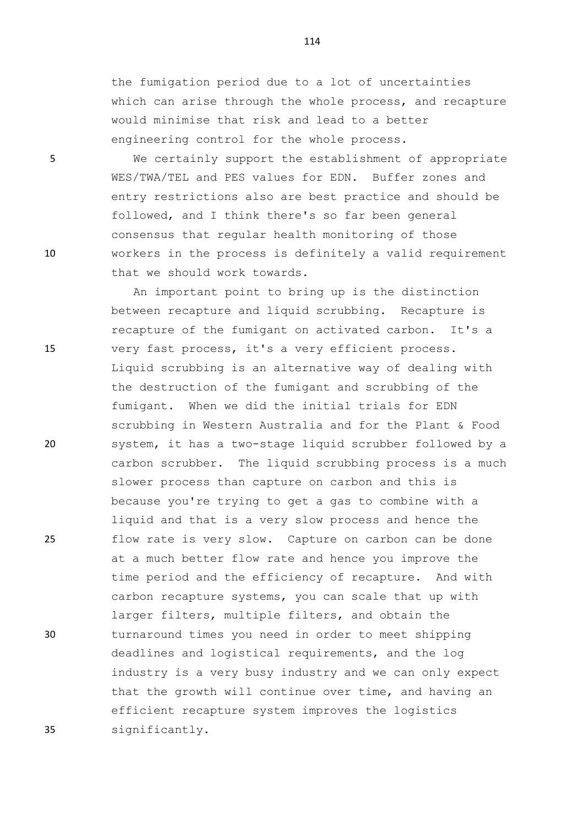the fumigation period due to a lot of uncertainties which can arise through the whole process, and recapture would minimise that risk and lead to a better engineering control for the whole process.

5 We certainly support the establishment of appropriate WES/TWA/TEL and PES values for EDN. Buffer zones and entry restrictions also are best practice and should be followed, and I think there's so far been general consensus that regular health monitoring of those 10 workers in the process is definitely a valid requirement that we should work towards.

An important point to bring up is the distinction between recapture and liquid scrubbing. Recapture is recapture of the fumigant on activated carbon. It's a 15 very fast process, it's a very efficient process. Liquid scrubbing is an alternative way of dealing with the destruction of the fumigant and scrubbing of the fumigant. When we did the initial trials for EDN scrubbing in Western Australia and for the Plant & Food 20 system, it has a two-stage liquid scrubber followed by a carbon scrubber. The liquid scrubbing process is a much slower process than capture on carbon and this is because you're trying to get a gas to combine with a liquid and that is a very slow process and hence the 25 flow rate is very slow. Capture on carbon can be done at a much better flow rate and hence you improve the time period and the efficiency of recapture. And with carbon recapture systems, you can scale that up with larger filters, multiple filters, and obtain the 30 turnaround times you need in order to meet shipping deadlines and logistical requirements, and the log industry is a very busy industry and we can only expect that the growth will continue over time, and having an efficient recapture system improves the logistics 35 significantly.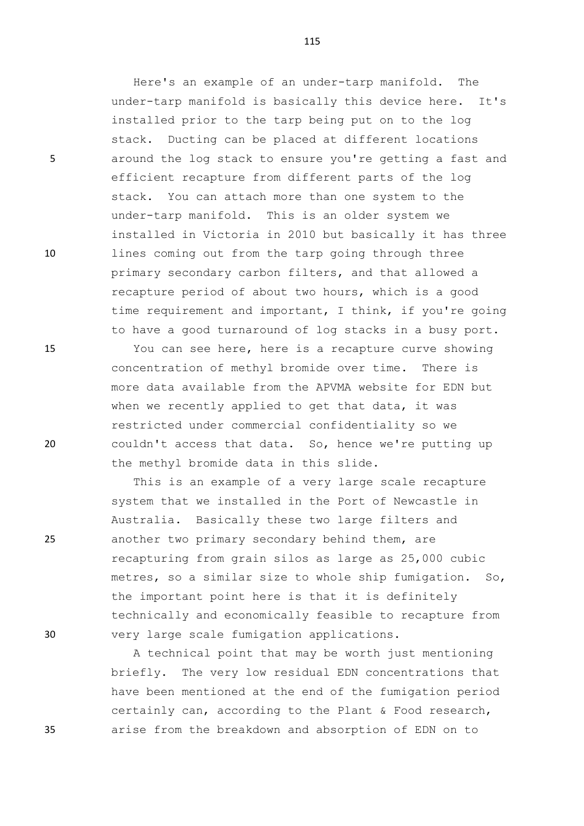Here's an example of an under-tarp manifold. The under-tarp manifold is basically this device here. It's installed prior to the tarp being put on to the log stack. Ducting can be placed at different locations 5 around the log stack to ensure you're getting a fast and efficient recapture from different parts of the log stack. You can attach more than one system to the under-tarp manifold. This is an older system we installed in Victoria in 2010 but basically it has three 10 lines coming out from the tarp going through three primary secondary carbon filters, and that allowed a recapture period of about two hours, which is a good time requirement and important, I think, if you're going to have a good turnaround of log stacks in a busy port.

15 You can see here, here is a recapture curve showing concentration of methyl bromide over time. There is more data available from the APVMA website for EDN but when we recently applied to get that data, it was restricted under commercial confidentiality so we 20 couldn't access that data. So, hence we're putting up the methyl bromide data in this slide.

This is an example of a very large scale recapture system that we installed in the Port of Newcastle in Australia. Basically these two large filters and 25 another two primary secondary behind them, are recapturing from grain silos as large as 25,000 cubic metres, so a similar size to whole ship fumigation. So, the important point here is that it is definitely technically and economically feasible to recapture from 30 very large scale fumigation applications.

A technical point that may be worth just mentioning briefly. The very low residual EDN concentrations that have been mentioned at the end of the fumigation period certainly can, according to the Plant & Food research, 35 arise from the breakdown and absorption of EDN on to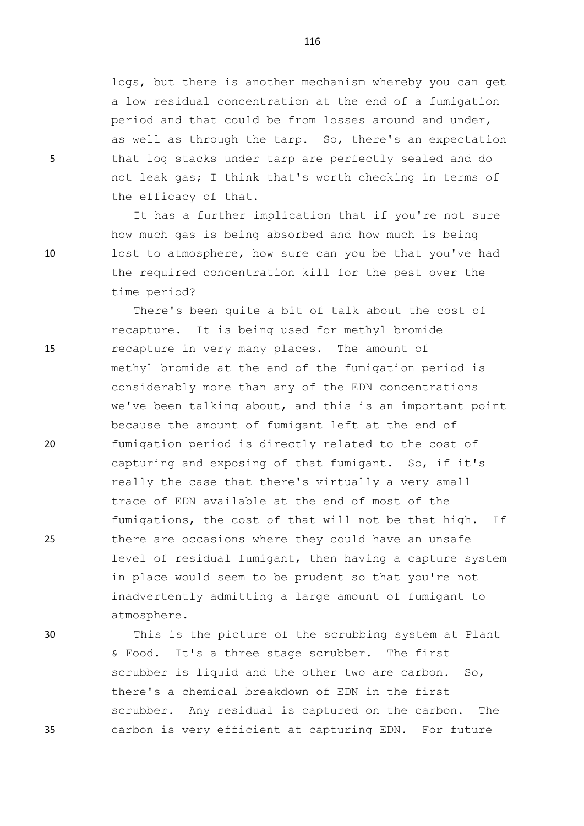logs, but there is another mechanism whereby you can get a low residual concentration at the end of a fumigation period and that could be from losses around and under, as well as through the tarp. So, there's an expectation 5 that log stacks under tarp are perfectly sealed and do not leak gas; I think that's worth checking in terms of the efficacy of that.

It has a further implication that if you're not sure how much gas is being absorbed and how much is being 10 lost to atmosphere, how sure can you be that you've had the required concentration kill for the pest over the time period?

There's been quite a bit of talk about the cost of recapture. It is being used for methyl bromide 15 recapture in very many places. The amount of methyl bromide at the end of the fumigation period is considerably more than any of the EDN concentrations we've been talking about, and this is an important point because the amount of fumigant left at the end of 20 fumigation period is directly related to the cost of capturing and exposing of that fumigant. So, if it's really the case that there's virtually a very small trace of EDN available at the end of most of the fumigations, the cost of that will not be that high. If 25 there are occasions where they could have an unsafe level of residual fumigant, then having a capture system in place would seem to be prudent so that you're not inadvertently admitting a large amount of fumigant to atmosphere.

30 This is the picture of the scrubbing system at Plant & Food. It's a three stage scrubber. The first scrubber is liquid and the other two are carbon. So, there's a chemical breakdown of EDN in the first scrubber. Any residual is captured on the carbon. The 35 carbon is very efficient at capturing EDN. For future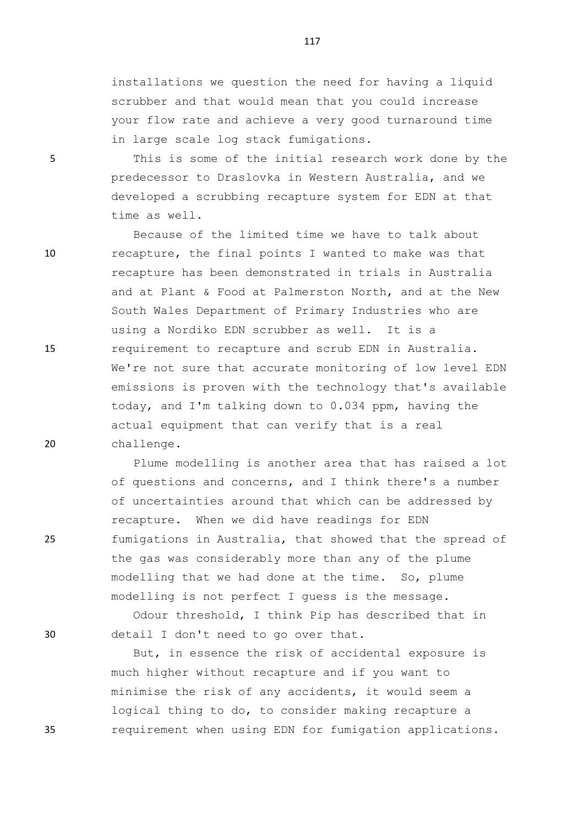installations we question the need for having a liquid scrubber and that would mean that you could increase your flow rate and achieve a very good turnaround time in large scale log stack fumigations.

5 This is some of the initial research work done by the predecessor to Draslovka in Western Australia, and we developed a scrubbing recapture system for EDN at that time as well.

Because of the limited time we have to talk about 10 recapture, the final points I wanted to make was that recapture has been demonstrated in trials in Australia and at Plant & Food at Palmerston North, and at the New South Wales Department of Primary Industries who are using a Nordiko EDN scrubber as well. It is a 15 requirement to recapture and scrub EDN in Australia. We're not sure that accurate monitoring of low level EDN emissions is proven with the technology that's available today, and I'm talking down to 0.034 ppm, having the actual equipment that can verify that is a real 20 challenge.

Plume modelling is another area that has raised a lot of questions and concerns, and I think there's a number of uncertainties around that which can be addressed by recapture. When we did have readings for EDN 25 fumigations in Australia, that showed that the spread of the gas was considerably more than any of the plume modelling that we had done at the time. So, plume modelling is not perfect I guess is the message.

Odour threshold, I think Pip has described that in 30 detail I don't need to go over that.

But, in essence the risk of accidental exposure is much higher without recapture and if you want to minimise the risk of any accidents, it would seem a logical thing to do, to consider making recapture a 35 requirement when using EDN for fumigation applications.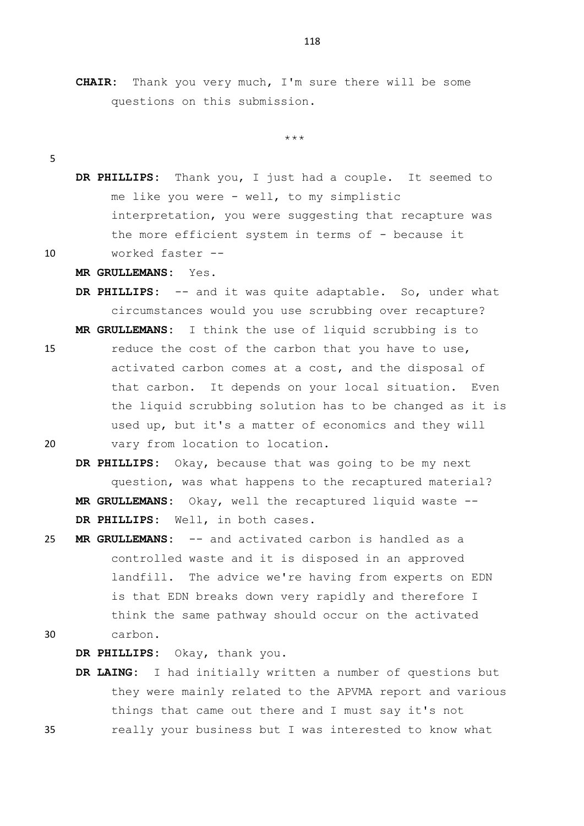\*\*\*

- 5
- **DR PHILLIPS:** Thank you, I just had a couple. It seemed to me like you were - well, to my simplistic interpretation, you were suggesting that recapture was the more efficient system in terms of - because it 10 worked faster --

## **MR GRULLEMANS:** Yes.

- **DR PHILLIPS:** -- and it was quite adaptable. So, under what circumstances would you use scrubbing over recapture? **MR GRULLEMANS:** I think the use of liquid scrubbing is to
- 15 reduce the cost of the carbon that you have to use, activated carbon comes at a cost, and the disposal of that carbon. It depends on your local situation. Even the liquid scrubbing solution has to be changed as it is used up, but it's a matter of economics and they will 20 vary from location to location.
	- **DR PHILLIPS:** Okay, because that was going to be my next question, was what happens to the recaptured material? **MR GRULLEMANS:** Okay, well the recaptured liquid waste -- **DR PHILLIPS:** Well, in both cases.
- 25 **MR GRULLEMANS:** -- and activated carbon is handled as a controlled waste and it is disposed in an approved landfill. The advice we're having from experts on EDN is that EDN breaks down very rapidly and therefore I think the same pathway should occur on the activated 30 carbon.

**DR PHILLIPS:** Okay, thank you.

**DR LAING:** I had initially written a number of questions but they were mainly related to the APVMA report and various things that came out there and I must say it's not 35 really your business but I was interested to know what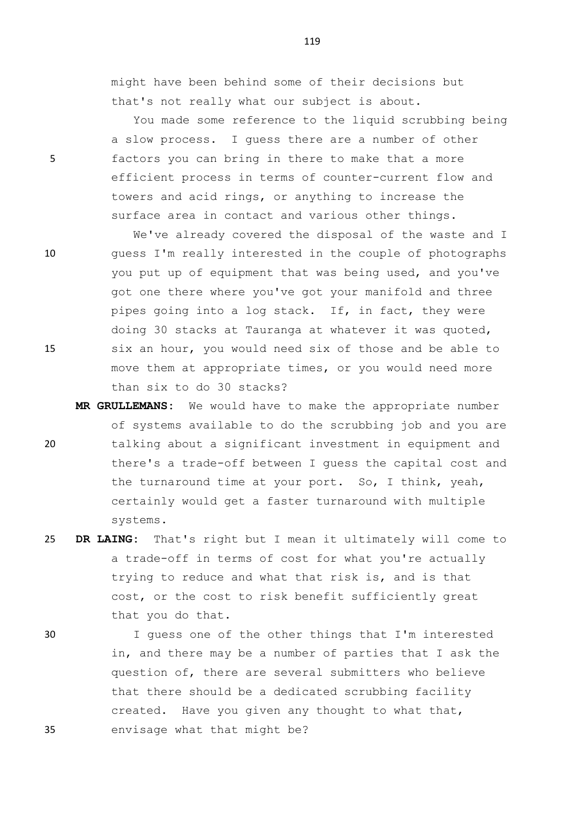might have been behind some of their decisions but that's not really what our subject is about.

You made some reference to the liquid scrubbing being a slow process. I guess there are a number of other 5 factors you can bring in there to make that a more efficient process in terms of counter-current flow and towers and acid rings, or anything to increase the surface area in contact and various other things.

We've already covered the disposal of the waste and I 10 guess I'm really interested in the couple of photographs you put up of equipment that was being used, and you've got one there where you've got your manifold and three pipes going into a log stack. If, in fact, they were doing 30 stacks at Tauranga at whatever it was quoted, 15 six an hour, you would need six of those and be able to move them at appropriate times, or you would need more than six to do 30 stacks?

- **MR GRULLEMANS:** We would have to make the appropriate number of systems available to do the scrubbing job and you are 20 talking about a significant investment in equipment and there's a trade-off between I guess the capital cost and the turnaround time at your port. So, I think, yeah, certainly would get a faster turnaround with multiple systems.
- 25 **DR LAING:** That's right but I mean it ultimately will come to a trade-off in terms of cost for what you're actually trying to reduce and what that risk is, and is that cost, or the cost to risk benefit sufficiently great that you do that.
- 

30 I guess one of the other things that I'm interested in, and there may be a number of parties that I ask the question of, there are several submitters who believe that there should be a dedicated scrubbing facility created. Have you given any thought to what that, 35 envisage what that might be?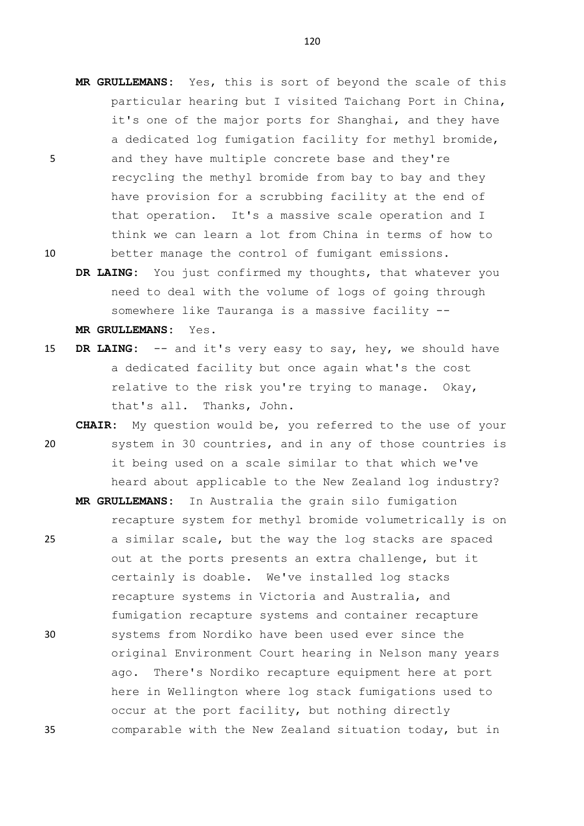- **MR GRULLEMANS:** Yes, this is sort of beyond the scale of this particular hearing but I visited Taichang Port in China, it's one of the major ports for Shanghai, and they have a dedicated log fumigation facility for methyl bromide, 5 and they have multiple concrete base and they're recycling the methyl bromide from bay to bay and they have provision for a scrubbing facility at the end of that operation. It's a massive scale operation and I think we can learn a lot from China in terms of how to 10 better manage the control of fumigant emissions.
	- **DR LAING:** You just confirmed my thoughts, that whatever you need to deal with the volume of logs of going through somewhere like Tauranga is a massive facility --

**MR GRULLEMANS:** Yes.

- 15 **DR LAING:** -- and it's very easy to say, hey, we should have a dedicated facility but once again what's the cost relative to the risk you're trying to manage. Okay, that's all. Thanks, John.
- **CHAIR:** My question would be, you referred to the use of your 20 system in 30 countries, and in any of those countries is it being used on a scale similar to that which we've heard about applicable to the New Zealand log industry?
- **MR GRULLEMANS:** In Australia the grain silo fumigation recapture system for methyl bromide volumetrically is on 25 a similar scale, but the way the log stacks are spaced out at the ports presents an extra challenge, but it certainly is doable. We've installed log stacks recapture systems in Victoria and Australia, and fumigation recapture systems and container recapture 30 systems from Nordiko have been used ever since the original Environment Court hearing in Nelson many years ago. There's Nordiko recapture equipment here at port here in Wellington where log stack fumigations used to occur at the port facility, but nothing directly 35 comparable with the New Zealand situation today, but in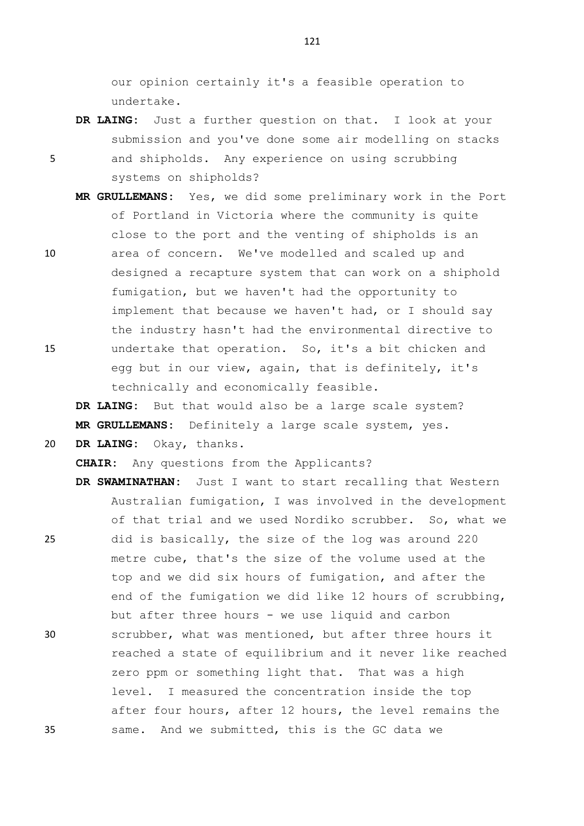our opinion certainly it's a feasible operation to undertake.

**DR LAING:** Just a further question on that. I look at your submission and you've done some air modelling on stacks

5 and shipholds. Any experience on using scrubbing systems on shipholds?

**MR GRULLEMANS:** Yes, we did some preliminary work in the Port of Portland in Victoria where the community is quite close to the port and the venting of shipholds is an 10 area of concern. We've modelled and scaled up and designed a recapture system that can work on a shiphold fumigation, but we haven't had the opportunity to implement that because we haven't had, or I should say the industry hasn't had the environmental directive to 15 undertake that operation. So, it's a bit chicken and

egg but in our view, again, that is definitely, it's technically and economically feasible.

**DR LAING:** But that would also be a large scale system? **MR GRULLEMANS:** Definitely a large scale system, yes.

20 **DR LAING:** Okay, thanks.

**CHAIR:** Any questions from the Applicants?

**DR SWAMINATHAN:** Just I want to start recalling that Western Australian fumigation, I was involved in the development of that trial and we used Nordiko scrubber. So, what we 25 did is basically, the size of the log was around 220 metre cube, that's the size of the volume used at the top and we did six hours of fumigation, and after the end of the fumigation we did like 12 hours of scrubbing, but after three hours - we use liquid and carbon 30 scrubber, what was mentioned, but after three hours it reached a state of equilibrium and it never like reached zero ppm or something light that. That was a high level. I measured the concentration inside the top after four hours, after 12 hours, the level remains the 35 same. And we submitted, this is the GC data we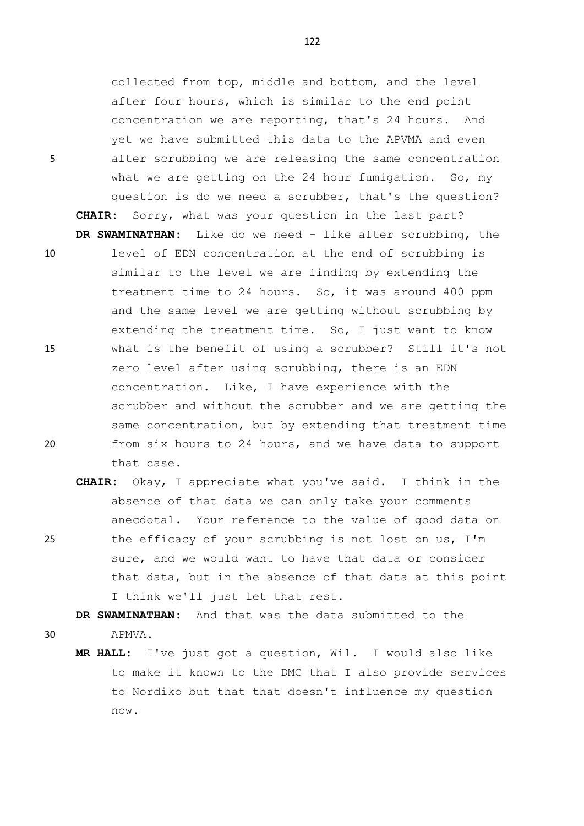collected from top, middle and bottom, and the level after four hours, which is similar to the end point concentration we are reporting, that's 24 hours. And yet we have submitted this data to the APVMA and even 5 after scrubbing we are releasing the same concentration what we are getting on the 24 hour fumigation. So, my question is do we need a scrubber, that's the question? **CHAIR:** Sorry, what was your question in the last part? **DR SWAMINATHAN:** Like do we need - like after scrubbing, the

- 10 level of EDN concentration at the end of scrubbing is similar to the level we are finding by extending the treatment time to 24 hours. So, it was around 400 ppm and the same level we are getting without scrubbing by extending the treatment time. So, I just want to know 15 what is the benefit of using a scrubber? Still it's not zero level after using scrubbing, there is an EDN concentration. Like, I have experience with the scrubber and without the scrubber and we are getting the same concentration, but by extending that treatment time 20 from six hours to 24 hours, and we have data to support that case.
- **CHAIR:** Okay, I appreciate what you've said. I think in the absence of that data we can only take your comments anecdotal. Your reference to the value of good data on 25 the efficacy of your scrubbing is not lost on us, I'm sure, and we would want to have that data or consider that data, but in the absence of that data at this point I think we'll just let that rest.

**DR SWAMINATHAN:** And that was the data submitted to the 30 APMVA.

**MR HALL:** I've just got a question, Wil. I would also like to make it known to the DMC that I also provide services to Nordiko but that that doesn't influence my question now.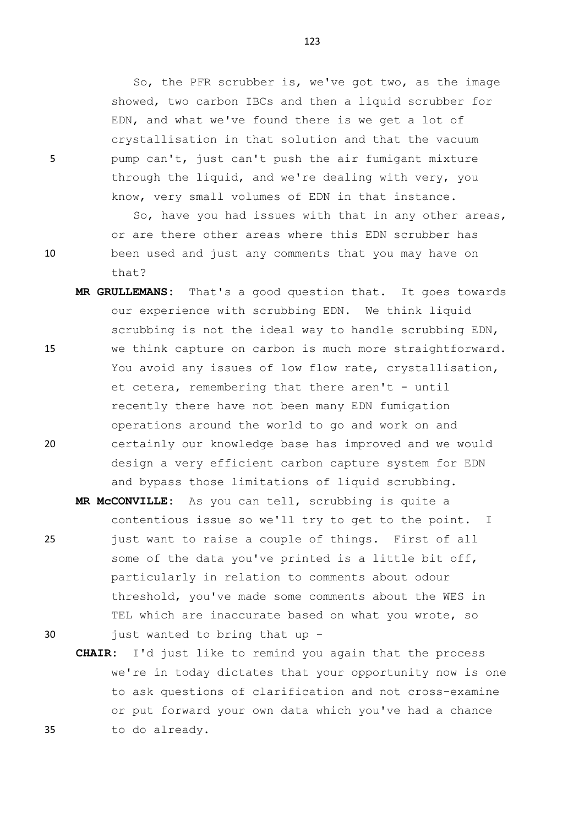So, the PFR scrubber is, we've got two, as the image showed, two carbon IBCs and then a liquid scrubber for EDN, and what we've found there is we get a lot of crystallisation in that solution and that the vacuum 5 pump can't, just can't push the air fumigant mixture through the liquid, and we're dealing with very, you know, very small volumes of EDN in that instance.

So, have you had issues with that in any other areas, or are there other areas where this EDN scrubber has 10 been used and just any comments that you may have on that?

**MR GRULLEMANS:** That's a good question that. It goes towards our experience with scrubbing EDN. We think liquid scrubbing is not the ideal way to handle scrubbing EDN, 15 we think capture on carbon is much more straightforward. You avoid any issues of low flow rate, crystallisation, et cetera, remembering that there aren't  $-$  until recently there have not been many EDN fumigation operations around the world to go and work on and 20 certainly our knowledge base has improved and we would design a very efficient carbon capture system for EDN and bypass those limitations of liquid scrubbing.

**MR McCONVILLE:** As you can tell, scrubbing is quite a contentious issue so we'll try to get to the point. I 25 just want to raise a couple of things. First of all some of the data you've printed is a little bit off, particularly in relation to comments about odour threshold, you've made some comments about the WES in TEL which are inaccurate based on what you wrote, so 30 just wanted to bring that up -

**CHAIR:** I'd just like to remind you again that the process we're in today dictates that your opportunity now is one to ask questions of clarification and not cross-examine or put forward your own data which you've had a chance 35 to do already.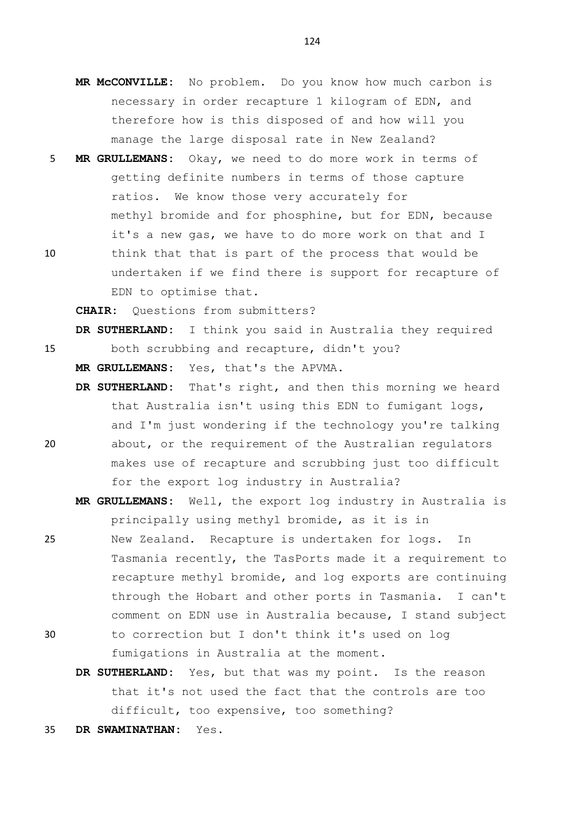- **MR McCONVILLE:** No problem. Do you know how much carbon is necessary in order recapture 1 kilogram of EDN, and therefore how is this disposed of and how will you manage the large disposal rate in New Zealand?
- 5 **MR GRULLEMANS:** Okay, we need to do more work in terms of getting definite numbers in terms of those capture ratios. We know those very accurately for methyl bromide and for phosphine, but for EDN, because it's a new gas, we have to do more work on that and I 10 think that that is part of the process that would be
- undertaken if we find there is support for recapture of EDN to optimise that.

**CHAIR:** Questions from submitters?

**DR SUTHERLAND:** I think you said in Australia they required 15 both scrubbing and recapture, didn't you?

**MR GRULLEMANS:** Yes, that's the APVMA.

- **DR SUTHERLAND:** That's right, and then this morning we heard that Australia isn't using this EDN to fumigant logs, and I'm just wondering if the technology you're talking
- 20 about, or the requirement of the Australian regulators makes use of recapture and scrubbing just too difficult for the export log industry in Australia?
	- **MR GRULLEMANS:** Well, the export log industry in Australia is principally using methyl bromide, as it is in
- 25 New Zealand. Recapture is undertaken for logs. In Tasmania recently, the TasPorts made it a requirement to recapture methyl bromide, and log exports are continuing through the Hobart and other ports in Tasmania. I can't comment on EDN use in Australia because, I stand subject 30 to correction but I don't think it's used on log
	- fumigations in Australia at the moment.
	- **DR SUTHERLAND:** Yes, but that was my point. Is the reason that it's not used the fact that the controls are too difficult, too expensive, too something?
- 35 **DR SWAMINATHAN:** Yes.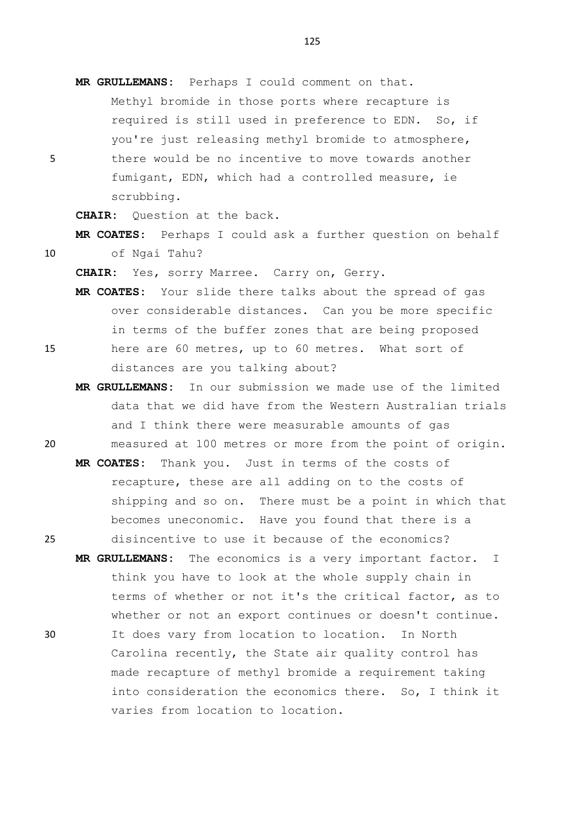**MR GRULLEMANS:** Perhaps I could comment on that. Methyl bromide in those ports where recapture is required is still used in preference to EDN. So, if you're just releasing methyl bromide to atmosphere, 5 there would be no incentive to move towards another fumigant, EDN, which had a controlled measure, ie scrubbing.

**CHAIR:** Question at the back.

**MR COATES:** Perhaps I could ask a further question on behalf 10 of Ngai Tahu?

**CHAIR:** Yes, sorry Marree. Carry on, Gerry.

- **MR COATES:** Your slide there talks about the spread of gas over considerable distances. Can you be more specific in terms of the buffer zones that are being proposed 15 here are 60 metres, up to 60 metres. What sort of distances are you talking about?
- **MR GRULLEMANS:** In our submission we made use of the limited data that we did have from the Western Australian trials and I think there were measurable amounts of gas 20 measured at 100 metres or more from the point of origin.
- **MR COATES:** Thank you. Just in terms of the costs of recapture, these are all adding on to the costs of shipping and so on. There must be a point in which that becomes uneconomic. Have you found that there is a 25 disincentive to use it because of the economics?
- **MR GRULLEMANS:** The economics is a very important factor. I think you have to look at the whole supply chain in terms of whether or not it's the critical factor, as to whether or not an export continues or doesn't continue. 30 It does vary from location to location. In North Carolina recently, the State air quality control has made recapture of methyl bromide a requirement taking into consideration the economics there. So, I think it varies from location to location.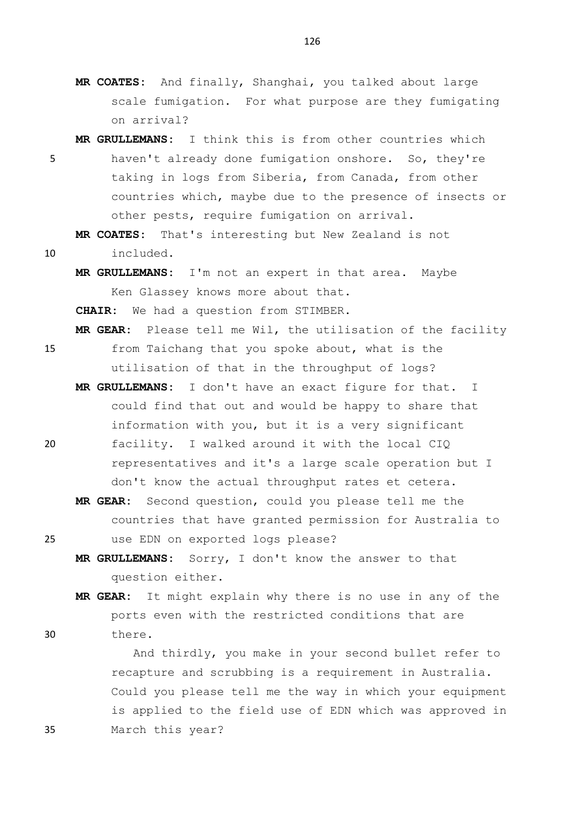- **MR COATES:** And finally, Shanghai, you talked about large scale fumigation. For what purpose are they fumigating on arrival?
- **MR GRULLEMANS:** I think this is from other countries which 5 haven't already done fumigation onshore. So, they're taking in logs from Siberia, from Canada, from other countries which, maybe due to the presence of insects or other pests, require fumigation on arrival.

**MR COATES:** That's interesting but New Zealand is not 10 included.

**MR GRULLEMANS:** I'm not an expert in that area. Maybe Ken Glassey knows more about that.

**CHAIR:** We had a question from STIMBER.

**MR GEAR:** Please tell me Wil, the utilisation of the facility 15 from Taichang that you spoke about, what is the utilisation of that in the throughput of logs?

**MR GRULLEMANS:** I don't have an exact figure for that. I could find that out and would be happy to share that information with you, but it is a very significant 20 facility. I walked around it with the local CIQ

- representatives and it's a large scale operation but I don't know the actual throughput rates et cetera.
- **MR GEAR:** Second question, could you please tell me the countries that have granted permission for Australia to 25 use EDN on exported logs please?
	- **MR GRULLEMANS:** Sorry, I don't know the answer to that question either.
- **MR GEAR:** It might explain why there is no use in any of the ports even with the restricted conditions that are 30 there.

And thirdly, you make in your second bullet refer to recapture and scrubbing is a requirement in Australia. Could you please tell me the way in which your equipment is applied to the field use of EDN which was approved in 35 March this year?

- 
-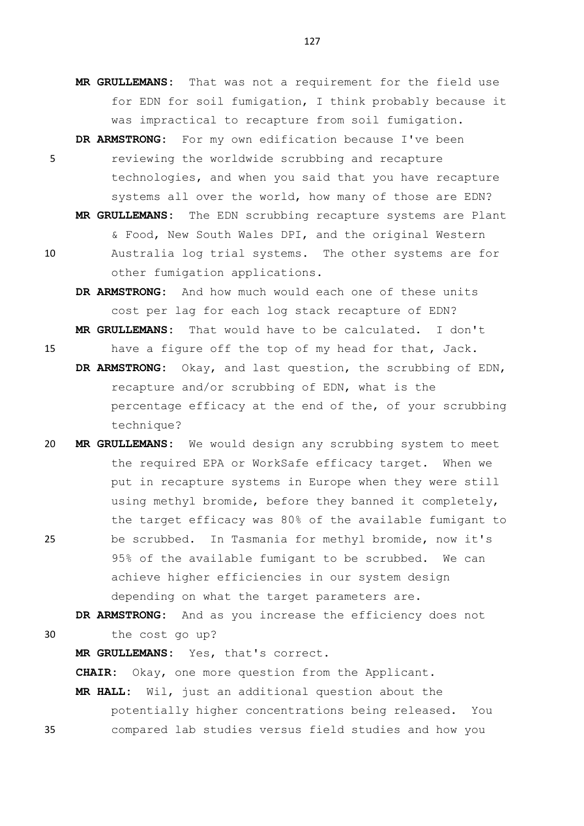- **MR GRULLEMANS:** That was not a requirement for the field use for EDN for soil fumigation, I think probably because it was impractical to recapture from soil fumigation.
- **DR ARMSTRONG:** For my own edification because I've been 5 reviewing the worldwide scrubbing and recapture technologies, and when you said that you have recapture systems all over the world, how many of those are EDN?
- **MR GRULLEMANS:** The EDN scrubbing recapture systems are Plant & Food, New South Wales DPI, and the original Western 10 Australia log trial systems. The other systems are for other fumigation applications.
	- **DR ARMSTRONG:** And how much would each one of these units cost per lag for each log stack recapture of EDN? **MR GRULLEMANS:** That would have to be calculated. I don't
- 15 have a figure off the top of my head for that, Jack.
	- **DR ARMSTRONG:** Okay, and last question, the scrubbing of EDN, recapture and/or scrubbing of EDN, what is the percentage efficacy at the end of the, of your scrubbing technique?
- 20 **MR GRULLEMANS:** We would design any scrubbing system to meet the required EPA or WorkSafe efficacy target. When we put in recapture systems in Europe when they were still using methyl bromide, before they banned it completely, the target efficacy was 80% of the available fumigant to 25 be scrubbed. In Tasmania for methyl bromide, now it's 95% of the available fumigant to be scrubbed. We can achieve higher efficiencies in our system design depending on what the target parameters are.

**DR ARMSTRONG:** And as you increase the efficiency does not 30 the cost go up?

**MR GRULLEMANS:** Yes, that's correct.

**CHAIR:** Okay, one more question from the Applicant.

**MR HALL:** Wil, just an additional question about the potentially higher concentrations being released. You 35 compared lab studies versus field studies and how you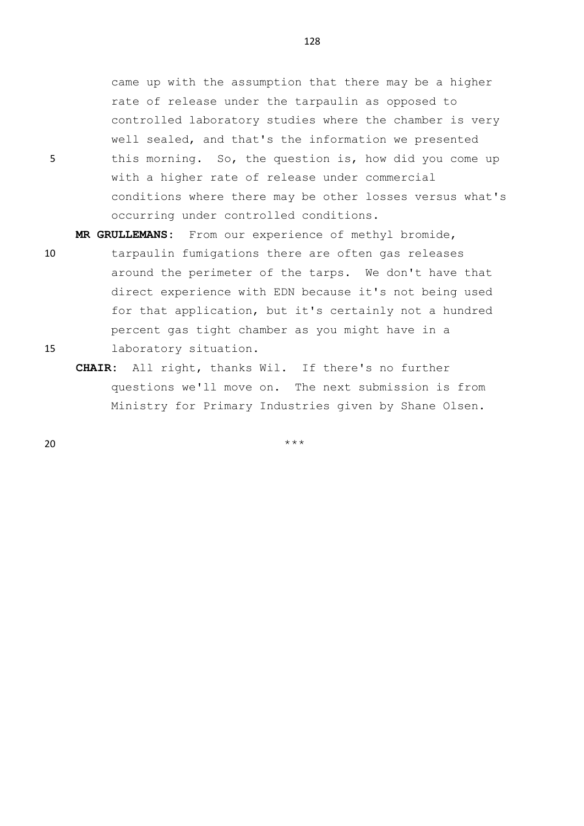came up with the assumption that there may be a higher rate of release under the tarpaulin as opposed to controlled laboratory studies where the chamber is very well sealed, and that's the information we presented 5 this morning. So, the question is, how did you come up

with a higher rate of release under commercial conditions where there may be other losses versus what's occurring under controlled conditions.

**MR GRULLEMANS:** From our experience of methyl bromide,

- 10 tarpaulin fumigations there are often gas releases around the perimeter of the tarps. We don't have that direct experience with EDN because it's not being used for that application, but it's certainly not a hundred percent gas tight chamber as you might have in a 15 laboratory situation.
	- **CHAIR:** All right, thanks Wil. If there's no further questions we'll move on. The next submission is from Ministry for Primary Industries given by Shane Olsen.

 $20$  \*\*\*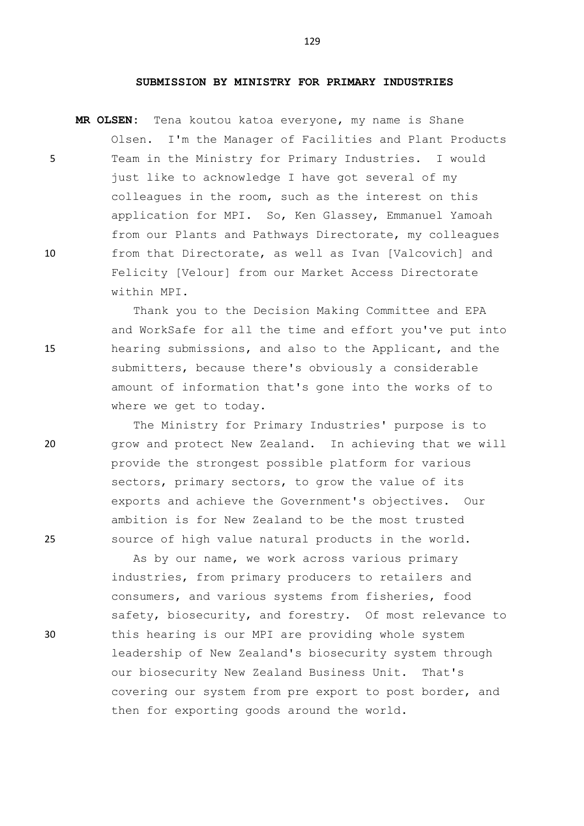## **SUBMISSION BY MINISTRY FOR PRIMARY INDUSTRIES**

**MR OLSEN:** Tena koutou katoa everyone, my name is Shane Olsen. I'm the Manager of Facilities and Plant Products 5 Team in the Ministry for Primary Industries. I would just like to acknowledge I have got several of my colleagues in the room, such as the interest on this application for MPI. So, Ken Glassey, Emmanuel Yamoah from our Plants and Pathways Directorate, my colleagues 10 from that Directorate, as well as Ivan [Valcovich] and Felicity [Velour] from our Market Access Directorate within MPI.

Thank you to the Decision Making Committee and EPA and WorkSafe for all the time and effort you've put into 15 hearing submissions, and also to the Applicant, and the submitters, because there's obviously a considerable amount of information that's gone into the works of to where we get to today.

The Ministry for Primary Industries' purpose is to 20 grow and protect New Zealand. In achieving that we will provide the strongest possible platform for various sectors, primary sectors, to grow the value of its exports and achieve the Government's objectives. Our ambition is for New Zealand to be the most trusted 25 source of high value natural products in the world.

As by our name, we work across various primary industries, from primary producers to retailers and consumers, and various systems from fisheries, food safety, biosecurity, and forestry. Of most relevance to 30 this hearing is our MPI are providing whole system leadership of New Zealand's biosecurity system through our biosecurity New Zealand Business Unit. That's covering our system from pre export to post border, and then for exporting goods around the world.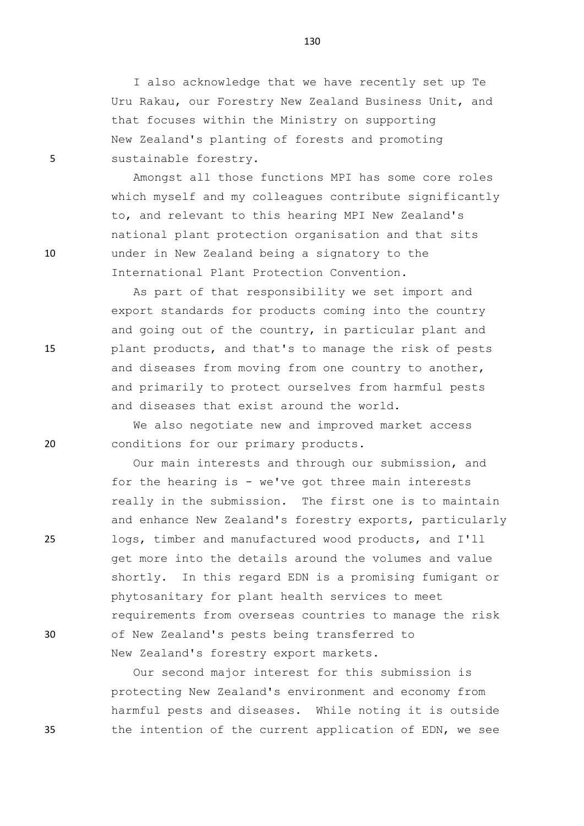I also acknowledge that we have recently set up Te Uru Rakau, our Forestry New Zealand Business Unit, and that focuses within the Ministry on supporting New Zealand's planting of forests and promoting 5 sustainable forestry.

Amongst all those functions MPI has some core roles which myself and my colleagues contribute significantly to, and relevant to this hearing MPI New Zealand's national plant protection organisation and that sits 10 under in New Zealand being a signatory to the International Plant Protection Convention.

As part of that responsibility we set import and export standards for products coming into the country and going out of the country, in particular plant and 15 plant products, and that's to manage the risk of pests and diseases from moving from one country to another, and primarily to protect ourselves from harmful pests and diseases that exist around the world.

We also negotiate new and improved market access 20 conditions for our primary products.

Our main interests and through our submission, and for the hearing is - we've got three main interests really in the submission. The first one is to maintain and enhance New Zealand's forestry exports, particularly 25 logs, timber and manufactured wood products, and I'll get more into the details around the volumes and value shortly. In this regard EDN is a promising fumigant or phytosanitary for plant health services to meet requirements from overseas countries to manage the risk 30 of New Zealand's pests being transferred to New Zealand's forestry export markets.

Our second major interest for this submission is protecting New Zealand's environment and economy from harmful pests and diseases. While noting it is outside 35 the intention of the current application of EDN, we see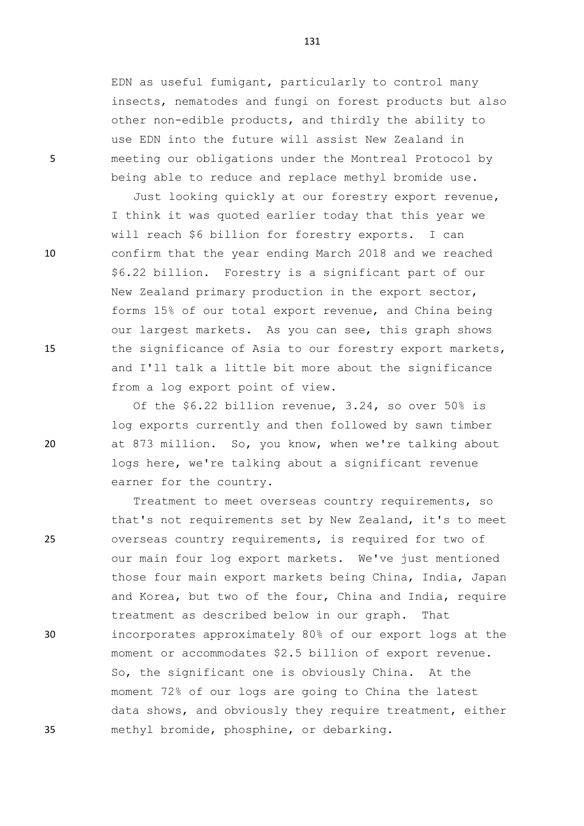EDN as useful fumigant, particularly to control many insects, nematodes and fungi on forest products but also other non-edible products, and thirdly the ability to use EDN into the future will assist New Zealand in 5 meeting our obligations under the Montreal Protocol by being able to reduce and replace methyl bromide use.

Just looking quickly at our forestry export revenue, I think it was quoted earlier today that this year we will reach \$6 billion for forestry exports. I can 10 confirm that the year ending March 2018 and we reached \$6.22 billion. Forestry is a significant part of our New Zealand primary production in the export sector, forms 15% of our total export revenue, and China being our largest markets. As you can see, this graph shows 15 the significance of Asia to our forestry export markets, and I'll talk a little bit more about the significance from a log export point of view.

Of the \$6.22 billion revenue, 3.24, so over 50% is log exports currently and then followed by sawn timber 20 at 873 million. So, you know, when we're talking about logs here, we're talking about a significant revenue earner for the country.

Treatment to meet overseas country requirements, so that's not requirements set by New Zealand, it's to meet 25 overseas country requirements, is required for two of our main four log export markets. We've just mentioned those four main export markets being China, India, Japan and Korea, but two of the four, China and India, require treatment as described below in our graph. That 30 incorporates approximately 80% of our export logs at the moment or accommodates \$2.5 billion of export revenue. So, the significant one is obviously China. At the moment 72% of our logs are going to China the latest data shows, and obviously they require treatment, either 35 methyl bromide, phosphine, or debarking.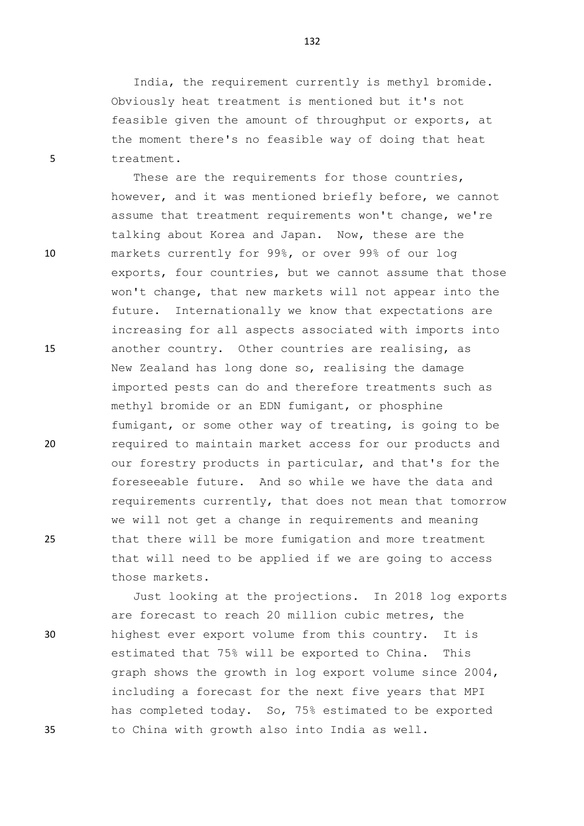India, the requirement currently is methyl bromide. Obviously heat treatment is mentioned but it's not feasible given the amount of throughput or exports, at the moment there's no feasible way of doing that heat 5 treatment.

These are the requirements for those countries, however, and it was mentioned briefly before, we cannot assume that treatment requirements won't change, we're talking about Korea and Japan. Now, these are the 10 markets currently for 99%, or over 99% of our log exports, four countries, but we cannot assume that those won't change, that new markets will not appear into the future. Internationally we know that expectations are increasing for all aspects associated with imports into 15 another country. Other countries are realising, as New Zealand has long done so, realising the damage imported pests can do and therefore treatments such as methyl bromide or an EDN fumigant, or phosphine fumigant, or some other way of treating, is going to be 20 required to maintain market access for our products and our forestry products in particular, and that's for the foreseeable future. And so while we have the data and requirements currently, that does not mean that tomorrow we will not get a change in requirements and meaning 25 that there will be more fumigation and more treatment that will need to be applied if we are going to access those markets.

Just looking at the projections. In 2018 log exports are forecast to reach 20 million cubic metres, the 30 highest ever export volume from this country. It is estimated that 75% will be exported to China. This graph shows the growth in log export volume since 2004, including a forecast for the next five years that MPI has completed today. So, 75% estimated to be exported 35 to China with growth also into India as well.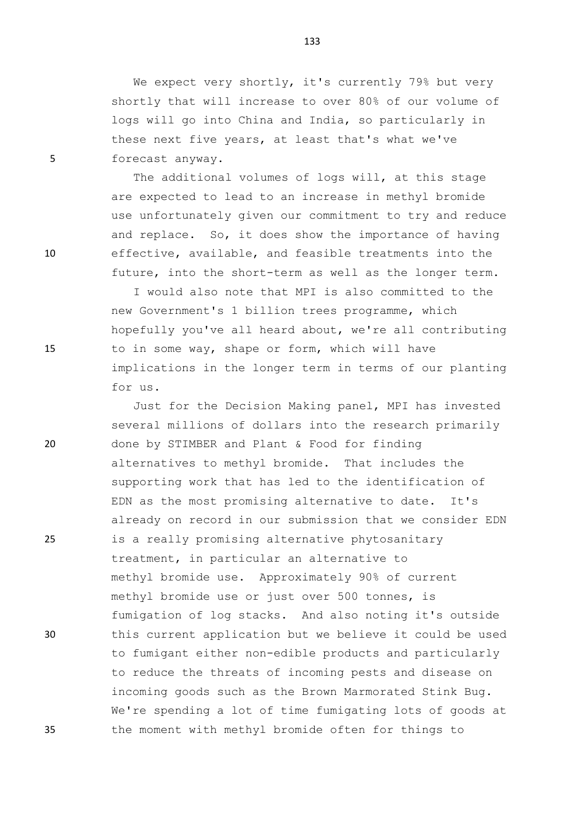We expect very shortly, it's currently 79% but very shortly that will increase to over 80% of our volume of logs will go into China and India, so particularly in these next five years, at least that's what we've 5 forecast anyway.

The additional volumes of logs will, at this stage are expected to lead to an increase in methyl bromide use unfortunately given our commitment to try and reduce and replace. So, it does show the importance of having 10 effective, available, and feasible treatments into the future, into the short-term as well as the longer term.

I would also note that MPI is also committed to the new Government's 1 billion trees programme, which hopefully you've all heard about, we're all contributing 15 to in some way, shape or form, which will have implications in the longer term in terms of our planting for us.

Just for the Decision Making panel, MPI has invested several millions of dollars into the research primarily 20 done by STIMBER and Plant & Food for finding alternatives to methyl bromide. That includes the supporting work that has led to the identification of EDN as the most promising alternative to date. It's already on record in our submission that we consider EDN 25 is a really promising alternative phytosanitary treatment, in particular an alternative to methyl bromide use. Approximately 90% of current methyl bromide use or just over 500 tonnes, is fumigation of log stacks. And also noting it's outside 30 this current application but we believe it could be used to fumigant either non-edible products and particularly to reduce the threats of incoming pests and disease on incoming goods such as the Brown Marmorated Stink Bug. We're spending a lot of time fumigating lots of goods at 35 the moment with methyl bromide often for things to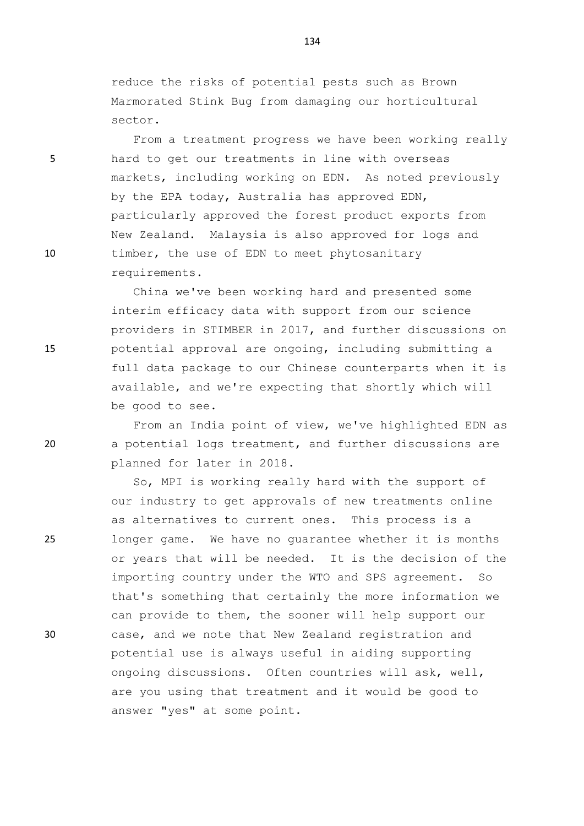reduce the risks of potential pests such as Brown Marmorated Stink Bug from damaging our horticultural sector.

From a treatment progress we have been working really 5 hard to get our treatments in line with overseas markets, including working on EDN. As noted previously by the EPA today, Australia has approved EDN, particularly approved the forest product exports from New Zealand. Malaysia is also approved for logs and 10 timber, the use of EDN to meet phytosanitary requirements.

China we've been working hard and presented some interim efficacy data with support from our science providers in STIMBER in 2017, and further discussions on 15 potential approval are ongoing, including submitting a full data package to our Chinese counterparts when it is available, and we're expecting that shortly which will be good to see.

From an India point of view, we've highlighted EDN as 20 a potential logs treatment, and further discussions are planned for later in 2018.

So, MPI is working really hard with the support of our industry to get approvals of new treatments online as alternatives to current ones. This process is a 25 longer game. We have no guarantee whether it is months or years that will be needed. It is the decision of the importing country under the WTO and SPS agreement. So that's something that certainly the more information we can provide to them, the sooner will help support our 30 case, and we note that New Zealand registration and potential use is always useful in aiding supporting ongoing discussions. Often countries will ask, well, are you using that treatment and it would be good to answer "yes" at some point.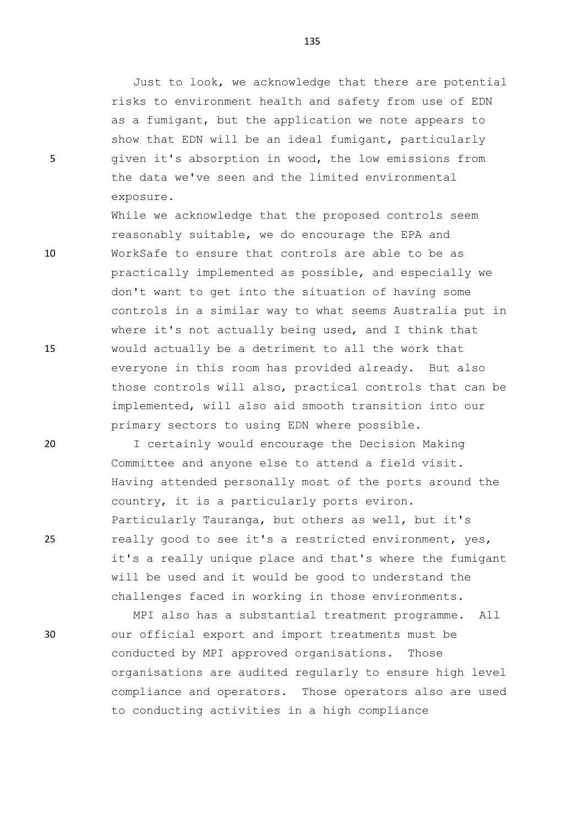Just to look, we acknowledge that there are potential risks to environment health and safety from use of EDN as a fumigant, but the application we note appears to show that EDN will be an ideal fumigant, particularly 5 given it's absorption in wood, the low emissions from the data we've seen and the limited environmental exposure.

While we acknowledge that the proposed controls seem reasonably suitable, we do encourage the EPA and 10 WorkSafe to ensure that controls are able to be as practically implemented as possible, and especially we don't want to get into the situation of having some controls in a similar way to what seems Australia put in where it's not actually being used, and I think that 15 would actually be a detriment to all the work that everyone in this room has provided already. But also those controls will also, practical controls that can be implemented, will also aid smooth transition into our primary sectors to using EDN where possible.

20 I certainly would encourage the Decision Making Committee and anyone else to attend a field visit. Having attended personally most of the ports around the country, it is a particularly ports eviron. Particularly Tauranga, but others as well, but it's 25 really good to see it's a restricted environment, yes, it's a really unique place and that's where the fumigant will be used and it would be good to understand the challenges faced in working in those environments.

MPI also has a substantial treatment programme. All 30 our official export and import treatments must be conducted by MPI approved organisations. Those organisations are audited regularly to ensure high level compliance and operators. Those operators also are used to conducting activities in a high compliance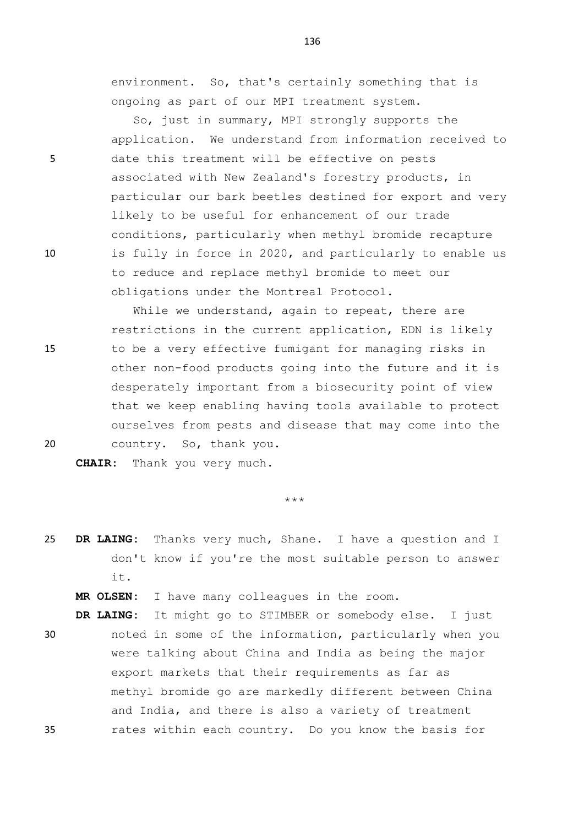environment. So, that's certainly something that is ongoing as part of our MPI treatment system.

So, just in summary, MPI strongly supports the application. We understand from information received to 5 date this treatment will be effective on pests associated with New Zealand's forestry products, in particular our bark beetles destined for export and very likely to be useful for enhancement of our trade conditions, particularly when methyl bromide recapture 10 is fully in force in 2020, and particularly to enable us to reduce and replace methyl bromide to meet our obligations under the Montreal Protocol.

While we understand, again to repeat, there are restrictions in the current application, EDN is likely 15 to be a very effective fumigant for managing risks in other non-food products going into the future and it is desperately important from a biosecurity point of view that we keep enabling having tools available to protect ourselves from pests and disease that may come into the 20 country. So, thank you.

**CHAIR:** Thank you very much.

\*\*\*

- 25 **DR LAING:** Thanks very much, Shane. I have a question and I don't know if you're the most suitable person to answer it.
	- **MR OLSEN:** I have many colleagues in the room.
- **DR LAING:** It might go to STIMBER or somebody else. I just 30 noted in some of the information, particularly when you were talking about China and India as being the major export markets that their requirements as far as methyl bromide go are markedly different between China and India, and there is also a variety of treatment 35 rates within each country. Do you know the basis for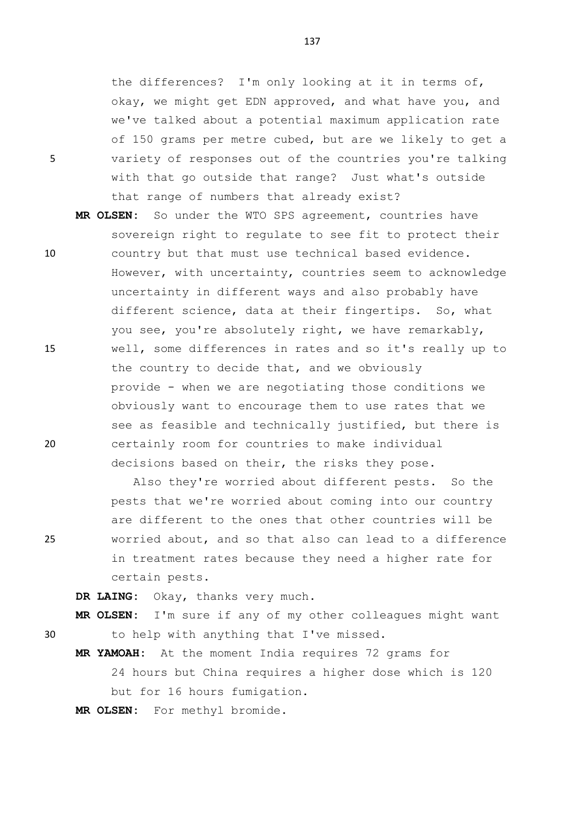the differences? I'm only looking at it in terms of, okay, we might get EDN approved, and what have you, and we've talked about a potential maximum application rate of 150 grams per metre cubed, but are we likely to get a 5 variety of responses out of the countries you're talking with that go outside that range? Just what's outside that range of numbers that already exist?

**MR OLSEN:** So under the WTO SPS agreement, countries have sovereign right to regulate to see fit to protect their 10 country but that must use technical based evidence. However, with uncertainty, countries seem to acknowledge uncertainty in different ways and also probably have different science, data at their fingertips. So, what you see, you're absolutely right, we have remarkably, 15 well, some differences in rates and so it's really up to the country to decide that, and we obviously provide - when we are negotiating those conditions we obviously want to encourage them to use rates that we see as feasible and technically justified, but there is 20 certainly room for countries to make individual decisions based on their, the risks they pose.

Also they're worried about different pests. So the pests that we're worried about coming into our country are different to the ones that other countries will be 25 worried about, and so that also can lead to a difference in treatment rates because they need a higher rate for certain pests.

**DR LAING:** Okay, thanks very much.

**MR OLSEN:** I'm sure if any of my other colleagues might want 30 to help with anything that I've missed.

**MR YAMOAH:** At the moment India requires 72 grams for 24 hours but China requires a higher dose which is 120 but for 16 hours fumigation.

**MR OLSEN:** For methyl bromide.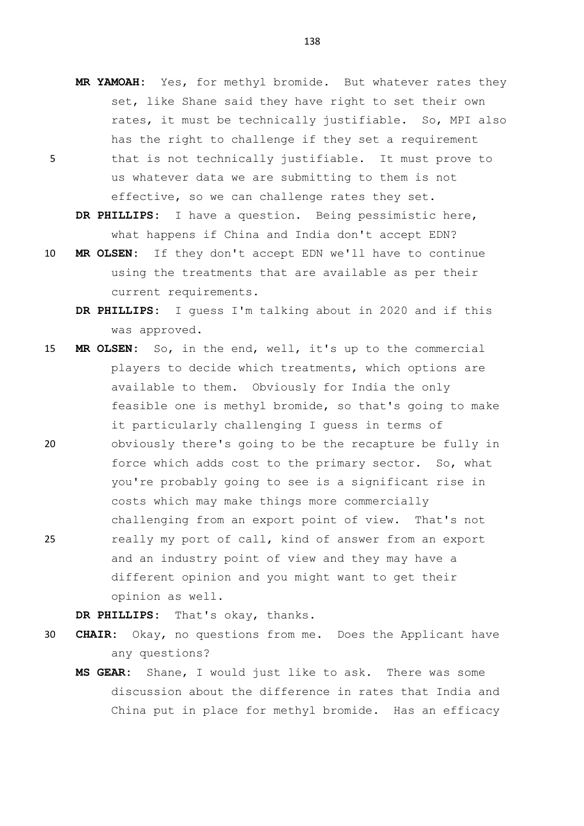**MR YAMOAH:** Yes, for methyl bromide. But whatever rates they set, like Shane said they have right to set their own rates, it must be technically justifiable. So, MPI also has the right to challenge if they set a requirement 5 that is not technically justifiable. It must prove to us whatever data we are submitting to them is not effective, so we can challenge rates they set.

**DR PHILLIPS:** I have a question. Being pessimistic here, what happens if China and India don't accept EDN?

- 10 **MR OLSEN:** If they don't accept EDN we'll have to continue using the treatments that are available as per their current requirements.
	- **DR PHILLIPS:** I guess I'm talking about in 2020 and if this was approved.
- 15 **MR OLSEN:** So, in the end, well, it's up to the commercial players to decide which treatments, which options are available to them. Obviously for India the only feasible one is methyl bromide, so that's going to make it particularly challenging I guess in terms of 20 obviously there's going to be the recapture be fully in force which adds cost to the primary sector. So, what you're probably going to see is a significant rise in
- challenging from an export point of view. That's not 25 really my port of call, kind of answer from an export and an industry point of view and they may have a different opinion and you might want to get their opinion as well.

costs which may make things more commercially

**DR PHILLIPS:** That's okay, thanks.

- 30 **CHAIR:** Okay, no questions from me. Does the Applicant have any questions?
	- **MS GEAR:** Shane, I would just like to ask. There was some discussion about the difference in rates that India and China put in place for methyl bromide. Has an efficacy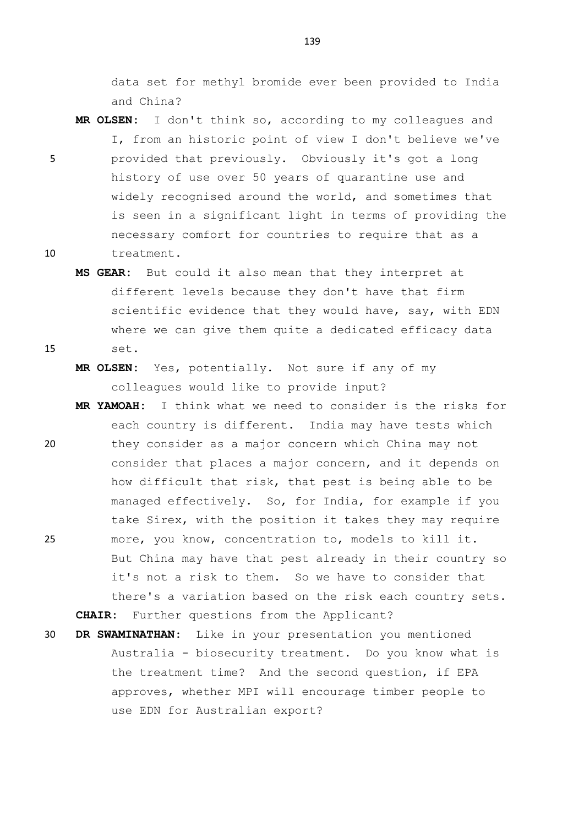data set for methyl bromide ever been provided to India and China?

- **MR OLSEN:** I don't think so, according to my colleagues and I, from an historic point of view I don't believe we've 5 provided that previously. Obviously it's got a long history of use over 50 years of quarantine use and widely recognised around the world, and sometimes that is seen in a significant light in terms of providing the necessary comfort for countries to require that as a 10 treatment.
- **MS GEAR:** But could it also mean that they interpret at different levels because they don't have that firm scientific evidence that they would have, say, with EDN where we can give them quite a dedicated efficacy data 15 set.
	- **MR OLSEN:** Yes, potentially. Not sure if any of my colleagues would like to provide input?
- **MR YAMOAH:** I think what we need to consider is the risks for each country is different. India may have tests which 20 they consider as a major concern which China may not consider that places a major concern, and it depends on how difficult that risk, that pest is being able to be managed effectively. So, for India, for example if you take Sirex, with the position it takes they may require 25 more, you know, concentration to, models to kill it. But China may have that pest already in their country so it's not a risk to them. So we have to consider that there's a variation based on the risk each country sets. **CHAIR:** Further questions from the Applicant?
- 30 **DR SWAMINATHAN:** Like in your presentation you mentioned Australia - biosecurity treatment. Do you know what is the treatment time? And the second question, if EPA approves, whether MPI will encourage timber people to use EDN for Australian export?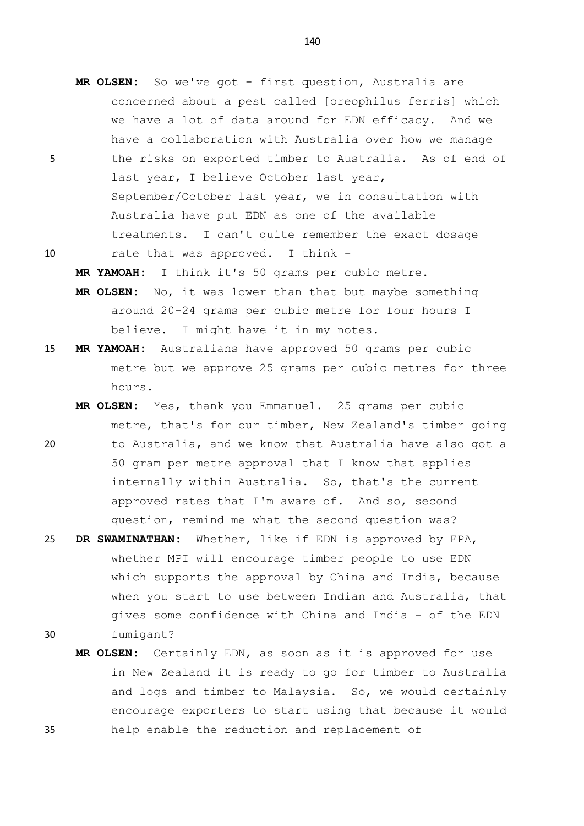- **MR OLSEN:** So we've got first question, Australia are concerned about a pest called [oreophilus ferris] which we have a lot of data around for EDN efficacy. And we have a collaboration with Australia over how we manage 5 the risks on exported timber to Australia. As of end of last year, I believe October last year, September/October last year, we in consultation with Australia have put EDN as one of the available treatments. I can't quite remember the exact dosage 10 rate that was approved. I think -
	- **MR YAMOAH:** I think it's 50 grams per cubic metre. **MR OLSEN:** No, it was lower than that but maybe something
		- around 20-24 grams per cubic metre for four hours I believe. I might have it in my notes.
- 15 **MR YAMOAH:** Australians have approved 50 grams per cubic metre but we approve 25 grams per cubic metres for three hours.
- **MR OLSEN:** Yes, thank you Emmanuel. 25 grams per cubic metre, that's for our timber, New Zealand's timber going 20 to Australia, and we know that Australia have also got a 50 gram per metre approval that I know that applies internally within Australia. So, that's the current approved rates that I'm aware of. And so, second question, remind me what the second question was?
- 25 **DR SWAMINATHAN:** Whether, like if EDN is approved by EPA, whether MPI will encourage timber people to use EDN which supports the approval by China and India, because when you start to use between Indian and Australia, that gives some confidence with China and India - of the EDN 30 fumigant?
- **MR OLSEN:** Certainly EDN, as soon as it is approved for use in New Zealand it is ready to go for timber to Australia and logs and timber to Malaysia. So, we would certainly encourage exporters to start using that because it would 35 help enable the reduction and replacement of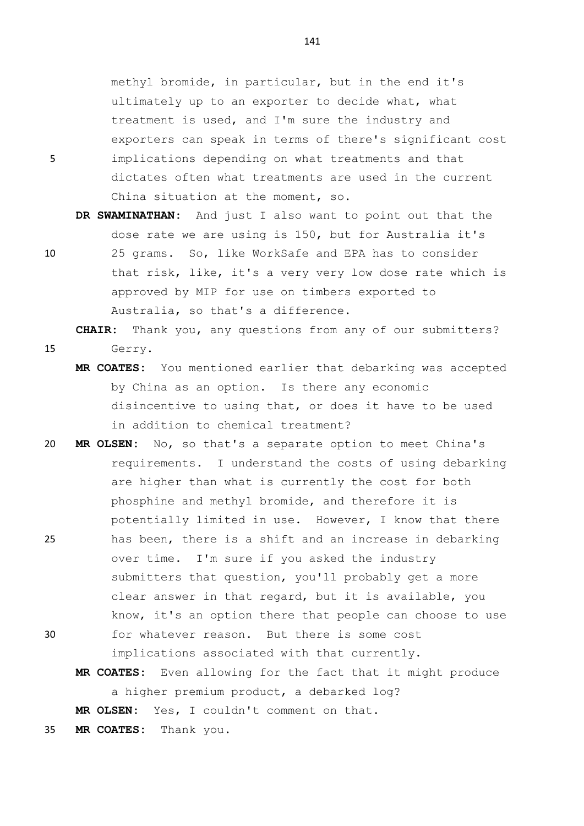methyl bromide, in particular, but in the end it's ultimately up to an exporter to decide what, what treatment is used, and I'm sure the industry and exporters can speak in terms of there's significant cost 5 implications depending on what treatments and that dictates often what treatments are used in the current China situation at the moment, so.

**DR SWAMINATHAN:** And just I also want to point out that the dose rate we are using is 150, but for Australia it's

10 25 grams. So, like WorkSafe and EPA has to consider that risk, like, it's a very very low dose rate which is approved by MIP for use on timbers exported to Australia, so that's a difference.

**CHAIR:** Thank you, any questions from any of our submitters? 15 Gerry.

- **MR COATES:** You mentioned earlier that debarking was accepted by China as an option. Is there any economic disincentive to using that, or does it have to be used in addition to chemical treatment?
- 20 **MR OLSEN:** No, so that's a separate option to meet China's requirements. I understand the costs of using debarking are higher than what is currently the cost for both phosphine and methyl bromide, and therefore it is potentially limited in use. However, I know that there 25 has been, there is a shift and an increase in debarking
- over time. I'm sure if you asked the industry submitters that question, you'll probably get a more clear answer in that regard, but it is available, you know, it's an option there that people can choose to use 30 for whatever reason. But there is some cost
	- implications associated with that currently.
	- **MR COATES:** Even allowing for the fact that it might produce a higher premium product, a debarked log?

**MR OLSEN:** Yes, I couldn't comment on that.

35 **MR COATES:** Thank you.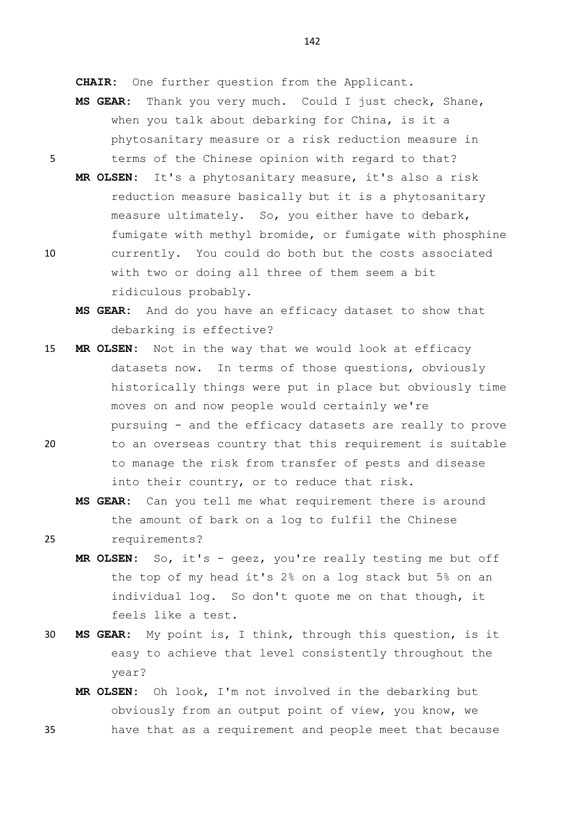**CHAIR:** One further question from the Applicant.

- **MS GEAR:** Thank you very much. Could I just check, Shane, when you talk about debarking for China, is it a phytosanitary measure or a risk reduction measure in 5 terms of the Chinese opinion with regard to that?
- **MR OLSEN:** It's a phytosanitary measure, it's also a risk reduction measure basically but it is a phytosanitary measure ultimately. So, you either have to debark, fumigate with methyl bromide, or fumigate with phosphine 10 currently. You could do both but the costs associated with two or doing all three of them seem a bit ridiculous probably.
	- **MS GEAR:** And do you have an efficacy dataset to show that debarking is effective?
- 15 **MR OLSEN:** Not in the way that we would look at efficacy datasets now. In terms of those questions, obviously historically things were put in place but obviously time moves on and now people would certainly we're pursuing - and the efficacy datasets are really to prove
- 20 to an overseas country that this requirement is suitable to manage the risk from transfer of pests and disease into their country, or to reduce that risk.
- **MS GEAR:** Can you tell me what requirement there is around the amount of bark on a log to fulfil the Chinese 25 requirements?
	- **MR OLSEN:** So, it's geez, you're really testing me but off the top of my head it's 2% on a log stack but 5% on an individual log. So don't quote me on that though, it feels like a test.
- 30 **MS GEAR:** My point is, I think, through this question, is it easy to achieve that level consistently throughout the year?
- **MR OLSEN:** Oh look, I'm not involved in the debarking but obviously from an output point of view, you know, we 35 have that as a requirement and people meet that because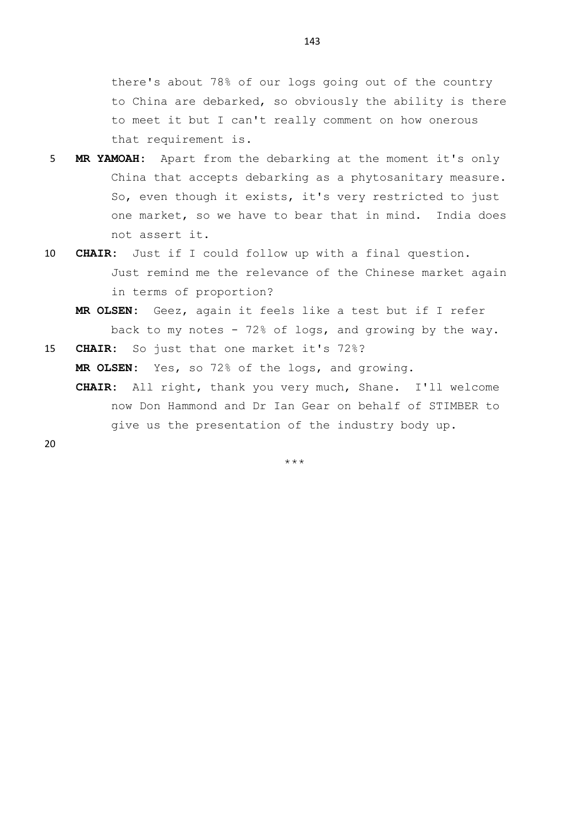there's about 78% of our logs going out of the country to China are debarked, so obviously the ability is there to meet it but I can't really comment on how onerous that requirement is.

- 5 **MR YAMOAH:** Apart from the debarking at the moment it's only China that accepts debarking as a phytosanitary measure. So, even though it exists, it's very restricted to just one market, so we have to bear that in mind. India does not assert it.
- 10 **CHAIR:** Just if I could follow up with a final question. Just remind me the relevance of the Chinese market again in terms of proportion?
	- **MR OLSEN:** Geez, again it feels like a test but if I refer back to my notes - 72% of logs, and growing by the way.
- 15 **CHAIR:** So just that one market it's 72%? **MR OLSEN:** Yes, so 72% of the logs, and growing.
	- **CHAIR:** All right, thank you very much, Shane. I'll welcome now Don Hammond and Dr Ian Gear on behalf of STIMBER to give us the presentation of the industry body up.

20

 $+ + +$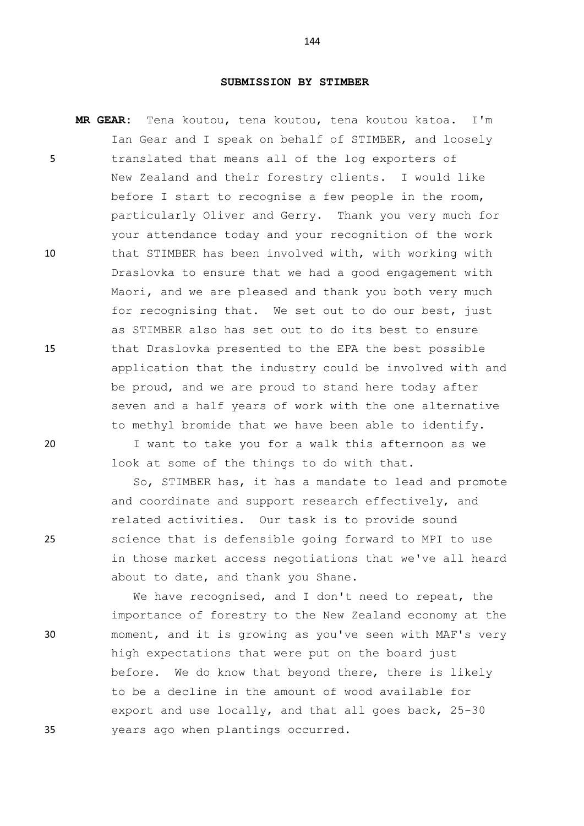## **SUBMISSION BY STIMBER**

**MR GEAR:** Tena koutou, tena koutou, tena koutou katoa. I'm Ian Gear and I speak on behalf of STIMBER, and loosely 5 translated that means all of the log exporters of New Zealand and their forestry clients. I would like before I start to recognise a few people in the room, particularly Oliver and Gerry. Thank you very much for your attendance today and your recognition of the work 10 that STIMBER has been involved with, with working with Draslovka to ensure that we had a good engagement with Maori, and we are pleased and thank you both very much for recognising that. We set out to do our best, just as STIMBER also has set out to do its best to ensure 15 that Draslovka presented to the EPA the best possible application that the industry could be involved with and be proud, and we are proud to stand here today after seven and a half years of work with the one alternative to methyl bromide that we have been able to identify.

20 I want to take you for a walk this afternoon as we look at some of the things to do with that.

So, STIMBER has, it has a mandate to lead and promote and coordinate and support research effectively, and related activities. Our task is to provide sound 25 science that is defensible going forward to MPI to use in those market access negotiations that we've all heard about to date, and thank you Shane.

We have recognised, and I don't need to repeat, the importance of forestry to the New Zealand economy at the 30 moment, and it is growing as you've seen with MAF's very high expectations that were put on the board just before. We do know that beyond there, there is likely to be a decline in the amount of wood available for export and use locally, and that all goes back, 25-30 35 years ago when plantings occurred.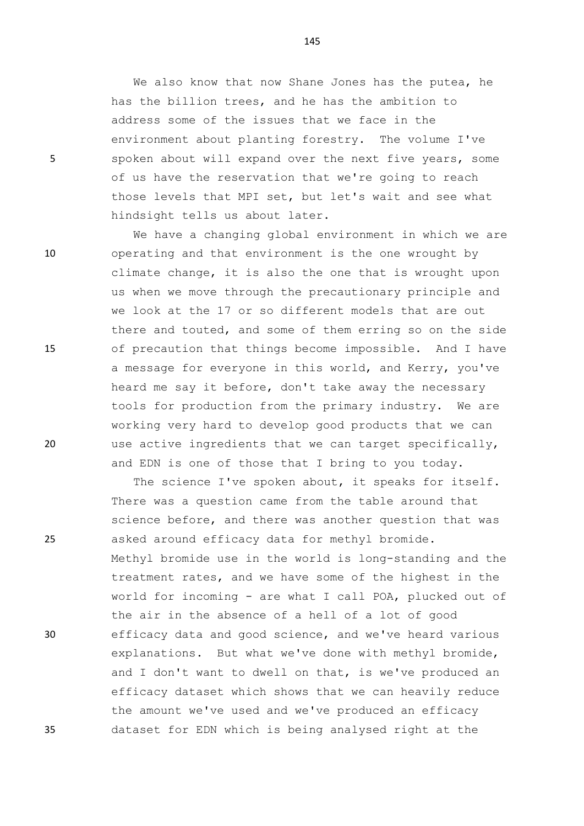We also know that now Shane Jones has the putea, he has the billion trees, and he has the ambition to address some of the issues that we face in the environment about planting forestry. The volume I've 5 spoken about will expand over the next five years, some of us have the reservation that we're going to reach those levels that MPI set, but let's wait and see what hindsight tells us about later.

We have a changing global environment in which we are 10 operating and that environment is the one wrought by climate change, it is also the one that is wrought upon us when we move through the precautionary principle and we look at the 17 or so different models that are out there and touted, and some of them erring so on the side 15 of precaution that things become impossible. And I have a message for everyone in this world, and Kerry, you've heard me say it before, don't take away the necessary tools for production from the primary industry. We are working very hard to develop good products that we can 20 use active ingredients that we can target specifically, and EDN is one of those that I bring to you today.

The science I've spoken about, it speaks for itself. There was a question came from the table around that science before, and there was another question that was 25 asked around efficacy data for methyl bromide. Methyl bromide use in the world is long-standing and the treatment rates, and we have some of the highest in the world for incoming - are what I call POA, plucked out of the air in the absence of a hell of a lot of good 30 efficacy data and good science, and we've heard various explanations. But what we've done with methyl bromide, and I don't want to dwell on that, is we've produced an efficacy dataset which shows that we can heavily reduce the amount we've used and we've produced an efficacy 35 dataset for EDN which is being analysed right at the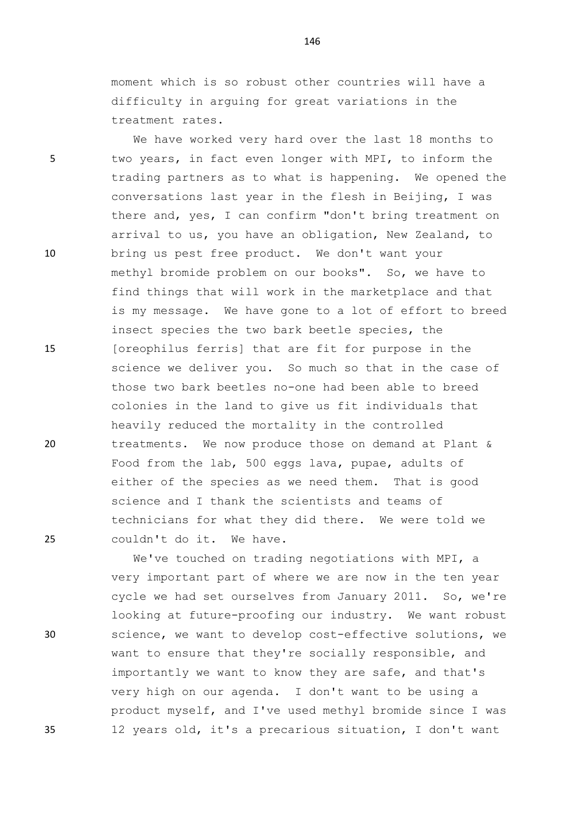moment which is so robust other countries will have a difficulty in arguing for great variations in the treatment rates.

We have worked very hard over the last 18 months to 5 two years, in fact even longer with MPI, to inform the trading partners as to what is happening. We opened the conversations last year in the flesh in Beijing, I was there and, yes, I can confirm "don't bring treatment on arrival to us, you have an obligation, New Zealand, to 10 bring us pest free product. We don't want your methyl bromide problem on our books". So, we have to find things that will work in the marketplace and that is my message. We have gone to a lot of effort to breed insect species the two bark beetle species, the 15 [oreophilus ferris] that are fit for purpose in the science we deliver you. So much so that in the case of those two bark beetles no-one had been able to breed colonies in the land to give us fit individuals that heavily reduced the mortality in the controlled 20 treatments. We now produce those on demand at Plant & Food from the lab, 500 eggs lava, pupae, adults of either of the species as we need them. That is good science and I thank the scientists and teams of technicians for what they did there. We were told we 25 couldn't do it. We have.

We've touched on trading negotiations with MPI, a very important part of where we are now in the ten year cycle we had set ourselves from January 2011. So, we're looking at future-proofing our industry. We want robust 30 science, we want to develop cost-effective solutions, we want to ensure that they're socially responsible, and importantly we want to know they are safe, and that's very high on our agenda. I don't want to be using a product myself, and I've used methyl bromide since I was 35 12 years old, it's a precarious situation, I don't want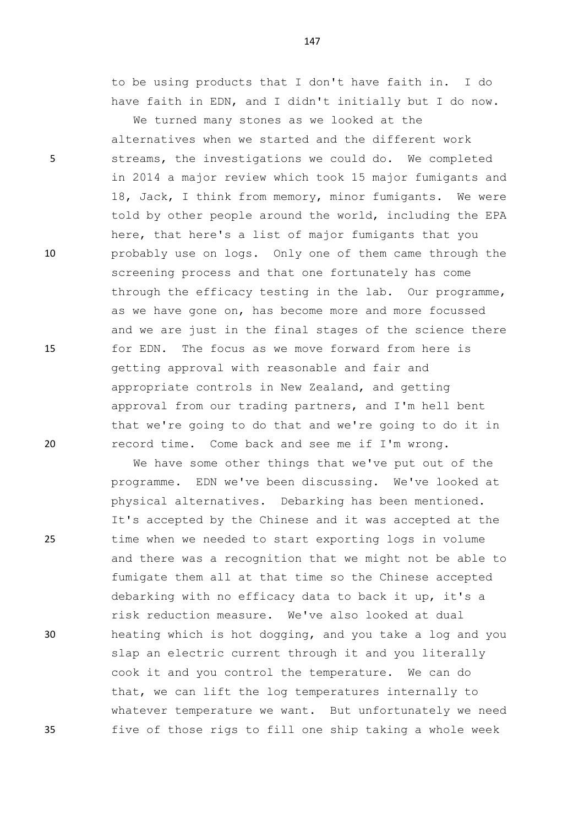to be using products that I don't have faith in. I do have faith in EDN, and I didn't initially but I do now.

We turned many stones as we looked at the alternatives when we started and the different work 5 streams, the investigations we could do. We completed in 2014 a major review which took 15 major fumigants and 18, Jack, I think from memory, minor fumigants. We were told by other people around the world, including the EPA here, that here's a list of major fumigants that you 10 probably use on logs. Only one of them came through the screening process and that one fortunately has come through the efficacy testing in the lab. Our programme, as we have gone on, has become more and more focussed and we are just in the final stages of the science there 15 for EDN. The focus as we move forward from here is getting approval with reasonable and fair and appropriate controls in New Zealand, and getting approval from our trading partners, and I'm hell bent that we're going to do that and we're going to do it in 20 record time. Come back and see me if I'm wrong.

We have some other things that we've put out of the programme. EDN we've been discussing. We've looked at physical alternatives. Debarking has been mentioned. It's accepted by the Chinese and it was accepted at the 25 time when we needed to start exporting logs in volume and there was a recognition that we might not be able to fumigate them all at that time so the Chinese accepted debarking with no efficacy data to back it up, it's a risk reduction measure. We've also looked at dual 30 heating which is hot dogging, and you take a log and you slap an electric current through it and you literally cook it and you control the temperature. We can do that, we can lift the log temperatures internally to whatever temperature we want. But unfortunately we need 35 five of those rigs to fill one ship taking a whole week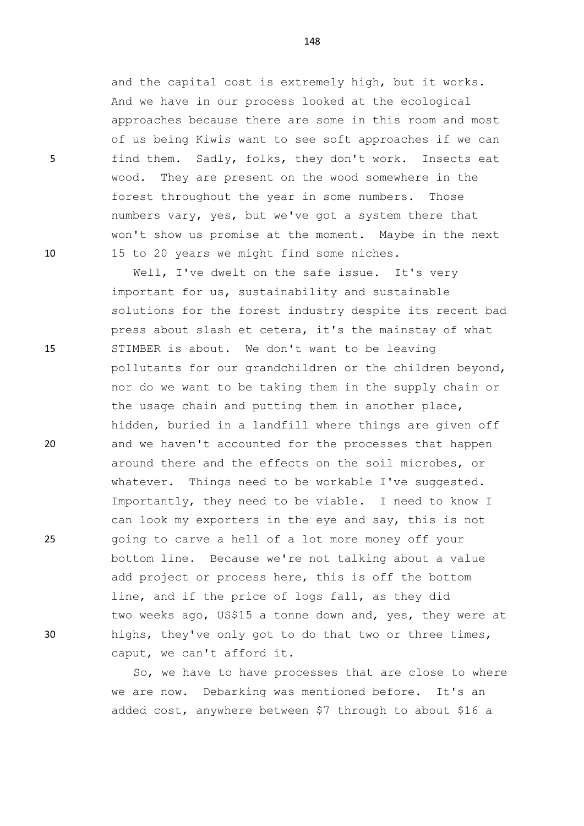and the capital cost is extremely high, but it works. And we have in our process looked at the ecological approaches because there are some in this room and most of us being Kiwis want to see soft approaches if we can 5 find them. Sadly, folks, they don't work. Insects eat wood. They are present on the wood somewhere in the forest throughout the year in some numbers. Those numbers vary, yes, but we've got a system there that won't show us promise at the moment. Maybe in the next 10 15 to 20 years we might find some niches.

Well, I've dwelt on the safe issue. It's very important for us, sustainability and sustainable solutions for the forest industry despite its recent bad press about slash et cetera, it's the mainstay of what 15 STIMBER is about. We don't want to be leaving pollutants for our grandchildren or the children beyond, nor do we want to be taking them in the supply chain or the usage chain and putting them in another place, hidden, buried in a landfill where things are given off 20 and we haven't accounted for the processes that happen around there and the effects on the soil microbes, or whatever. Things need to be workable I've suggested. Importantly, they need to be viable. I need to know I can look my exporters in the eye and say, this is not 25 going to carve a hell of a lot more money off your bottom line. Because we're not talking about a value add project or process here, this is off the bottom line, and if the price of logs fall, as they did two weeks ago, US\$15 a tonne down and, yes, they were at 30 highs, they've only got to do that two or three times, caput, we can't afford it.

> So, we have to have processes that are close to where we are now. Debarking was mentioned before. It's an added cost, anywhere between \$7 through to about \$16 a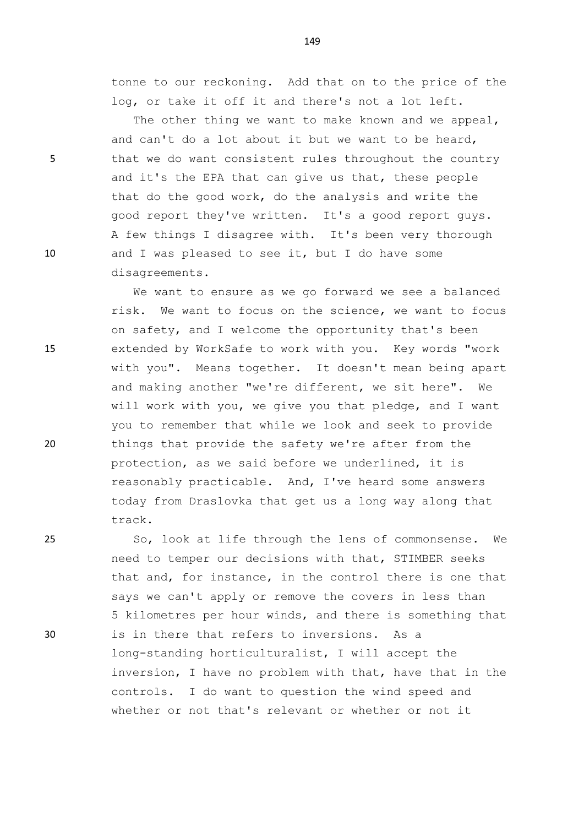tonne to our reckoning. Add that on to the price of the log, or take it off it and there's not a lot left.

The other thing we want to make known and we appeal, and can't do a lot about it but we want to be heard, 5 that we do want consistent rules throughout the country and it's the EPA that can give us that, these people that do the good work, do the analysis and write the good report they've written. It's a good report guys. A few things I disagree with. It's been very thorough 10 and I was pleased to see it, but I do have some disagreements.

We want to ensure as we go forward we see a balanced risk. We want to focus on the science, we want to focus on safety, and I welcome the opportunity that's been 15 extended by WorkSafe to work with you. Key words "work with you". Means together. It doesn't mean being apart and making another "we're different, we sit here". We will work with you, we give you that pledge, and I want you to remember that while we look and seek to provide 20 things that provide the safety we're after from the protection, as we said before we underlined, it is reasonably practicable. And, I've heard some answers today from Draslovka that get us a long way along that track.

25 So, look at life through the lens of commonsense. We need to temper our decisions with that, STIMBER seeks that and, for instance, in the control there is one that says we can't apply or remove the covers in less than 5 kilometres per hour winds, and there is something that 30 is in there that refers to inversions. As a long-standing horticulturalist, I will accept the inversion, I have no problem with that, have that in the controls. I do want to question the wind speed and whether or not that's relevant or whether or not it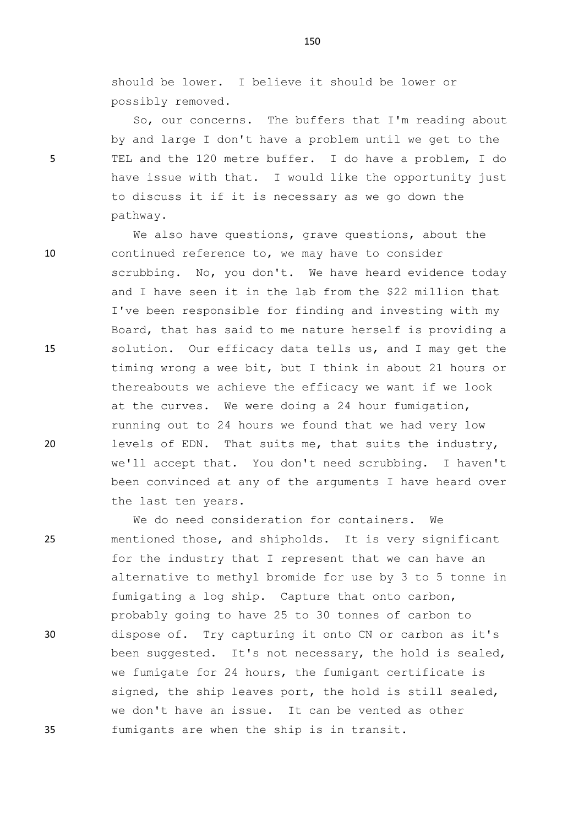should be lower. I believe it should be lower or possibly removed.

So, our concerns. The buffers that I'm reading about by and large I don't have a problem until we get to the 5 TEL and the 120 metre buffer. I do have a problem, I do have issue with that. I would like the opportunity just to discuss it if it is necessary as we go down the pathway.

We also have questions, grave questions, about the 10 continued reference to, we may have to consider scrubbing. No, you don't. We have heard evidence today and I have seen it in the lab from the \$22 million that I've been responsible for finding and investing with my Board, that has said to me nature herself is providing a 15 solution. Our efficacy data tells us, and I may get the timing wrong a wee bit, but I think in about 21 hours or thereabouts we achieve the efficacy we want if we look at the curves. We were doing a 24 hour fumigation, running out to 24 hours we found that we had very low 20 levels of EDN. That suits me, that suits the industry, we'll accept that. You don't need scrubbing. I haven't been convinced at any of the arguments I have heard over the last ten years.

We do need consideration for containers. We 25 mentioned those, and shipholds. It is very significant for the industry that I represent that we can have an alternative to methyl bromide for use by 3 to 5 tonne in fumigating a log ship. Capture that onto carbon, probably going to have 25 to 30 tonnes of carbon to 30 dispose of. Try capturing it onto CN or carbon as it's been suggested. It's not necessary, the hold is sealed, we fumigate for 24 hours, the fumigant certificate is signed, the ship leaves port, the hold is still sealed, we don't have an issue. It can be vented as other 35 fumigants are when the ship is in transit.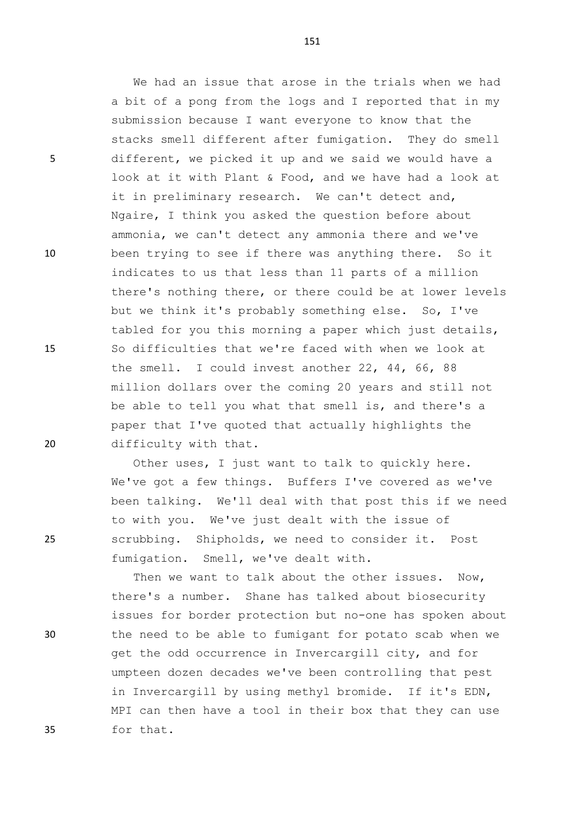We had an issue that arose in the trials when we had a bit of a pong from the logs and I reported that in my submission because I want everyone to know that the stacks smell different after fumigation. They do smell 5 different, we picked it up and we said we would have a look at it with Plant & Food, and we have had a look at it in preliminary research. We can't detect and, Ngaire, I think you asked the question before about ammonia, we can't detect any ammonia there and we've 10 been trying to see if there was anything there. So it indicates to us that less than 11 parts of a million there's nothing there, or there could be at lower levels but we think it's probably something else. So, I've tabled for you this morning a paper which just details, 15 So difficulties that we're faced with when we look at the smell. I could invest another 22, 44, 66, 88 million dollars over the coming 20 years and still not be able to tell you what that smell is, and there's a paper that I've quoted that actually highlights the 20 difficulty with that.

Other uses, I just want to talk to quickly here. We've got a few things. Buffers I've covered as we've been talking. We'll deal with that post this if we need to with you. We've just dealt with the issue of 25 scrubbing. Shipholds, we need to consider it. Post fumigation. Smell, we've dealt with.

Then we want to talk about the other issues. Now, there's a number. Shane has talked about biosecurity issues for border protection but no-one has spoken about 30 the need to be able to fumigant for potato scab when we get the odd occurrence in Invercargill city, and for umpteen dozen decades we've been controlling that pest in Invercargill by using methyl bromide. If it's EDN, MPI can then have a tool in their box that they can use 35 for that.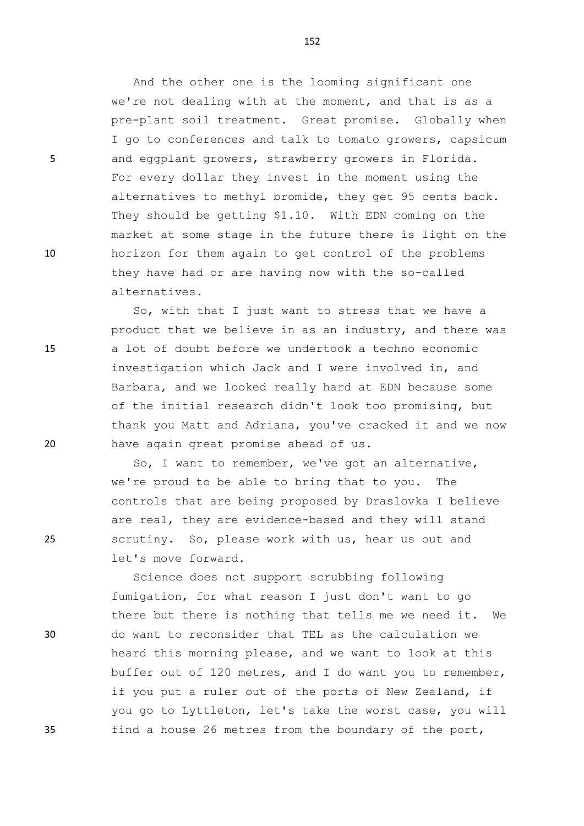And the other one is the looming significant one we're not dealing with at the moment, and that is as a pre-plant soil treatment. Great promise. Globally when I go to conferences and talk to tomato growers, capsicum 5 and eggplant growers, strawberry growers in Florida. For every dollar they invest in the moment using the alternatives to methyl bromide, they get 95 cents back. They should be getting \$1.10. With EDN coming on the market at some stage in the future there is light on the 10 horizon for them again to get control of the problems they have had or are having now with the so-called alternatives.

So, with that I just want to stress that we have a product that we believe in as an industry, and there was 15 a lot of doubt before we undertook a techno economic investigation which Jack and I were involved in, and Barbara, and we looked really hard at EDN because some of the initial research didn't look too promising, but thank you Matt and Adriana, you've cracked it and we now 20 have again great promise ahead of us.

So, I want to remember, we've got an alternative, we're proud to be able to bring that to you. The controls that are being proposed by Draslovka I believe are real, they are evidence-based and they will stand 25 scrutiny. So, please work with us, hear us out and let's move forward.

Science does not support scrubbing following fumigation, for what reason I just don't want to go there but there is nothing that tells me we need it. We 30 do want to reconsider that TEL as the calculation we heard this morning please, and we want to look at this buffer out of 120 metres, and I do want you to remember, if you put a ruler out of the ports of New Zealand, if you go to Lyttleton, let's take the worst case, you will 35 find a house 26 metres from the boundary of the port,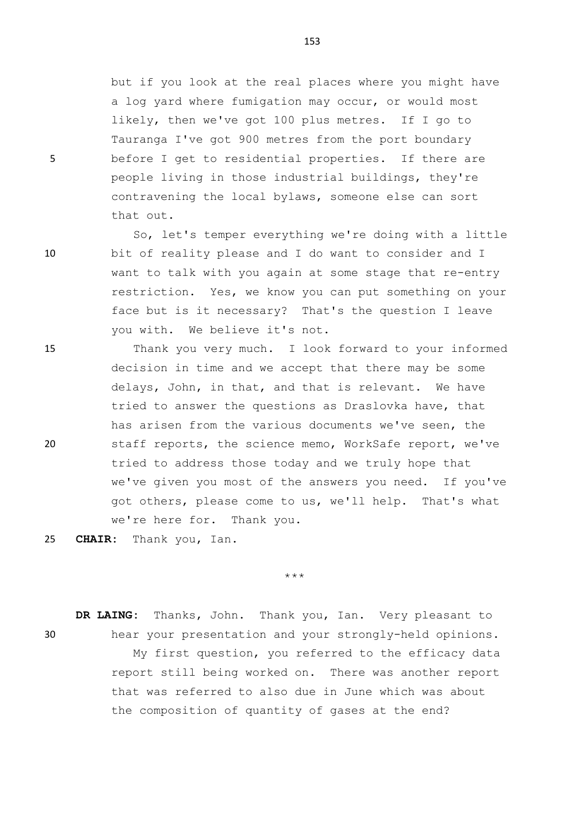but if you look at the real places where you might have a log yard where fumigation may occur, or would most likely, then we've got 100 plus metres. If I go to Tauranga I've got 900 metres from the port boundary 5 before I get to residential properties. If there are people living in those industrial buildings, they're contravening the local bylaws, someone else can sort that out.

So, let's temper everything we're doing with a little 10 bit of reality please and I do want to consider and I want to talk with you again at some stage that re-entry restriction. Yes, we know you can put something on your face but is it necessary? That's the question I leave you with. We believe it's not.

15 Thank you very much. I look forward to your informed decision in time and we accept that there may be some delays, John, in that, and that is relevant. We have tried to answer the questions as Draslovka have, that has arisen from the various documents we've seen, the 20 staff reports, the science memo, WorkSafe report, we've tried to address those today and we truly hope that we've given you most of the answers you need. If you've got others, please come to us, we'll help. That's what we're here for. Thank you.

25 **CHAIR:** Thank you, Ian.

\*\*\*

**DR LAING:** Thanks, John. Thank you, Ian. Very pleasant to 30 hear your presentation and your strongly-held opinions. My first question, you referred to the efficacy data report still being worked on. There was another report that was referred to also due in June which was about the composition of quantity of gases at the end?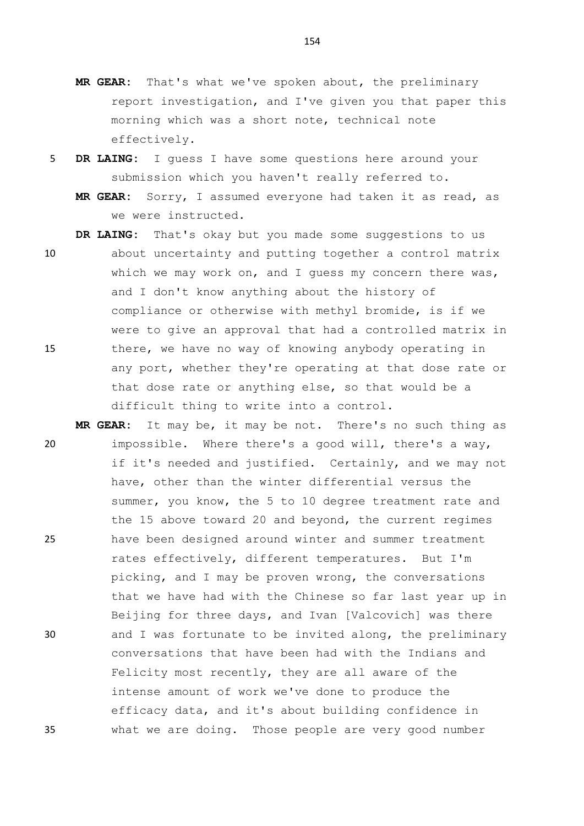- **MR GEAR:** That's what we've spoken about, the preliminary report investigation, and I've given you that paper this morning which was a short note, technical note effectively.
- 5 **DR LAING:** I guess I have some questions here around your submission which you haven't really referred to.
	- **MR GEAR:** Sorry, I assumed everyone had taken it as read, as we were instructed.

**DR LAING:** That's okay but you made some suggestions to us

- 10 about uncertainty and putting together a control matrix which we may work on, and I quess my concern there was, and I don't know anything about the history of compliance or otherwise with methyl bromide, is if we were to give an approval that had a controlled matrix in 15 there, we have no way of knowing anybody operating in any port, whether they're operating at that dose rate or that dose rate or anything else, so that would be a difficult thing to write into a control.
- **MR GEAR:** It may be, it may be not. There's no such thing as 20 impossible. Where there's a good will, there's a way, if it's needed and justified. Certainly, and we may not have, other than the winter differential versus the summer, you know, the 5 to 10 degree treatment rate and the 15 above toward 20 and beyond, the current regimes 25 have been designed around winter and summer treatment rates effectively, different temperatures. But I'm picking, and I may be proven wrong, the conversations that we have had with the Chinese so far last year up in Beijing for three days, and Ivan [Valcovich] was there 30 and I was fortunate to be invited along, the preliminary conversations that have been had with the Indians and Felicity most recently, they are all aware of the intense amount of work we've done to produce the efficacy data, and it's about building confidence in 35 what we are doing. Those people are very good number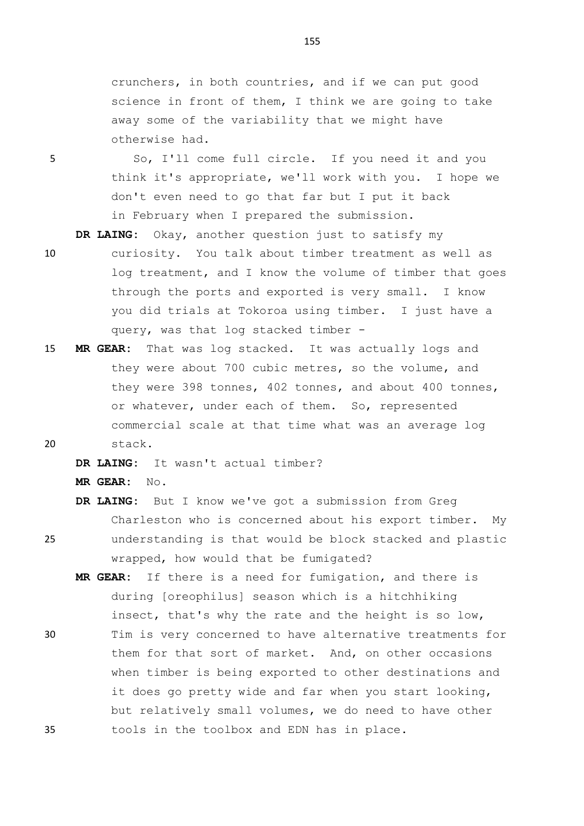crunchers, in both countries, and if we can put good science in front of them, I think we are going to take away some of the variability that we might have otherwise had.

5 So, I'll come full circle. If you need it and you think it's appropriate, we'll work with you. I hope we don't even need to go that far but I put it back in February when I prepared the submission.

**DR LAING:** Okay, another question just to satisfy my

- 10 curiosity. You talk about timber treatment as well as log treatment, and I know the volume of timber that goes through the ports and exported is very small. I know you did trials at Tokoroa using timber. I just have a query, was that log stacked timber -
- 15 **MR GEAR:** That was log stacked. It was actually logs and they were about 700 cubic metres, so the volume, and they were 398 tonnes, 402 tonnes, and about 400 tonnes, or whatever, under each of them. So, represented commercial scale at that time what was an average log 20 stack.

**DR LAING:** It wasn't actual timber?

**MR GEAR:** No.

- **DR LAING:** But I know we've got a submission from Greg Charleston who is concerned about his export timber. My 25 understanding is that would be block stacked and plastic wrapped, how would that be fumigated?
- **MR GEAR:** If there is a need for fumigation, and there is during [oreophilus] season which is a hitchhiking insect, that's why the rate and the height is so low, 30 Tim is very concerned to have alternative treatments for
- them for that sort of market. And, on other occasions when timber is being exported to other destinations and it does go pretty wide and far when you start looking, but relatively small volumes, we do need to have other 35 tools in the toolbox and EDN has in place.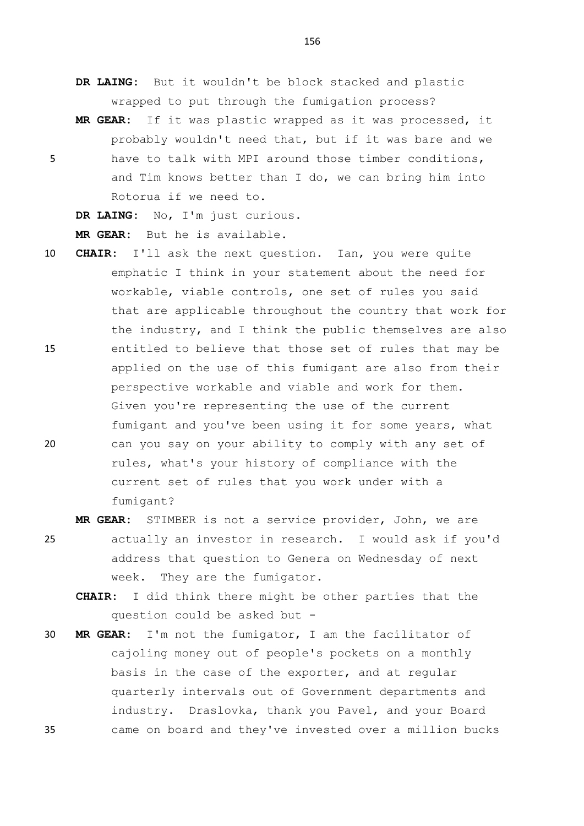**DR LAING:** But it wouldn't be block stacked and plastic wrapped to put through the fumigation process?

**MR GEAR:** If it was plastic wrapped as it was processed, it probably wouldn't need that, but if it was bare and we 5 have to talk with MPI around those timber conditions, and Tim knows better than I do, we can bring him into Rotorua if we need to.

**DR LAING:** No, I'm just curious.

**MR GEAR:** But he is available.

- 10 **CHAIR:** I'll ask the next question. Ian, you were quite emphatic I think in your statement about the need for workable, viable controls, one set of rules you said that are applicable throughout the country that work for the industry, and I think the public themselves are also 15 entitled to believe that those set of rules that may be applied on the use of this fumigant are also from their perspective workable and viable and work for them. Given you're representing the use of the current fumigant and you've been using it for some years, what 20 can you say on your ability to comply with any set of rules, what's your history of compliance with the current set of rules that you work under with a fumigant?
- **MR GEAR:** STIMBER is not a service provider, John, we are 25 actually an investor in research. I would ask if you'd address that question to Genera on Wednesday of next week. They are the fumigator.
	- **CHAIR:** I did think there might be other parties that the question could be asked but -
- 30 **MR GEAR:** I'm not the fumigator, I am the facilitator of cajoling money out of people's pockets on a monthly basis in the case of the exporter, and at regular quarterly intervals out of Government departments and industry. Draslovka, thank you Pavel, and your Board 35 came on board and they've invested over a million bucks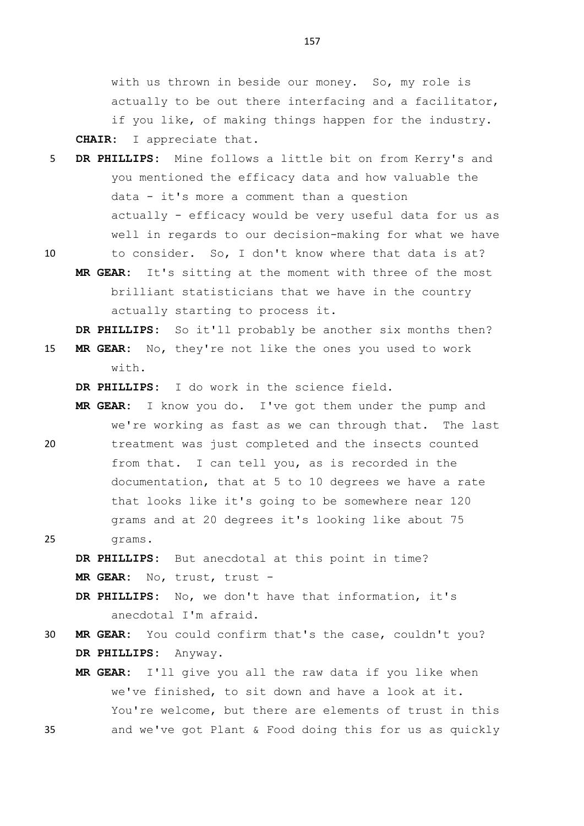with us thrown in beside our money. So, my role is actually to be out there interfacing and a facilitator, if you like, of making things happen for the industry. **CHAIR:** I appreciate that.

- 5 **DR PHILLIPS:** Mine follows a little bit on from Kerry's and you mentioned the efficacy data and how valuable the data - it's more a comment than a question actually - efficacy would be very useful data for us as well in regards to our decision-making for what we have
- 10 to consider. So, I don't know where that data is at? **MR GEAR:** It's sitting at the moment with three of the most brilliant statisticians that we have in the country

**DR PHILLIPS:** So it'll probably be another six months then?

15 **MR GEAR:** No, they're not like the ones you used to work  $w \text{ i}$  th.

**DR PHILLIPS:** I do work in the science field.

actually starting to process it.

**MR GEAR:** I know you do. I've got them under the pump and we're working as fast as we can through that. The last 20 treatment was just completed and the insects counted from that. I can tell you, as is recorded in the documentation, that at 5 to 10 degrees we have a rate that looks like it's going to be somewhere near 120 grams and at 20 degrees it's looking like about 75

25 grams.

**DR PHILLIPS:** But anecdotal at this point in time? **MR GEAR:** No, trust, trust -

- **DR PHILLIPS:** No, we don't have that information, it's anecdotal I'm afraid.
- 30 **MR GEAR:** You could confirm that's the case, couldn't you? **DR PHILLIPS:** Anyway.
- **MR GEAR:** I'll give you all the raw data if you like when we've finished, to sit down and have a look at it. You're welcome, but there are elements of trust in this 35 and we've got Plant & Food doing this for us as quickly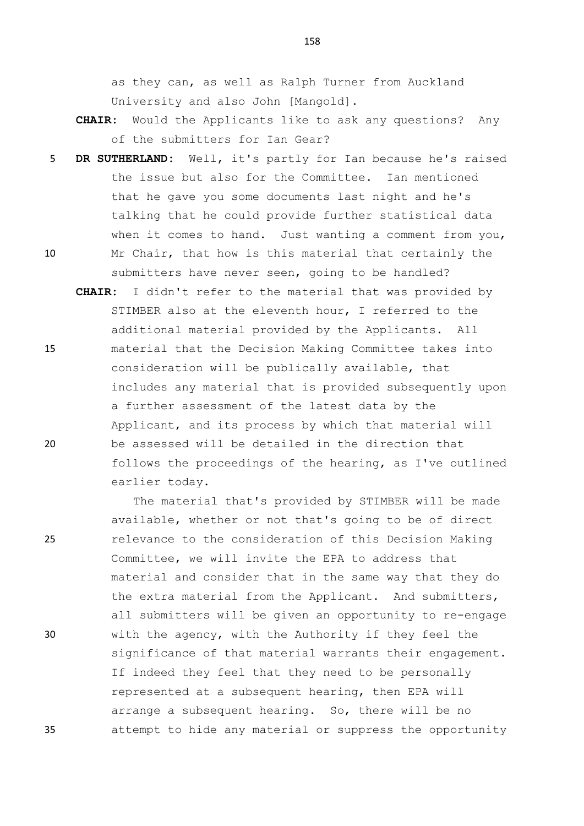as they can, as well as Ralph Turner from Auckland University and also John [Mangold].

- **CHAIR:** Would the Applicants like to ask any questions? Any of the submitters for Ian Gear?
- 5 **DR SUTHERLAND:** Well, it's partly for Ian because he's raised the issue but also for the Committee. Ian mentioned that he gave you some documents last night and he's talking that he could provide further statistical data when it comes to hand. Just wanting a comment from you, 10 Mr Chair, that how is this material that certainly the

submitters have never seen, going to be handled?

**CHAIR:** I didn't refer to the material that was provided by STIMBER also at the eleventh hour, I referred to the additional material provided by the Applicants. All 15 material that the Decision Making Committee takes into consideration will be publically available, that includes any material that is provided subsequently upon a further assessment of the latest data by the Applicant, and its process by which that material will 20 be assessed will be detailed in the direction that follows the proceedings of the hearing, as I've outlined earlier today.

The material that's provided by STIMBER will be made available, whether or not that's going to be of direct 25 relevance to the consideration of this Decision Making Committee, we will invite the EPA to address that material and consider that in the same way that they do the extra material from the Applicant. And submitters, all submitters will be given an opportunity to re-engage 30 with the agency, with the Authority if they feel the significance of that material warrants their engagement. If indeed they feel that they need to be personally represented at a subsequent hearing, then EPA will arrange a subsequent hearing. So, there will be no 35 attempt to hide any material or suppress the opportunity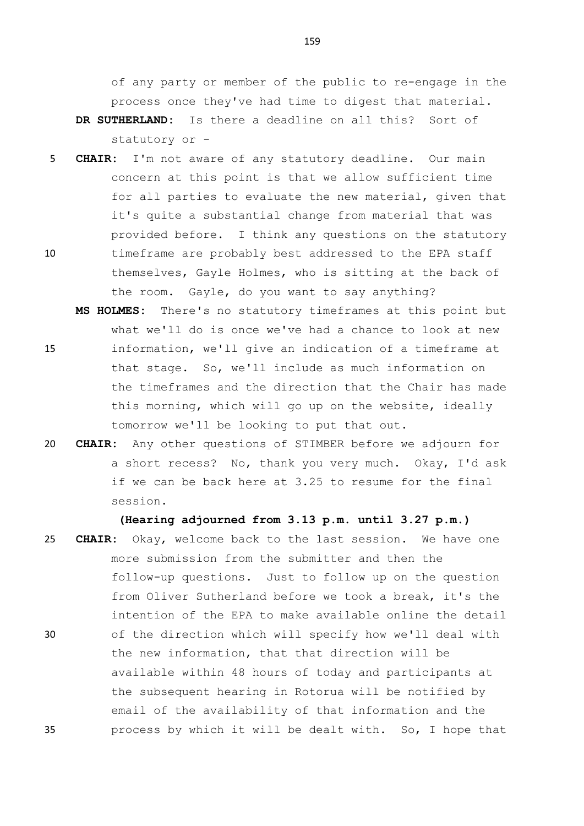of any party or member of the public to re-engage in the process once they've had time to digest that material.

- **DR SUTHERLAND:** Is there a deadline on all this? Sort of statutory or -
- 5 **CHAIR:** I'm not aware of any statutory deadline. Our main concern at this point is that we allow sufficient time for all parties to evaluate the new material, given that it's quite a substantial change from material that was provided before. I think any questions on the statutory 10 timeframe are probably best addressed to the EPA staff themselves, Gayle Holmes, who is sitting at the back of
- the room. Gayle, do you want to say anything? **MS HOLMES:** There's no statutory timeframes at this point but what we'll do is once we've had a chance to look at new 15 information, we'll give an indication of a timeframe at that stage. So, we'll include as much information on the timeframes and the direction that the Chair has made this morning, which will go up on the website, ideally tomorrow we'll be looking to put that out.
- 20 **CHAIR:** Any other questions of STIMBER before we adjourn for a short recess? No, thank you very much. Okay, I'd ask if we can be back here at 3.25 to resume for the final session.

**(Hearing adjourned from 3.13 p.m. until 3.27 p.m.)**

25 **CHAIR:** Okay, welcome back to the last session. We have one more submission from the submitter and then the follow-up questions. Just to follow up on the question from Oliver Sutherland before we took a break, it's the intention of the EPA to make available online the detail 30 of the direction which will specify how we'll deal with the new information, that that direction will be available within 48 hours of today and participants at the subsequent hearing in Rotorua will be notified by email of the availability of that information and the 35 process by which it will be dealt with. So, I hope that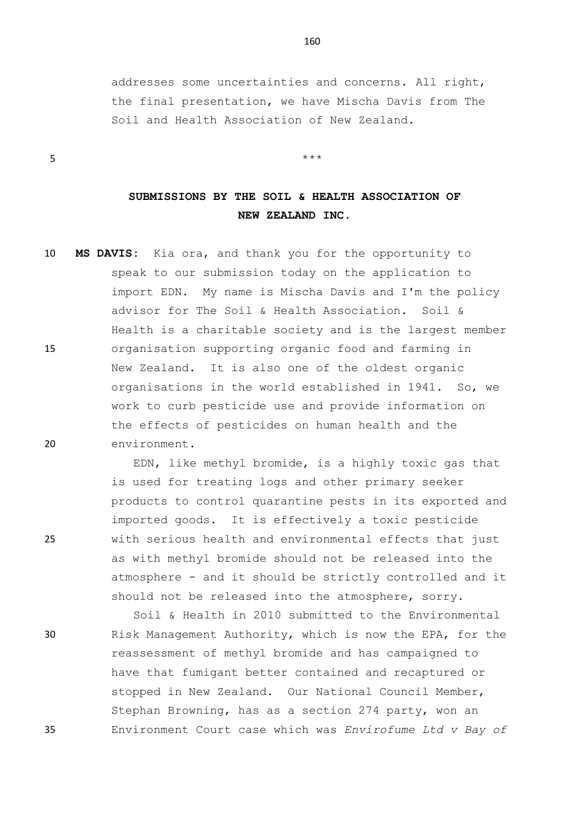addresses some uncertainties and concerns. All right, the final presentation, we have Mischa Davis from The Soil and Health Association of New Zealand.

 $5$  \*\*\*

## **SUBMISSIONS BY THE SOIL & HEALTH ASSOCIATION OF NEW ZEALAND INC.**

10 **MS DAVIS:** Kia ora, and thank you for the opportunity to speak to our submission today on the application to import EDN. My name is Mischa Davis and I'm the policy advisor for The Soil & Health Association. Soil & Health is a charitable society and is the largest member 15 organisation supporting organic food and farming in New Zealand. It is also one of the oldest organic organisations in the world established in 1941. So, we work to curb pesticide use and provide information on the effects of pesticides on human health and the 20 environment.

EDN, like methyl bromide, is a highly toxic gas that is used for treating logs and other primary seeker products to control quarantine pests in its exported and imported goods. It is effectively a toxic pesticide 25 with serious health and environmental effects that just as with methyl bromide should not be released into the atmosphere - and it should be strictly controlled and it should not be released into the atmosphere, sorry.

Soil & Health in 2010 submitted to the Environmental 30 Risk Management Authority, which is now the EPA, for the reassessment of methyl bromide and has campaigned to have that fumigant better contained and recaptured or stopped in New Zealand. Our National Council Member, Stephan Browning, has as a section 274 party, won an 35 Environment Court case which was *Envirofume Ltd v Bay of*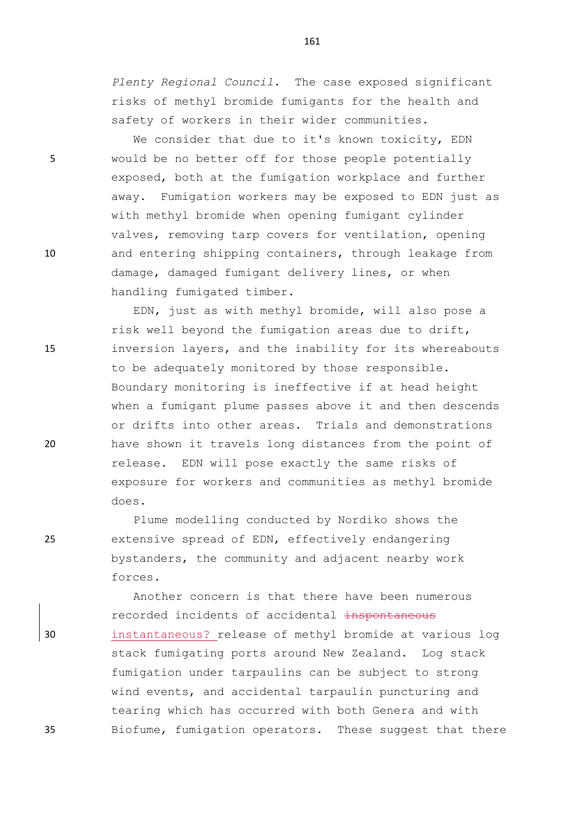*Plenty Regional Council*. The case exposed significant risks of methyl bromide fumigants for the health and safety of workers in their wider communities.

We consider that due to it's known toxicity, EDN 5 would be no better off for those people potentially exposed, both at the fumigation workplace and further away. Fumigation workers may be exposed to EDN just as with methyl bromide when opening fumigant cylinder valves, removing tarp covers for ventilation, opening 10 and entering shipping containers, through leakage from damage, damaged fumigant delivery lines, or when handling fumigated timber.

EDN, just as with methyl bromide, will also pose a risk well beyond the fumigation areas due to drift, 15 inversion layers, and the inability for its whereabouts to be adequately monitored by those responsible. Boundary monitoring is ineffective if at head height when a fumigant plume passes above it and then descends or drifts into other areas. Trials and demonstrations 20 have shown it travels long distances from the point of release. EDN will pose exactly the same risks of exposure for workers and communities as methyl bromide does.

Plume modelling conducted by Nordiko shows the 25 extensive spread of EDN, effectively endangering bystanders, the community and adjacent nearby work forces.

Another concern is that there have been numerous recorded incidents of accidental inspontaneous 30 instantaneous? release of methyl bromide at various log stack fumigating ports around New Zealand. Log stack fumigation under tarpaulins can be subject to strong wind events, and accidental tarpaulin puncturing and tearing which has occurred with both Genera and with 35 Biofume, fumigation operators. These suggest that there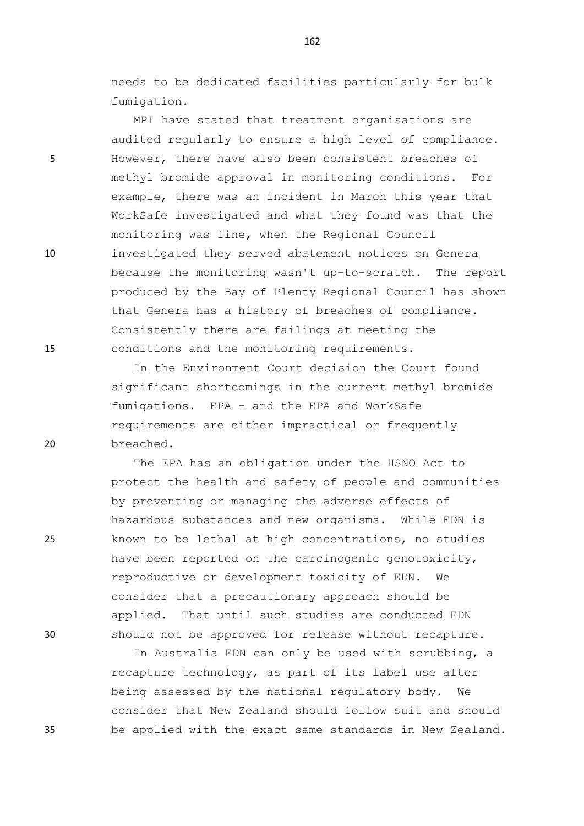needs to be dedicated facilities particularly for bulk fumigation.

MPI have stated that treatment organisations are audited regularly to ensure a high level of compliance. 5 However, there have also been consistent breaches of methyl bromide approval in monitoring conditions. For example, there was an incident in March this year that WorkSafe investigated and what they found was that the monitoring was fine, when the Regional Council 10 investigated they served abatement notices on Genera because the monitoring wasn't up-to-scratch. The report produced by the Bay of Plenty Regional Council has shown that Genera has a history of breaches of compliance. Consistently there are failings at meeting the 15 conditions and the monitoring requirements.

In the Environment Court decision the Court found significant shortcomings in the current methyl bromide fumigations. EPA - and the EPA and WorkSafe requirements are either impractical or frequently 20 breached.

The EPA has an obligation under the HSNO Act to protect the health and safety of people and communities by preventing or managing the adverse effects of hazardous substances and new organisms. While EDN is 25 known to be lethal at high concentrations, no studies have been reported on the carcinogenic genotoxicity, reproductive or development toxicity of EDN. We consider that a precautionary approach should be applied. That until such studies are conducted EDN 30 should not be approved for release without recapture.

In Australia EDN can only be used with scrubbing, a recapture technology, as part of its label use after being assessed by the national regulatory body. We consider that New Zealand should follow suit and should 35 be applied with the exact same standards in New Zealand.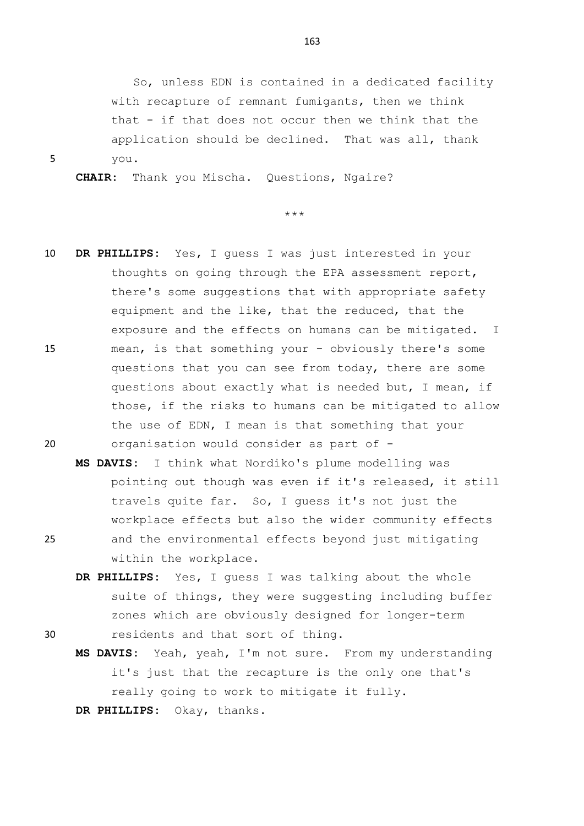So, unless EDN is contained in a dedicated facility with recapture of remnant fumigants, then we think that - if that does not occur then we think that the application should be declined. That was all, thank 5 you.

**CHAIR:** Thank you Mischa. Questions, Ngaire?

\*\*\*

- 10 **DR PHILLIPS:** Yes, I guess I was just interested in your thoughts on going through the EPA assessment report, there's some suggestions that with appropriate safety equipment and the like, that the reduced, that the exposure and the effects on humans can be mitigated. I 15 mean, is that something your - obviously there's some questions that you can see from today, there are some questions about exactly what is needed but, I mean, if those, if the risks to humans can be mitigated to allow the use of EDN, I mean is that something that your 20 organisation would consider as part of -
- **MS DAVIS:** I think what Nordiko's plume modelling was pointing out though was even if it's released, it still travels quite far. So, I guess it's not just the workplace effects but also the wider community effects 25 and the environmental effects beyond just mitigating within the workplace.
- **DR PHILLIPS:** Yes, I guess I was talking about the whole suite of things, they were suggesting including buffer zones which are obviously designed for longer-term 30 residents and that sort of thing.
	- **MS DAVIS:** Yeah, yeah, I'm not sure. From my understanding it's just that the recapture is the only one that's really going to work to mitigate it fully.

**DR PHILLIPS:** Okay, thanks.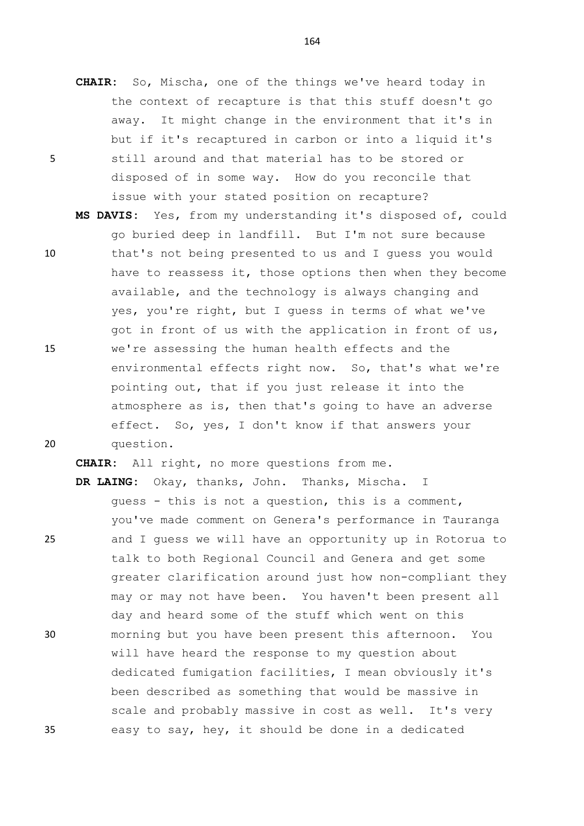- **CHAIR:** So, Mischa, one of the things we've heard today in the context of recapture is that this stuff doesn't go away. It might change in the environment that it's in but if it's recaptured in carbon or into a liquid it's 5 still around and that material has to be stored or disposed of in some way. How do you reconcile that issue with your stated position on recapture?
- **MS DAVIS:** Yes, from my understanding it's disposed of, could go buried deep in landfill. But I'm not sure because 10 that's not being presented to us and I guess you would have to reassess it, those options then when they become available, and the technology is always changing and yes, you're right, but I guess in terms of what we've got in front of us with the application in front of us, 15 we're assessing the human health effects and the environmental effects right now. So, that's what we're pointing out, that if you just release it into the atmosphere as is, then that's going to have an adverse effect. So, yes, I don't know if that answers your 20 question.

**CHAIR:** All right, no more questions from me.

**DR LAING:** Okay, thanks, John. Thanks, Mischa. I guess - this is not a question, this is a comment, you've made comment on Genera's performance in Tauranga 25 and I guess we will have an opportunity up in Rotorua to talk to both Regional Council and Genera and get some greater clarification around just how non-compliant they may or may not have been. You haven't been present all day and heard some of the stuff which went on this 30 morning but you have been present this afternoon. You will have heard the response to my question about dedicated fumigation facilities, I mean obviously it's been described as something that would be massive in scale and probably massive in cost as well. It's very 35 easy to say, hey, it should be done in a dedicated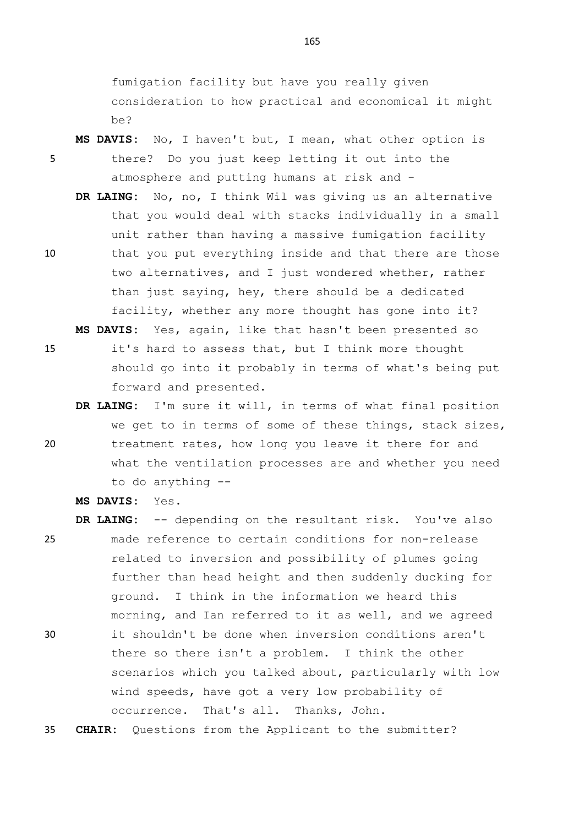fumigation facility but have you really given consideration to how practical and economical it might be?

- **MS DAVIS:** No, I haven't but, I mean, what other option is 5 there? Do you just keep letting it out into the atmosphere and putting humans at risk and -
- **DR LAING:** No, no, I think Wil was giving us an alternative that you would deal with stacks individually in a small unit rather than having a massive fumigation facility 10 that you put everything inside and that there are those two alternatives, and I just wondered whether, rather than just saying, hey, there should be a dedicated facility, whether any more thought has gone into it? **MS DAVIS:** Yes, again, like that hasn't been presented so
- 15 it's hard to assess that, but I think more thought should go into it probably in terms of what's being put forward and presented.
- **DR LAING:** I'm sure it will, in terms of what final position we get to in terms of some of these things, stack sizes, 20 treatment rates, how long you leave it there for and what the ventilation processes are and whether you need to do anything --

**MS DAVIS:** Yes.

- **DR LAING:** -- depending on the resultant risk. You've also 25 made reference to certain conditions for non-release related to inversion and possibility of plumes going further than head height and then suddenly ducking for ground. I think in the information we heard this morning, and Ian referred to it as well, and we agreed 30 it shouldn't be done when inversion conditions aren't there so there isn't a problem. I think the other scenarios which you talked about, particularly with low wind speeds, have got a very low probability of occurrence. That's all. Thanks, John.
- 35 **CHAIR:** Questions from the Applicant to the submitter?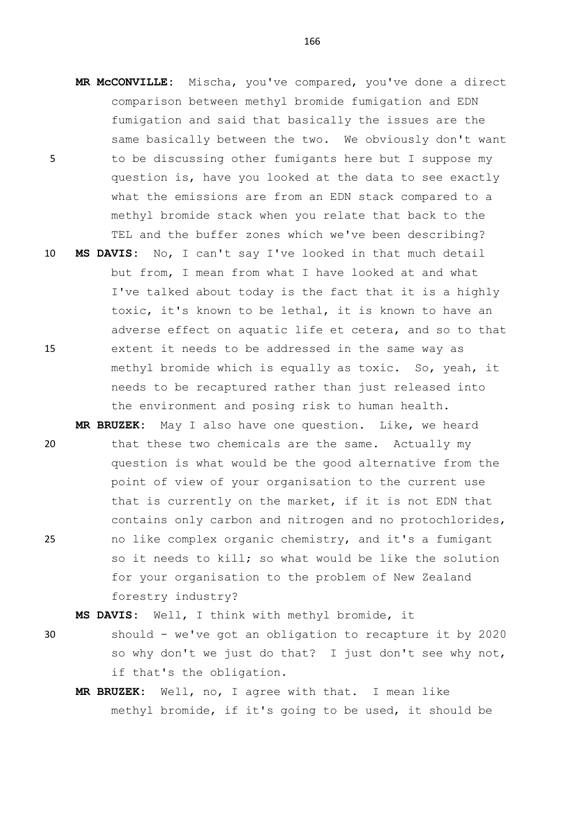- **MR McCONVILLE:** Mischa, you've compared, you've done a direct comparison between methyl bromide fumigation and EDN fumigation and said that basically the issues are the same basically between the two. We obviously don't want 5 to be discussing other fumigants here but I suppose my question is, have you looked at the data to see exactly what the emissions are from an EDN stack compared to a methyl bromide stack when you relate that back to the TEL and the buffer zones which we've been describing?
- 10 **MS DAVIS:** No, I can't say I've looked in that much detail but from, I mean from what I have looked at and what I've talked about today is the fact that it is a highly toxic, it's known to be lethal, it is known to have an adverse effect on aquatic life et cetera, and so to that 15 extent it needs to be addressed in the same way as methyl bromide which is equally as toxic. So, yeah, it needs to be recaptured rather than just released into the environment and posing risk to human health.
- **MR BRUZEK:** May I also have one question. Like, we heard 20 that these two chemicals are the same. Actually my question is what would be the good alternative from the point of view of your organisation to the current use that is currently on the market, if it is not EDN that contains only carbon and nitrogen and no protochlorides, 25 no like complex organic chemistry, and it's a fumigant so it needs to kill; so what would be like the solution for your organisation to the problem of New Zealand forestry industry?

**MS DAVIS:** Well, I think with methyl bromide, it

- 30 should we've got an obligation to recapture it by 2020 so why don't we just do that? I just don't see why not, if that's the obligation.
	- **MR BRUZEK:** Well, no, I agree with that. I mean like methyl bromide, if it's going to be used, it should be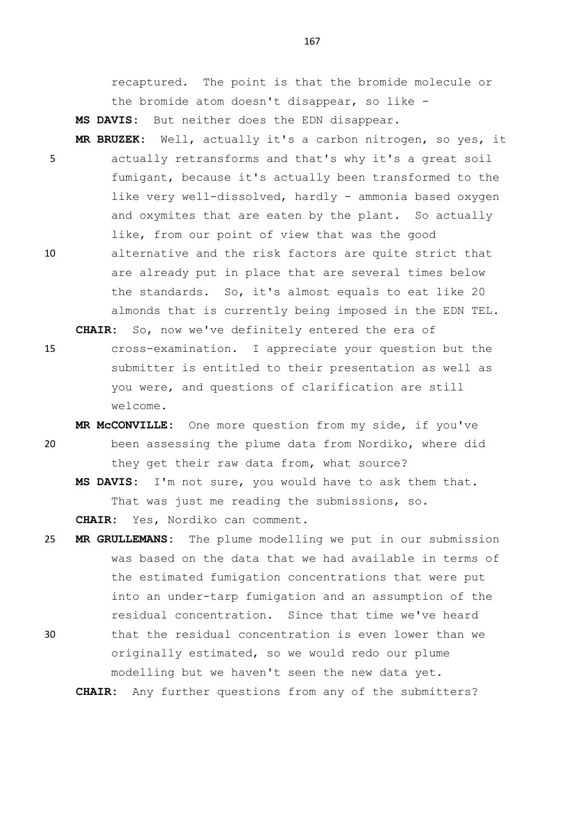recaptured. The point is that the bromide molecule or the bromide atom doesn't disappear, so like -

**MS DAVIS:** But neither does the EDN disappear.

- **MR BRUZEK:** Well, actually it's a carbon nitrogen, so yes, it 5 actually retransforms and that's why it's a great soil fumigant, because it's actually been transformed to the like very well-dissolved, hardly - ammonia based oxygen and oxymites that are eaten by the plant. So actually like, from our point of view that was the good
- 10 alternative and the risk factors are quite strict that are already put in place that are several times below the standards. So, it's almost equals to eat like 20 almonds that is currently being imposed in the EDN TEL.

**CHAIR:** So, now we've definitely entered the era of

- 15 cross-examination. I appreciate your question but the submitter is entitled to their presentation as well as you were, and questions of clarification are still welcome.
- **MR McCONVILLE:** One more question from my side, if you've 20 been assessing the plume data from Nordiko, where did they get their raw data from, what source?

**MS DAVIS:** I'm not sure, you would have to ask them that. That was just me reading the submissions, so. **CHAIR:** Yes, Nordiko can comment.

- 25 **MR GRULLEMANS:** The plume modelling we put in our submission was based on the data that we had available in terms of the estimated fumigation concentrations that were put into an under-tarp fumigation and an assumption of the residual concentration. Since that time we've heard
- 30 that the residual concentration is even lower than we originally estimated, so we would redo our plume modelling but we haven't seen the new data yet.

**CHAIR:** Any further questions from any of the submitters?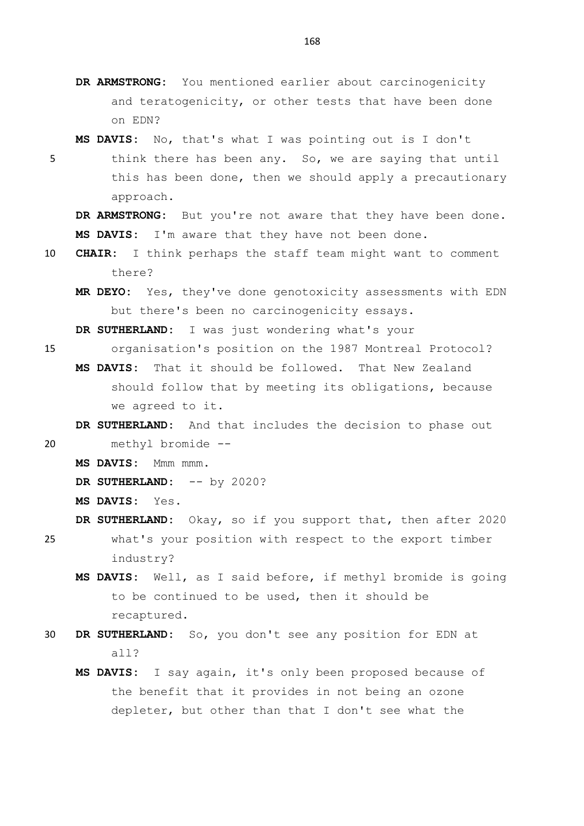**DR ARMSTRONG:** You mentioned earlier about carcinogenicity and teratogenicity, or other tests that have been done on EDN?

**MS DAVIS:** No, that's what I was pointing out is I don't

5 think there has been any. So, we are saying that until this has been done, then we should apply a precautionary approach.

**DR ARMSTRONG:** But you're not aware that they have been done. **MS DAVIS:** I'm aware that they have not been done.

- 10 **CHAIR:** I think perhaps the staff team might want to comment there?
	- **MR DEYO:** Yes, they've done genotoxicity assessments with EDN but there's been no carcinogenicity essays.

**DR SUTHERLAND:** I was just wondering what's your

- 15 organisation's position on the 1987 Montreal Protocol? **MS DAVIS:** That it should be followed. That New Zealand should follow that by meeting its obligations, because we agreed to it.
- **DR SUTHERLAND:** And that includes the decision to phase out 20 methyl bromide --
	- **MS DAVIS:** Mmm mmm.
	- DR SUTHERLAND:  $--$  by 2020?

**MS DAVIS:** Yes.

- **DR SUTHERLAND:** Okay, so if you support that, then after 2020 25 what's your position with respect to the export timber industry?
	- **MS DAVIS:** Well, as I said before, if methyl bromide is going to be continued to be used, then it should be recaptured.
- 30 **DR SUTHERLAND:** So, you don't see any position for EDN at all?
	- **MS DAVIS:** I say again, it's only been proposed because of the benefit that it provides in not being an ozone depleter, but other than that I don't see what the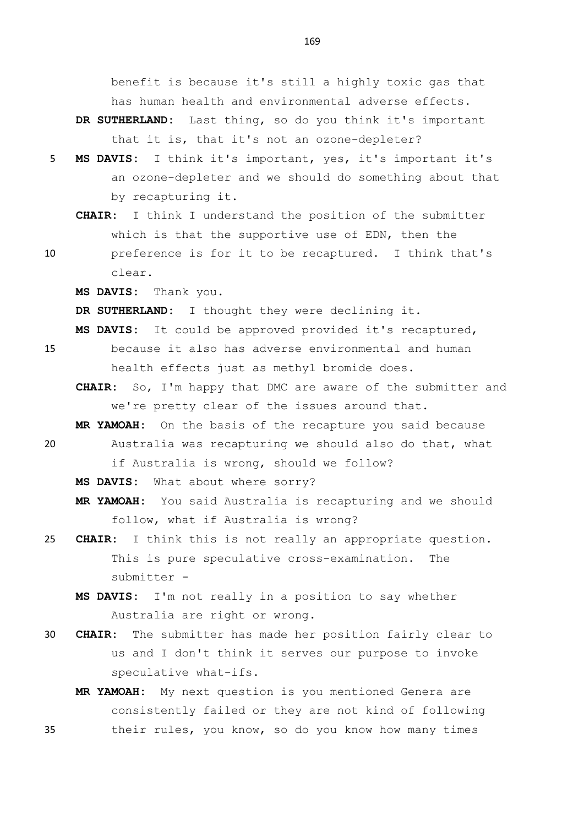benefit is because it's still a highly toxic gas that has human health and environmental adverse effects.

- **DR SUTHERLAND:** Last thing, so do you think it's important that it is, that it's not an ozone-depleter?
- 5 **MS DAVIS:** I think it's important, yes, it's important it's an ozone-depleter and we should do something about that by recapturing it.
	- **CHAIR:** I think I understand the position of the submitter which is that the supportive use of EDN, then the
- 10 preference is for it to be recaptured. I think that's clear.

**MS DAVIS:** Thank you.

**DR SUTHERLAND:** I thought they were declining it.

- **MS DAVIS:** It could be approved provided it's recaptured,
- 15 because it also has adverse environmental and human health effects just as methyl bromide does.
	- **CHAIR:** So, I'm happy that DMC are aware of the submitter and we're pretty clear of the issues around that.

**MR YAMOAH:** On the basis of the recapture you said because 20 Australia was recapturing we should also do that, what

if Australia is wrong, should we follow?

**MS DAVIS:** What about where sorry?

**MR YAMOAH:** You said Australia is recapturing and we should follow, what if Australia is wrong?

- 25 **CHAIR:** I think this is not really an appropriate question. This is pure speculative cross-examination. The submitter -
	- **MS DAVIS:** I'm not really in a position to say whether Australia are right or wrong.
- 30 **CHAIR:** The submitter has made her position fairly clear to us and I don't think it serves our purpose to invoke speculative what-ifs.
- **MR YAMOAH:** My next question is you mentioned Genera are consistently failed or they are not kind of following 35 their rules, you know, so do you know how many times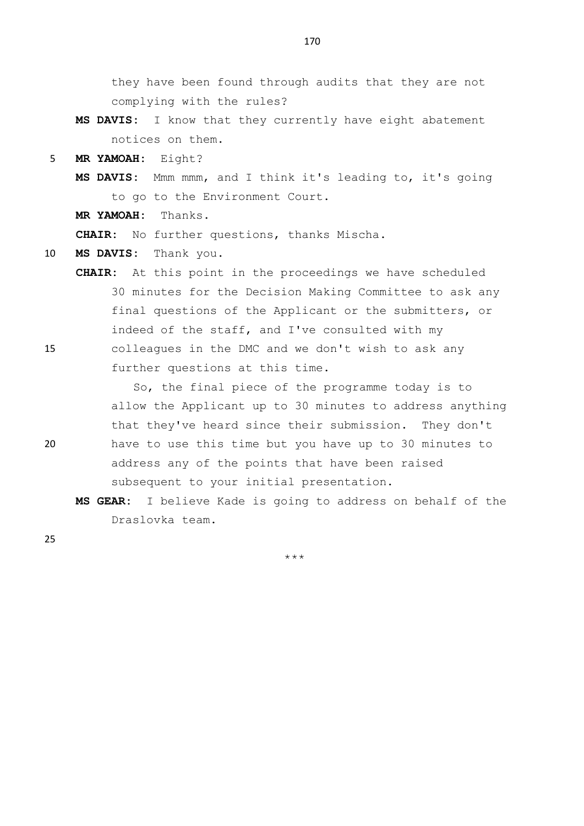they have been found through audits that they are not complying with the rules?

- **MS DAVIS:** I know that they currently have eight abatement notices on them.
- 5 **MR YAMOAH:** Eight?
	- **MS DAVIS:** Mmm mmm, and I think it's leading to, it's going to go to the Environment Court.
	- **MR YAMOAH:** Thanks.

**CHAIR:** No further questions, thanks Mischa.

- 10 **MS DAVIS:** Thank you.
- **CHAIR:** At this point in the proceedings we have scheduled 30 minutes for the Decision Making Committee to ask any final questions of the Applicant or the submitters, or indeed of the staff, and I've consulted with my 15 colleagues in the DMC and we don't wish to ask any further questions at this time.

So, the final piece of the programme today is to allow the Applicant up to 30 minutes to address anything that they've heard since their submission. They don't 20 have to use this time but you have up to 30 minutes to address any of the points that have been raised subsequent to your initial presentation.

**MS GEAR:** I believe Kade is going to address on behalf of the Draslovka team.

25

\*\*\*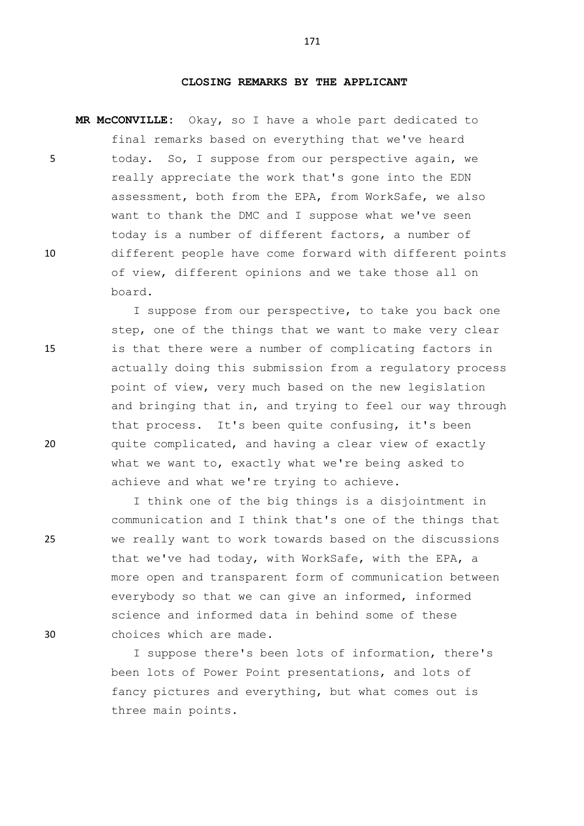## **CLOSING REMARKS BY THE APPLICANT**

**MR McCONVILLE:** Okay, so I have a whole part dedicated to final remarks based on everything that we've heard 5 today. So, I suppose from our perspective again, we really appreciate the work that's gone into the EDN assessment, both from the EPA, from WorkSafe, we also want to thank the DMC and I suppose what we've seen today is a number of different factors, a number of 10 different people have come forward with different points of view, different opinions and we take those all on board.

I suppose from our perspective, to take you back one step, one of the things that we want to make very clear 15 is that there were a number of complicating factors in actually doing this submission from a regulatory process point of view, very much based on the new legislation and bringing that in, and trying to feel our way through that process. It's been quite confusing, it's been 20 quite complicated, and having a clear view of exactly what we want to, exactly what we're being asked to achieve and what we're trying to achieve.

I think one of the big things is a disjointment in communication and I think that's one of the things that 25 we really want to work towards based on the discussions that we've had today, with WorkSafe, with the EPA, a more open and transparent form of communication between everybody so that we can give an informed, informed science and informed data in behind some of these 30 choices which are made.

> I suppose there's been lots of information, there's been lots of Power Point presentations, and lots of fancy pictures and everything, but what comes out is three main points.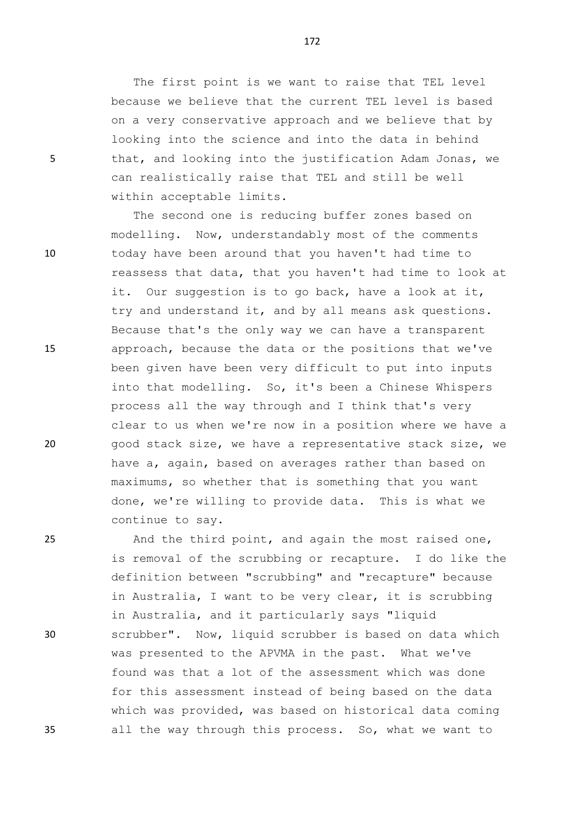The first point is we want to raise that TEL level because we believe that the current TEL level is based on a very conservative approach and we believe that by looking into the science and into the data in behind 5 that, and looking into the justification Adam Jonas, we can realistically raise that TEL and still be well within acceptable limits.

The second one is reducing buffer zones based on modelling. Now, understandably most of the comments 10 today have been around that you haven't had time to reassess that data, that you haven't had time to look at it. Our suggestion is to go back, have a look at it, try and understand it, and by all means ask questions. Because that's the only way we can have a transparent 15 approach, because the data or the positions that we've been given have been very difficult to put into inputs into that modelling. So, it's been a Chinese Whispers process all the way through and I think that's very clear to us when we're now in a position where we have a 20 good stack size, we have a representative stack size, we have a, again, based on averages rather than based on maximums, so whether that is something that you want done, we're willing to provide data. This is what we continue to say.

25 And the third point, and again the most raised one, is removal of the scrubbing or recapture. I do like the definition between "scrubbing" and "recapture" because in Australia, I want to be very clear, it is scrubbing in Australia, and it particularly says "liquid 30 scrubber". Now, liquid scrubber is based on data which was presented to the APVMA in the past. What we've found was that a lot of the assessment which was done for this assessment instead of being based on the data which was provided, was based on historical data coming 35 all the way through this process. So, what we want to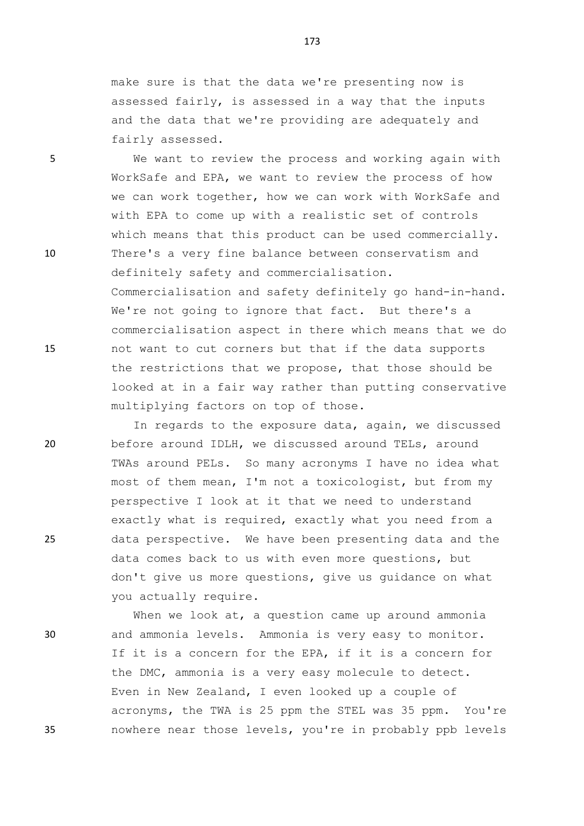make sure is that the data we're presenting now is assessed fairly, is assessed in a way that the inputs and the data that we're providing are adequately and fairly assessed.

5 We want to review the process and working again with WorkSafe and EPA, we want to review the process of how we can work together, how we can work with WorkSafe and with EPA to come up with a realistic set of controls which means that this product can be used commercially. 10 There's a very fine balance between conservatism and definitely safety and commercialisation. Commercialisation and safety definitely go hand-in-hand. We're not going to ignore that fact. But there's a commercialisation aspect in there which means that we do 15 not want to cut corners but that if the data supports the restrictions that we propose, that those should be looked at in a fair way rather than putting conservative multiplying factors on top of those.

In regards to the exposure data, again, we discussed 20 before around IDLH, we discussed around TELs, around TWAs around PELs. So many acronyms I have no idea what most of them mean, I'm not a toxicologist, but from my perspective I look at it that we need to understand exactly what is required, exactly what you need from a 25 data perspective. We have been presenting data and the data comes back to us with even more questions, but don't give us more questions, give us guidance on what you actually require.

When we look at, a question came up around ammonia 30 and ammonia levels. Ammonia is very easy to monitor. If it is a concern for the EPA, if it is a concern for the DMC, ammonia is a very easy molecule to detect. Even in New Zealand, I even looked up a couple of acronyms, the TWA is 25 ppm the STEL was 35 ppm. You're 35 nowhere near those levels, you're in probably ppb levels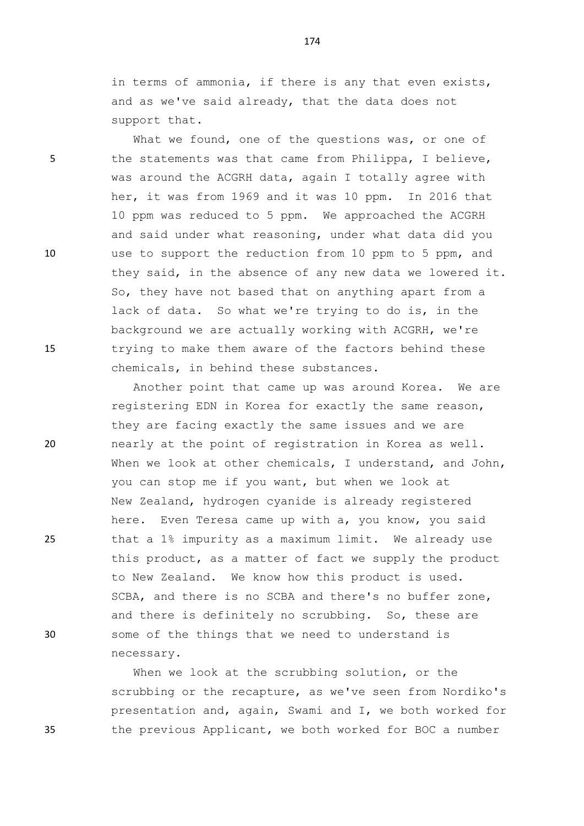in terms of ammonia, if there is any that even exists, and as we've said already, that the data does not support that.

What we found, one of the questions was, or one of 5 the statements was that came from Philippa, I believe, was around the ACGRH data, again I totally agree with her, it was from 1969 and it was 10 ppm. In 2016 that 10 ppm was reduced to 5 ppm. We approached the ACGRH and said under what reasoning, under what data did you 10 use to support the reduction from 10 ppm to 5 ppm, and they said, in the absence of any new data we lowered it. So, they have not based that on anything apart from a lack of data. So what we're trying to do is, in the background we are actually working with ACGRH, we're 15 trying to make them aware of the factors behind these chemicals, in behind these substances.

Another point that came up was around Korea. We are registering EDN in Korea for exactly the same reason, they are facing exactly the same issues and we are 20 nearly at the point of registration in Korea as well. When we look at other chemicals, I understand, and John, you can stop me if you want, but when we look at New Zealand, hydrogen cyanide is already registered here. Even Teresa came up with a, you know, you said 25 that a 1% impurity as a maximum limit. We already use this product, as a matter of fact we supply the product to New Zealand. We know how this product is used. SCBA, and there is no SCBA and there's no buffer zone, and there is definitely no scrubbing. So, these are 30 some of the things that we need to understand is necessary.

When we look at the scrubbing solution, or the scrubbing or the recapture, as we've seen from Nordiko's presentation and, again, Swami and I, we both worked for 35 the previous Applicant, we both worked for BOC a number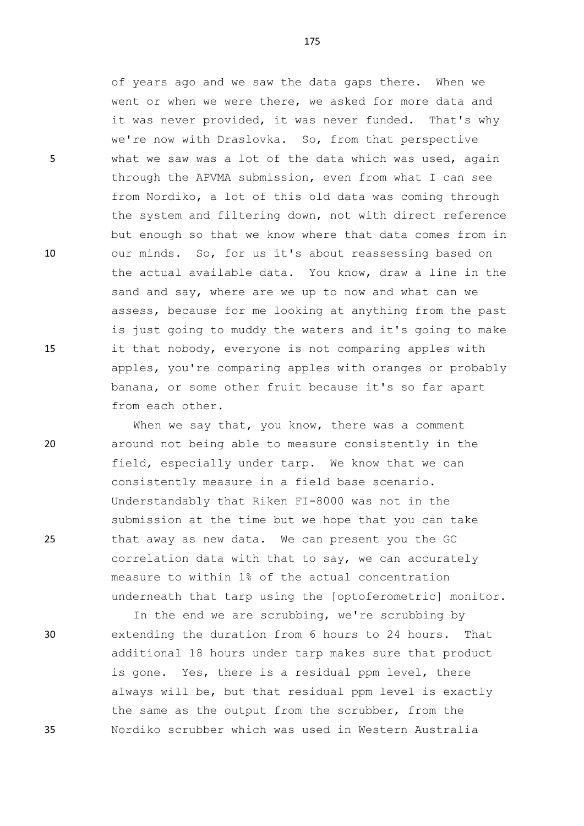of years ago and we saw the data gaps there. When we went or when we were there, we asked for more data and it was never provided, it was never funded. That's why we're now with Draslovka. So, from that perspective 5 what we saw was a lot of the data which was used, again through the APVMA submission, even from what I can see from Nordiko, a lot of this old data was coming through the system and filtering down, not with direct reference but enough so that we know where that data comes from in 10 our minds. So, for us it's about reassessing based on the actual available data. You know, draw a line in the sand and say, where are we up to now and what can we assess, because for me looking at anything from the past is just going to muddy the waters and it's going to make 15 it that nobody, everyone is not comparing apples with apples, you're comparing apples with oranges or probably banana, or some other fruit because it's so far apart from each other.

When we say that, you know, there was a comment 20 around not being able to measure consistently in the field, especially under tarp. We know that we can consistently measure in a field base scenario. Understandably that Riken FI-8000 was not in the submission at the time but we hope that you can take 25 that away as new data. We can present you the GC correlation data with that to say, we can accurately measure to within 1% of the actual concentration underneath that tarp using the [optoferometric] monitor.

In the end we are scrubbing, we're scrubbing by 30 extending the duration from 6 hours to 24 hours. That additional 18 hours under tarp makes sure that product is gone. Yes, there is a residual ppm level, there always will be, but that residual ppm level is exactly the same as the output from the scrubber, from the 35 Nordiko scrubber which was used in Western Australia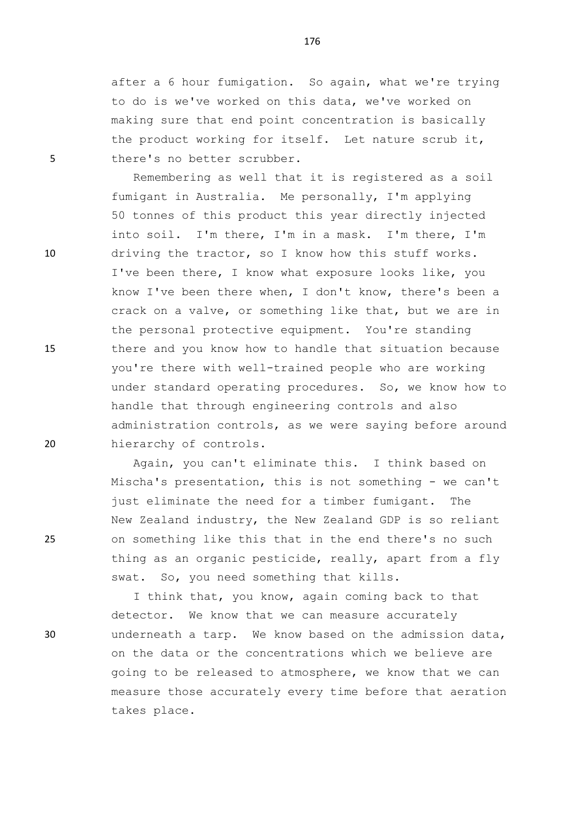after a 6 hour fumigation. So again, what we're trying to do is we've worked on this data, we've worked on making sure that end point concentration is basically the product working for itself. Let nature scrub it, 5 there's no better scrubber.

Remembering as well that it is registered as a soil fumigant in Australia. Me personally, I'm applying 50 tonnes of this product this year directly injected into soil. I'm there, I'm in a mask. I'm there, I'm 10 driving the tractor, so I know how this stuff works. I've been there, I know what exposure looks like, you know I've been there when, I don't know, there's been a crack on a valve, or something like that, but we are in the personal protective equipment. You're standing 15 there and you know how to handle that situation because you're there with well-trained people who are working under standard operating procedures. So, we know how to handle that through engineering controls and also administration controls, as we were saying before around 20 hierarchy of controls.

Again, you can't eliminate this. I think based on Mischa's presentation, this is not something - we can't just eliminate the need for a timber fumigant. The New Zealand industry, the New Zealand GDP is so reliant 25 on something like this that in the end there's no such thing as an organic pesticide, really, apart from a fly swat. So, you need something that kills.

I think that, you know, again coming back to that detector. We know that we can measure accurately 30 underneath a tarp. We know based on the admission data, on the data or the concentrations which we believe are going to be released to atmosphere, we know that we can measure those accurately every time before that aeration takes place.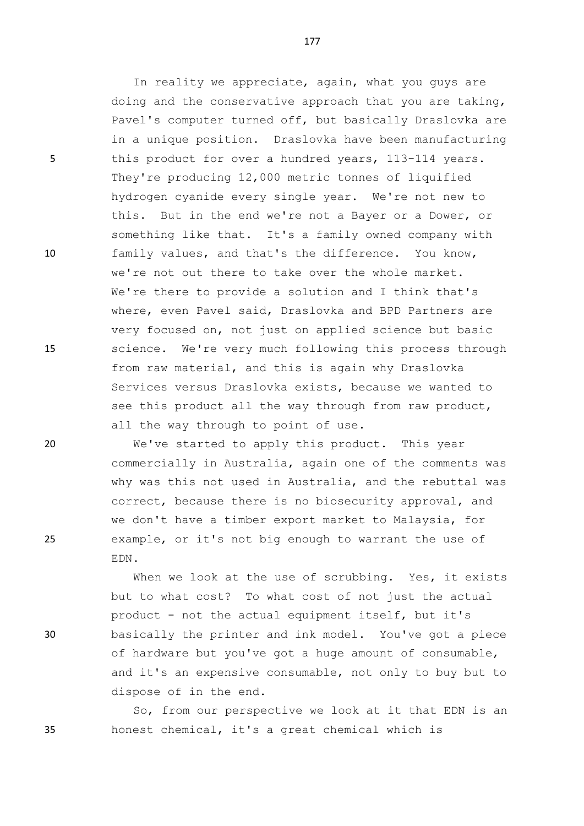In reality we appreciate, again, what you guys are doing and the conservative approach that you are taking, Pavel's computer turned off, but basically Draslovka are in a unique position. Draslovka have been manufacturing 5 this product for over a hundred years, 113-114 years. They're producing 12,000 metric tonnes of liquified hydrogen cyanide every single year. We're not new to this. But in the end we're not a Bayer or a Dower, or something like that. It's a family owned company with 10 family values, and that's the difference. You know, we're not out there to take over the whole market. We're there to provide a solution and I think that's where, even Pavel said, Draslovka and BPD Partners are very focused on, not just on applied science but basic 15 science. We're very much following this process through from raw material, and this is again why Draslovka Services versus Draslovka exists, because we wanted to see this product all the way through from raw product, all the way through to point of use.

20 We've started to apply this product. This year commercially in Australia, again one of the comments was why was this not used in Australia, and the rebuttal was correct, because there is no biosecurity approval, and we don't have a timber export market to Malaysia, for 25 example, or it's not big enough to warrant the use of EDN.

When we look at the use of scrubbing. Yes, it exists but to what cost? To what cost of not just the actual product - not the actual equipment itself, but it's 30 basically the printer and ink model. You've got a piece of hardware but you've got a huge amount of consumable, and it's an expensive consumable, not only to buy but to dispose of in the end.

So, from our perspective we look at it that EDN is an 35 honest chemical, it's a great chemical which is